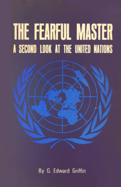# THE FEARFUL MASTER A SECOND LOOK AT THE UNITED NATIONS

#### By G. Edward Griffin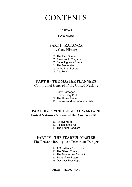# CONTENTS

#### PREFACE

FOREWORD

## **PART I - KATANGA A Case History**

- 01. The First Spade
- 02. Prologue to Tragedy
- 03. Seceding from Chaos
- 04. The Moderates
- 05. In the Last Resort
- 06. Ah, Peace

## **PART II - THE MASTER PLANNERS Communist Control of the United Nations**

- 07. Baby Carriages
- 08. Under Every Bed
- 09. The Home Team
- 10. Neutrals and Non-Communists

## **PART III - PSYCHOLOGICAL WARFARE United Nations Capture of the American Mind**

- 11. Animal Farm
- 12. Poison in the Air
- 13. The Fright Peddlers

## **PART IV - THE FEARFUL MASTER The Present Reality--An Imminent Danger**

- 14. A Substitute for Victory
- 15. The Silken Thread
- 16. The Dangerous Servant
- 17. Point of No Return
- 18. Our Last Best Hope

ABOUT THE AUTHOR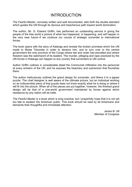# INTRODUCTION

*The Fearful Master*, concisely written and well documented, sets forth the double standard which guides the UN through its devious and treacherous path toward world domination.

The author, Mr. G. Edward Griffin, has performed an outstanding service in giving the people of the free world a picture of what *has* happened, *is* happening, and *will* happen in the very near future--if we continue our course of strategic surrender to international forces.

The book opens with the story of Katanga and reveals the broken promises which the UN made to Moise Tshombe in order to deceive him, and to turn over to the central government the only province of the Congo where law and order had prevailed and where freedom was the watchword of its leaders. The murder, pillaging and rape practiced by the UN forces in Katanga can happen to any country that surrenders to UN control.

Author Griffin outlines in considerable detail the Communist infiltration into the personnel at every echelon of the UN, and he exposes the treachery and subversion that flourishes there.

The author meticulously outlines the grand design for surrender, and likens it to a jigsaw puzzle. The chief designer is well aware of the ultimate picture, but an individual working on an indiscernible piece of that puzzle does not know exactly what he is doing or where it will fit into the picture. When all of the pieces are put together, however, the finished grand design will be that of a one-world government maintained by forces against which resistance by any nation will be futile.

*The Fearful Master* is a book which is long overdue, but I prayerfully hope that it is not yet too late to awaken the American public. This book should be read by all Americans and demands their thoughtful and immediate attention.

> *James B. Utt*  Member of Congress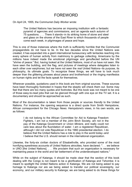# FOREWORD

On April 24, 1955, the Communist *Daily Worker* wrote:

The United Nations has become an imposing institution with a fantastic pyramid of agencies and commissions, and an agenda each autumn of 75 questions. . . . There it stands--in its striking home of stone and steel and glass on the shores of the East River to which thousands of people come each week, in pilgrimages of peace and hope.

This is one of those instances where the truth is sufficiently horrible that the Communist propagandists do not have to lie. In the two decades since the United Nations was created, it has expanded into a giant international bureaucracy with tentacles reaching into every sphere of human activity from matrimony to garbage collecting. Americans by the millions have indeed made the emotional pilgrimage and genuflected before the UN "shrine of peace." But, having looked at the United Nations, most of us have not seen. We have seen the building, and the flag, and pictures of meetings where delegates listen to each other over earphones; but we have not seen the *real* United Nations--its purpose, its philosophy, its ultimate goals. To recognize these things, we will have to look much deeper than the glittering phrases about peace and brotherhood or the ringing manifestos on human rights and let the facts speak for themselves.

Wherever possible, quotations used in this book are from original sources. These sources have been thoroughly footnoted in hopes that the skeptic will check them out. Some may feel that there are too many quotes and footnotes. But this book was not meant to be one of those easy-to-read jobs that can be glanced through with one eye on the TV set. It is a documentary and should be approached as such.

Most of the documentation is taken from those people or sources *friendly* to the United Nations. For instance, the opening sequence is a direct quote from Smith Hempstone, African correspondent for the Chicago *News*. Hempstone's views, in his own words, are as follows:

I do not belong to the African Committee for Aid to Katanga Freedom Fighters, I am not a member of the John Birch Society, am not in the pay of the Katanga Government or *Union Miniere*, and really could not care less about the fluoridation of water. I am a registered Republican, although I did not vote Republican in the 1960 presidential election. I do believe that the United Nations has a role to play in the world today--and I believe that the U.S. should remain in the international organization.

Likewise, the forty-six civilian doctors of Elisabethville, who provided some of the most horrifying eyewitness accounts of United Nations atrocities, have declared: ". . . we believe in UNO [the United Nations]. . . . We proclaim that such an organization is necessary for maintaining peace in the world and fair betterment of the underdeveloped nations."

While on the subject of Katanga, it should be made clear that the section of this book dealing with the Congo is not meant to be a glorification of Katanga and Tshombe; it is meant to spotlight the United Nations action in Katanga. We are not being asked to pay homage to Katanga nor are we being asked to transfer our political sovereignty, our economy, and our military security to Katanga; we *are* being asked to do these things for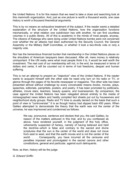the United Nations. It is for this reason that we need to take a close and searching look at this mammoth organization. And, just as one picture is worth a thousand words, one case history is worth a thousand theoretical arguments.

This is by no means an exhaustive treatment of the subject. If the reader wants a detailed explanation of the structure of the United Nations, how the organization functions mechanically, or what relation one subdivision has with another, he can find countless volumes in a public library. All of this is academic in the minds of most people, anyway. The citizens of Katanga who were dying under United Nations bombs were not concerned over whether the air attacks had been authorized by the Security Council, the General Assembly or the Military Staff Committee, or whether it took a two-thirds vote or only a majority vote.

Nor has the tremendous financial burden that membership in the United Nations places on the shoulders of American taxpayers been discussed. After all, mere money is relatively unimportant. If the UN really *were* what most people think it is, it would be well worth the investment. The real cost of our membership will not, in the end, be measured in terms of dollars and cents; it will be counted out in terms of lost freedoms, despair and human suffering.

This is not an attempt to present an "objective" view of the United Nations. If the reader wants to acquaint himself with the other side he need only turn on his radio or TV, or glance through the pages of his favorite newspaper or magazine. The other side *has* been presented almost without challenge by every conceivable means--books, movies, plays, speeches, editorials, pamphlets, posters, and poetry. It has been promoted by politicians, athletes, movie stars, teachers, beauty queens, and businessmen. By comparison, the case *against* the United Nations has been relegated almost entirely to the media of mimeographed news letters and hastily compiled fact sheets put out by housewives and neighborhood study groups. Radio and TV time is usually denied on the basis that such a point of view is "controversial." It is as though history had slipped back 450 years. When Galileo attempted to demonstrate the theory that the earth was not the center of the universe, he was imprisoned and condemned as follows:

We say, pronounce, sentence and declare that you, the said Galileo, by reason of the matters adduced in this trial, and by you confessed as above, have rendered yourself, in the judgment of this holy office, vehemently suspected of heresy, namely of having believed and held the doctrine--which is false and contrary to the sacred and divine scriptures--that the sun is the center of the world and does not move from east to west, and that the earth moves and is not the center of the world. . . . Consequently, you have incurred all the censures and penalties imposed and promulgated in the sacred canons and other constitutions, general and particular, against such delinquents.

Now, as then, history will be the judge.

*G. Edward Griffin*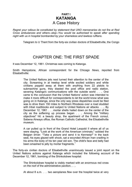### **PART I KATANGA** A Case History

*Regret your odious lie constituted by statement that UNO mercenaries do not fire at Red Cross ambulances and others--stop--You would be authorised to speak after spending night with us in hospital bombarded by your shameless and lawless ruffians.*

Telegram to U Thant from the forty-six civilian doctors of Elisabethville, the Congo

# CHAPTER ONE: THE FIRST SPADE

It was December 12, 1961. Christmas was coming to Katanga.

Smith Hempstone, African correspondent for the Chicago *News,* reported from Elisabethville:

The United Nations jets next turned their attention to the center of the city. Screaming in at treetop level while excited soldiers and white civilians popped away at them with anything from 22 pistols to submachine guns, they blasted the post office and radio station, severing Katanga's communications with the outside world . . .. One came to the conclusion that the United Nations' action was intended to make it more difficult for correspondents to let the world know what was going on in Katanga, since the only way press dispatches could be filed was to drive them 150 miles to Northern Rhodesia over a road studded with tribal roadblocks and subject to United Nations air attacks . . .. By December 12, 1961 . . . mortar shells hailed down on the center of the city as the softening up process began . . .. Among the "military objectives" hit: a beauty shop, the apartment of the French consul, Sabena Airways office, the Roman Catholic Cathedral, the Elisabethville museum.

A car pulled up in front of the Grand Hotel Leopold II where all of us were staying. "Look at the work of the American criminals," sobbed the Belgian driver. "Take a picture and send it to Kennedy!" In the back seat, his eyes glazed with shock, sat a wounded African man cradling in his arms the body of his ten year old son. The child's face and belly had been smashed to jelly by mortar fragments.<sup>1</sup>

The forty-six civilian doctors of Elisabethville unanimously issued a joint report on the United Nations actions against Katanga which included the following account of the December 12, 1961, bombing of the Shinkolobwe hospital:

The Shinkolobwe hospital is visibly marked with an enormous red cross on the roof of the administrative pavilion. . . .

At about 8 a.m. . . . two aeroplanes flew over the hospital twice at very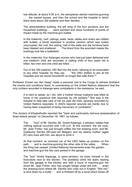low altitude; at about 9:30 a.m. the aeroplanes started machine-gunning . . . the market square, and then the school and the hospital in which there were about 300 patients and their families. . . .

The administrative building, the left wing of the four pavilions and the household buildings . . . were bombed and show hundreds of points of impact made by the machine-gun bullets.

In the maternity, roof, ceilings, walls, beds, tables and chairs are riddled with bullets; a bomb exploded in another pavilion which was luckily unoccupied; the roof, the ceiling, half of the walls and the furniture have been blasted and shattered. . . . The blood from the wounded makes the buildings look like a battlefield. . . .

In the maternity, four Katangan women who had just been delivered and one newborn child are wounded, a visiting child of four years old is killed; two men and one child are killed. . . .

Out of the 300 patients, 240 fled into the bush, refusing to be evacuated to any other hospital, for they say . . . "the UNO prefers to aim at the hospitals and we would henceforth no longer feel safe there."<sup>2</sup>

Professor Ernest van den Haag<sup>3</sup> made a personal visit to the Congo to witness firsthand the events and conditions there. In commenting on the United Nations statement that the only civilians wounded in Katanga were combatants in the resistance, he said:

It is hard to speak, as I did, with a mother whose husband was killed at home in her presence with bayonets by UN soldiers.<sup>4</sup> She was in the hospital to help take care of her six year old child, severely wounded by United Nations bayonets. A child's bayonet wounds are hardly due to having been suspected of being mercenary or combatant.<sup>5</sup>

The doctors of Elisabethville reported the "triple and particularly heinous assassination of three elderly people" on December 16, 1961, as follows:

The . . . "boy" of Mr. Derriks, Mr. André Kapenga, a witness, relates that nothing special occurred until 1:45 p.m. At this moment, the old cook, Mr. Jean Fimbo, has just brought coffee into the drawing room, and Mr. Guillaume Derriks (60-year-old Belgian) and his elderly mother (aged 87) who lives with him, are about to drink it.

At that moment, an armored car of the UNO takes up position on the path . . . and is machine-gunning the other side of the valley. . . . When the firing has ceased, [United Nations] mercenaries enter the garden . . . and machine-gun the two cars parked in the garage.

The "boy" André Kapenga, is panic-stricken; he locks himself in the food-store next to the kitchen. The [soldiers] climb the stairs leading from the garage to the kitchen and with a burst of machine-gun fire shoot Mr. Jean Fimbo, who has sought refuge under the sink . . . enter the drawing-room where Mr. Derriks who cries out in English: "Not me," is shot down by a bullet . . . and is finished off by a burst which blows off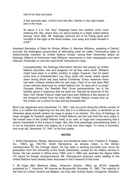half of his face and skull.

A few seconds later, a third burst hits Mrs. Derriks in the right breast . . . and in the neck. . . .

At about 5 p.m. the "boy" Kapenga hears the soldiers once more entering the villa, where they run about looting to a slight extent before leaving. Soon after, Mr. Kapenga ventures out of his hiding place and horrified at the sight of the three bodies, runs away and hides himself in a loft. $6$ 

Assistant Secretary of State for African Affairs G. Mennen Williams, speaking in Detroit, accused the Katangese government of fabricating what he called "horrendous tales of indiscriminate mayhem by United Nations troops" during their December attack on Katanga. Millions of Americans read Williams' assurances in their newspapers and were relieved. Practically no one has read Smith Hempstone's reply:

Unquestionably, the Katanga Information Service had played up United Nations atrocities, real and imagined, for all they were worth. Williams might have been in a better position to judge, however, had he spent some time in Elisabethville's Leo Deux while UN mortar shells rained down during those last days before Christmas. Every newsman there had seen civilians shelled with his own eyes. Each of us had seen Red Cross vehicles destroyed by United Nations fire. Or were all of us lying? Georges Alavet, the Swedish Red Cross representative, lay in his shallow grave in testimony that we were not. Sanché de Gramont of the New York *Herald Tribune* might well have sent Williams a few pieces of the shrapnel picked from his body after United Nations troops shot up the civilian car in which he was leaving Elisabethville.<sup>7</sup>

Much has happened since December 12, 1961. Like any point along the infinite corridor of time, it is neither the beginning nor the end. But it is a reference point, a handhold on an otherwise glass-smooth sphere too large to grasp in its entirety. The story of Katanga, its tragic struggle for freedom against the United Nations and the part that this story plays in the overall view of the United Nations itself, is so vast, so huge and overpowering that it seems impossible to find a place to begin. But, like most seemingly overwhelming tasks, it is not as important where one begins as it is that one *does* begin. To move a mountain, one must dig. December 12, 1961, is the first spade.

#### **NOTES**

1. Smith Hempstone, *Rebels, Mercenaries and Dividends* (New York, Frederic A. Praeger, Inc., 1962), pp. 190-193. Smith Hempstone, as already noted, is the African correspondent for the Chicago *News.* He has been a working journalist ever since his graduation from the University of the South (Sewanee), except for his military service in Korea. He has worked in Africa since 1956, and in 1960 was awarded the Sigma Delta Chi award for foreign correspondence. Mr. Hempstone's personal views relating to the United Nations have already been discussed in the Foreword of this book.

2*. 46 Angry Men* (Belmont, Mass., American Opinion, 1962), pp. 60-63; originally published by T. Vleurinck, 96 Avenue de Broqueville, Bruxelles 15, 1962. The majority of the forty-six civilian doctors are Belgian, but they also include Swiss, Hungarian, Brazilian,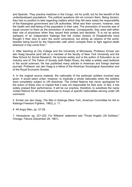and Spanish. They practice medicine in the Congo, not for profit, but for the benefit of the underdeveloped populations. The political questions did not concern them. Being doctors, they had no position to take regarding matters which they felt were solely the responsibility of the Katangese government and UN authorities. What *was* their concern, however, was the health and well-being of the population in their care. The prevention of wounds was of equal concern to them as the prevention of sickness. Consequently, they were well within their role of physicians when they issued their protest and declared: "It is not as active partisans of an independent Katanga that the civilian doctors of Elisabethville have thought it their duty to warn the world conscience, but strictly as citizens of the world, besides being bound by the Hippocratic oath which compels them to fight against death wherever it may come from."

3. After teaching at City College and the University of Minnesota, Professor Ernest van den Haag became (and still is) a member of the faculty of New York University and the New School for Social Research. He lectures widely and is the author of *Education as an Industry* and of *The Fabric of Society* (with Ralph Ross), the latter a widely used textbook in the social sciences. He has published many articles in American and foreign learned journals. Professor van den Haag is a fellow of the American Sociological Association and of the Royal Economic Society.

4. In the original source material, the nationality of the particular soldiers involved was given. It would seem unfair, however, to implicate a whole nationality when the soldiers were completely subject to UN directives. The United Nations has never apologized for the action of these men or implied that it was not responsible for their acts. In fact, it has widely praised their performance. It will be our practice, therefore, to substitute the name *United Nations* for all future references to troops of specific nationalities serving under UN command.

5. Ernest van den Haag, *The War in Katanga* (New York, American Committee for Aid to Katanga Freedom Fighters, 1962), p. 11.

6*. 46 Angry* Men, pp. 27-29.

7. Hempstone, pp. 221-222. For Williams' statement see "Those Angelic UN Soldiers," Chicago *Tribune* (December 28, 1961).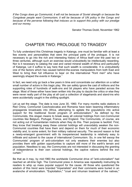*If the Congo does go Communist, it will not be because of Soviet strength or because the Congolese people want Communism; it will be because of UN policy in the Congo and because of the perverse following that induces us to support this policy with our prestige and our money.*

Senator Thomas Dodd, November 1962

# CHAPTER TWO: PROLOGUE TO TRAGEDY

To fully understand this Christmas tragedy in Katanga, one must be familiar with at least a few events and personalities that were the principal parts of the prologue. It is not necessary to go into the rich and interesting history of Africa itself over the past two or three centuries, although such an exercise would undoubtedly be intellectually rewarding. Nor is it necessary to catalog the vast and varied mineral wealth of Africa and particularly of Katanga. Let it suffice to say here that such wealth is considerable. It is undoubtedly one of the factors which has caused behind-the-scenes manipulators from both East and West to bring their full influence to bear on the international "front men" who have seemingly shaped the events in Katanga. $1$ 

In fact, we need only go back a few years in time and concentrate our attention on a rather small number of actors in this tragic play. We can safely ignore the cast of millions and the supporting roles of hundreds of walk-ons and bit players who have paraded across the stage. Most of these either have been written into the play to dazzle the critics or else they were never really part of the play at all--just a collection of stagehands and stand-ins who were accidentally caught in the shifting spotlight.

Let us set the stage. The date is now June 30, 1960. For many months radio stations in Red China, Communist Czechoslovakia and Romania have been beaming inflammatory propaganda broadcasts into Africa, attempting to agitate the populations into active support for the traditional Soviet program of anticolonialism.<sup>2</sup> As defined by the Communists, this slogan means to break away all colonial holdings from non-Communist countries like Belgium, Portugal, France, and England. The Communists, of course, are not acting out of humanitarian instincts when they do this. Their purpose is twofold. First, they know that breaking away these colonial holdings will unavoidably weaken the non-Communist countries that have them and depend on them for much of their economic viability and, to some extent, for their military national security. The second reason is that a newly-emergent government with its inexperienced leadership is relatively easy to infiltrate and subvert to the cause of international Communism. So, in one fell swoop the Communists' program of anti-colonialism not only weakens their enemies but also provides them with golden opportunities to capture still more of the earth's terrain and population. Needless to say, the Communists are not interested in discussing the granting of independence to their own colonial holdings, the captive nations behind the iron curtain.<sup>3</sup>

Be that as it may, by mid-1960 the worldwide Communist drive of "anti-colonialism" had reached an all-time high. The Communist press in America was repeatedly instructing its readers to whip up mass popular support for the cause. All those who questioned the wisdom of this trend were branded "imperialists" and their comments were buried in an avalanche of emotionalism. "Exploitation," "cruel and inhuman treatment of the natives,"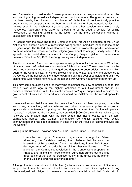and "humanitarian consideration" were phrases shouted at anyone who doubted the wisdom of granting immediate independence to colonial areas. The great advances that had been made, the miraculous transplanting of civilization into regions totally primitive and savage, the progress that had been made in the cultural and educational levels of natives even in the bush country--these and many other considerations were rarely mentioned. Apparently they were not thought to be as good a vehicle for selling newspapers or gaining acclaim at the lecturn as the more sensational stories of exploitation and profiteering.

In keeping with the prevailing mood, Communist and Afro-Asian delegates at the United Nations had initiated a series of resolutions calling for the immediate independence of the Belgian Congo. The United States also went on record in favor of this position and exerted no small amount of pressure on the Belgian government to comply. Finally, after a few sporadic anti-colonial demonstrations in the Congo, Belgium yielded to international pressure .<sup>4</sup> On June 30, 1960, the Congo was granted independence.

The first character of importance to appear on-stage is one Patrice Lumumba. What kind of a man was he? What were his motives? His objectives? These questions can be answered succinctly. He was a deranged and degenerate dope addict; he was a willing agent of the Communists; he worked tirelessly to bring chaos, anarchy and bloodshed to the Congo as the necessary first stage toward his ultimate goal of complete and unlimited dictatorship with himself nominally at the top and with Communist power to back him up.

This may come as quite a shock to many who remember the glowing praises sung for this man a few years ago in the highest echelons of our Government and in our communications media. But for the skeptic who still can't quite bring himself to believe that government officials and news editors ever could be mistaken, let the record speak for itself.

It was well known that for at least two years the Soviets had been supplying Lumumba with arms, ammunition, military vehicles and other necessary supplies to insure an appropriate spontaneous" uprising of the people against their "colonial-imperialist masters." In addition to the hardware, they provided \$400,000 a month with which to buy followers and provide them with the little extras that insure loyalty, such as cars, extravagant parties, and women. Lumumba's Communist backing was widely acknowledged and had been described in detail in both the House of Representatives and the Senate.<sup>5</sup>

Writing in the Brooklyn *Tablet* on April 15, 1961, Bishop Fulton J. Sheen said:

Lumumba set up a Communist organization among his fellow tribesmen, the Batetelas, making them believe that he was the incarnation of his ancestors. During the elections, Lumumba's troops destroyed most of the ballot boxes of the other candidates . . .. The plans for the Communist revolution in the Congo were prepared in Prague, and in the first three months, Lumumba carried out the first three points of the plan: to organize mutiny in the army; put the blame on the Belgians; organize a terrorist regime.<sup>6</sup>

Although few Americans knew it at the time (or know it even now) evidence of Communist support for Lumumba was so plentiful and undeniable that Secretary-General Dag Hammarskjold felt obliged to reassure the non-Communist world that Soviet aid to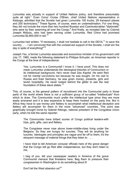Lumumba was actually in support of United Nations policy, and therefore presumably quite all right.<sup>7</sup> Even Conor Cruise O'Brien, chief United Nations representative in Katanga, admitted that the Soviets had given Lumumba 100 trucks, 29 transport planes and 200 technicians.<sup>8</sup> These figures, of course, were an underestimation. For one thing, they did not include the more than two hundred Russian and Czechoslovakian "diplomats" who were by then swarming all over the Congo.<sup>9</sup> And finally, as revealed later by Colonel Joseph Mobutu, who had been serving under Lumumba, Red China had promised Lumumba  $$2,800,000$  in aid.<sup>10</sup>

Lumumba had written: "if necessary, I shall not hesitate to call in the DEVIL $^{11}$  to save the country. . . . I am convinced that with the unreserved support of the Soviets, I shall win the day in spite of everything!"<sup>12</sup>

Joseph Yav, a former Lumumba associate and economics minister of his government until July 17, 1960, made the following statement to Philippa Schuyler, an American reporter in the Congo at the time of independence:

Yes, Lumumba *is* a Communist! I know it. I have proof. This does not mean Lumumba understands the ideological theories of Communism or its intellectual background. He's never read *Das Kapital.* He went Red not for mental convictions but because he was bought. On his visit to Russia and East Germany, he was given money, presents, girls and lavish hospitality. He never looked behind the glitter to see the real foundation of these slave states.<sup>13</sup>

This, of course, is the general pattern of recruitment into the Communist party in those parts of the world where there is not a sufficient group of so-called "intellectuals" from which to draw. The Communists much prefer the intellectual type since they are more easily ensnared and it is less expensive to keep them hooked on the party line. But in Africa they have to use money and flattery to accomplish what intellectual deception and flattery will accomplish for them in the more "advanced" countries. This point was graphically brought home by Gabriel Kitenge, national president of the Congolese Union party, when he told the same reporter:

The Communists have bribed scores of Congo political leaders-with trips, girls, gifts, cars and flattery.

The Congolese never rose above lower-middle-class living under the Belgians. So they are hungry for luxuries. They will do anything for luxuries. Ideologies and principles are vague and far off to them; it's the eloquent message of material things that they listen to. . . .

I have tried to tell American consular officials here of the grave danger that the Congo will go Red after independence, but they don't listen to me.

I beg of you, tell your newspaper readers in America of the grave Communist menace that threatens here. Beg them to pressure their congressmen in Washington to do something about it!

Don't let the West abandon us!<sup>14</sup>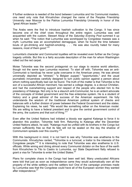If further evidence is needed of the bond between Lumumba and his Communist masters, one need only note that Khrushchev changed the name of the Peoples Friendship University near Moscow to the Patrice Lumumba Friendship University in honor of this "great African leader."<sup>15</sup>

The Arabs were the first to introduce hashish cultivation to the Congo. It has since become one of the chief vices throughout the entire region. Lumumba was well acquainted with the custom. Stewart Alsop of the *Saturday Evening Post* summed it up when he said: "The notion that Lumumba was worshipped by Congolese masses was a myth. Lumumba was an accomplished demagogue, when he found the time between bouts of gin-drinking and hashish-smoking. . . . He was also roundly hated for many reasons, most of them good."16

Lumumba's character and Communist loyalties will be revealed even further as the Congo tragedy unfolds. But this is a fairly accurate description of the man for whom Washington rolled out the red carpet.

Moise Tshombe was the second protagonist on our stage to receive world attention, though not the same type Lumumba received. To start off with, Tshombe was an anti-Communist--a handicap he never quite overcame in the American press. He was almost universally depicted as "shrewd," "a Belgian puppet," "opportunistic," and the usual journalistic innuendoes carefully designed to turn public opinion against a person about whom nothing specifically bad can be found. The truth of the matter is that Tshombe is the son of a successful African merchant, has earned a college degree, is a devout Christian, and had the overwhelming support and respect of the people who elected him to the presidency of Katanga. Not only is he a staunch anti-Communist, he is an ardent advocate of the concepts of limited government and the free enterprise system. He is a student of history and a great admirer of the success of the American experiment. He fully understands the wisdom of the traditional American political system of checks and balances with a further division of power between the Federal Government and the states. Explaining his views, he said: "We would like something rather on the American model. We are willing to have a federal president and to give the central government control of the army, the customs and that sort of thing."<sup>17</sup>

Even after the United Nations had initiated a bloody war against Katanga to force it to abandon this position, Tshombe held firm. Returning to Katanga after the December United Nations attack, he said, "Katanga must be unified with its brothers in the Congo but remain sufficiently free so that its fate will not be sealed on the day the shadow of Communism spreads over this country."18

With this background in mind, it is not hard to see why Tshombe was anathema to the Communists. Khrushchev ranted, "Tshombe is a turncoat, a traitor to the interests of the Congolese people."<sup>19</sup> It is interesting to note that Tshombe was also anathema to U.S. officials. While wining and dining almost every Communist dictator on the face of the earth from Khrushchev to Tito to Castro to Lumumba, our State Department flatly refused to grant a visa for Tshombe to enter the United States.<sup>20</sup>

Plans for complete chaos in the Congo had been well laid. Many uneducated Africans were told that just as soon as independence came they would automatically own all the property of the white settlers--and the settlers too! One of the campaign promises made by Lumumba was that the Congolese could have all of the European women they wanted after independence. $21$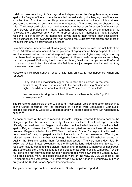It did not take very long. A few days after independence, the Congolese army mutinied against its Belgian officers. Lumumba reacted immediately by discharging the officers and expelling them from the country. He promoted every one of the mutinous soldiers at least one rank and moved up several to the level of general. All men received a substantial pay raise. The lowest paid soldier was getting about twice that of an American GI of equivalent rank. Devoid of professional military command and whipped up by Lumumba and his followers, the Congolese army went on a spree of plunder, murder and rape. European residents fled in terror by the thousands leaving behind their homes, their possessions, their businesses, and everything they had worked for. Currency was frozen and most of them left with only a hastily packed suitcase.

Few Americans understood what was going on. Their news sources did not help them much. All attention was focused on the pictures of crying women being helped off planes and the sensational accounts of widespread rape. We were not given any insight into why this chaos had happened or who had triggered it. It was made to appear as something that just happened. Editors by the droves speculated, "Well what can you expect? After all those years of exploiting the natives, the Belgians are just reaping the harvest that they themselves have sown."

Newswoman Philippa Schuyler shed a little light on how it "just happened" when she reported:

They had been maliciously egged on to start the disorder. In the wee hours of July 9, someone rushed into the barracks shouting, "Come and fight! The whites are about to attack you! You're about to be killed!"

No one was attacking the soldiers. It was a deliberate lie, with frightful consequences."<sup>22</sup>

The Reverend Mark Poole of the Luluabourg Presbyterian Mission and other missionaries in the Congo confirmed that the outbreaks of violence were undoubtedly Communist inspired and that they were too widespread and well coordinated to have just happened by chance  $^{23}$ 

As soon as word of the chaos reached Brussels, Belgium ordered its troops back to the Congo to protect the lives and property of its citizens there. In a fit of rage Lumumba officially declared war on Belgium and called on the United Nations for military help against Belgian intervention. The United Nations complied, as we shall see. At the outset, however, Belgium called on its NATO friend, the United States, for help so that it could not be accused of trying to perpetuate its influence in its former possession. Washington refused, saving it would rather act through the United Nations. Khrushchev lashed out against the Belgians, calling them "criminal aggressors." The very same day, July 14, 1960, the United States delegation at the United Nations sided with the Soviets in a resolution stoutly condemning Belgium, demanding immediate withdrawal of her troops, and authorizing the United Nations to send troops of its own to assist Lumumba.<sup>24</sup> Within four days, the first four thousand United Nations troops were flown into the Congo by U.S. Air Force planes. Many additional thousands were on the way. By July 23 most of the Belgian troops had withdrawn. The territory was now in the hands of Lumumba's mutinous army and the United Nations "peace-keeping" forces.

The plunder and rape continued and spread. Smith Hempstone reported: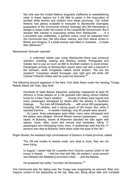Not only was the United Nations singularly ineffective in reestablishing order in these regions but it did little to assist in the evacuation of terrified white women and children from these provinces. The United Nations had planes available to evacuate to Stanleyville Gizengists [supporters of the Communist Antoine Gizenga] who felt themselves in danger in areas under the control of the Leopoldville Government. But it showed little interest in evacuating whites from Stanleyville. . . . If a Lumumbist was maltreated, a general outcry could be expected from the Communist bloc, the Afro-Asian nations, and from liberal circles in Britain and America. If a white woman was killed or molested. . .it made little difference.<sup>25</sup>

Newswoman Schuyler reported:

. . . a uniformed rabble was ruling Stanleyville--there was continual extortion, brawling, beating and arbitrary arrests. Portuguese and Greeks had to pay as much as \$60 to drunken soldiers to avoid arrest. Passengers arriving at Stanleyville's airport were met with a bayonet in the stomach, while Congolese loafers would scream, "We are the masters!" Congolese seized European cars right and left while UN Colonel Yohanna Chites said he could not intervene.26

The following account appeared in the New York *Daily News* under the heading "Congo Rebels Attack UN Train, Slay Kids":

Hundreds of rebel Baluba tribesmen yesterday massacred at least 20 Africans in three attacks on a UN guarded train taking school children home for a New Year's vacation. . . . Scores of others were injured and many passengers kidnapped by rebels after the attacks in Southern Katanga. . . . The train left Elisabethville . . . with some 300 passengers, including 100 children, and a strong guard of UN troops. But, when it reached Kamina . . . in western Katanga, only 40 people were aboard. . . . At Luena, three passengers were killed, many were kidnapped and the station was pillaged. Several African women passengers . . . were raped. At Bukama, waves of tribesmen attacked the train again with spears, clubs, rifles, bows and arrows and machetes, killing 17 passengers and kidnapping many more. A spokesman said that the 17 persons who died at Bukama "were killed under the eyes of the UN."

Roger Nonkel, the assistant high commissioner of Sankuru in Kasai province, stated:

The UN are unable to restore order, and what is more, they are not even trying.

In August, I asked help for Lusambo from Colonel Lasmar [chief of UN troops in Kasai]. . . . I told him that with fifty UN soldiers I could prevent war between the Batetela [Lumumba's tribe] . . . and the Baluba.

He answered me coldly: "Let them kill themselves."<sup>27</sup>

The Communist plan for taking over the Congo was progressing as planned. Step one: Capture control of the leadership at the top. Step two: Bring about utter and complete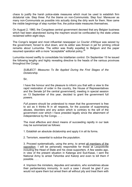chaos to justify the harsh police-state measures which must be used to establish firm dictatorial rule. Step three: Put the blame on non-Communists. Step four: Maneuver as many non-Communists as possible into actually doing the dirty work for them. Now came the visible beginnings of step number five, the police-state measures themselves.

On August 2, 1960, the Congolese central government decreed that any Belgian business which had been abandoned during the mayhem would be confiscated by the state unless reclaimed within eight days.

The Congo's largest and most influential newspaper *Le Courier d'Afrique* was seized by the government, forced to shut down, and its editor was thrown in jail for printing critical remarks about Lumumba. The editor was finally expelled to Belgium and the paper resumed operation with a more "acceptable" editorial policy.<sup>28</sup>

Lumumba moved swiftly to consolidate his totalitarian control. On September 15 he issued the following lengthy and highly revealing directive to the heads of the various provinces throughout the Congo:

*SUBJECT: Measures To Be Applied During the First Stages of the Dictatorship.*

Sir,

I have the honour and the pleasure to inform you that with a view to the rapid restoration of order in the country, the House of Representatives and the Senate [of the central government], meeting in special session on 13 September of this year, decided to grant the government full powers.

*Full powers* should be understood to mean that the government is free to act as it thinks fit in all respects, for the purpose of suppressing abuses, disorders and any action which is contrary to the will of the government over which I have presided legally since the attainment of independence by the Congo. . . .

The most effective and direct means of succeeding rapidly in our task may be summarized as follows:

1. Establish an absolute dictatorship and apply it in all its forms.

2. Terrorism, essential to subdue the population.

3. Proceed systematically, using the army, to arrest all members of the opposition. I will be personally responsible for those at Leopoldville including the Head of State and his close supporters. A few weeks ago, in view of the present situation in Katanga and Sud-Kasai, I sent the National Army to arrest Tshombe and Kalonji and even to kill them if possible. . . .

4. Imprison the ministers, deputies and senators, who sometimes abuse their parliamentary immunity. In such a case I should be glad if you would not spare them but arrest them all without pity and treat them with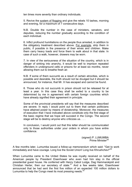ten times more severity than ordinary individuals.

5. Revive the system of flogging and give the rebels 10 lashes, morning and evening, for a maximum of 7 consecutive days.

N.B. Double the number in the case of ministers, senators, and deputies, reducing the number gradually according to the condition of each individual.

6. Inflict profound humiliations on the people thus arrested, in addition to the obligatory treatment described above. For example, strip them in public, if possible in the presence of their wives and children. Make them carry heavy loads and force them to walk about in that state. In case of such a walk, however, drawers may be worn.

7. In view of the seriousness of the situation of the country, which is in danger of sinking into anarchy, it would be well to imprison repeated offenders in underground cells or prisons for at least six months, never allowing them out to breathe fresh air.

N.B. If some of them succumb as a result of certain atrocities, which is possible and desirable, the truth should not be divulged but it should be announced, for instance, that Mr. X has escaped and cannot be found.

8. Those who do not succumb in prison should not be released for at least a year. In this case they shall be exiled to a country to be determined by me in agreement with certain foreign countries which have already signified their agreement in principle.

Some of the provincial presidents will say that the measures described are severe. In reply I would point out to them that certain politicians have attained power by means of dictatorship. Moreover, the measures of execution that I have indicated above constitute only the first stage of the basic regime that we hope will succeed in the Congo. The second stage will be to destroy anyone who criticizes us. . . .

In conclusion, I would point out that this letter should be communicated only to those authorities under your orders in whom you have entire confidence.

> (signed) P. LUMUMBA Prime Minister<sup>29</sup>

A few months later, Lumumba issued a follow-up memorandum which said: "Get to work immediately and have courage. Long live the Soviet Union! Long live Khrushchev!"<sup>30</sup>

When Lumumba came to the United States he was royalty received on behalf of the American people by President Eisenhower who even had him stay in the official presidential guest house. He conferred with Henry Cabot Lodge, Dag Hammarskjold and Christian Herter, then our secretary of state. $31'$  And a few weeks later, Eisenhower announced that be had sent the first five million of an expected 100 million dollars to Lumumba to help the Congo meet its most pressing needs.<sup>32</sup>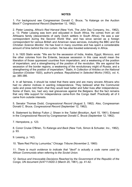1. For background see Congressman Donald C. Bruce, "Is Katanga on the Auction Block?" *Congressional Record* (September 12, 1962).

2. Pieter Lessing, *Africa's Red Harvest* (New York, The John Day Company, Inc., 1962), p. 13. Pieter Lessing was born and educated in South Africa. He comes from an old Afrikaans family (descendants of early Dutch settlers in South Africa). He was a war correspondent during the Second World War, and has since served as a foreign correspondent for various British and American news services, including the BBC and the *Christian Science Monitor*. He has lived in many countries and has spent a considerable amount of time behind the iron curtain. He has also traveled extensively in Africa.

3. In 1920 Stalin wrote: "We are for the secession of India, Arabia, Egypt, Morocco, and the other colonies from the Entente, because secession in this case would mean the liberation of those oppressed countries from imperialism, and a weakening of the position of imperialism, and a strengthening of the position of the revolution. We are *against* the secession of the border regions, a weakening of the revolutionary might of Russia, and a strengthening of the position of imperialism." Stalin, A *Collection of Articles on the National Question* (October 1920), author's preface. Republished in *Selected Works* (1953), vol. 4, pp. 385-386.

4. In all fairness, it should be noted that there were and are many sincere Africans who had no ulterior motives in wanting independence. They believed what the Communist radio and press told them--that they would lead better and fuller lives after independence. Some of them, too, had very real grievances against the Belgians. But the fact remains that very little support for independence came-from the Congo itself. Practically all of it came from outside interests.

5. Senator Thomas Dodd, *Congressional Record* (August 3, 1962). Also, Congressman Donald C. Bruce, *Congressional Record* (September 12, 1962).

6. Statement by Bishop Fulton J. Sheen in the *Tablet* (Brooklyn, April 15, 1961). Entered in the *Congressional Record* by Congressman Donald C. Bruce (September 12, 1962).

7. Hempstone, p. 123.

8. Conor Cruise O'Brien, *To Katanga and Back* (New York, Simon & Schuster, Inc., 1962), p. 93.

9. Lessing, p. 142).

10. "Bare Red Plot by Lumumba," Chicago *Tribune* (November 2, 1960)

11. *There is much evidence to indicate that "devil" is actually a code name used by African Communists when referring to the Soviet Union.*

12. *Serious and Irrevocable Decisions Reached by the Government of the Republic of the Congo,* UN document (A/4711/ADD 2 (March 20, 1961), pp. 41-42.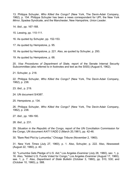13. Philippa Schuyler, *Who Killed the Congo?* (New York, The Devin-Adair Company, 1962), p. 154. Philippa Schuyler has been a news correspondent for UPI, the New York *Mirror*, Spadea Syndicate, and the Manchester, New Hampshire, *Union Leader.*

14. *Ibid.,* pp. 167-168.

15. Lessing, pp. 110-111.

16. As quoted by Schuyler, pp. 152-153.

17. As quoted by Hempstone, p. 95.

18. As quoted by Hempstone, p. 221. Also, as quoted by Schuyler, p. 293.

19. As quoted by Hempstone, p. 68.

20. *Visa Procedures of Department of State,* report of the Senate Internal Security Subcommittee (also referred to in footnotes and text as the SISS) (August 6, 1962).

21. Schuyler, p. 218.

22. Philippa Schuyler, *Who Killed the Congo?* (New York, The Devin-Adair Company, 1962), p. 238.

23. *Ibid.,* p. 219.

24. UN document S/4387.

25. Hempstone, p. 134.

26. Philippa Schuyler, *Who Killed the Congo?* (New York, The Devin-Adair Company, 1962), p. 238.

27. *Ibid.,* pp. 189-190.

28. *Ibid.,* p. 231.

29. *Situation in the Republic of the Congo,* report of the UN Conciliation Commission for the Congo, UN document A/4711/ADD 2 (March 20,1961), pp. 42-46.

30. "Bare Red Plot by Lumumba," Chicago *Tribune* (November 2, 1960).

31. New York *Times* (July 27, 1960), p. 1. Also, Schuyler, p. 222. Also, *Newsweek*  (August 22, 1960), p. 40.

32. "Lumumba Gets Pledge of U.S. Aid," Los Angeles *Examiner* (July 28, 1960), sec. 1, p. 16. Also, "Added U.S. Funds Voted for Congo," Los Angeles *Examiner* (August 17, 1960), see. 1, p. 7. Also, *Department of State Bulletin* (October 3, 1960), pp. 510, 530; and (October 10, 1960), p. 588.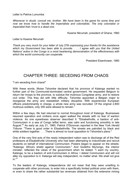Letter to Patrice Lumumba

*Whenever in doubt, consult me, brother. We have been in the game for some time and now we* know *how to handle the imperialists and colonialists. The only colonialist or imperialist that I trust is a dead one.*

Kwame Nkrumah, president of Ghana, 1960

Letter to Kwame Nkrumah

*Thank* you very *much for your letter of* July 27th *expressing your thanks for the assistance which my Government has been able to provide*. . . . *I agree with you that the United Nations' action in the Congo is a most heartening demonstration of the effectiveness with which the world community can cooperate.*

President Eisenhower, 1960

## CHAPTER THREE: SECEDING FROM CHAOS

"I am seceding from chaos!"

With these words, Moise Tshombe declared that his province of Katanga wanted no further part of the Communist-dominated central government. He requested Belgium to return her troops to the province, to subdue the mutinous Congolese army, and to restore civil order. This they did with little difficulty. Tshombe appointed a Belgian major to reorganize the army and reestablish military discipline. With experienced European officers predominantly in charge, a whole new army was recruited. Of the original 2,800 mutinous soldiers, only 300 were allowed to remain.

Within a few days, life had returned to normal throughout most of Katanga. Businesses resumed operation and civilians once again walked the streets with no fear of wanton violence. As one eyewitness observer described it: "Elisabethville, a bastion of anti-Communism in a sea of Congo leftist terror, was calm and functioning smoothly in late August."2 As early as July 21, 1960, Patrick O'Donovan reported in the New York *Herald Tribune:* "There is good order in Elisabethville. The streets are patrolled by black and white soldiers together. . . . There is almost no local opposition to Tshombe's plans."

One of the very first acts of the newly independent nation was to discharge all of the Red professors at Elisabethville University who had been attempting to indoctrinate and recruit students on behalf of international Communism. Posters began to appear on the streets: "Katanga, Africa's shield against Communism." And Godefroi Munongo, the interior minister, reflected the views of the government when he stated: "I want my country, Katanga, to be a bastion of anti-Communism in Africa. I detest Communism and will not alter my opposition to it. Katanga will stay independent, no matter what. We shall not give  $in.$ "3

To the leaders of Katanga, independence did not mean that they were unwilling to cooperate with other provinces, to enter into a specifically limited political union with them, or even to share the rather substantial tax revenues obtained from the extensive mining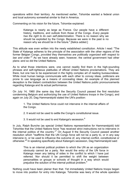operations within their territory. As mentioned earlier, Tshombe wanted a federal union and local autonomy somewhat similar to that in America.

Commenting on his vision for the future, Tshombe explained:

Katanga is nearly as large as France. Our people have a different history, traditions, and outlook from those of the Congo. *Every people has the right to its own self-determination.* There is no reason why we should be exploited by the Congo. Because we were in the past is no reason why we should be in the future.<sup>4</sup> [Italics added.]

This attitude was even written into the newly established constitution. Article I read: "The State of Katanga adheres to the principle of the association with the other regions of the former Belgian Congo, *provided they themselves are politically organized with respect to*  law and order."<sup>5</sup> As we have already seen, however, the central government had other plans--and so did the United Nations.

As to what those intentions were, one cannot readily find them in the high-sounding phrases and self-righteous platitudes of official United Nations proclamations. They are there, but one has to be experienced in the highly complex art of reading bureaucratese. While most human beings communicate with each other to *convey* ideas, politicians are prone to use language as a means of *concealing* ideas. An example of this planned deception is the blatant contradiction between the United Nations public pronouncements regarding Katanga and its actual performance.

On July 14, 1960 (the same day that the Security Council passed the first resolution condemning Belgium and authorizing the use of United Nations troops in the Congo), and again on July 20, Dag Hammarskjold stated the UN's position:

1. The United Nations force could not intervene in the internal affairs of the Congo.

2. It would not be used to settle the Congo's constitutional issue.

3. It would not be used to end Katanga's secession.<sup>6</sup>

In July, Ralph Bunche (as special United Nations representative for Hammarskjold) told Tshombe that the United Nations force "has received strict instructions not to intervene in the internal politics of the country."<sup>7</sup> On August 9 the Security Council passed another resolution which "reaffirms that the UN Congo force will not be a party to, or in any way intervene in, or be used to influence the outcome of, any internal conflict, constitutional or otherwise."<sup>8</sup> In speaking specifically about Katanga's secession, Dag Hammarskjold said:

This is an internal political problem to which the UN as an organization obviously cannot be a party. Nor would the entry of the UN force in Katanga mean any taking of sides in the conflict to which I have just referred. Nor should it be permitted to shift the weight between personalities or groups or schools of thought in a way which would prejudice the solution of the internal political problem.<sup>9</sup>

Nothing could have been plainer than that. Yet immediately United Nations troops began to move into position for entry into Katanga. Tshombe was leery of the whole operation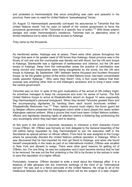and protested to Hammarskjold that since everything was calm and peaceful in his province, there was no need for United Nations "peacekeeping" forces.

On August 12 Hammarskjold personally conveyed his assurances to Tshombe that the United Nations would "not he used on behalf of the central government to force the provisional government of Mr. Tshombe to a specific line of action."<sup>10</sup> With these solemn pledges and under Hammarskjold's insistence, Tshombe had no alternative short of armed resistance but to allow UN troops access to Katanga.

They came by the thousands.

As mentioned earlier, Katanga was at peace. There were other places throughout the Congo that were in far greater need of UN forces than Katanga. Kasai province was in the throes of civil war and the countryside was literally red with blood, but the UN sent troops to Katanga. Stanleyville was a nightmare of lawlessness and violence, but the UN sent troops to Katanga. Away from the metropolitan areas the practice of cannibalism was being revived and missionaries were being slaughtered by the score, but the UN sent troops to Katanga. By September 1961 between twelve thousand and fourteen thousand troops, by far the greater portion of the entire United Nations force, had been concentrated inside peaceful Katanga.<sup>11</sup> Why were they there? Only a fool could believe that their purpose was anything other than to end Katanga's secession and to bring it back under the central government.

Tshombe was no fool. In spite of the grim implications of the arrival of UN military might, he somehow managed to keep his composure and even his sense of humor. The first United Nations troops to arrive at Elisabethville's airport on August 12 were supposedly Dag Hammarskjold's personal bodyguard. When they landed Tshombe greeted them and the accompanying dignitaries by handing them each tourist brochures entitled - 'Elisabethville Welcomes You."12 Then, before anyone could object, the honor guard led by Belgian officers presented the Katangese colors while a band played the newly written Katangese national anthem. What a picture that must have been--United Nations soldiers, officers and dignitaries standing rigidly at attention before a fluttering flag symbolizing the very sovereignty which they bad been sent to destroy.

At this point in the drama it becomes necessary to introduce a third character--Conor Cruise O'Brien. Mr. O'Brien was formerly an Irish delegate to the General Assembly of the UN before being requested by Dag Hammarskjold to join his executive staff in the Secretariat as special advisor on African affairs. From here he was assigned to the Congo where he personally directed the United Nations political operation in Katanga. When it was discovered that he had imported his Irish girl friend to Katanga, and when she found herself unexpectedly in the news as part of an international incident, O'Brien was recalled to New York and allowed to resign. There were other good reasons for getting rid of O'Brien, too. For one thing, he was too outspoken and it soon became obvious that he had to be removed. He was not the first underling in the UN to he thrown to the wolves in order to save the reputation of a higher official.

Fortunately, however, O'Brien decided to write a book about the Katanga affair. It is a treasure of little glimpses into the innermost workings of the mind of an "international servant." He was and is a fierce advocate of the United Nations. He clings to all of the intellectual fallacies about the United Nations which will be the subject of a later chapter.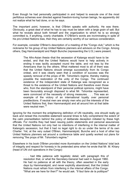Even though he had personally participated in and helped to execute one of the most perfidious schemes ever directed against freedom-loving human beings, he apparently did not realize what he had done, or so he says.

The important point, however, is that O'Brien speaks with authority. He was there. Obviously, a great deal of what he has to say must be taken with a large grain of salt. But what he reveals about both himself and the organization to which he is so strongly committed is, if anything, overly charitable. If O'Brien's words are incriminating in spite of his pro-United Nations bias, then they are certainly worthy of our serious consideration.

For example, consider O'Brien's description of a meeting of the "Congo club," which is the nickname for his group of top United Nations planners and advisors on the Congo. Among others, Dag Hammarskjold and Ralph Bunche (representing the U.S.) were present.

The Afro-Asian thesis--that the secession of Katanga would have to be ended, and that the United Nations would have to help actively in ending it--was tacitly accepted round the table, and not less by the Americans than by the others. What mattered most to all of them was that the United Nations should emerge successfully from its Congo ordeal, and it was clearly seen that a condition of success was the speedy removal of the props of Mr. Tshombe's regime, thereby making possible the restoration of the unity of the Congo. The continued existence of the independent state of Katanga was recognized as a threat to the existence of the United Nations and therefore even those who, from the standpoint of their personal political opinions, might have been favourably enough disposed to what Mr. Tshombe represented, were convinced of the necessity of strong measures. . . . This was an example of the victory of an international loyalty over personal predilections. If neutral men are simply men who put the interests of the United Nations first, then Hammarskjold and all around him at that table were neutral men.<sup>13</sup>

Ignoring for the moment the enlightening definition of UN neutrality, one should really go back and reread this incredible statement several times to fully comprehend the extent of the calm premeditation behind the policy of deliberate deception initiated by these high officials. For months they had been issuing public statements and personal assurances that the United Nations not only had no intentions of interfering in the internal matter of Katanga's secession, but that it had no legal right to do so under the terms of its own Charter. Yet, at the very outset O'Brien, Hammarskjold, Bunche and a host of other top United Nations planners sat around a conference table and quietly worked out plans for removing "the props of Mr. Tshombe's regime."

Elsewhere in his book O'Brien provided more illumination on the United Nations' total lack of integrity and respect for honesty in its pretended aims when he wrote that Mr. M. Khiary (head of UN civil operations in the Congo)

... had little patience with legalistic detail, with paragraph this of resolution that, or what the Secretary-General had said in August 1960. He had no patience at all with the theory, often asserted in the early days by Hammarskjold, and never explicitly abandoned, that the United Nations must refrain from interfering in the internal affairs of the Congo. "What are we here for then?" he would ask. *"Il faut faire de la politique!"*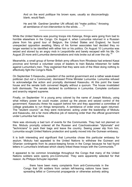And on the word *politique* his brown eyes, usually so disconcertingly blank, would flash.

He and Mr. Gardiner [another UN official] did "make politics," throwing all semblance of non-intervention to the winds.  $\ldots$ <sup>14</sup>

While the United Nations was pouring troops into Katanga, things were going from bad to horrible elsewhere in the Congo. On August 4, when Lumumba returned in a Russian plane from his grand tour of Belgium, the United States and England, he found unexpected opposition awaiting. Many of his former associates had decided they no longer wanted to be identified with either him or his politics. On August 10 Lumumba was seized and stoned by an angry mob in Leopoldville and barely escaped with his life. On August 25 more anti-Lumumba demonstrations and riots broke out all over the city.<sup>15</sup>

Meanwhile, a small group of former British army officers from Rhodesia had entered Kasai province and formed a volunteer corps of leaders to train Baluba tribesmen for battle against Lumumba's men. They explained that they were sick of the West doing nothing to effectively fight the Congo's Reds.<sup>16</sup>

On September 5 Kasavubu, president of the central government and a rather weak-kneed politician (but *not* a Communist), dismissed Prime Minister Lumumba. Lumumba refused to acknowledge the action and promptly dismissed Kasavubu. At this point the lower house and the senate both convened illegally without a quorum. The house invalidated both dismissals. The senate declared its confidence in Lumumba. Complete confusion and anarchy reigned supreme.

Finally, on September 14 a young army colonel by the name of Joseph Mobutu, using what military power be could muster, picked up the pieces and seized control of the government. Kasavubu threw his support behind him and they appointed a committee of college graduates to run things temporarily. A semblance of order once again returned. The "student council," as they were nicknamed, acting under the leadership of Mobutu and Kasavubu, did a far more effective job of restoring order than the official government under Lumumba had done.

Here was obviously a bad turn of events for the Communists. They had not planned on this. Mobutu promptly ordered all the Russian and Czechoslovakian "diplomats" and "technicians" to pack their bags and leave the country. Seeing power slip from him, Lumumba sought United Nations protection and quietly moved into the Guinean embassy.

It is both interesting and significant that Lumumba chose this particular embassy for asylum. Mobutu had appealed to the United Nations to withdraw the Guinean and Ghanian contingents from its peace-keeping forces in the Congo because he had found letters in Lumumba's briefcase which clearly linked these troops with the Communists.<sup>17</sup>

It appeared to be common knowledge throughout the Congo that many of the United Nations soldiers were openly pro-Communist. They were apparently selected for that reason. As Philippa Schuyler reported:

. . . there have been many complaints from anti-Communists in the Congo that UN soldiers from certain left-leaning nations have been spreading leftist or Communist propaganda or otherwise actively aiding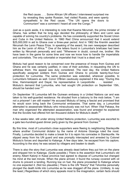the Red cause. . . . Some African UN officers I interviewed surprised me by revealing they spoke Russian, had visited Russia, and were openly sympathetic to the Red cause. "The UN opens the doors to Communism" was a comment I heard all over the Congo.<sup>18</sup>

Just as a quick aside, it is interesting to note that Kwame Nkrumah, the prime minister of Ghana, has written that he long ago decided the philosophy of Marx and Lenin was capable of solving his country's problems. He has consistently supported the Soviet Union and Cuba in the United Nations. In 1960 Red China announced that it would extend \$25,000,000 in aid to Ghana over a three-year period. And in 1962 the Kremlin awarded Nkrumah the Lenin Peace Prize. In speaking of the award, his own newspaper described him as the Lenin of Africa.<sup>19</sup> One of the letters found in Lumumba's briefcase had been written by Nkrumah personally and said: "Whenever in doubt, consult me, brother. We have been in the game for some time and now we know how to handle the imperialists and colonialists. The only colonialist or imperialist that I trust is a dead one."<sup>20</sup>

Mobutu had good reason to be concerned over the presence of troops from Guinea and Ghana and he was certainly justified, in view of their activities, in requesting the UN to withdraw them. His appeal was duly considered. The next day, the United Nations specifically assigned soldiers from Guinea and Ghana to provide twenty-four-hour protection for Lumumba. The same protection was extended, wherever possible, to Lumumba's followers as well. Conor O'Brien cautiously explained it this way: "During this time, Hammarskjold and Dayal, his representative in Leopoldville . . . resisted . . . Mobutu's demand that Lumumba, who had sought UN protection on September 15th, should be handed over."<sup>21</sup>

On September 18 Lumumba left the Guinean embassy in a United Nations car and was taken to his well-guarded residence. He shouted from a balcony to the mob below, "I am not a prisoner! I am still master! He accused Mobutu of being a fascist and promised that he would soon bring back the Communist embassies. That same day, a Lumumbist attempted to assassinate Mobutu who miraculously was not hurt. When Vital Pakasa, the man who organized the attempted assassination, was found and arrested he explained that the Soviets had offered him ten thousand dollars for Mobutu's death.<sup>22</sup>

A few weeks later, still under strong United Nations protection, Lumumba was escorted to a gala two-hundred-guest dinner party given by the general from Guinea. $^{23}$ 

By this time, most of Lumumba's close supporters were fleeing to neighboring Stanleyville where another Communist dictator by the name of Antoine Gizenga ruled the roost. Finally, Lumumba decided to make a break for it to rejoin his comrades in Stanleyville. He slipped away from his UN guard and was promptly intercepted and arrested by Colonel Mobutu's forces and deported to Katanga. A few days later, he escaped from his captors. According to the story he was seized by villagers and beaten to death.

There is also the story that Lumumba was already dead before they put him on the plane and shipped him to Katanga. (Quite possible.) There is the assertion that Lumumba's old enemy Albert Kalonji in Kasai province had agreed to dispose of Lumumba but changed his mind at the last minute. When the plane arrived, it found the runway covered with oil drums to prevent a landing. Running low on fuel, the plane proceeded to Katanga where no one expected it. (Not too plausible.) There is the UN "theory" that Tshombe personally plunged the death knife into Lumumba as he was dragged off the plane. (Unlikely, to say the least.) Regardless of which story appeals most to the imagination, certain facts should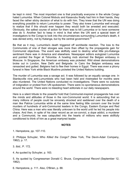be kept in mind. The most important one is that practically everyone in the whole Congo hated Lumumba. When Colonel Mobutu and Kasavubu finally had him in their hands, they faced the rather sticky decision of what to do with him. They knew that the UN was doing everything possible to return Lumumba to power. They also knew Lumumba well enough to realize that if this should ever happen they would both be arrested and executed. Obviously, the safest course of action for them was to kill Lumumba or to have someone else do it. Another fact to keep in mind is that when the UN sent a special team of investigators to the Congo to look into the circumstances surrounding Lumumba's death, it was denied entry, not by Katanga, but by the central government.  $24$ 

Be that as it may, Lumumba's death triggered off worldwide reaction. The loss to the Communists of one of their stooges was more than offset by the propaganda gain for Communist objectives. The event was skillfully used to destroy what little pro-Katanga sentiment there was in America and elsewhere. Newspaper editors eulogized Lumumba and pointed the finger at Tshombe. A howling mob stormed the Belgian embassy in Moscow. In Singapore, the American embassy was picketed. Wild street demonstrations broke out in London, New Delhi and Belgrade. In Cairo the Belgian embassy was ransacked and gutted. Belgians had to flee their homes in Egypt. There was even a phony funeral in New York while Black Muslims picketed the United Nations building.

The murder of Lumumba was a savage act. It was followed by an equally savage one. In Stanleyville nine anti-Lumumbists who had been held and mistreated for months were also murdered. The United Nations conducted no investigations. There were no outcries of indignation or protest from UN spokesmen. There were no spontaneous demonstrations around the world. There were no bleeding heart editorials in our daily newspapers.

Here is a silent tribute to the powerful hold that Communist-inspired propaganda has over the minds and attitudes of those in the non-Communist world. It is astounding that so many millions of people could be sincerely shocked and saddened over the death of a man like Patrice Lumumba while at the same time feeling little concern over the brutal murders of hundreds of anti-Communist leaders in the Congo, Eastern Europe and Red China. Here was a man who was literally unknown to the world until he led his people into chaos. And then, in spite of his clear record as an ex-convict, a dope addict, a murderer and a Communist, he was catapulted into the hearts of millions who were skillfully conditioned to think of him as a great martyred leader.

#### **NOTES**

1. Hempstone, pp. 107-110.

2. Philippa Schuyler, Who *Killed the Congo?* (New York, The Devin-Adair Company, 1962), p. 17.

3. *Ibid.,* P. 172.

4. As quoted by Schuyler, p. 163.

5. As quoted by Congressman Donald C. Bruce, *Congressional Record* (September 12, 1962).

6. Hempstone, p. 111. Also, O'Brien, p. 88.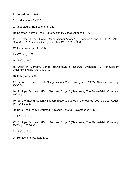7. Hempstone, p. 242.

8. UN document S/4426.

9. As quoted by Hempstone, p. 242.

10. Senator Thomas Dodd, *Congressional Record* (August 3, 1962).

11. Senator Thomas Dodd, *Congressional Record* (September 8 and 16, 1961). Also, *Department of State Bulletin* (December 12, 1960), p. 908.

12. Hempstone, pp. 113-114.

13. O'Brien, p. 58.

14. *Ibid.,* p. 189.

15. Allen P. Merriam, Congo: *Background of Conflict* (Evanston, Ill., Northwestern University Press, 1961), p. 240.

16. Schuyler, p. 234.

17. Senator Thomas Dodd, *Congressional Record* (August 3, 1962). Also, Schuyler, pp. 233-234.

18. Philippa Schuyler, *Who Killed the Congo?* (New York, The Devin-Adair Company, 1962), p. 260.

19. Senate Internal Security Subcommittee as quoted in the *Tidings* (Los Angeles, August 16, 1963), p. 2.

20. Bare Red Plot by Lumumba," Chicago *Tribune* (November, 2, 1960).

21. O'Brien, p. 96.

22. Philippa Schuyler, *Who Killed the Congo?* (New York, The Devin-Adair Company, 1962), pp. 233-235.

23. *Ibid.,* p. 235.

24. Hempstone, pp. 126, 130.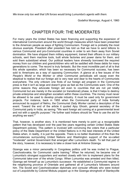*We know only too well that UN forces would bring Lumumba's agents with them.*

Godefroi Munongo, August 4, 1960

# CHAPTER FOUR: THE MODERATES

For many years the United States has been financing and supporting the expansion of international Communism around the world through measures which have been presented to the American people as ways of fighting Communism. Foreign aid is probably the most obvious example. President after president has told us that we have to send billions to various Communist and pro-Communist countries in order to win them away from Soviet domination. We have shipped them military equipment, trained their officers in our military schools, sent them machine tools, built whole factories and power dams for them, and sold them subsidized wheat. Our political leaders have shrewdly borrowed the required money from our children and grandchildren who will be saddled with these debts for many generations to come. The record is truly fantastic. But the most incredible part of all is that this whole operation, which has been so necessary for Communist success, has been sold to Americans as a way of opposing Communism. A glance at a few issues of the *People's World* or the *Worker* or other Communist periodicals will cause even the skeptical to realize that our foreign aid is very near and dear to the hearts of Communists everywhere. The only criticism one finds of our foreign aid program in the Communist press is that it isn't as large and doesn't grow as fast as the Communists want. One of the prime reasons they advocate foreign aid even to countries that are not yet totally Communist but are merely in the socialist (or transitional) phase, is that it helps to destroy private enterprise and strengthen socialism within these countries. The money must never be allowed to be used to develop private industry. It must be used only for government projects. For instance, back in 1955 when the Communist party of India formally announced its support of Nehru, the Communist *Daily Worker* carried a description of the event. Toward the end of the article it quoted Ajoy Ghosh, general secretary of the Communist party in India, as saving: "We want foreign aid coming at a governmental level and not with a specific purpose." He further said Indians should be "free to use the aid for anything we want."<sup>1</sup>

That, however, is another story. It is mentioned here merely to point up a recognizable pattern that has developed over the past few years regarding certain United States State Department policies. This pattern is involved with convincing the voters that a particular policy of the State Department or the United Nations is in the best interests of the United States when, in reality, it is just the opposite. There is no better illustration of this than the circumstances surrounding United Nations and Washington support of the so-called "moderate" central Government that emerged after Lumumba's death. To tell that part of the story, however, it is necessary to take a closer look at Antoine Gizenga.

Gizenga was a minor personality in Congolese politics until he was invited to Prague, Czechoslovakia, for Communist cadre training.<sup>2</sup> When he returned, he became one of Lumumba's strongest supporters and worked closely with him to implement plans for the Communist take-over of the whole Congo. When Lumumba was arrested and then killed, Gizenga set himself up as Lumumba's successor. He established a Communist regime in the neighboring province of Orientale and gathered all of Lumumba's followers around him. The Soviet and Czechoslovakian diplomats and consular officials who were kicked out of Leopoldville by Colonel Mobutu popped up in the Gizenga stronghold of Stanleyville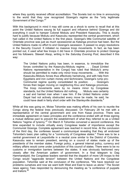where they quickly received official accreditation. The Soviets lost no time in announcing to the world that they now recognized Gizenga's regime as the "only legitimate Government of the Congo."<sup>3</sup>

With this background in mind it may still come as a shock to some to recall that at this point the United Nations swung its full support and influence behind Gizenga and did everything it could to hamper Colonel Mobutu and President Kasavubu. This is doubly hard to justify because Mobutu and Kasavubu represented the central government, which had called in the United Nations in the first place. Gizenga's little Communist satellite of Orientale province was just as much secessionist as Katanga province had been. But the United Nations made no effort to end Gizenga's secession. It passed no angry resolutions in the Security Council. It initiated no massive troop movements. In fact, as has been pointed out, it used what few troops it did have in Orientale province to protect Gizenga and his followers. Stewart Alsop, writing in the *Saturday Evening Post*, described it this way:

The United Nations policy has been, in essence, to immobilize the forces controlled by the Kasavubu-Mobutu regime. . . . Dayal [United Nations representative in the Congo] has ruled that Mobutu's army should be permitted to make only minor troop movements. . . . With the Kasavubu-Mobutu forces thus effectively hamstrung, and with help from Egyptians and iron curtain money and technicians, Gizenga's rump pro-Communist regime quickly consolidated its position. . . . Gizenga's forces then began moving on neighboring Kivu and Katanga provinces. The troop movements were by no means minor by Congolese standards, but the United Nations did nothing. . . . Mobutu was certainly a sad and harried man when I saw him. If the United Nations under Dayal had not actively obstructed every move be made, he said, he could have dealt in fairly short order with the Stanleyville dissidents.<sup>4</sup>

While all this was going on, Moise Tshombe was making efforts of his own to reunite the Congo along the federal lines previously discussed. On February 28 he met with a representative of the central government and one from Kasai province. There was immediate agreement on basic principles and the conference ended with all three signing a mutual defense pact to prevent the establishment of what they referred to as a United Nations "regime of tyranny."<sup>5</sup> On March 8 Tshombe convened a second conference, this time expanded to include virtually every Congolese leader of importance except the Communist Gizenga. Complete agreement was reached in record time. At the conclusion of the third day, the conferees issued a communiqué revealing that they all endorsed Tshombe's basic plan calling for a "community of Congolese states." There was to be a central government at Leopoldville in a neutral zone similar to the District of Columbia. Kasavubu was to remain president, serving on a council of states made up of the presidents of the member states. Foreign policy, a general internal policy, currency and military affairs would come under jurisdiction of this council of states. There were to be no customs or immigration barriers between the states. It was obviously fashioned very closely after the American pattern of government. In a final telegram to Dag Hammarskjold, the Congolese leaders warned that the dispatch of more UN troops to the Congo would "aggravate tension" between the United Nations and the Congolese population. Tshombe said at the conclusion of the conference, "We have resolved our problems ourselves and now we want both West and East to leave us alone." The Soviet news agency Tass responded by denouncing the meeting as "a conference of puppets and traitors."<sup>6</sup>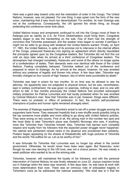Here was a giant step toward unity and the restoration of order in the Congo. The United Nations, however, was not pleased. For one thing, it was upset over the form of the new union, maintaining that it was much too decentralized. For another, its man Gizenga was not at the conference. Consequently, the UN ignored the whole thing, as though pretending the conference never took place.

United Nations troops and armaments continued to roll into the Congo--most of them to Katanga--just as rapidly as U.S. Air Force Globemasters could bring them. Congolese leaders began to see the handwriting on the wall. Few of them had the strength of conviction that Tshombe possessed, and the weaker ones began to wonder if perhaps it might not be safer to go along with whatever the United Nations wanted. Finally, on April 17, 1961, the United Nations, in spite of its promise not to intervene in the internal affairs of the Congo, pressured Kasavubu into signing an agreement which directly repudiated the principles agreed upon by the Congolese leaders. But Tshombe did not find this out until six days later when he arrived at a third conference of Congolese leaders. The atmosphere had changed completely. Kasavubu and some of the others no longer spoke of a confederation of states. Their demands were now identical with those of the United Nations. Feeling completely betrayed, Tshombe walked out of the conference and prepared to return to Katanga. As he arrived at the airport, however, he was arrested without any pretense of legality and thrown into prison. A few days later, Tshombe was formally charged on four counts of high 'treason, two of which were punishable by death.<sup>7</sup>

Tshombe was kept in prison for two months. At no time was he allowed to see his attorney. He apparently was not subjected to physical torture, but be was, nevertheless, kept in solitary confinement. He was given no exercise, nothing to read, and no one with whom to talk. A few months previously the United Nations had provided extravagant military protection for Patrice Lumumba and had loudly protested when he was arrested by Colonel Mobutu's men. Now that Tshombe was in jail, however, things were different. There were no protests or offers of protection. In fact, the world's self-proclaimed champions of justice and human rights remained strangely silent.

The enemies of Katanga expected Tshombe's arrest to set off a power struggle among his supporters back home. They reasoned hopefully that a new shuffle would possibly bring to the top someone more pliable and more willing to go along with United Nations policies. They were wrong on two counts. First of all, the strong man in the number two spot and the most likely to take Tshombe's place was Godefroi Munongo who was, if anything, more like Tshombe than Tshombe himself. Also, Tshombe had earned such complete respect and loyalty from his followers that the expected power struggle never happened. His cabinet and parliament closed ranks in his absence and proclaimed their solidarity. Posters began appearing on the streets of Elisabethville with huge pictures of Tshombe and the words "He suffers for us. Let us be worthy of him."

It was fortunate for Tshombe that Lumumba was no longer top wheel in the central government. Otherwise, he would never have been seen again. But Kasavubu, even though he was now dancing to the UN tune, was not a vicious person. He was merely a weak politician who wanted to be on the winning side.

Tshombe, however, still maintained the loyalty of his followers, and with the personal intervention of Colonel Mobutu he was finally released on June 22. Joyous mayhem broke out in Katanga when the news was received. A few days later, he was back at work with more determination than ever. There was an ominous note of anticipated tragedy in Tshombe's voice as he addressed the national assembly: "We shall see to it that the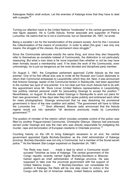Katangese Nation shall endure. Let the enemies of Katanga know that they have to deal with a people."<sup>8</sup>

Turning our attention back to the United Nations "moderates" in the central government, a new figure appears. He is Cyrille Adoula, former associate and supporter of Patrice Lumumba. He claims that he is not a Communist, but on December 28, 1957, he wrote:

Being a socialist I am for the transformation of the present society. And for this I conceive the collectivisation of the means of production. In order to attain this goal, I see only one means: the struggle of the classes, the permanent class struggle.<sup>9</sup>

Since the Communists advocate exactly the same thing, and since they also frequently refer to themselves as socialists instead of Communists, the distinction is not particularly reassuring. But what a man does is far more important than whether or not be may have been formally issued a membership card. If he does the work of the Communists, even unknowingly, he is just as dangerous as the most devoted and disciplined party member.

On August 2, 1961, the Congolese parliament approved Cyrille Adoula as the new premier. One of his first official acts was to invite all the Russian and Czech diplomats to return their Communist embassies to Leopoldville--which they did. Next, it was announced that Antoine Gizenga, leader of the Communist faction in Stanleyville, had been appointed to the number two spot of vice-premier. It is not clear just how much Adoula had to do with this appointment since Mr. Sture Linner (United Nations representative in Leopoldville) has publicly claimed personal credit for persuading Gizenga to accept the position.<sup>10</sup> Nevertheless, on August 16 Adoula visited Gizenga in Stanleyville to work out plans for their new government. A few days later they both spoke publicly and embraced each other for news photographers. Gizenga announced that he was dissolving his provisional government in favor of the new coalition and added, "The government will have to follow the Lumumba line . . ."11 Soon afterward, Moscow radio announced that the Adoula regime would put into operation "all decisions previously made by Lumumba's govemment."12

The position of minister of the interior--which includes complete control of the police--was filled by another Prague-trained Communist, Christophe Gbenye. Gbenye had previously served under Gizenga and was the man who was directly responsible for instigating the murder, rape and terrorization of European residents in Orientale province.<sup>13</sup>

Counting heavily on the UN to bring Katanga's secession to an end, the central government appointed Egide Bochely-Davidson as the chief administrator of Katanga province. Bochely-Davidson was not only a Communist, but a member of the Soviet secret police.14 As the Newark *Star-Ledger* explained on September 24, 1961:

The Reds may have . . . made a deal by which a Communist would succeed Tshombe as boss of Katanga. The central government of the Congo republic recently named Egide Bochely-Davidson--a Moscowtrained agent--as chief administrator of Katanga province. He was supposed to take over the provincial government with the support of United Nations troops. . . . If Bochely-Davidson can consolidate his position in Katanga, the Reds will be one step closer to victory in the Congo--with the aid of American dollars, United Nations soldiers, and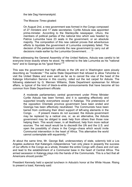the late Dag Hammarskjold.

The Moscow *Times* gloated:

On August 2nd, a new government was formed in the Congo composed of 27 ministers and 17 state secretaries. Cyrille Adoula was appointed prime-minister. According to the Stanleyville newspaper, *Uhuru*, the members of political parties of the national bloc which was headed by Patrice Lumumba have 23 seats in the government, or an absolute majority. The composition of this new cabinet proves that adventurous efforts to liquidate the government of Lumumba completely failed. The decision of the parliament commits the new government to carry out all decisions made earlier by the Lumumba Government. . . .<sup>15</sup>

When addressing the General Assembly of the United Nations, Adoula was careful to let everyone know exactly where he stood. He referred to the late Lumumba as his "national hero" and to Gizenga as his "good friend."16

This was the government that high officials in the UN and in Washington were piously describing as "moderate." The same State Department that refused to allow Tshombe to visit the United States and even went as far as to cancel the visa of the head of the Katanga Information Service in this country, rolled out the red carpet for Adoula. The following statement by G. Mennen Williams, State Department spokesman for African affairs, is typical of the kind of black-is-white pronouncements that have become all too common from State Department officials:

A moderate parliamentary central government under Prime Minister Cyrille Adoula has been formed, and it is operating effectively and supported broadly everywhere except in Katanga. The pretensions of the opposition Orientale province government have been ended and Gizenga has been effectively neutralized. The Communists have been barred from continuing their direct support of left-wing elements in the Congo. . . . If present means do not succeed, the Adoula government may be replaced by a radical one, or, as an alternative, the Adoula government may be obliged to seek help from others than those now helping them. This would mean, in all likelihood, help from more radical sources. The net result would be to discredit the UN and the U.S. and open the possibility of chaos in the Congo--chaos which would invite Communist intervention in the heart of Africa. This alternative the world cannot contemplate with equanimity.<sup>17</sup>

At about the same time, Mr. George Ball, undersecretary of state, solemnly told a Los Angeles audience that Katanga's independence "can only place in jeopardy the success of our efforts in the Congo as a whole, threaten the entire Congo with chaos and civil war, and lead to the establishment of a Communist base in the heart of Central Africa. The armed secession in Katanga plays into the hands of the Communists. This is a fact that all Americans should ponder."<sup>18</sup>

President Kennedy held a special luncheon in Adoula's honor at the White House. Rising to present a toast, Kennedy said: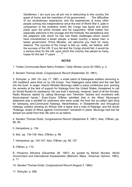Gentlemen, I am sure you all join me in welcoming to this country the guest of honor and the members of his government. . . . The difficulties of our revolutionary experience, and the experiences of every other people coming into independence since the end of World War II, pale in comparison to the problems which the Congo has faced and which press upon the prime minister and his supporters. What makes him especially welcome is the courage and the fortitude, the persistence and the judgment with which he has met these challenges--which would have overwhelmed a lesser people, a lesser country, a lesser man, a lesser government. Prime Minister, we welcome you here for many reasons. The success of the Congo is tied up, really, we believe, with the success of the UN. If you fail and the Congo should fail, it would be a serious blow for the UN, upon which this country has placed so many hopes for the last 17 years . . . .<sup>19</sup>

#### **NOTES**

1. "Indian Communists Back Nehru Position," *Daily Worker* (June 30,1955), p. 2.

2. Senator Thomas Dodd, *Congressional Record* (September 22, 1961).

3. Schuyler, p. 240. On July 17, 1961, a small patrol of Katangese soldiers removing a-UN roadblock were fired on by UN troops. Two Katangans were killed and the rest fled into the bush. In anger, Interior Minister Munongo called a press conference and, pointing his remarks at the lack of support for Katanga from the United States, threatened to call on Soviet Russia for assistance. No one took it seriously, however, least of all the Soviets. Radio Moscow replied by calling Munongo and Tshombe "lackies and murderers with blood-stained hands." Even-Conor O'Brien admitted that in the West, Munongo's statement was a windfall for politicians who were under fire from the so-called right wing for betraying anti-Communist Katanga. Nevertheless, in Elisabethville and throughout Katanga, posters showing an African with a spear and a map of Katanga, and the words "Katanga, shield of Africa against Communism" remained in place. Munongo had lost his temper but aside from that, life went on as before.

4. Senator Thomas Dodd, *Congressional Record* (September 8, 1961). Also, O'Brien, pp. 96, 99.

5. Hempstone, p. 134.

6. *Ibid*., pp. 134-139. Also, O'Brien, p. 98.

7. Hempstone, pp. 143-147. Also, O'Brien, pp. 99, 127.

8. O'Brien, p. 115.

9. *Presence Africaine* (December 28, 1957). As quoted by Michel Sturdza, *World Government and International Assassination* (Belmont, Mass., American Opinion, 1963), p. 11.

10. Senator Thomas Dodd, *Congressional Record* (August 3, 1962).

11. Schuyler, p. 268.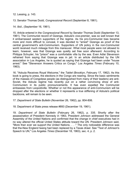12. Lessing, p. 143.

13. Senator Thomas Dodd, *Congressional Record* (September 8, 1961).

14. *Ibid*., (September 16, 1961).

15. Article entered in the *Congressional Record* by Senator Thomas Dodd (September 13, 1961). The Communist record of Gizenga, Adoula's vice-premier, was so well known that it embarrassed western supporters of the regime. As his pro-Communist bias became more and more difficult to conceal, it was decided to "arrest" Gizenga as proof of the central government's anti-Communism. Supporters of UN policy in the non-Communist world received much mileage from this maneuver. What most people were not allowed to learn, however, was that Gizenga was quietly set free soon afterward. According to Philippa Schuyler, his "prison" was a comfortable villa by the sea. Even Adlai Stevenson refrained from saying that Gizenga was in jail. In an article distributed by the UN association in Los Angeles, he is quoted as saying that Gizenga had been under "house arrest." See "Stevenson Answers Critics on Congo," Los Angeles *Times* (February 10, 1963).

16. "Adoula Receives Royal Welcome," the *Tablet* (Brooklyn, February 17, 1962). As this book is going to press, the elections in the Congo are nearing. Since the basic sentiments of the masses of Congolese people (as distinguished from many of their leaders) are anti-Soviet, the Adoula regime has recently put on a rather convincing show of anti-Communism in its public pronouncements. It has even expelled the Communist embassies from Leopoldville. Whether or not this appearance of anti-Communism will be dropped after the elections or whether it represents a true stiffening of Adoula's political backbone, will remain to be seen.

17. *Department of State Bulletin* (November 26, 1962), pp. 804-806.

18. Department of State press release #893 (December 19, 1961).

19. *Department of State Bulletin* (February 26, 1962), p. 335. Shortly after the assassination of President Kennedy in 1963, President Johnson addressed the General Assembly of the United Nations and confirmed that the change in chief executives had in no way altered the official United States attitude toward the UN. President Johnson said, "More than ever we support the United Nations. . . ." The only noticeable difference was that the-New England twang had been replaced by a Texas drawl. See "Text of Johnson's Speech to UN," Los Angeles *Times* (December 18, 1963), sec. 4, p. 2.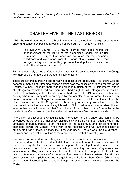*His speech was softer than butter, yet war was in his heart; his words were softer than oil, yet they were drawn swords.*

Psalm 55:21

# CHAPTER FIVE: IN THE LAST RESORT

While the world mourned the death of Lumumba, the United Nations expressed its own anger and concern by passing a resolution on February 21, 1961, which said:

The Security Council . . . having learned with deep regret the announcement of the killing of the Congolese leader, Mr. Patrice Lumumba . . . urges that measures be taken for the immediate withdrawal and evacuation from the Congo of all Belgian and other foreign military and paramilitary personnel and political advisors not under United Nations command. . . .

This was obviously aimed at Katanga since that was the only province in the whole Congo with appreciable numbers of European military officers.

There are several interesting and revealing aspects to that resolution. First, there was the honorable mention of Lumumba, whose demise was the occasion of "deep regret" for the Security Council. Secondly, there was the outright intrusion of the UN into internal affairs of Katanga on the bold-faced assertion that it had a right to tell Katanga what it could or could not do. Nothing in the United Nations Charter gives the UN authority to dictate to a country who may or may not be employed by that country in its own army. This is clearly an internal affair of the Congo. Yet paradoxically the same resolution reaffirmed that "the United Nations force in the Congo will not be a party to or in any way intervene in or be used to influence the outcome of any internal conflict, constitutional or otherwise." It went even further and acknowledged that "the solution of the problem of the Congo lies in the hands of the Congolese people themselves without any interference from outside . . ."

In the light of subsequent United Nations intervention in the Congo, one can only be astounded at the extent of hypocrisy displayed by UN officials. But hidden away in the language of bureaucratese is an indication of the UN's true, and not-so-honorable, intentions toward the Congo. In the very same resolution, the UN authorized itself to employ "*the use of force, if necessary, in the last resort*." There it was--the first glimpse- the clear and unmistakable outline of the mailed fist beneath the velvet glove.

Promising not to interfere in Katanga and at the very same time authorizing the use of force to interfere is the kind of double-talk that politicians through the ages have used to make their grab for unlimited power appear to be legal and proper. These pronouncements do not happen accidentally, nor are they the result of ignorance and incompetence. They are the mark of corrupt political skill, the product of unlimited cynicism tempered by years of experience. The men who have mastered this skill are proud of their accomplishment and are quick to admire it in others. Conor O'Brien was such a man. Expressing his unqualified approval of the United Nations resolution, he wrote: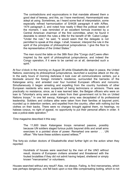The contradictions and equivocations in that mandate allowed them a good deal of leeway, and this, as I have mentioned, Hammarskjold was adept at using. Sometimes, as I heard some feat of interpretation, some especially refined harmonization of S/4426 paragraph 4 with A/Res. 1474 paragraph 2, and noted how neatly it fitted the political needs of the moment, I was reminded of an excellent formula invented by a Central American chairman of the first committee, when he found it desirable to stretch the rules a little for the benefit of Mr. Cabot Lodge: "Under the rule," he said, "it would seem that the delegate is not permitted to speak at this stage. I shall, however, interpret the rule in the spirit of the principles of philosophical jurisprudence. I give the floor to the representative of the United States."

The men round the table on the 38th floor (the "Congo club"] were often inspired by the spirit of philosophical jurisprudence, and indeed the Congo operation, if it were to be carried on at all, demanded such a spirit.<sup>1</sup>

At four o'clock in the morning on August 28 while Elisabethville slept in peace, the United Nations, exercising its philosophical jurisprudence, launched a surprise attack on the city. In the early hours of morning darkness it took over all communications centers, put a blockade around the foreign minister's residence, surrounded the barracks of the Katangese army, and arrested over four hundred European officers and noncoms. Simultaneously it began arresting and expelling from the country hundreds of other European residents who were suspected of being technicians or advisors. There was practically no resistance, since, as it was learned later, the Belgian officers who were on loan to Tshombe's army were under orders from their government not to fire on United Nations troops.<sup>2</sup> In one fell swoop, Katanga's army was decapitated of its professional leadership. Soldiers and civilians alike were taken from their families at bayonet point, rounded up in detention centers, and expelled from the country, often with nothing but the clothes on their backs. There were no charges brought against them, no hearings, no habeas corpus, no right of appeal, no opportunity to put their personal affairs in order. It was a police-state operation.<sup>3</sup>

*Time* magazine described it this way:

The 11,600 black Katangese troops remained passive, possibly because UN soldiers staged furious public bayonet drills and small arms exercises in a pointed show of power. Remarked one senior . . . UN officer: "We have these soldiers scared witless."<sup>4</sup>

The forty-six civilian doctors of Elisabethville shed further light on the action when they reported:

Hundreds of houses were searched by the men of the UNO without result, dozens of European civilians arrested and threatened with the foulest brutalities if they did not admit having helped, sheltered or simply known "mercenaries" or volunteers.

Houses searched without any result? Alas, not always. Failing, to find mercenaries**,** which was perhaps dangerous, one fell back upon a nice little compensating looting, which is not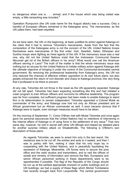so dangerous when one is . . . armed; and if the house which was being visited was empty, a little ransacking was included.<sup>5</sup>

Operation Rumpunch (the UN code name for the August attack) was a success. Only a handful of European officers remained in the Katangese army. The mercenaries, as the UN called them, had been expelled.

As we have seen, the UN--in the beginning, at least--justified its action against Katanga on the claim that it had to remove Tshombe's mercenaries. Aside from the fact that the composition of the Katangese army is not the concern of the UN, United Nations troops themselves were mercenaries of the first order. Irish, Swedish, Italian, Ethiopian and Gurkha troops were fighting as hired agents of the UN. If the mercenary issue was a real one, why did not the United Nations insist that the Indonesian Communist Kwame Nkrumah get rid of the British officers in his army? What would one call the American officers serving in Laos? The truth of the matter is that the whole mercenary issue was nothing but an excuse for the United Nations to initiate military action against Katanga with the ultimate objective of bringing it under the control of the Communist-dominated central government. By removing the professional leadership from Katanga's army, the UN not only reduced the chances of effective military opposition to its own future plans, but also greatly enhanced the return of civil disorder and chaos to Katanga province--the very thing that it professed to be there to prevent.

At any rate, Tshombe did not throw in the towel as the UN apparently expected. Katanga did not fall apart. Tshombe had been expecting something like this and had initiated a crash program to train African officers and noncoms for effective leadership. The program was far from complete, but sufficient progress had been made to enable Katanga to stand firm in its determination to remain independent. Tshombe appointed a Colonel Muké as commander of the army, and Katanga now had not only an African president and an African government but an African commander as well. It soon became obvious that if Katanga were to topple, even stronger measures would have to be taken.

On the morning of September 11, Conor O'Brien met with Moise Tshombe and once again gave his personal assurances that the United Nations had no intentions of intervening in the internal affairs of Katanga or of using force in the settlement of any issue.<sup>6</sup> That very same day, however, he met in secret with other UN officials and helped lay detailed plans for another surprise military attack on Elisabethville. The following is O'Brien's own description of those plans:

As regards Tshombe, we were to arrest him only in the last resort. His residence was to be cut off, the entries and exits to it sealed, and then I was to parley with him, making it clear that his only hope lay in cooperating with the United Nations, and in peacefully liquidating the secession of Katanga. Meanwhile, UN forces were to secure the post office and the radio studios and transmitters, and to raid the offices of sûreté and ministry of information and remove the files. Europeans and senior African personnel working in these departments were to be apprehended if possible. The flag of the Republic of the Congo should be run up at the earliest appropriate moment on public buildings and on UN buildings; we had a supply of these flags which Michel Tombelaine had recently brought back from Leopoldville. The central government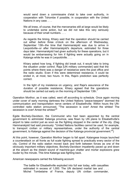would send down a commissaire d'etat to take over authority, in cooperation with Tshombe if possible, in cooperation with the United Nations in any case....

We all knew, of course, that the mercenaries still at large would be likely to undertake some action, but we did not take this very seriously because of their small numbers. . . .

As regards the timing, Khiary said that the operation should be carried out either *before* three o'clock on the afternoon of Wednesday, September 13th--the time that Hammarskjold was due to arrive in Leopoldville--or after Hammarskjold's departure, estimated for three days later. Hammarskjold had given authority for these operations, but it would be embarrassing for him if fighting were actually going on in Katanga while he was in Leopoldville. . . .

Khiary asked how long, if fighting did break out, it would take to bring the situation under control. Raja [UN military commander] said that the points where there was a danger of resistance were the post office and the radio studio. Even if this were determined resistance, it could be ended in, at most, two hours. In this, Raja's prediction was perfectly correct.

In the light of my insistence on urgency, and Raja's assurance of the duration of possible resistance, Khiary agreed that the operations should be carried out early on the morning of September 13th.<sup>7</sup>

Operation Morthor, as it was called, went off according to schedule. Once again moving under cover of early morning darkness the United Nations "peace-keepers" stormed the communication and transportation nerve centers of Elisabethville. Within hours the UNcontrolled radio station announced, "The secession is over! Arrest the whites! The secession is over! Arrest the whites!"<sup>8</sup>

Egide Bochely-Davidson, the Communist who had been appointed by the central government to administer Katanga province, was flown by UN plane to Elisabethville's airport to take control just as soon as the fighting stopped in the center of the city. (Dag Hammarskjold had said previously: "United Nations facilities cannot be used, for example, to transport civilian or military representatives, under the authority of the central government, to Katanga against the decision of the Katanga provincial government."<sup>9</sup>)

At this point, however, Operation Morthor began to fall apart. Katangese troops launched a counterattack on all fronts as full scale fighting spread to practically every sector of the city. Control of the radio station moved back and forth between forces as one of the obviously important military objectives. Bochely-Davidson impatiently paced up and down at the airport as the distant sound of machine-gun chatter and mortar explosions grew louder by the minute. This time Katanga was fighting back.

American newspapers carried the following account:

The battle for Elisabethville exploded into full war today, with casualties estimated in excess of 1,000. The UN declared martial law and . . . Michel Tombelaine of France, deputy UN civilian commander,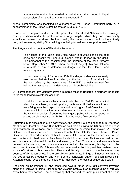announced over the UN controlled radio that any civilians found in illegal possession of arms will be summarily executed.<sup>10</sup>

Michel Tombelaine was identified as a member of the French Communist party by a subcommittee of the United States Senate on August 6, 1962.<sup>11</sup>

In an effort to capture and control the post office, the United Nations set up strategic military positions under the protection of a large hospital which they had conveniently established across the street. To their credit, the United Nations doctors there finally resigned en masse, stating "the building was being turned into a support fortress."<sup>12</sup>

The forty-six civilian doctors of Elisabethville reported:

The hospital of the Italian Red Cross, which is situated behind the post office and opposite the Banque du Congo, was militarised BV the UNO. The personnel of this hospital wore the uniforms of the UNO. Already before September 13, 1961 [when the attack began], this hospital was in a state of armed defence: sandbags, shelters for riflemen and machine-gunners. . . .

. . . on the morning of September 13th, the alleged defences were really used as combat stations from which, at the beginning of the attack on the post office by the mercenaries of the UNO, a well-sustained fire helped the massacre of the defenders of this public building.<sup>13</sup>

UPI correspondent Ray Moloney drove a hundred miles to Bancroft in Northern Rhodesia to file the following eyewitness account:

I watched the counterattack from inside the UN Red Cross hospital which had machine guns set up along the terrace. United Nations troops were firing from the hospital in the shadow of a giant Red Cross flag. . . . I also saw UN troops fire on a Katangese ambulance as it tried to reach the twitching bodies of unarmed Katangese police who were ripped to pieces by UN machine-gun bullets after the cease fire sounded.<sup>14</sup>

Frustrated in its anticipation of an easy victory, the United Nations began to turn Operation Morthor into Operation Terror. Blue-helmeted soldiers displaying the UN emblem of peace fired wantonly at civilians, ambulances, automobiles--anything that moved. A Roman Catholic priest was murdered on his way to collect the Holy Sacrament from St. Paul's Convent; the charred remains of his body were later found in the burned shell of his automobile which had been hit by a bazooka shot from a United Nations armored car. An ambulance man, dressed in white and wearing a Red Cross armband was machinegunned while stepping out of his ambulance to help the wounded; his leg had to be amputated to save his life. A housewife was murdered while riding with her husband down a peaceful street to buy groceries. These and literally hundreds of similar cases have been carefully documented. There are always unfortunate killings of innocent civilians as the accidental by-product of any war. But the consistent pattern of such atrocities in Katanga clearly reveals that they could only have been the result of deliberate design.

Beginning on September 18 and continuing several times daily, UN convoys traveling along the Boulevard Rhine Elisabeth and Avenue Stanley fired machine guns at virtually every home they passed. The one dwelling that received the most punishment of all was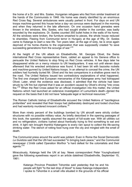the home of a Dr. and Mrs. Szeles, Hungarian refugees who fled from similar treatment at the hands of the Communists in 1948. His home was clearly identified by an enormous Red Cross flag. Several ambulances were usually parked in front. For days on end UN troops machine-gunned this house twice a day--as convoys were deployed in the morning and when they returned in the late afternoon. On one occasion hand grenades were thrown in the windows. Mrs. Szeles, who had sought shelter in the corridor, was badly wounded by the explosions. Dr. Szeles counted 355 bullet holes in the walls of his home. All the windows were broken, the furniture smashed to pieces, the whole house reduced to shambles. Fleeing from Communist terror in Hungary at the age of fifty, Dr. Szeles came to Katanga to start a new life. Ten years later, at the age of sixty, be is once again deprived of his home--thanks to the organization that was supposedly created "to save succeeding generations from the scourge of war."<sup>15</sup>

At the height of the UN attack on Elisabethville, Mr. Georges Olivet, the Swiss international Red Cross representative there, cabled an appeal to his Geneva office to persuade the United Nations to stop firing on Red Cross vehicles. A few days later he disappeared while on a mercy mission to UN headquarters. It was not until eleven days afterward that his wrecked ambulance was found. It had been bit with bazooka rockets and machine-gunned by United Nations troops. In an attempt to conceal the crime, the UN soldiers had hurriedly buried Mr. Olivet and his two companions in a shallow grave next to the road. The United Nations issued two contradictory explanations of what happened. The first one charged that European mercenaries of the Katangese army had kidnapped Olivet. Later, when the evidence was disclosed, it admitted that the vehicle had been struck by UN fire but claimed that it was an accident caused by Olivet's driving "into cross fire."<sup>16</sup> When the Red Cross asked for an official investigation into this matter, the United Nations--which had launched an extensive investigation of Lumumba's death--denied the request on the basis that it did not have "adequate legal or technical resources."<sup>17</sup>

The Roman Catholic bishop of Elisabethville accused the United Nations of "sacrilegious profanities" and revealed that their troops had deliberately destroyed and looted churches and had wantonly murdered innocent civilians.<sup>18</sup>

More than ninety percent of the buildings bombed by UN aircraft were strictly civilian structures with no possible military value. As briefly described in the opening passages of this book, the operation rapidly assumed the aspect of full-scale war. With all utilities cut and no refrigeration, civilians rushed about frantically trying to find something to eat and drink. A light rain brought thankful Katangans to every rain spout to collect the life-saving drinking water. The stench of rotting food hung over the city and mingled with the smell of death.

The Communist press around the world was jubilant. Even in Rome the Social Democratic *La Guistizia* said that the UN had succeeded "in bringing back peace," and the Communist newspaper *L'Unità* called Operation Morthor "a hard defeat for the colonialists and their agents."<sup>19</sup>

Miraculously, Katanga held the UN at bay. News correspondent Peter Younghusband gave the following eyewitness report in an article datelined Elisabethville, September 15, 1961:

Katanga Province President Tshombe said yesterday that he and his people will fight "to the last drop of blood" to keep Katanga independent. I spoke to Tshombe in a small villa situated in the grounds of his official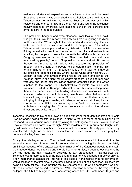residence. Mortar shell explosions and machine-gun fire could be heard throughout the city. I was astonished when a Belgian settler told me that Tshombe was not in hiding as reported Tuesday, but was still in his residence and offered to take me there. I went and found the residence heavily defended by troops with machine guns in the gardens and armored cars in the road outside.

The president, haggard and eyes bloodshot from lack of sleep, said, "Did you think I would run away when my soldiers are fighting and dying for their country? We will fight to the bitter end and, if necessary, the last battle will be here in my home, and I will be part of it." President Tshombe said he was prepared to negotiate with the UN for a cease-fire if they would withdraw from the center of the city and refrain from attacking his troops and leave him to settle his affairs with the central Congo government in his own time. "They have lied to me and have murdered my people," he said. "I appeal to the free world--to Britain, to France, to America--to all nations who treasure the principles of freedom and the right of a people to self-determination to bring this terrible thing to an end." . . . Elisabethville is a terror town of shattered buildings and deserted streets, where bullets whine and ricochet. . . . Belgian settlers who armed themselves to the teeth and joined the Katanga army in the fight for Katanga's freedom include former war veterans and police officers. Other civilians organized food and water supplies to the troops. All Elisabethville's hospitals are filled with wounded. I visited the Katanga radio station, which is now nothing more than a blackened shell of a building, doorless and windowless with smashed radio equipment, furniture, telephones, steel helmets and boots all lying in a jumbled mess. Outside, I counted thirteen corpses still lying in the grass nearby, all Katanga police and all. inexplicably, shot in the back. UN troops yesterday again fired on a Katanga army ambulance displaying Red Crosses, seriously wounding the African driver and two white nurses.<sup>20</sup>

Tshombe, speaking to his people over a hidden transmitter that identified itself as "Radio Free Katanga," called for total resistance--"a fight to the last round of ammunition." Five thousand Baluba warriors responded by joining the Katangese soldiers. Several hundred Bayeke warriors also came into the fight. White residents took up arms and fought sideby-side with their African neighbors. They were not mercenaries. Nobody paid them. They volunteered to fight for the simple reason that the United Nations was destroying their homes and killing their loved ones.

Finally, the tide began to turn. The UN had prematurely announced to the world that the secession was over. It was now in serious danger of having its forces completely annihilated because of the unexpected determination of the Katangese people to maintain their independence. As supplies and morale began to run low, it became obvious that the UN had made the fatal mistake of believing its own propaganda. It had asserted that Tshombe was a mere puppet of the Belgians and that he was supported in power only by a few mercenaries against the true will of his people. It maintained that his government would collapse at the first blow. It was now paving the price of self-deception. Things were going so badly for the United Nations that by September 17 its whole company A was cut off, badly beaten, and forced to surrender. With Operation Morthor on the verge of total collapse, the UN finally agreed to a face-saving cease-fire. On September 20, just one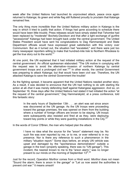week after the United Nations had launched its unprovoked attack, peace once again returned to Katanga; its green and white flag still fluttered proudly to proclaim that Katanga remained free.

The only thing more incredible than the United Nations military action in Katanga is the way in which it tried to justify that action. If things had gone according to schedule there would have been little trouble. Press releases would have simply stated that Tshombe had been replaced by "moderate" Bochely-Davidson and that after a light exchange of gunfire "secessionist" Katanga had been brought back under the central government. The United States President would have sent his congratulations to Dag Hammarskjold and State Department officials would have expressed great satisfaction with this victory over Communism. But as it turned out, the situation had "escalated," and there were just too many newspaper reporters willing to make that hundred-mile trek to Northern Rhodesia to get the true story out to the world. $21$ 

At one point, the UN explained that it had initiated military action at the request of the central government. An official spokesman elaborated: "The UN motive in complying with the request was to avoid the alternative--invasion of northern Katanga by central government troops and a prolonged civil war."<sup>22</sup> In other words, the central Government was preparing to attack Katanga; but that would have been civil war. Therefore, the UN attacked Katanga to save the central Government the trouble!

As the fighting spread, it became apparent that the United Nations needed another story. As a result, it was decided to announce that the UN had nothing to do with starting the action at all--that it was merely defending itself against Katangese aggression. And so, on September 16, three days after the United Nations had stated it had initiated the action "at the request of the central government," Dag Hammarskjold, at a press conference, told this fantastic story:

In the early hours of September 13th . . . an alert was set since arson was discovered at the UN garage. As the UN troops were proceeding toward the garage premises, fire was opened on them from the building where a number of foreign officers are known to be staying. UN troops were subsequently also resisted and fired at as they, were deploying toward key points or while they were quarding installations in the City.<sup>23</sup>

In the words of Conor O'Brien, the man who helped plan the attack:

I have no idea what the source for the "arson" statement may be. No such fire was ever reported by me, or to me, or ever referred to in my presence. Nor is there any reference to such a phenomenon in the military "situation report." Some days before, an empty UN vehicle was upset and damaged by the "spontaneous demonstrators" outside a garage in the town (properly speaking, there was no "UN garage"). This incident, the nearest known to me to the "arson alarm," was no longer present to our minds on the morning of September 13<sup>th</sup>.<sup>24</sup>

Just for the record, Operation Morthor comes from a Hindi word. *Morthor* does not mean "Sound the alarm; there is arson in the garage" or "Let us now assist the authorities to prevent civil war." It means *smash!*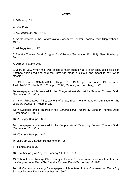#### **NOTES**

1. O'Brien, p. 61.

2. *Ibid*., p. 221.

3. *46 Angry Men*, pp. 44-45.

4. Article entered in the *Congressional Record* by Senator Thomas Dodd (September 8, 1961).

5. *46 Angry Men*, p. 47.

6. Senator Thomas Dodd, *Congressional Record* (September 16, 1961). Also, Sturdza, p. 39.

7. O'Brien, pp. 249-251.

8. *Ibid*., p. 282. When this was called to their attention at a later date, UN officials in Katanga apologized and said that they had made a mistake and meant to say "white officers."

9. UN document S/4417/ADD 6 (August 12, 1960), pp. 3-4. Also, UN document A/4711/ADD 2 (March 20, 1961), pp. 62, 68, 73**.** Also, van den Haag, p. 22.

10.Newspaper article entered in the *Congressional Record* by Senator Thomas Dodd (September 16, 1961).

11. *Visa Procedures of Department of State*, report to the Senate Committee on the Judiciary (August 6, 1962), p. 28.

12. Newspaper article entered in the *Congressional Record* by Senator Thomas Dodd (September 16, 1961).

13. *46 Angry Men*, pp. 68-69.

14. Newspaper article entered in the *Congressional Record* by Senator Thomas Dodd (September 16, 1961).

15. *46 Angry Men*, pp. 48-51.

16. *Ibid*., pp. 20-24. Also, Hempstone, p. 195.

17. Hempstone, p. 224.

18. The *Tidings* (Los Angeles, January 11, 1963), p. 1.

19. "UN Action in Katanga Stirs Dismay in Europe," London newspaper article entered in the *Congressional Record* by Senator Thomas Dodd (September 16, 1961).

20. "All Out War in Katanga," newspaper article entered in the *Congressional Record* by Senator Thomas Dodd (September 16, 1961).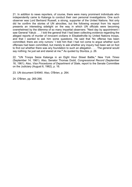21. In addition to news reporters, of course, there were many prominent individuals who independently came to Katanga to conduct their own personal investigations. One such observer was Lord Bertrand Russell, a strong, supporter of the United Nations. Not only did he confirm the stories of UN atrocities, but the following excerpt from his report presents an interesting sidelight on the way in which UN officials were becoming overwhelmed by the dilemma of so many impartial observers: "Next day by appointment I saw General Yakub . . . I told the general that I had been collecting evidence regarding the alleged reports of murder of innocent civilians in Elisabethville by United Nations troops, and that I wanted to ask him some questions. He said that 'No offense has been committed; there are only rumors.' I told him that I had not come to argue whether such offenses had been committed, but merely to ask whether any inquiry had been set on foot to find out whether there was any foundation to such an allegation. . . . The general would say nothing; he just sat and stared at me**."** As quoted by Sturdza, p. 26.

22. "UN Troops Seize Katanga in an Eight Hour Street Battle," New York *Times* (September 14, 1961). Also, Senator Thomas Dodd, *Congressional Record* (September 16, 1961). Also, *Visa Procedures of Department of State*, report to the Senate Committee on the Judiciary (August 6, 1962), p. 16.

23. UN document S/4940. Also, O'Brien, p. 264.

24. O'Brien, pp. 265-266.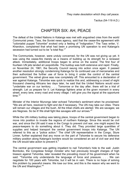Tacitus (54-119 A.D.)

## CHAPTER SIX: AH, PEACE

The defeat of the United Nations in Katanga was met with anguished cries from the world Communist press. Tass, the Soviet news agency, said that the cease-fire agreement with "colonialist puppet Tshombe" evoked only a feeling of "indignation." The Tass writer, V. Kharokov, complained that what had been a promising UN operation to end Katanga's secession had turned out to be "a total flop."<sup>1</sup>

The Communists, however, were unduly concerned, for the UN was not giving up yet. It was using the cease-fire merely as a means of building up its strength for a renewed attack. Immediately, additional troops began to arrive on the scene: The first four of fourteen UN jets landed at Leopoldville. The buildup was both extensive and rapid. Finally, on November 24, 1961, the Security Council swung into action once again. It passed another resolution strongly condemning Katanga for its continued use of mercenaries and then authorized the further use of force to bring it under the control of the central government. The velvet glove was now completely off. This amounted to a declaration of war against Katanga. Tshombe was quick to realize this and, addressing a crowd of eight thousand cheering Africans two days later, he said that the United Nations would soon "undertake war on our territory. . . . Tomorrow or the day after, there will be a trial of strength. Let us prepare for it. Let Katanga fighters arise at the given moment in every street, every lane, every road and every village. I will give you the signal at the opportune time. $"^2$ 

Minister of the Interior Munongo later echoed Tshombe's sentiment when he proclaimed: "We are all here, resolved to fight and die if necessary. The UN may take our cities. There will remain our villages and the bush. All the tribal chiefs are alerted. We are savages; we are Negroes. So be it! We shall fight like savages with our arrows."<sup>3</sup>

While the UN military buildup was taking place, troops of the central government began to move into position to invade the regions of northern Katanga. Since this would be civil war, and since the UN said it was in the Congo to prevent civil war, one might expect the peace-keepers to do something about it. They did. They provided large quantities of supplies and helped transport the central government troops into Katanga. The UN referred to this as a "police action." The chief UN representative in the Congo, Sture Linner, further explained that any move on the part of Tshombe to secure his defensive military position along Katanga's borders would be considered an act of civil war and that the UN would take action to prevent it.<sup>4</sup>

The central government was getting impatient to nail Tshombe's hide to the wall. Justin Bomboko, the Congolese foreign minister who had previously brought charges of high treason against Tshombe, later revealed the prevailing mood of his government when he said: "Tshombe only understands the language of force and pressure. . . . We can negotiate for 100 years with Tshombe, but it will be in vain. There is no hope of solving this problem by peaceful means. We lose our time, and this is the reason why we went to the UN and Washington."<sup>5</sup>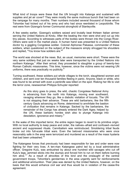What kind of troops were these that the UN brought into Katanga and sustained with supplies and jet air cover? They were mostly the same mutinous bunch that had been on the rampage for many months. Their numbers included several thousand of those whom Tshombe had kicked out of his army and who had since reenlisted in Leopoldville. The rest were from Gizenga's former Communist stronghold of Stanleyville.

A few weeks earlier, Gizenga's soldiers seized and brutally beat thirteen Italian airmen serving the United Nations at Kindu. After the beating the men were shot and cut up into tiny pieces. According to witnesses parts of the bodies were thrown into the Congo River. Others were sold in the market place. A human hand was presented to a United Nations doctor by a giggling Congolese soldier. Colonel Alphonse Pakassa, commander of these soldiers, when questioned on the subject of the massacre simply shrugged his shoulders and replied, "You know how soldiers are."6

The world was shocked at the news. But, as usual, memories were short. These were the very same soldiers that just six weeks later were transported by the United Nations into northern Katanga.<sup>7</sup> After their arrival, they proceeded to slaughter a group of twenty-two Roman Catholic missionaries. This time, however, since the victims were not wearing UN uniforms, there was practically no publicity. $8$ 

Turning southward, these soldiers put whole villages to the torch, slaughtered women and children, and sent over ten thousand families fleeing in panic. Anyone, black or white, who was found to be armed with even a penknife was killed on the spot. Risking her life to visit the terror zone, newswoman Philippa Schuyler reported:

As this story goes to press, the wild, chaotic Congolese National Army is advancing from the north into Katanga, moving ever southward, ravaging wherever they go, like a diabolic visitation of locusts. The UN is not stopping their advance. These are wild barbarians, like the fifth century Gauls advancing on Rome, determined to annihilate the bastion of civilization that remains in Katanga. Sacked by the barbarians, the remainder of the Congo has already entered the Dark Ages; helped by the UN, these barbaric hordes wish also to plunge Katanga into desolation, ignorance and misery.<sup>9</sup>

In the wake of this imported terror, the entire region began to revert to its primitive origin. With no local authority to keep peace and order, the natives--afraid and confused--revived ancient and suppressed rituals. Cannibalism was reintroduced. Smoldering tribal feuds broke out into full-scale tribal wars. Even the beloved missionaries who were once reasonably safe in the area were terrorized and murdered as a result of the mass hysteria that bad been unleashed.<sup>10</sup>

The Katangese forces that previously had been responsible for law and order were now fighting for their very lives. A ten-man Katangese patrol led by a local administrative officer, Gregoire Kulu, was ambushed by about one hundred wild savages who cut off Kulu's legs, jammed sticks into the stumps and forced him to run on them before burning him alive.<sup>11</sup> As a result of atrocities of this kind and the onslaught of the central government troops, Tshombe's gendarmes in the area urgently sent for reinforcements and additional ammunition. Their plea was denied by the United Nations, however, on the basis that this would enhance civil war and thus would be in violation of the cease-fire agreement.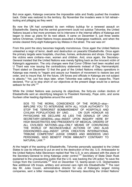But once again, Katanga overcame the impossible odds and finally pushed the invaders back. Order was restored to the territory. By November the invaders were in full retreat- looting and pillaging as they went.

By now the UN had completed its own military buildup for a renewed assault on Elisabethville. Seeing that the central government could not subdue Tshombe, the United Nations issued a few more promises not to intervene in the internal affairs of Katanga and began to draw up plans for its next attack. It came on December 5, just three weeks before Christmas. United Nations troops assaulted a Katangese roadblock, and when the smoke cleared thirty-eight Katangans lay lifeless in the street. The war was on!

From this point the story becomes tragically monotonous. Once again the United Nations unleashed a reign of terror, death and destruction on peaceful Elisabethville. Once again the primary targets were hospitals, churches, homes, ambulances and shops. Once again the victims were civilians--men, women and children. And, once again, the Secretary-General insisted that the United Nations was merely fighting back as the innocent victim of Katanga's aggression. The only changes were that Conor O'Brien had been recalled and U Thant was now issuing the contradictory statements instead of Dag Hammarskjold. Thant stated on December 12 that the goal of the United Nations military operations in Katanga was merely to "regain and assure our freedom of movement to restore law and order, and to insure that, for the future, UN forces and officials in Katanga are not subject to attacks." Yet, just five days later, when Tshombe was calling for a cease-fire, Thant declared, "For us to stop short of our objectives at the present stage would be a serious setback for the UN."<sup>12</sup>

While the United Nations was pursuing its objectives, the forty-six civilian doctors of Elisabethville sent an electrifying telegram to President Kennedy, Pope John, and some fourteen other leading dignitaries around the world:

SOS TO THE MORAL CONSCIENCE OF THE WORLD--stop-- IMPLORE YOU TO INTERVENE WITH ALL YOUR AUTHORITY TO STOP THE TERRORIST BOMBARDMENT OF HOSPITALS AND CIVILIAN POPULATIONS BY UNO. . . . ON OUR HONOUR AS PHYSICIANS WE DECLARE AS LIES THE DENIALS OF UNO SECRETARY-GENERAL--stop--INSIST UPON INQUIRY HERE BY HIGH MAGISTRATES AND PRESIDENTS OF MEDICAL ORDERS OF ALL CIVILISED NATIONS--stop--ONLY MEANS OF CONVINCING THE WORLD OF INCONCEIVABLE ACTIONS OF UNO ALAS DISHONORED--stop--INSIST UPON CREATION INTERNATIONAL TRIBUNE COMPETENT JUDGE CRIMES AND MISDEEDS UNO PERSONNEL WHO BENEFIT FROM IMMUNITY CONTRARY TO NATURAL LAW.13

At the height of the sacking of Elisabethville, Tshombe personally appealed to the United States to use its influence to put an end to the destruction of the city. U.S. Ambassador to the United Nations Adlai Stevenson replied that "the U.S. is very pleased with the plans of the Secretary-General to bring Katanga under control."14 Secretary of State Dean Rusk explained to the unsuspecting public that the U.S. was backing the UN action "to save the Congo from the Communists."15 And on December 13, twenty-seven U.S. Globemasters flew additional UN troops, artillery and armored cars right into Elisabethville.<sup>16</sup> The next day Mr. Jules Cousin, administrative director for one of Katanga's largest mining companies, sent a bitter message to President Kennedy describing the United Nations'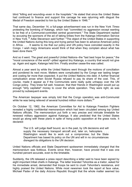blind "killing and wounding--even in the hospitals." He stated that since the United States had continued to finance and support this carnage he was returning with disgust the Medal of Freedom awarded to him by the United States in 1946.<sup>17</sup>

That same day, December 14, a full-page advertisement was run in the New York *Times*  protesting the bombing of Katanga, which had "committed no aggression except wanting to be free of a Communist-controlled central government." The State Department replied by accusing the sponsors of the ad of taking bribes from the Katanga Information Service in New York.<sup>18</sup> Adlai Stevenson said further: "The object of the United States in supporting the United Nations during this long and trying period has been to advance American policy in Africa. . . . It seems to me that our policy and UN policy have coincided exactly in the Congo. I wish many Americans would think of that when they complain about what has been done there."<sup>19</sup>

And so it went. The great and powerful United Nations--the "last best hope for peace," the "moral conscience of the world"--pitted against tiny Katanga, a country that would not give up. Again and again, Katanga held firm. Finally another cease-fire was called.

Almost a year went by while the United Nations went through the motions of conciliation and pondered its next move. Matters were complicated by the Congo war lasting longer and costing far more than expected. It put the United Nations into debt. A further financial complication arose when Soviet Russia refused to pay its share of the cost. This, of course, made it appear as if the Communists were really quite unhappy over the UN Congo policy. They knew full well, however, that their friends in Washington would put up enough "dirty capitalist" money to cover the whole operation. They were right, as was proved by subsequent events.

The American taxpayer was simply told that the Congo operation was anti-Communist while he was being relieved of several hundred million more dollars.<sup>20</sup>

On October 12, 1962, the American Committee for Aid to Katanga Freedom Fighters revealed a highly confidential memorandum which had been circulated among top United Nations officials. The memorandum put forth a very precise and intricate timetable for renewed military aggression against Katanga. It also predicted that the United States would go along with these plans in spite of rising public opposition at the grass roots. It declared:

The U.S. will judge itself bound, as in the past, by UN decisions and will supply the necessary transport aircraft and, later on, helicopters. . . . Washington would like to work out a compromise; but the State Department has based its policy on the UN and will in no circumstances disregard its obligations to the UN decision.

United Nations officials and State Department spokesmen immediately charged that the memorandum was fictitious. Events since then, however, have proved that it was one hundred percent accurate, even to the timetable.

Suddenly, the UN released a press report describing a letter said to have been signed by eight important tribal chiefs in Katanga. The letter branded Tshombe as a traitor, asked for his immediate arrest, demanded that troops be sent to crush Tshombe's resistance, and highly praised the United Nations. While most newsmen took the report at face value, Michael Padev of the daily *Arizona Republic* thought that the whole matter seemed too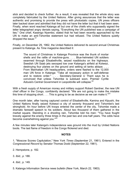slick and decided to check further. As a result, it was revealed that the whole story was completely fabricated by the United Nations. After giving assurances that the letter was authentic and promising to provide the press with photostatic copies, UN press officers later backed down and admitted that they did not have the letter but that it had been seen. Finally, when word reached Katanga all but one of the chiefs who supposedly signed the letter telegraphed angry denials saying, "Everything the UN published was a campaign of lies." One chief, Kasengo Nyembo, stated that he had been recently approached by the UN to make an anti-Tshombe statement but had refused. The United Nations quietly dropped the issue.<sup>21</sup>

Finally, on December 29, 1962, the United Nations delivered its second annual Christmas present to Katanga. As *Time* magazine described it:

The sound of Christmas in Katanga Province was the thunk of mortar shells and the rattle of machine-guns. . . . Blue-helmeted UN soldiers swarmed through Elisabethville, seized roadblocks on the highways. Swedish UN Saab jets swooped low over Katanga's airfield at Kolwezi, destroying four planes on the ground and setting oil tanks ablaze. . . . From Manhattan UN headquarters, orders were flashed to the 12,000 man UN force in Katanga: "Take all necessary action in self-defense and to restore order." . . . Secretary-General U Thant says he is convinced that unless Tshombe is subdued soon, Premier Cyrille Adoula's Central Government in Leopoldville will collapse.<sup>22</sup>

With a fresh supply of American money and military support Robert Gardner, the new UN chief officer in the Congo, confidently declared: "We are not going to make the mistake this time of stopping short.  $\dots$  This is going to be as decisive as we can make it."<sup>23</sup>

One month later, after having captured control of Elisabethville, Kamina and Kipushi, the United Nations finally seized Kolwezi--a city of seventy thousand and Tshombe's last stronghold. An hour before UN troops entered the center of the city, Tshombe made a dramatic farewell speech to his soldiers. About two thousand of them gathered in the market square. Standing in a drizzling rain, Tshombe told his men: "You have fought bravely against the enemy three times in the past two and one-half years. The odds have become overwhelming against you."<sup>24</sup>

A few minutes later Katanga's independence was ground into the mud by United Nations boots. The last flame of freedom in the Congo flickered and died.

### **NOTES**

1. "Moscow Scores Capitulation," New York *Times* (September 21, 1961). Entered in the *Congressional Record* by Senator Thomas Dodd (September 22, 1961).

- 2. Hempstone, p. 182.
- 3. *Ibid., p.* 188.
- 4. *Ibid*., p. 149.
- 5. Katanga Information Service news bulletin (New York, March 22, 1963).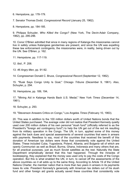6. Hempstone, pp. 178-179.

7. Senator Thomas Dodd, *Congressional Record* (January 25, 1962).

8. Hempstone, pp. 184-185.

9. Philippa Schuyler, *Who Killed the Congo?* (New York, The Devin-Adair Company, 1962), pp. 295-296.

10. Conor O'Brien admitted that since in many regions of Katanga the missionaries cannot live in safety unless Katangese gendarmes are present, and since the UN was expelling these law enforcement contingents, the missionaries were, in reality, being driven out by the UN. See O'Brien, p. 162.

11. Hempstone, pp. 117-119.

12. *Ibid.,* P. 206.

13. *46 Angry Men*, pp. 91-92.

14. Congressman Donald C. Bruce, *Congressional Record* (September 12, 1962).

15. "Rusk Says Congo Unity Is Goal," Chicago *Tribune* (December 9, 1961). Also, Schuyler**,** p. 294.

16. Hempstone, pp. 189, 194**.**

17. "Mining Aid in Katanga Hands Back U.S. Medal," New York *Times* (December 14, 1961).

18. Schuyler**,** p. 293.

19. "Stevenson Answers Critics on Congo," Los Angeles *Times* (February 10, 1963).

20. This was in addition to the 100 million dollars worth of United Nations bonds that the United States purchased. The average voter did not realize that President Kennedy quietly used over 200 million dollars of his own personal "slush fund" (officially referred to as the President's "foreign aid contingency fund") to help the UN get out of the red ink resulting from its military operation in the Congo. The UN, in turn, applied some of this money against the back dues and special assessments of several countries that were in arrears with payments. Needless to say, most of the countries that received the benefit of this donation of American tax dollars were those that consistently vote against the United States. These included Cuba, Yugoslavia, Poland, Albania, and Bulgaria--all of which are openly Communist--as well as Brazil, Burma, Ghana, Indonesia and many others that are, for all practical purposes, just as much Soviet satellites as the rest. Naturally the State Department emphatically denied that this had happened. Through the miracles of bookkeeping, they explained that the money was used only to pay the costs of the Congo operation. But this is what enabled the UN, in turn, to cancel off the assessments of the above countries--so it all adds up to the same thing. According to Article 19 of the United Nations Charter, the member nation that is more than two years in arrears in its payments loses its vote. President Kennedy's generosity with American tax dollars out of his slush fund and other foreign aid grants actually saved these countries that consistently vote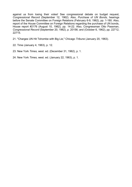against us from losing their votes! See congressional debate on budget request, *Congressional Record* (September 12, 1962). Also, *Purchase of UN Bonds,* hearings before the Senate Committee on Foreign Relations (February 6-9, 1962), pp. 1-180. Also, report of the House Committee on Foreign Relations regarding the purchase of UN bonds, House report #2176 (August 10, 1962), pp. 14-22. Also, Congressman Otto Passman, *Congressional Record* (September 20, 1962), p. 20156; and (October 6, 1962), pp. 22712, 22715.

- 21. "Charges UN Hit Tshombe with Big Lie," Chicago *Tribune* (January 20, 1963).
- 22. Time (January 4, 1963), p. 12.
- 23. New York *Times,* west. ed. (December 31, 1962), p. 1.
- 24. New York *Times,* west. ed. (January 22, 1963), p. 1.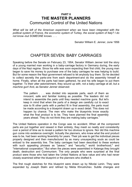### **PART II THE MASTER PLANNERS** Communist Control of the United Nations

*What will be left of the American experiment when we have been integrated with the political system of France, the economic system of Turkey, the social system of Italy? I do not know--but SOMEONE knows*. . . .

Senator William E. Jenner, June 1956

## CHAPTER SEVEN: BABY CARRIAGES

Speaking before the Senate on February 23, 1954, Senator William Jenner told the story of a young married man working in a baby-carriage factory in Germany during, the early days of the Nazi regime. Since his wife was soon expecting their first child, the young man began to save his money to purchase one of the baby carriages he was helping to build. But for some reason the Nazi government refused to let anybody buy them. So he decided to collect secretly the parts-one from each department-and do the assembly himself at home. Finally, when all the parts had been gathered, he and his wife began to put them together. To their utter astonishment, they wound up with, not a baby carriage at all, but a *machine gun*! And, as Senator Jenner observed:

The pattern . . . was divided into separate parts, each of them as innocent, safe and familiar looking as possible. The leaders did not intend to assemble the parts until they needed machine guns. But let's keep in mind that when the parts of a design are carefully cut to exact size to fit other parts with a perfect fit in final assembly, the parts must be made according to a blueprint drawn up in exact detail. This does not happen by chance. The men who make the blueprints know exactly what the final product is to be. They have planned the final assembly years ahead. They do not think they are making baby carriages.<sup>1</sup>

The United Nations operation in the Congo was no accident. When all the component parts are put together and viewed in their entirety, they mesh so neatly and consistently over a period of time as to reveal a pattern far too obvious to ignore. Nor did this machine gun come into existence overnight. Actually the planners, who knew what the end product was to be, had been working feverishly for years. Their job was to get the individual pieces properly designed and then manufactured by as many unsuspecting souls as could be enticed to the assembly line. The baby carriages had been described to these workers with such appealing phrases as "peace," and "security," world brotherhood," and "international cooperation." But when the pieces were assembled in Katanga they brought death, destruction and Communism. The only people who were surprised at the final product were those who had taken the United Nations at face value and who had never closely examined either the blueprint or the planners who drafted it.

The first rough sketches for this blueprint were drawn up by Nikolai Lenin. They were expanded by Joseph Stalin and refined by Nikita Khrushchev. Subtle changes and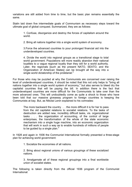variations are still added from time to time, but the basic plan remains essentially the same.

Stalin laid down five intermediate goals of Communism as necessary steps toward the ultimate goal of global conquest. Summarized, they are as follows:

1. Confuse, disorganize and destroy the forces of capitalism around the world.

2. Bring all nations together into a single world system of economy.

3.Force the advanced countries to pour prolonged financial aid into the underdeveloped countries.

4. Divide the world into regional groups as a transitional stage to total world government. Populations will more readily abandon their national loyalties to a vague regional loyalty than they will for a world authority. Later, the regionals [such as the present NATO, SEATO, and the Organization of American States] can be brought all the way into a single world dictatorship of the proletariat. $2$ 

For those who may be puzzled at why the Communists are concerned over raising the level of underdeveloped countries, it should be noted that this not only helps to "bring all nations together into a single world system of economy," but also serves to bleed dry the capitalist countries that will be paying the bill. In addition there is the fact that underdeveloped countries are more difficult for the Communists to take over than the more advanced ones. This will undoubtedly come as quite a shock to those who have been told that our massive giveaway program to foreign countries is keeping the Communists at bay. But, as Nikolai Lenin explained to his comrades:

The more backward the country . . . the more difficult it is for her to pass from the old capitalist relations to socialist relations. To the tasks of destruction are added new, incredibly difficult tasks, vis. organizational tasks . . . the organization of accounting, of the control of large enterprises, the transformation of the whole of the state economic mechanism into a single huge machine, into an economic organization that will work in such a way as to enable hundreds of millions of people to be guided by a single plan. $3$ 

In 1928 and again in 1936 the Communist International formally presented a three-stage plan for achieving world government:

1. Socialize the economies of all nations.

2. Bring about regional unions of various groupings of these socialized nations.

3. Amalgamate all of these regional groupings into a final worldwide union of socialist states.

The following is taken directly from the official 1936 program of the Communist International: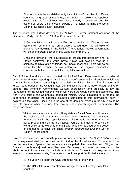Dictatorship can be established only by a victory of socialism in different countries or groups of countries, after which the proletariat republics would unite on federal lines with those already in existence, and this system of federal unions would expand . . . at length forming the World Union of Socialist Soviet Republics.<sup>4</sup>

The blueprint was further developed by William Z. Foster, national chairman of the Communist Party, U.S.A., from 1933 to 1957, when he wrote:

A Communist world will be a unified, organized world. The economic system will be one great organization, based upon the principle of planning now dawning in the USSR. The American Soviet government will be an important section in this world government. . . .

Once the power of the bourgeoisie is broken internationally and its States destroyed, the world Soviet Union will develop towards a scientific administration of things, as Engels describes. There will be no place for the present narrow patriotism, the bigoted nationalist chauvinism that serves so well the Capitalist warmakers.<sup>5</sup>

By 1945 the blueprint was being drafted into its final form. Delegates from countries all over the world were preparing to participate in a conference at San Francisco which was to mark the creation of something to be called the United Nations. Earl Browder, well known past leader of the United States Communist party, in his book *Victory and After*, stated: "The American Communists worked energetically and tirelessly to lay the foundations for the United Nations, which we were sure would come into existence." The April 1945 issue of the Communist periodical *Political Affairs* explained to its readers the importance of getting the capitalist countries committed to this international body. It pointed out that since Russia would be one of the dominant voices in the UN, it could be used to prevent other countries from acting independently against Communism. The magazine stated:

Victory means more than the military defeat of Nazi Germany. It means the collapse of anti-Soviet policies and programs as dominant tendencies within the capitalist sector of the world. It means that the policy predominant during the interwar years of attempting to solve the world crisis at the expense of the Soviet Union is replaced by the policy of attempting to solve the crisis *through cooperation with the Soviet*  Union.<sup>6</sup> [Italics added.]

Five months later the Communists printed a pamphlet entitled *The United Nations* which further explained what function they had in mind for the United Nations. To be sure, it was *not* the function of "peace" that Americans anticipated. The pamphlet said: "It [the San Francisco conference] met to outlaw war. But everyone knows that war cannot be abolished until imperialism [i.e. capitalism] is abolished." It went on to explain that there were four primary reasons why Communists should support the United Nations:

1. The veto will protect the USSR from the rest of the world.

2. The UN will frustrate an effective foreign policy of the major capitalist countries.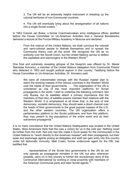3. The UN will be an extremely helpful instrument in breaking up the colonial territories of non-Communist countries.

4. The UN will eventually bring about the amalgamation of all nations into a single Soviet svstem.7

In 1953 Colonel Jan Bukar, a former Czechoslovakian army intelligence officer, testified before the House Committee on Un-American Activities that a General Bondarenko delivered a lecture at the Frunze Military Academy in Moscow and declared:

From the rostrum of the United Nations, we shall convince the colonial and semi-colonial people to liberate themselves and to spread the Communist theory over all the world. We recognize the UN as no authority over the Soviet Union, but the United Nations serves to deflect the capitalists and warmongers in the Western World. $8$ 

One final and extremely revealing glimpse of the blueprint was offered by Dr. Marek Stanislaw Korowicz, a member of the United Nations delegation from Communist Poland who defected in 1953 and sought political asylum in this country. Testifying before the House Committee on Un-American Activities, Dr. Korowicz said:

We were all indoctrinated strongly with the Russian master plan to reach the working masses of the various countries in the Western World over the heads of their governments. . . . The organization of the UN is considered as one of the most important platforms for Soviet propaganda in the world. I wish to underline the following comment: Not only Russia, but its satellites attach a primary importance that the members of their bloc of satellite powers maintain their relations with the Western World. It is emphasized at all times that, in the acts of real democracy, socialist democracy, they should seek a direct channel over the heads of their governments to the great popular masses of the U.S. and the other western countries. The UN organization offers a parliamentary platform to the Soviet politicians, and from this platform, they may preach to the populations of the entire world and do their subversive propaganda.<sup>9</sup>

It is no mere coincidence that the United Nations headquarters was located in the United States. Most Americans think that this was a victory for us in the cold war. Nothing could be further from the truth. Not only has this made it much easier for the Communists in the United Nations to "reach directly to the American masses" with their propaganda, but their spies and espionage agents posing as delegates and staff can gain entry into this country under full diplomatic immunity. Matt Cvetic, former undercover agent for the FBI, has testified that

. . . representatives of the Soviet bloc governments in the UN do not only operate as propaganda ministers in the UN, but also, whenever possible, carry on in this country to further the revolutionary aims of the Communist International by working in close proximity with members of the American Communist party and alien Soviet agents.<sup>10</sup>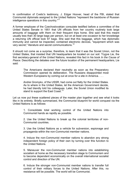In confirmation of Cvetic's testimony, J. Edgar Hoover, head of the FBI, stated that Communist diplomats assigned to the United Nations "represent the backbone of Russian intelligence operations in this country."<sup>11</sup>

A former employee of the Czechoslovakian consulate testified before a committee of the United States Senate in 1951 that UN officials from her country routinely took large amounts of baggage with them on their frequent trips home. She said that this meant usually less than 30 large bags per person, but on at least one occasion to her knowledge a returning UN official took 97 bags. She said that this baggage, which has diplomatic immunity and cannot be inspected, contained electronic devices, "equipment which was very secret," literature and secret communications.<sup>12</sup>

It should not come as a surprise, therefore, to learn that it was the Soviet Union, not the United States, that insisted that UN headquarters be located on our soil. Trygve Lie, the first secretary-general of the United Nations, revealed this fact in his book *In the Cause of Peace.* Describing the debates over the future location of the permanent headquarters, Lie said:

The Americans declared their neutrality as soon as the Preparatory Commission opened its deliberation. The Russians disappointed most Western Europeans by coming out at once for a site in America. . . .

Andrei Gromyko, of the USSR, had come out flatly for the United States. As to where in the United States, let the American Government decide, he had blandly told his colleagues. Later, the Soviet Union modified its stand to support the East Coast.<sup>13</sup>

Let us now put these scattered pieces of the master plan together and see what it looks like in its entirety. Briefly summarized, the Communist blueprint for world conquest via the United Nations is as follows:

1. Consolidate total working control of the United Nations into Communist hands as rapidly as possible.

2. Use the United Nations to break up the colonial territories of non-Communist countries.

3. Use the United Nations as a vehicle for subversion, espionage and propaganda within the non-Communist member nations.

4. Induce the non-Communist member nations to abandon any strong independent foreign policy of their own by turning over this function to the United Nations.

5. Maneuver the non-Communist member nations into establishing socialism at home as the necessary transition stage to Communism and to become dependent economically on the overall international socialist control and direction of the UN.

6. Induce the stronger non-Communist member nations to transfer full control of their military forces to the United Nations. After this, no resistance will be possible. The world will be Communist.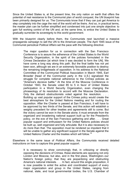Since the United States is, at the present time, the only nation on earth that offers the potential of real resistance to the Communist plan of world conquest, the UN blueprint has been primarily designed for us. The Communists know that if they can just get America to step completely into the cage the rest of the world will be theirs. And so, in practical terms, the master plan can be further simplified and condensed into just one simple objective: to gain full working control of the UN and, at the same time, to entice the United States to gradually surrender its sovereignty to this world government.

With the blueprint clearly before them, the Communists next launched a massive propaganda campaign to sell the UN to the American people. The April 1945 issue of the Communist periodical *Political Affairs* set the pace with the following directive:

The major question for us in connection with the San Francisco Conference is to assure the adherence of the United States to the World Security Organization, in the spirit of the policies formulated in the Crimea Declaration [at which time it was decided to form the UN]. We have come a long way along this path. But the final battle has not yet been won, although we are in an extremely favorable position to destroy the remaining bridgeheads of opposition. In his address to the National Committee of the Communist Political Association in March 1945, Earl Browder [head of the Communist party in the U.S.] signalized the struggle for complete national adherence to the Crimea policies as "America's decisive battle." At the time of the Moscow Conference in October 1943, the Senate voted 85 to 5 in favor of United States participation in a World Security Organization, even changing the phraseology of its resolution to accord with the Moscow Declaration. Only the diehard obstructionists voted against the resolution. . . . Building up vast popular support of the Crimea policy would create the best atmosphere for the United Nations meeting and for routing the opposition. After the Charter is passed at San Francisco, it will have to be approved by two thirds of the Senate, and this action will establish a weighty precedent for other treaties and agreements still to come. But the victory cannot be won in the Senate alone; it must emanate from the organized and broadening national support built up for the President's policy, on the eve of the San Francisco gathering and after. . . . Great popular support and enthusiasm for the United Nations policies should be built up, well organized and fully articulate. But it is also necessary to do more than that. The opposition must be rendered so impotent that it will be unable to gather any significant support in the Senate against the United Nations Charter and the treaties which will follow.<sup>14</sup>

Elsewhere in the same issue of *Political Affairs,* the Communists received detailed instructions on how to capture this great popular support.

It is necessary to show convincingly that, in criticizing or directly opposing the decisions of Crimea, these elements are opposing not only London and Moscow, but also, and in the first place, Washington--our Nation's foreign policy; that they are jeopardizing and obstructing America's national interests. . . . In fact, around this single proposition, it is now possible to enlist the active and coordinated support of every major organization and group in the United States, ranging from national, state, and local governmental bodies, the U.S. Chamber of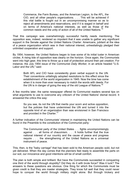Commerce, the Farm Bureau, and the American Legion, to the AFL, the CIO, and all other people's organizations. . . . This will be achieved if this vital battle is fought out in an uncompromising manner so as to reject all amendments and reservations, and if it is waged in behalf and on terms of America's national interests, as well as those of the common needs and the unity of action of all of the United Nations.15

That this campaign was overwhelmingly successful hardly needs mentioning. The opposition was, indeed, rendered so impotent that it was unable to gather any significant support in the Senate against the United Nations Charter. Americans, jubilant at the idea of a peace organization which was in their national interest, unhesitatingly pledged their unlimited cooperation and support.

By 1954, however, the United Nations began to lose some of its initial luster in American circles. A rising tide of opposition was clearly on the horizon. Once again, the Communists went into high gear, this time to throw up a wall of protection around their pet creation. For instance, the July 1954 issue of the Communist *Daily Worker,* in an article headed "U.S. Labor and the UN," said:

Both AFL and CIO have consistently given verbal support to the UN. Their conventions unfailingly adopted resolutions to this effect since the establishment of the world organization in 1945. Now the time has come when it is more than ever necessary to match the words with deeds. For the UN is in danger of going the way of the old League of Nations.<sup>16</sup>

A few months later, the same newspaper offered its Communist readers several tips on what arguments to use to overcome any criticism of the United Nations' dismal record. It answered the critics this way:

So you see, its not the UN that merits your scorn and active opposition, but the policies that have undermined the UN and turned it into the opposite kind of an organization than was envisioned in San Francisco and provided in the Charter.<sup>17</sup>

A further indication of the Communists' interest in maintaining the United Nations can be found in the Preamble to the constitution of the Communist party:

The Communist party of the United States . . . fights uncompromisingly against . . . all forms of chauvinism. . . . It holds further that the true national interest of our country and the cause of peace and progress require . . . the strengthening of the United Nations as a universal instrument of peace.

This, then, is the "baby carriage" that has been sold to the American people--sold, but not yet delivered. When the day comes that the planners feel ready to assemble the parts on our soil, our innocence and good intentions will be of small comfort.

The plan is both simple and brilliant. But have the Communists succeeded in conquering one third of the world through stupidity? Did they do it with brute force? Was it luck? The answers to these questions are obvious. One thing for which the Communists must be given credit is that they are master strategists. They know full well that they could never hope to conquer the world through military might alone. But through trickery and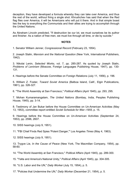deception, they have developed a formula whereby they can take over America, and thus the rest of the world, without firing a single shot. Khrushchev has said that when the Red flag flies over America, it will be Americans who will put it there. And in that simple boast lies the key to everything the Communists and their allies are trying to accomplish through the United Nations.

As Abraham Lincoln predicted, "If destruction be our lot, we must ourselves be its author and finisher. As a nation of free men, we must live through all time, or die by suicide."

#### **NOTES**

1. Senator William Jenner, *Congressional Record* (February 23, 1954).

2. Joseph Stalin, *Marxism and the National Question* (New York, International Publishers, 1942).

3. Nikolai Lenin, *Selected Works,* vol. 7, pp. 285-287. As quoted by Joseph Stalin, *Problems of Leninism* (Moscow, Foreign Languages Publishing House, 1947), pp. 130- 131.

4. Hearings before the Senate Committee on Foreign Relations (July 11, 1956), p. 196.

5. William Z. Foster, *Toward Soviet America* (Balboa Island, Calif., Elgin Publications, 1961), pp. 326-327.

6. "The World Assembly at San Francisco," *Political Affairs* (April 1945), pp. 293, 295.

7. Mohan Kumaramangalam, *The United Nations* (Bombay, India, Peoples Publishing House, 1945), pp. 3-14.

8. Testimony of Jan Bukar before the House Committee on Un-American Activities (May 13, 1953), committee report entitled *Soviet Schedule for War--1955,* p. 15.

9. Hearings before the House Committee on Un-American Activities (September 24, 1953), pp. 2596, 2607.

10. SISS hearings (July 9, 1951).

11. "FBI Chief Finds Red Spies 'Potent Danger,"' Los Angeles *Times* (May 4, 1963).

12. SISS hearings (July 9, 1951).

13. Trygve Lie, *In the Cause of Peace* (New York, The Macmillan Company, 1954), pp. 58-60.

14. "The World Assembly at San Francisco," *Political Affairs* (April 1945), pp. 289-300.

15. "Yalta and America's National Unity," *Political Affairs* (April 1945), pp. 304-305.

16. "U.S. Labor and the UN," *Daily Worker* (July 15, 1954), p. 5.

17. "Policies that Undermine the UN," *Daily Worker* (December 21, 1954), p. 5.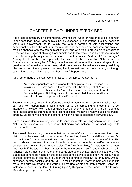George Washington

# CHAPTER EIGHT: UNDER EVERY BED

It is a sad commentary on contemporary America that when anyone tries to call attention to the fact that known Communists have succeeded in penetrating into key positions within our government, he is usually met with a barrage of wild accusations and condemnations from the anti-anti-Communists who now seem to dominate our opinionmolding channels of mass communications. Anyone who tries to arouse his fellow citizens to the terrible danger of allowing Communists and fellow travelers in high places runs the risk of becoming the object of public scorn. He will be labeled "extremist," "radical right," "crackpot." He will be contemptuously dismissed with the observation, "Oh, he sees a Communist under every bed." This phrase has almost become the national slogan of that great army of Americans who, being afraid to examine the evidence closely lest they discover a truth too unpleasant to bear, loudly repeat over and over again, as though saying it made it so, "It can't happen here; it can't happen here."

As a former head of the U.S. Communist party, William Z. Foster, put it:

American imperialism is now strong. Its champions ridicule the idea of a revolution . . . they console themselves with the thought that "it could never happen in this country," and they scorn the at-present weak Communist party. But they overlook the detail that the same attitude was taken toward the pre-revolution Bolsheviki.<sup>1</sup>

There is, of course, no law that offers us eternal immunity from a Communist take-over. It can and *will* happen here unless enough of us do something to prevent it. To act intelligently, however, we must first know how the enemy is operating and then appraise his progress and the strength of his present position. We have already studied his master strategy. Let us now examine the extent to which he has succeeded in carrying it out.

Since a major Communist objective is to consolidate total working control of the United Nations, and since all else depends on that single accomplishment, we shall begin with that part of the record.

The casual observer might conclude that the degree of Communist control over the United Nations can be measured by the number of votes they have from satellite countries. On this basis the Communists could only come up with about 12 out of the total of 113. The record shows, however, that a substantial number of countries classified as neutral consistently vote with the Communist bloc. The Afro-Asian bloc, for instance (which now has over half the total number of votes in the entire organization), and much of the Latin American bloc almost never vote on the same side as the United States unless the United States happens to be voting on the same side as the Soviets-as is often the case. Not all of these countries, of course, are under the full control of Moscow; but they are, without exception, fiercely socialist and anti-U.S. in their orientation. Many of them consist of little more than primitive areas of the world ruled by tribal chiefs and petty despots. Kenya, for instance, is now run by Jomo ("Burning Spear") Kenyatta, former leader of the terrorist Mau Mau uprisings of the 1950's.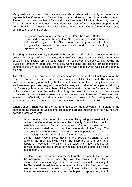Many nations in the United Nations are dictatorships with hardly a pretense at representative Government. Few of them share values and traditions similar to ours. There is widespread contempt for the rich Yankee who thinks that his money can buy friendship. And we should not deceive ourselves. Most of what apparent support we do get in the UN is the result of financial bribery, nothing more. Conor O'Brien inadvertently confirmed this when he wrote:

Delegations from countries receiving aid from the United States would be warned in a friendly way that "Congress might find it hard to understand" a given vote. Such countries rarely allowed to their delegates the luxury of an incomprehensible, and therefore potentially expensive voting position.<sup>2</sup>

Shocking as this situation is, it should not be surprising. After all, how does one go about enlisting the support of feudal princes, tribal chieftains, despots and cannibals? With moral suasion? The Soviets are perfectly content to let us spend ourselves silly buying the illusion of temporary leadership while they work behind the scenes consolidating their control of the UN. It is frightening to ponder what will happen when Uncle Sam's money runs out.

The voting delegates, however, are not nearly as important in the ultimate control of the United Nations as are the permanent staff members of the Secretariat. The resolutions and edicts that are ground out by the General Assembly and the Security Council are, as we have seen, purposely vague to leave "wide margins of latitude" for implementation by the Secretary-General and members of the Secretariat. It is in the Secretariat that the United Nations becomes the reality of world government. It is here among the faceless thousands of international bureaucrats that ultimate control resides. These men and women can effectively neutralize any resolution and prevent it from being realistically carried out; or they can put teeth into those that were never intended to bite.

When Conor O'Brien was transferred from his position as a delegate from Ireland to the staff of the Secretariat, he was so impressed at the greater importance of his new role that he was prompted to write:

What produced the sense of shock was the growing impression that neither the General Assembly nor the Security Council had the full materials necessary for an adequately informed discussion and adequately motivated decisions, on the UN operation in the Congo. The only people who had these materials were the people who saw the actual telegrams--the inner circle of the Secretariat. . . . As for the Congo Advisory Committee, "advising" the Secretary-General on the basis of the information with which the Secretary-General saw fit to supply it, it seemed, in the light of the telegrams, much less like an advisory body than like a group of innocent outsiders being taken for a quided tour. . . .

. . . the Secretariat--rather than the half-paralysed Security Council or the amorphous General Assembly--was the reality of the United Nations, the advancing edge of the sense of international community. If the Secretariat played its cards remarkably close to its chest, as it now seemed that it was in the habit of doing, it was justified in this, because it was tremendously important, for the hopes it represented, that it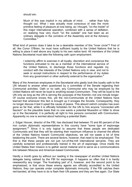should win.

Much of this was implicit in my attitude of mind . . . rather than fully thought out. What I was actually most conscious of was the more primitive feeling of pleasure at now being, as I thought, "on the inside" of this major international operation, combined with a sense of deflation, on realizing how very much "on the outside" one had been as an ordinary delegate in the corridors of the Assembly and at the Advisory Committee.<sup>3</sup>

What kind of person does it take to be a desirable member of this "inner circle"? First of all, like Conor O'Brien, he must have sufficient loyalty to the United Nations that he is willing to place it well above any loyalty to his own native land. All members of the United Nations Secretariat must take the following oath upon employment:

I solemnly affirm to exercise in all loyalty, discretion and conscience the functions entrusted to me as a member of the international service of the United Nations, to discharge those functions and regulate my conduct with the interests of the United Nations only in view, and not to seek or accept instructions in respect to the performance of my duties from any government or other authority external to the organization.<sup>4</sup>

Many of the American employees in the Secretariat who gladly took this loyalty oath to the UN refused to answer when questioned by a committee of the Senate regarding their Communist activities. Oath or no oath, any Communist who may be employed by the United Nations will never be loyal to anything except Communism. They will be loyal to the UN only as long as the UN is serving the purposes of the Kremlin--not one minute longer. Of course everyone knows this, yet the non-Communists at the United Nations have learned that whenever this fact is brought up it enrages the Soviets. Consequently, they no longer discuss it lest it upset the cause of peace. This absurd ostrich complex has even gone so far that, while it is officially forbidden for the UN to hire anyone "connected with fascism" on the plausible basis that no one wants a potential Mussolini or Hitler to show up in the Secretariat, it is perfectly all right to hire persons connected with Communism. Apparently no one is worried about harboring a potential Stalin.

J. Edgar Hoover, director of the FBI, has disclosed that between 70 and 80 percent of the iron curtain diplomatic representatives in this country have "some type of espionage assignment."<sup>5</sup> Since it is only logical to assume that these people are dedicated Communists and that they will be exerting their maximum influence to channel the efforts of the United Nations toward Communist objectives, we will not waste a lot of time belaboring the point. There are several factors, however, that need to be emphasized. The first is that these people are not just run-of-the-mill international servants. They are carefully screened and professionally trained in the art of espionage. Once inside the United States their mission is to gather secret material and to serve as a communications link between Moscow and American-based Communists.

Hardly a month goes by without our reading in the newspaper of another United Nations delegate being nabbed by the FBI for espionage. It happens so often that it is hardly newsworthy any longer. The frustrating part of it, however, and the second point to be emphasized, is that since these enemy agents are officially accredited to the United Nations, they can operate under complete diplomatic immunity. If the FBI catches them red-banded, all they have to do is flash their UN passes and they are free again. Our State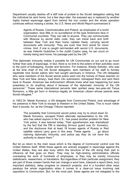Department usually dashes off a stiff note of protest to the Soviet delegation asking that the individual be sent home, but a few days later, the exposed spy is replaced by another highly trained espionage agent from behind the iron curtain and the whole operation continues without missing a stroke. As *U.S. News and World Report* summarized it:

Agents of Russia, Czechoslovakia and Poland, as employees of a world organization, face little or no surveillance of the type Americans face in Communist countries. They can talk to anyone. They can communicate with Moscow by secret radio code; they can travel back and forth between New York and their home capitals freely, carrying secret documents with immunity. They are even free from arrest for minor crimes. And, if one is caught red-handed with secret U.S. documents, as was Velentin Gubitchev in the Judith Coplon case, he can count on merely being sent home, his passage paid by the UN.<sup>6</sup>

This diplomatic immunity makes it possible for UN Communists on our soil to go much further than acts of espionage. In fact, there is no limit to the extent of their activities--even to the point of kidnapping, murder and terrorism. For instance, Arkady Sobolev, who was at the time chief of the UN Soviet delegation, sent members of his staff to forcibly repatriate nine Soviet sailors who had sought sanctuary in America. The UN delegates who were members of the Soviet secret police went into the homes of these seamen (in New York and New Jersey), beat them into submission, kidnapped them and sent them back to Russia. American law enforcement officials knew what was happening but were powerless to do anything about it because of the diplomatic immunity of the UN personnel.<sup>7</sup> These same international servants later spirited away two-year-old Tanya Romanov, a little girl born in America--legally an American citizen--whose parents were Soviet refugees.<sup>8</sup>

In 1953 Dr. Marek Korowicz, a UN delegate from Communist Poland, took advantage of his presence in New York to escape to freedom in the United States. This is much riskier than it sounds, for, as the Chicago *Tribune* reported:

The possibility that Communist secret police may try to shoot down Dr. Marek Korowicz, escaped Polish alternate representative to the UN, who has asked asylum in the U.S., has posed another problem for New York police, it was learned today. Their apprehension was dramatized by the fact that the FBI is standing 24-hour guard over Dr. Korowicz, and the disclosure that at least 18 known agents of Russia or Red satellite nations carry guns in this area. These agents . . . go about claiming diplomatic immunity, and police say they do not have the authority to disarm them.<sup>9</sup>

But let us return to the main issue which is the degree of Communist control over the United Nations itself. While these agents are actively engaged in espionage against the United States, they are also busy within the structure of the UN doing their part to influence all that goes on there. They may be high-ranking administrative officials overseeing the work of hundreds of employees, or they may be merely innocuous statisticians, researchers, or translators. But regardless of their particular assignment, they are part of those unseen hands that can change a word here, interpret a report there, bury important statistics, delay progress on research projects, and in a hundred other ways paralyze the whole organization when it comes to a clear-cut issue involving real opposition to Communism. But, for the most part, these agents are not relegated to the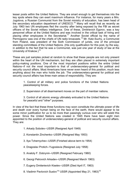lesser posts within the United Nations. They are smart enough to get themselves into the key spots where they can exert maximum influence. For instance, for many years a Mrs. Jugolova, a Russian Communist from the Soviet ministry of education, has been head of the secondary education department of UNESCO.<sup>10</sup> Many will recall that as recently as July 1963 two UN employees fled the country after being exposed by the FBI as secret officers of the Soviet military intelligence. One of these, Dmitrievich Egorov, was a key personnel officer at the United Nations and was involved in the critical task of hiring and placing other employees in the Secretariat.<sup>11</sup> Another Soviet official by the name of Permogorov was one of the chiefs of UN radio broacasts.<sup>12</sup> Mr. Katz-Suchy, a Communist from Poland, was president of the Sixth Commission of jurists, one of the principal standing committees of the United Nations. (His only qualification for this post, by the way, in addition to the fact that he was a Communist, was just one year of study of law at the University of Krakow.)<sup>13</sup>

These are just samples picked at random to show that these people are not only present within the heart of the UN mechanism, but they are often placed in extremely important policy-making positions. One of the most important positions within the entire United Nations--if not *the* most important--is that of undersecretary-general for political and security council affairs. Most Americans have never even heard of this position, much less anything about the man who holds the job. The undersecretary-general for political and security council affairs has three main areas of responsibility. They are:

1. Control of all military and police functions of the United Nations peacekeeping forces.

2. Supervision of all disarmament moves on the part of member nations.

3. Control of all atomic energy ultimately entrusted to the United Nations for peaceful and "other" purposes.

In view of the fact that these three functions may soon constitute the ultimate power of life and death over every human being on the face of the earth, there would appear to be some minor justification for us to be more than passingly curious over who will wield this power. Since the United Nations was created in 1945 there have been eight men appointed to the position of undersecretary-general of political and security council affairs. They are:

- 1. Arkady Sobolev--USSR (Resigned April 1949)
- 2. Konstantin Zinchenko--USSR (Resigned May 1953)
- 3. Ilya Tchernychev--USSR (Finished above term to 1954)
- 4. Dragoslav Protich--Yugoslavia (Resigned July 1958)
- 5. Anatoly F. Dobrynin--USSR (Resigned February 1960)
- 6. Georgi Petrovich Arkadev--USSR (Resigned March 1963)
- 7. Eugeny Dmiterievich Kiselev--USSR (Died April l7, 1963)
- 8. Vladimir Pavlovich Suslov<sup>14--</sup>USSR (Appointed May 21, 1963)<sup>15</sup>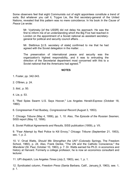Some observers feel that eight Communists out of eight appointees constitute a trend of sorts. But whatever you call it, Trygve Lie, the first secretary-general of the United Nations, revealed that this pattern was no mere coincidence. In his book *In the Cause of Peace* Lie wrote:

Mr. Vyshinsky [of the USSR] did not delay his approach. He was the first to inform me of an understanding which the Big Five had reached in London on the appointment of a Soviet national as assistant secretarygeneral for political and security council affairs. . . .

Mr. Stettinius [U.S. secretary of state] confirmed to me that he had agreed with the Soviet delegation in the matter. . . .

The preservation of international peace and security was the organization's highest responsibility, and it was to entrusting the direction of the Secretariat department most concerned with this to a Soviet national that the Americans had agreed.<sup>16</sup>

#### **NOTES**

- 1. Foster, pp. 342-343.
- 2. O'Brien, p. 24.
- 3*. Ibid.,* p. 50.
- 4. Lie, p. 53.

5. "Red Spies Swarm U.S. Says Hoover," Los Angeles *Herald-Express* (October 18, 1960).

6. Congressman Fred Busbey, *Congressional Record* (August 3, 1953).

7. Chicago *Tribune* (May 4, 1956), pp. 1, 10. Also, *The Episode of the Russian Seamen,*  SISS report (May 12, 1956).

8*. Soviet Political Agreements and Results,* SISS publication (1959), p. VII.

9. "Fear Attempt by Red Police to Kill Envoy," Chicago *Tribune* (September 21, 1953), sec. 1, p. 2.

10. V. Orval Watts, *Should We Strengthen the UN?* (Colorado Springs, The Freedom School, 1960), p. 24. Also, Frank Denke, "The UN and the Catholic Conscience," the *Wanderer* (St. Paul, October 10, 1963), p. 7. Dr. Watts earned his Ph.D. in economics and history at Harvard. Formerly a college professor, he is now an economics consultant and lecturer.

11. UPI dispatch, Los Angeles *Times* (July 2, 1963), sec. 1, p. 1.

12. Syndicated column, *Freedom Press* (Santa Barbara, Calif., January 9, 1963), see. 1, p. 1.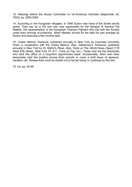13. Hearings before the House Committee on Un-American Activities (September 24, 1953), pp. 2593-2594.

14. According to the Hungarian refugees, in 1956 Suslov was head of the Soviet secret police. They say he is the one who was responsible for the betrayal of General Pal Maleter, the representative of the Hungarian Freedom Fighters who met with the Soviets under their promise of protection. When Maleter arrived for the talks he was arrested by Suslov and executed a few months later.

15*. United Nations Yearbook,* published annually in New York by Columbia University Press in cooperation with the United Nations. Also, *Statesman's Yearbook,* published annually in New York by St. Martin's Press. Also, *Facts on File: World News Digest* (119 West 57th Street., New York 19, N.Y., Facts on File, Inc.). These men are the individuals who held this office on a long-term appointment basis. Occasionally, other men have temporarily held the position during short periods to cover a brief leave of absence, vacation, etc. Researchers must be careful not to be led astray or confused by this fact.

16. Lie, pp. 45-46.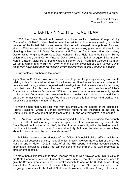*An open foe may prove a curse; but a pretended friend is worse.*

Benjamin Franklin, *Poor Richard's Almanac*

### CHAPTER NINE: THE HOME TEAM

In 1950 the State Department issued a volume entitled *Postwar Foreign Policy Preparation, 1939-45*. It described in detail the policies and documents leading up to the creation of the United Nations and named the men who shaped these policies. This and similar official records reveal that the following men were key government figures in UN planning within the U.S. State Department and Treasury Department: Alger Hiss, Harry Dexter White, Virginius Frank Coe, Dean Acheson, Noel Field, Laurence Duggan, Henry Julian Wadleigh, John Carter Vincent, David Weintraub, Nathan Gregory Silvermaster, Harold Glasser, Victor Perlo, Irving Kaplan, Solomon Adler, Abraham George Silverman, William L. Ullman and William H. Taylor. With the single exception of Dean Acheson, *all of these men have since been identified in sworn testimony as secret Communist agents!*

It is truly fantastic, but here is the record:

*Alger Hiss:* In 1950 Hiss was convicted and sent to prison for perjury involving statements relating to his Communist activities. Since the second Hiss trial evidence has continued to be amassed through other congressional investigations that is even more incriminating than that used for his conviction. As it was, the FBI had solid evidence of Hiss's Communist activities as far back as 1939 and had even issued numerous security reports to the justice Department and executive branch dealing with this fact.<sup>1</sup> In addition, a parade of former Communists testified that they personally had known and worked with Alger Hiss as a fellow member of the party.

It is worth noting that Alger Hiss was very influential with the leaders of the Institute of Pacific Relations, which a Senate committee found to be infiltrated at the top by Communists. Hiss was one of the trustees of the IPR and was very active in its affairs.<sup>2</sup>

Mr. J. Anthony Panuch, who had been assigned the task of supervising the security aspects of the transfer of large numbers of personnel from various war agencies to the State Department in the fall of 1945, testified that as a security officer he had access to conclusive information on Hiss's Communist activity; but when he tried to do something about it, it was he, not Hiss, who was dismissed.<sup>3</sup>

In 1944 Hiss became acting director of the Office of Special Political Affairs which had charge of all postwar planning, most of which directly involved the creation of the United Nations; and in March 1945, in spite of all the FBI reports and other adverse security information circulating among the top echelons of government, he was promoted to director of that office.

It is more than a little ironic that Alger Hiss was the man who traveled with FDR to Yalta as his State Department advisor. It was at the Yalta meeting that the decision was made to give the Soviets three votes in the General Assembly to one for the United States. Giving votes to the Russians for the Ukrainian SSR and Byelorussia SSR made as much sense as giving extra votes to the United States for Texas and California. At any rate, even if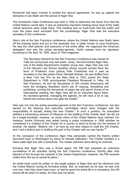Roosevelt had been inclined to protest this absurd agreement, he was up against the demands of Joe Stalin and the advice of Alger Hiss.

The Dumbarton Oaks Conference was held in 1944 to determine the future form that the United Nations would take. It was an extremely important meeting since most of the really critical decisions were made there. This meeting was so hush-hush that the public and even the press were excluded from the proceedings. Alger Hiss was the executive secretary of this conference.

Hiss's role at the San Francisco conference, where the United Nations was finally taken off the drawing board and put on the assembly line, is better known to most Americans. He was the chief planner and executive of the entire affair. He organized the American delegation and was the acting secretary-general. Visitor passes bore his signature. According to the April 16, 1945, issue of *Time* magazine:

The Secretary-General for the San Francisco Conference was named at Yalta but announced only last week-- lanky, Harvard trained Alger Hiss, one of the State Department's brighter young men. Alger Hiss was one of the Harvard Law School students whose records earned them the favor of Professor (now justice) Felix Frankfurter and a year as secretary to the late justice Oliver Wendell Holmes. He was drafted from a New York law firm by the New Deal in 1933, joined the State Department in 1936, accompanied President Roosevelt to Yalta. -At San Francisco, he and his Secretariat of 300 (mostly Americans) will have the drudging, thankless clerk's job of copying, translating and publishing, running the thousands of paper-clip and pencil chores of an international meeting. But Alger Hiss will be an important figure there. As secretary-general, managing the agenda, he will have a lot to say behind the scenes about who gets the breaks. $4$ 

Hiss was not only the acting secretary-general at the San Francisco conference, but also served on the steering and executive committees which were charged with the responsibility of actually writing the new Charter.<sup>5</sup> In such a position, he undoubted wielded a tremendous amount of influence on the drafting of the Charter itself. He did not do it single-handedly, however, as some critics of the United Nations have claimed. For instance, Andrei Gromyko was asked during a press conference in 1958 whether he considered it a violation of the Charter for a country to send its forces into the territory of another. He replied: "Believe me, I sit here as one who helped to draft the UN Charter, and I had a distinct part in drafting this part of the Charter with my own hands."<sup>6</sup>

At the conclusion of the conference Alger Hiss personally carried the freshly written document back to Washington by plane for Senate ratification. The Charter traveled in a black water-tight box with a parachute. The master planners were taking no chances.

Knowing that Alger Hiss was a Soviet agent, the FBI had prepared an extensive surveillance of his activities during the San Francisco conference. Shortly after Hiss learned of this through his contacts in the Justice Department, however, the FBI received orders from the top to cancel its plans.<sup>7</sup>

An entire book could be written on the single subject of Alger Hiss and his influence over the United Nations during its formative phase. But, as important as he was, he was only one man. Had Hiss never been born, or had he spent his entire life in a monastery, the UN would still be what it is today, for Hiss was not alone.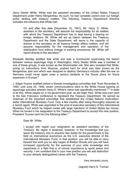*Harry Dexter White:* White was the assistant secretary of the United States Treasury Department under Henry Morgenthau. As such, he had complete control over our foreign policy dealing with treasury matters. The following Treasury Department directive indicates the influence that White bad:

On and after this date [December 15, 1941], Mr. Harry D. White, assistant to the secretary, will assume full responsibility for all matters with which the Treasury Department has to deal having a bearing on foreign relations. Mr. White will act as liaison between the Treasury Department and the State Department, will serve in the capacity of advisor to the secretary on all treasury foreign affairs matters, and will assume responsibility for the management and operation of the stabilization fund without change in existing procedures. Mr. White will report directly to the secretary.<sup>8</sup>

Elizabeth Bentley testified that while she was a Communist supervising the liaison between various espionage rings in Washington, Harry Dexter White was a member of one of these groups. It was known as the Silvermaster cell. She also revealed that White, acting on instructions from Moscow, pushed hard for what was later known as the Morgenthau plan and which was designed to destroy Germany's industry after the war so Germany could never again pose a serious obstacle to the Soviet plans for future expansion in Europe.<sup>9</sup>

J. Edgar Hoover testified before a Senate investigating committee that "from November 8, 1945, until June 24, 1946, seven communications went to the White House bearing on espionage activities wherein Harry D. White's name was specifically mentioned."<sup>10</sup> In spite of all this, White stayed on in his government post, as did Alger Hiss. White was even sent to the San Francisco conference to represent the Treasury Department. He served as chairman of the important committee that established the United Nations multi-billiondollar International Monetary Fund. Only a few months after being thoroughly exposed as a secret agent, White was appointed to the post of executive secretary of this International Monetary Fund which he helped create with large injections of United States tax money. When he turned in his resignation to the Treasury Department to accept this new position, President Truman sent him the following letter:<sup>11</sup>

Dear Mr. White:

I accept with regret your resignation as assistant secretary of the Treasury. My regret is lessened, however, in the knowledge that you leave the treasury only to assume new duties for the government in the field on international economics as the U.S. executive director of the International Monetary Fund. In that position, you will be able to carry forward the work you so ably began at Bretton Woods and you will have increased opportunity for the exercise of your wide knowledge and expertness in a field that is of utmost importance to world peace and security. I am confident that in your new position you will add distinction to your already distinguished career with the Treasury.

Very sincerely yours,

(signed) Harry S. Truman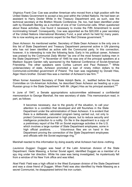*Virginius Frank Coe:* Coe was another American who moved from a high position with the United States Government to accept a key post within the United Nations. He had been an assistant to Harry Dexter White in the Treasury Department and, as such, was the technical secretary at the Bretton Woods Conference. He, too, had been identified under oath by Elizabeth Bentley as a member of one of her Communist cells. When questioned about these activities, Coe found it necessary to invoke the Fifth Amendment to avoid incriminating himself. Consequently, Coe was appointed as the \$20,000 a year secretary of the United Nations International Monetary Fund, a post which he held for many years. He is now working as an economic expert for the Red Chinese government.<sup>12</sup>

*Dean Acheson:* As mentioned earlier, Secretary of State Dean Acheson is the only one in this list of State Department and Treasury Department personnel active in UN planning who has not been identified as active with the Communist party. In this connection, however, it is interesting to note the following facts. Early in his political career, Acheson was praised by the Communist *Daily Worker* "as one of the most forward looking men in the State Department."<sup>13</sup> In November of 1945 he was one of the principal speakers at a Madison Square Garden rally sponsored by the National Conference of Soviet-American Friendship. The other speakers were Corliss Lamont and Paul Robeson.<sup>14</sup> While undersecretary of state, Acheson promoted a loan of ninety million dollars to the Communist-controlled government of Poland. The loan was negotiated by Donald Hiss, Alger Hiss's brother. Donald Hiss was a member of Acheson's law firm.<sup>15</sup>

When former Assistant Secretary of State Adolph Berle, Jr., testified before the House Committee on Un-American Activities, he described Dean Acheson as heading up a pro-Russian group in the State Department "with Mr. (Alger) Hiss as his principal assistant."<sup>16</sup>

In June of 1947, a Senate appropriations subcommittee addressed a confidential memorandum to George Marshall, the new secretary of state. This memorandum read, in part, as follows:

It becomes necessary, due to the gravity of the situation, to call your attention to a condition that developed and still flourishes in the State Department under the administration of Dean Acheson. It is evident that there is a deliberate, calculated program being carried out, not only to protect Communist personnel in high places, but to reduce security and intelligence protection to a nullity. On file in the department is a copy of a preliminary report of the FBI on Soviet espionage activities in the U.S. which involves a large number of State Department employees, some in high official positions. . . . Voluminous files are on hand in the Department proving the connection of the State Department employees and officials with the Soviet espionage ring.<sup>17</sup>

Marshall reacted to this information by doing exactly what Acheson had done--nothing.

*Laurence Duggan*: Duggan was head of the Latin American division of the State Department. Hede Massing, a former Soviet agent, identified Duggan as a member of a spy ring under her direction. While his case was being investigated, he mysteriously fell from a window of his New York office and was killed.

*Noel Field:* Field was a high official in the West European division of the State Department and was a close friend of Duggan. When Field was also identified by Hede Massing as a secret Communist, he disappeared behind the iron curtain.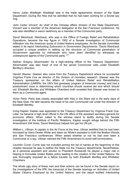*Henry Julian Wadleigh*: Wadleigh was in the trade agreements division of the State Department. During the Hiss trial he admitted that he had been working for a Soviet spy ring.

*John Carter Vincent*: As chief of the Chinese affairs division of the State Department, Vincent was a member of the American delegation at the San Francisco conference. He was also identified in sworn testimony as a member of the Communist party.

*David Weintraub:* Weintraub, who was in the Office of Foreign Relief and Rehabilitation Operations, became the key figure in 1952 of a Senate investigation of Communist infiltration into the American quota of United Nations employees. As the Senate committee stated in its report *Interlocking Subversion in Government Departments:* "David Weintraub occupied a unique position in setting up the structure of Communist penetration of Government agencies by individuals who have been identified by witnesses as underground agents of the Communist party."18

*Nathan Gregory Silvermaster:* As a high-ranking officer of the Treasury Department, Silvermaster was also head of one of the secret Communist cells under Elizabeth Bentley's direction.

*Harold Glasser:* Glasser also came from the Treasury Department where he succeeded Virginius Frank Coe as director of the division of monetary research. Glasser was the Treasury spokesman on the affairs of United Nations Relief and Rehabilitation Administration (UNRRA, the UN's first giveaway program of American money) and had a predominant voice in determining which countries should receive aid and which should not. Elizabeth Bentley and Whittaker Chambers both revealed that Glasser was known to them as a Communist agent.

*Victor Perlo:* Perlo was closely associated with Hiss in the Ware cell in the early days of the New Deal. He later became the head of his own Communist cell under the direction of Elizabeth Bentley.

*Irving Kaplan*: Kaplan was appointed to the Treasury Department by Virginius Frank Coe. Later, he became a high level official in the UN office of the assistant secretary-general for economic affairs. When called to the witness stand to testify during the Senate investigation of the Institute of Pacific Relations, Kaplan sought refuge behind the Fifth Amendment 244 times. David Weintraub helped him get his UN job.

*William L. Ullman*: A captain in the Air Force at the time, Ullman testified that he had been borrowed by Harry Dexter White and taken as White's assistant to both the Bretton Woods and San Francisco conferences. When asked whether or not he had ever been a Communist or a spy, Ullman claimed the Fifth Amendment to avoid self-incrimination.

*Lauchlin Currie:* Currie was not included among the list of names at the beginning of this chapter because he was in neither the State nor the Treasury departments. Nevertheless, as a personal assistant and advisor to President Roosevelt he played a major role in helping to formulate United States policy leading to the creation of the United Nations. He was thoroughly exposed as a fellow traveler by both Elizabeth Bentley and Whittaker Chambers.

The whole ugly story of these men and their actions can be found in the Senate report on the investigations of the IPR, the transcript of the Senate hearings on *Activities of United States Citizens Employed by the United Nations,* and the report entitled *Interlocking*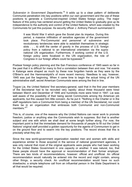*Subversion in Government Departments.*19 It adds up to a clear pattern of deliberate Communist penetration into key positions within our own government and the use of these positions to generate a Communist-inspired United States foreign policy. The major feature of this policy has centered around getting the United States to gradually give up its independence to the authority and control of the United Nations, which was created by the Communists for just this purpose. As security officer J. Anthony Panuch summarized it:

It was World War II which gave the Soviet plan its impetus. During this period, a massive infiltration of sensitive agencies of the government took place. Pro-Communist and personnel of subversive and revolutionary tendencies were able to establish themselves in strategic slots . . . to shift the center of gravity in the process of U.S. foreign policy from a national to an international orientation via the supranational UN organization. Furthermore, if working control of the U.S. foreign policy were focalized in the UN organization, the role of Congress in our foreign affairs could be bypassed.<sup>20</sup>

Postwar foreign policy planning and the San Francisco conference of 1945 seem so far in the past that it is difficult for many to find a correlation between then and now. Yet events in Katanga were shaped as much by these now forgotten hands as they were by the O'Brien's and the Hammarskjold's of more recent memory. Needless to say, however, 1945 was just the beginning. When it came time to begin the actual hiring of the UN administrative staff, secret American Communists were among the first in line.

Trygve Lie, the United Nations' first secretary-general, said that in the first year members of the Secretariat had to be recruited very rapidly; about three thousand were hired between March and December of 1946 and hundreds more were hired in 1947. Lie was well aware of the possibility of their being secret Communists among the American job applicants, but this caused him little concern. As he put it: "Nothing in the Charter or in the staff regulations bars a Communist from being a member of the UN Secretariat; nor could there be in an organization that embraces both Communist and non-Communist members."<sup>21</sup>

This is, of course, one of the reasons why the United Nations can never work to promote freedom, justice or anything else the Communists wish to suppress. But that is another subject and one with which we shall deal at some length further along. For now, the important point is that the immediate demand for thousands of people to fill out the United Nations' original staff provided a golden opportunity for the agents of Communism to get in on the ground floor and to swarm into the key positions. The record shows that this is precisely what they did.

Since the new world-government organization needed men and women with skills and experience similar to those acquired in the service of national government agencies, it was only natural that most of the original applicants were people who had been working for the United States Government in one capacity or another. It was natural, too, that these people should have the approval or recommendation of their former employer. There are two kinds of recommendations, however: official and unofficial. An official recommendation would naturally be entered into the record and might contain, among other things, a security check. An unofficial recommendation would have no such drawbacks; a simple telephone call from an influential person in the State Department is all that would be required.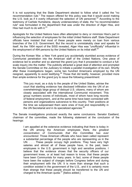It is not surprising that the State Department elected to follow what it called the "no recommendation rule." The reason offered for this policy was that it would avoid making the U.S. look as if it overly influenced the selection of UN personnel.<sup>22</sup> According to the testimony of Carlisle Humelsine, deputy undersecretary of state, the "no recommendation rule" was formulated in the department that was under the direction of Alger Hiss, and Hiss had much to do with it. $^{23}$ 

Apologists for the United Nations have often attempted to deny or minimize Hiss's part in influencing the selection of employees for the initial United Nations staff. State Department officials have insisted that most of these people were merely on loan from various branches of the U.S. Government. But the record is unmistakably clear and speaks for itself. As the 1954 report of the SISS revealed, Alger Hiss was "unofficially" influential in the employment of 494 persons by the United Nations on its initial staff.<sup>24</sup>

During the Korean War, a New York grand jury accidentally stumbled across evidence of Communist penetration into the American staff of the United Nations. One piece of evidence led to another and so alarmed the grand jury that it proceeded to conduct a fullscale inquiry into the matter. The publicity attracted a great deal of attention and prompted the Senate Committee on the Judiciary to initiate a parallel investigation of its own. Shortly after these investigations began, some two hundred Americans employed by the UN resigned, apparently to avoid testifying.<sup>25</sup> Those that did testify, however, provided more than ample evidence for the grand jury to issue the following presentment:

This jury must, as a duty to the people of the United States, advise the court that startling evidence has disclosed infiltration into the UN of an overwhelmingly large group of disloyal U.S. citizens, many of whom are closely associated with the international Communist movement. This group numbers scores of individuals, most of whom have long records of federal employment,, and at the same time have been connected with persons and organizations subversive to this country. Their positions at the time we subpoenaed them were ones of trust and responsibility in the UN Secretariat and in its specialized agencies.<sup>26</sup>

The Senate investigations produced exactly the same conclusions. Senator Eastland, chairman of the committee, made the following statement at the conclusion of the hearings:

I am appalled at the extensive evidence indicating that there is today in the UN among the American employees there, *the greatest concentration of Communists that this Committee has ever encountered.* Those American officials who have been called represent a substantial percentage of the people who are representing us in the UN. . . . These people occupy high positions. They have very high salaries and almost all of these people have, in the past, been employees in the U.S. government in high and sensitive positions. I believe that the evidence shows that the security officers of our government knew, or at least had reason to know, that these people have been Communists for many years. In fact, some of these people have been the subject of charges before Congress before and during their employment with the UN. It is more than strange that such a condition existed in the government of the U.S., and it is certainly more than strange that these people should be transferred to the UN and charged to the American quota.<sup>27</sup> [Italics added.]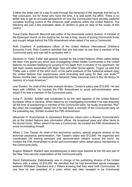It takes the better part of a day to read through the transcript of the hearings that led up to that conclusion, but for those who have the time, it is well worth the effort. There is no better way to get an accurate perspective on how the Communists have secretly captured complete working control of the American staff positions within the United Nations. The following are just a few examples taken at random to give an idea of the scope of this control.

*Frank Carter Bancroft:* Bancroft was editor of the documents control division. A minister of the Episcopal church on the inactive list, he has a long, record of joining Communist fronts and sought refuge behind the Fifth Amendment when asked if he was a Communist.

*Ruth Crawford:* A publications officer of the United Nations International Children's Economic Fund, Ruth Crawford admitted that she had been at one time a member of the Communist party and was still in sympathy with it.

*Abraham H. Feller:* Feller was general counsel for the United Nations. When called before the New York grand jury which was investigating United States Communists in the United Nations, he avoided testifying by jumping to his death from a window of his apartment. He had been closely associated with Alger Hiss and other Soviet agents. Trygve Lie said that "Feller was a victim of the witch bunt, of the awful pressure of the hysterical assault upon the United Nations that reactionaries were promoting and using for their own ends."<sup>28</sup> Eleven months later, Lie dedicated the Abraham Feller memorial room in the UN library "in memory of a loyal American."

*Joel Gordon:* As chief of the trade analysis division, Cordon's salary was \$13,000. He had been with UNRAA. He invoked the Fifth Amendment to avoid self-incrimination when asked if he was a member of the Communist party.

*Irving P. Schiller:* Schiller was scheduled to be the next registrar of the United Nations' European office in Geneva. When asked by an investigating committee if be was presently (at the time of questioning) a member of the Communist party, he loudly proclaimed, "No!" But when the investigator asked him if he bad been a member of the Communist party on the preceding day, Schiller invoked the Fifth Amendment.

*Alexander H. Svenchanski:* A naturalized American citizen born in Russia, Svenchanski's job at the United Nations was information officer. He broadcast news and other items to the Soviet Union. When asked if he was a Communist, he invoked the Fifth Amendment to avoid incriminating himself.

*Alfred J. Van Tassel:* As chief of the economics section**,** special projects division of the technical assistance administration, Van Tassel's salary was \$12,840. He organized and coordinated UN training seminars and demonstration centers around the world. He invoked the Fifth Amendment to avoid self-incrimination when asked about membership in the Communist party.

*Eugene Wallach:* Wallach was simultaneously a steno-type reporter at the UN and part of the New York security organization of the Communist party.

*David Zablodowsky:* Zablodowsky was in charge of the publishing division of the United Nations with a salary of \$14,000. He admitted that he had transmitted secret messages between Whittaker Chambers and J. Peters knowing that they were both Communists. At one time he was president of a union which was later revealed to be Communist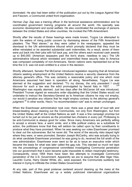dominated. He also had been editor of the publication put out by the League Against War and Fascism, a Communist united front organization.

*Herman Zap*: Zap was a training officer in the technical assistance administration and he coordinated government training programs all around the world. His specialty was economic development and social welfare. He also coordinated the exchange of persons between the United States and other countries. He invoked the Fifth Amendment.

Shortly after the results of these hearings were made known, Trygve Lie attempted to calm the waters of rising public concern by dismissing eleven of the Fifth Amendment pleaders. The "Red eleven," as they were called in the newspapers, appealed the dismissal to the UN administrative tribunal which promptly declared that they must be either reinstated or be awarded substantial cash indemnities. As a result, seven of them were put back into their jobs with full back pay, and the others each received cash awards up to \$40,000. (American taxpayers paid the lion's share, needless to say.) The UN administrative tribunal which reinstated and indemnified these security risks to America was composed completely of non-Americans. Seven nations were represented but at the time the U.S. was not even entitled to a voice in the decision.

Shortly afterward, Senator Pat McCarran introduced legislation requiring that all American citizens seeking employment at the United Nations receive a security clearance from the attorney general's office. This was certainly a reasonable policy and one which most Americans assumed had been in operation all along. Nevertheless, Trygve Lie was alarmed at the suggestion and declared: "To my dismay, the only precedent I could discover for such a law was the edict promulgated by fascist Italy in 1927.  $\ldots$  ...<sup>29</sup> Washington was equally alarmed. Just two days after the McCarran bill was introduced, President Truman signed an executive order stipulating that the United States would not undertake to instruct the Secretary-General as to American citizens he may not employ, nor would it penalize any citizens that he might employ contrary to the attorney general's judgment.<sup>30</sup> In other words, Hiss's "no recommendation rule" was to remain unchanged.

When the Eisenhower administration took over, there was a great deal of loud talk and breast-beating about cleaning out the Communists, not only from Washington, but from the United States staff at the United Nations as well. It was a fine campaign promise but turned out to be just as sincere as the proverbial two chickens in every pot. Professing to be anti-Communist is always good for votes. Since many Americans are perfectly willing to accept a sincere face, a warm smile, and a little political oratory as a substitute for action, the politicians know that they will seldom be called upon by their constituents to produce what they have promised. When he was seeking our votes Eisenhower promised to clear out the subversives. But he never did. The worst of the security risks stayed right where they were, or were promoted. Senator Joseph McCarthy, who was actually trying to do what candidate Eisenhower promised *he* was going to do, received the full wrath of the new administration. Eisenhower even went so far as to issue an executive order which became the basis for what was later called the gag rule. This injected so much red tape into the proceedings of congressional committees investigating Communist penetration into our government that it soon became quite impossible to obtain meaningful testimony. Consequently, since 1954 there have been few attempts to investigate Communist penetration of the U.S. Government. Apparently we are to assume that after Alger Hiss, Lauchlin Currie, Harry Dexter White, etc., were exposed, the Communists suddenly lost interest in trying to infiltrate the United States Government!

At any rate, part of this great pretense centered around cleaning up the mess at the United Nations. Eisenhower set up a widely publicized international organizations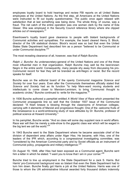employees loyalty board to hold hearings and review FBI reports on all United States employees at the United Nations. As the first step, all Americans at the United Nations were instructed to fill out loyalty questionnaires. The public once again relaxed with satisfaction that at last something was being done. The whole thing, of course, was a fraud. The net catch of the entire operation was one woman clerk by the name of Eda Glaser. She was employed in the Security Council reference library where she clipped articles out of newspapers.<sup>31</sup>

Eisenhower's loyalty board gave clearance to people with blatant backgrounds of Communist activities and sympathies. For example, the board cleared Henry S. Block, director of the UN statistical division. Block's record was so bad that even the United States State Department had described him as a person "believed to be Communist or under Communist discipline."<sup>32</sup>

The most revealing clearance of all, however, was that of Ralph Bunche.

*Ralph J. Bunche:* As undersecretary-general of the United Nations and one of the three most influential men in that organization, Ralph Bunche may well be the best-known Negro in the entire world. Consequently, many people shy away from discussing his pro-Communist record for fear they will be branded as anti-Negro or racist. But the record speaks for itself.

Bunche was on the editorial board of the openly Communist magazine *Science and Society* for over four years. Even after the Communists themselves officially stated that *Science and Society* had as its function "to help Marx-ward moving students and intellectuals to come closer to Marxism-Leninism; to bring Communist thought to academic circles," Bunche continued to -write for the magazine.<sup>3</sup>

In 1936 Bunche authored a pamphlet entitled *A World View of Race* which presented the Communist propaganda line so well that the October 1937 issue of the Communist declared: "A fresh breeze is blowing through the classrooms of American colleges, carrying with it elements of Marxist and progressive thought. One of the -welcome fruits of the renaissance is a world-embracing study of race attitudes by Dr. Bunche, professor of political science at Howard University."

In his pamphlet, Bunche wrote: "And so class will some day supplant race in world affairs. Race war will then be merely a side-show to the gigantic class war which will be waged in the big tent we call the world."<sup>34</sup>

In 1943 Bunche went to the State Department where he became associate chief of the division of dependent area affairs under Alger Hiss. He became, with Hiss, one of the leaders of the IPR which, according to a congressional investigating committee, was "considered by the American Communist party and by Soviet officials as an instrument of Communist policy, propaganda and military intelligence."<sup>35</sup>

On August 19, 1948, after Hiss had been exposed as a Communist agent, Bunche sent him a letter in which he stated: "I want you to know that I am in your corner."<sup>36</sup>

Bunche tried to line up employment in the State Department for a Jack S. Harris. But Harris' pro-Communist background was so blatant that even the State Department had to turn him down. Bunche finally got Harris a job at the United Nations. Harris was one of those to whom the UN administrative tribunal awarded forty thousand dollars indemnity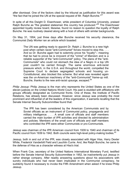after dismissal. One of the factors cited by the tribunal as justification for this award was "the fact that he joined the UN at the special request of Mr. Ralph Bunche." $37$ 

In spite of all this Dwight D. Eisenhower, while president of Columbia University, praised Ralph Bunche as "the greatest statesman this country has produced."<sup>38</sup> The Eisenhower appointed loyalty review board, likewise, found no reason to question the loyalty of Ralph Bunche. He was routinely cleared along with a host of others with similar backgrounds.

On May 31, 1954, just three days after Bunche received his security clearance, the Communist *Daily Worker* ran an article which boasted:

The UN was getting ready to appoint Dr. Ralph J. Bunche to a new high post when certain racist "anti-Communist" forces moved to stop this. . . . And so Dr. Bunche again had to solemnly prove his "loyalty"-- meaning that be had to prove be is innocent of the "crime" of Marxism and is a reliable supporter of the "anti-Communist" policy. The plans of the "anti-Communists" who could not stomach the idea of a Negro in a top UN post couldn't be carried through. The same enormous anti-racist pressure which, in the U.S.A. and throughout the world, compelled the Supreme Court to declare segregated schools and housing un-Constitutional, also blocked this scheme. But what was revealed again was the un-American machinery of the "anti-Communist" frame-up mill. Bunche, thanks to the new anti-racist upsurge, escaped.<sup>39</sup>

*Philip Jessup:* Philip Jessup is the man who represents the United States as one of the eleven justices on the United Nations World Court. His past is studded with affiliations with groups officially designated as Communist fronts. One of these, the Institute of Pacific Relations, has already been discussed. However, since Jessup was probably the most prominent and influential of all the leaders of this organization, it warrants recalling that the Senate Internal Security Subcommittee found that:

The IPR has been considered by the American Communists and by Soviet officials as an instrument of Communist policy, propaganda and military intelligence. . . . A small core of officials and staff members carried the main burden of IPR activities and directed its administration and policies. Members of the small core of officials and staff members who controlled the IPR were either Communists or pro-Communists.

Jessup was chairman of the IPR American council from 1939 to 1940 and chairman of its Pacific council from 1939 to 1942. Both councils were high-level policy-making bodies.<sup>40</sup>

Jessup, both in and out of the IPR, was closely associated with Alger Hiss, Harry Dexter White, Frederick Vanderbilt Field and Lauchlin Currie. And, like Ralph Bunche, he came to the defense of Hiss as a character witness at Hiss's trial.

When Frank Coe, secretary of the United Nations International Monetary Fund, testified before the Senate Internal Security Subcommittee in 1952, be inadvertently put Jessup in rather strange company. After readily answering questions about his associations with sundry individuals who had never been implicated in the Communist conspiracy, he suddenly found it necessary to invoke the Fifth Amendment when asked if he knew Philip Jessup.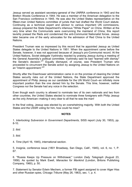Jessup served as assistant secretary-general of the UNRRA conference in 1943 and the Bretton Woods Conference in 1944. He was a member of the American delegation to the San Francisco conference in 1945. He was also the United States representative on the fifteen-man United Nations committee of jurists that had drafted the World Court statute. Continuing as a technical expert and advisor to various important UN commissions, Jessup prepared the State Department's infamous "White Paper" on China. Written at the very time when the Communists were overrunning the mainland of China, this report lavishly praised the Reds and condemned the anti-Communist Nationalist forces. Jessup later became one of the early advocates for the admission of Red China to the United **Nations** 

President Truman was so impressed by this record that he appointed Jessup as United States delegate to the United Nations in 1951. When the appointment came before the Senate, however, it was not approved because of Jessup's pro-Communist record. At the United Nations, Soviet delegate Vyshinsky reacted by praising Jessup during a meeting of the General Assembly's political committee. Vyshinsky said he bad "learned with dismay" the Senate's decision."<sup>41</sup> Equally dismayed, of course, was President Truman who proceeded to circumvent the Senate action by assigning Jessup to the United Nations on an "interim appointment."42

Shortly after the Eisenhower administration came in on the promise of cleaning the United States security risks out of the United Nations, the State Department approved the appointment of Philip Jessup as our candidate for the UN World Court--an infinitely more important position than the one denied him by the Senate. This time, however, neither Congress nor the Senate had any voice in the selection.

Even though each country is allowed to nominate two of its own nationals and two from other countries, the United States elected to nominate three foreigners with Philip Jessup as the only American--making it very clear to all that he was the man!

In the final voting, Jessup was elected by an overwhelming majority. With both the United States and the USSR voting for him, how could he miss?

### **NOTES**

1. *Interlocking Subversion in Government Departments,* SISS report (July 30, 1953), pp. 8-10.

- 2. *Ibid.*
- 3*. Ibid.*
- 4*. Time* (April 16, 1945), international section.

5. *Insignia*, conference issue (1801 Broadway, San Diego, Calif., 1945), vol. 6, no. 1, P. 67.

6. "Russia Keeps Up Pressure on Withdrawal," London *Daily Telegraph* (August 23, 1958). As quoted by Mark Ewell, *Manacles for Mankind* (London, Britons Publishing Company, 1960), p. 50.

7. Statement by Senator Edwin Mechem, a former FBI agent assigned to cover Alger Hiss and other Russian spies, Chicago *Tribune* (May 26, 1963), sec. 1, p. 4.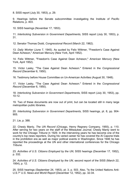8. SISS report (July 30, 1953), p. 29.

9. Hearings before the Senate subcommittee investigating the Institute of Pacific Relations, p. 403.

10. SISS hearings (November 17, 1953).

11*. Interlocking Subversion in Government Departments,* SISS report (July 30, 1953), p. 31.

12. Senator Thomas Dodd, *Congressional Record* (March 22, 1962).

13*. Daily Worker* (June 7, 1945). As quoted by Felix Wittmer, "Freedom's Case Against Dean Acheson," American Mercury (New York, April 1952).

14. Felix Wittmer, "Freedom's Case Against Dean Acheson," *American Mercury* (New York, April 1952).

15. Victor Lasky, "The Case Against Dean Acheson." Entered in the *Congressional Record* (December 6, 1950).

16. Testimony before House Committee on Un-American Activities (August 30, 1948).

17. Victor Lasky, "The Case Against Dean Acheson." Entered in the *Congressional Record* (December 6, 1950).

18*. Interlocking Subversion in Government Departments,* SISS report (July 30, 1953), pp. 10-12.

19. Two of these documents are now out of print, but can be located still in many large metropolitan public libraries.

20*. Interlocking Subversion in Government Departments,* SISS hearings, pt. 8, pp. 904- 905.

21. Lie, p. 388.

22. Chesly Manly, *The UN Record* (Chicago, Henry Regnery Company, 1955), p. 110. After serving for two years on the staff of the Milwaukee *Journal*, Chesly Manly went to work for the Chicago *Tribune* in 1929. In the intervening years he has become one of the country's top news reporters. During his varied career he has covered the Al Capone trials in the prohibition era as well as major political events in Washington. Since 1946 he has reported the proceedings at the UN and other international conferences for the Chicago *Tribune*.

23*. Activities of U.S. Citizens Employed by the UN,* SISS hearings (December 17, 1952), p. 332.

24*. Activities of U.S. Citizens Employed by the UN,* second report of the SISS (March 22, 1954), p. 12.

25. SISS hearings (September 24, 1953), pt. 3, p. 503. Also, "Is the United Nations Anti-U.S.?" *U.S. News and World Report* (December 12, 1952), pp. 32-34.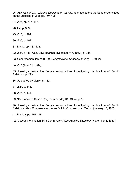26*. Activities of U.S. Citizens Employed by the UN*, hearings before the Senate Committee on the Judiciary (1952), pp. 407-408.

27. *Ibid*., pp. 181-182.

28. Lie, p. 399.

29*. Ibid.,* p. 401.

30*. Ibid.,* p. 402.

31. Manly, pp. 137-138.

32. *Ibid*., p 138. Also, SISS hearings (December 17, 1952), p. 385.

33. Congressman James B. Utt, *Congressional Record* (January 15, 1962).

34. *Ibid*. (April 11, 1962).

35. Hearings before the Senate subcommittee investigating the Institute of Pacific Relations, p. 223.

36. As quoted by Manly, p. 143.

37*. Ibid.,* p. 141.

38*. Ibid.,* p. 144.

39. "Dr. Bunche's Case," *Daily Worker* (May 31, 1954), p. 5.

40. Hearings before the Senate subcommittee investigating the Institute of Pacific Relations. Also, Congressman James B. Utt, *Congressional Record* (January 15, 1962).

41. Manley, pp. 157-158.

42. "Jessup Nomination Stirs Controversy," Los Angeles *Examiner* (November 8, 1960).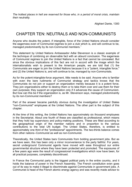*The hottest places in hell are reserved for those who, in a period of moral crisis, maintain their neutrality.*

Alighieri Dante, 1300

# CHAPTER TEN: NEUTRALS AND NON-COMMUNISTS

Anyone who doubts the potent, if intangible, force of the United Nations should consider the eagerness even of Communist regimes to join a club which is, and will continue to be, managed predominantly by its non-Communist members.<sup>1</sup>

This statement by United Nations Ambassador Adlai Stevenson is a classic example of the technique of combining an observable fact with an absurd conclusion. The eagerness of Communist regimes to join the United Nations is a fact that cannot be concealed. But since the obvious implications of this fact are not in accord with the image which the internationalists wish to present to the American people, we are told that (1) the Communists are eager to join the United Nations because it is a "potent, intangible force," and (2) the United Nations is, and will continue to be, managed by non-Communists.

As for the potent-intangible-force argument, little needs to be said. Anyone who is familiar with even the bare rudiments of Communist strategy and tactics knows that the Communists do not join or support an organization merely because it is a potent force. They join organizations either to destroy them or to take them over and use them for their own purposes; they support an organization only if it advances the cause of Communism. But how can this be if the organization is, as Mr. Stevenson says, managed predominantly by its non-Communist members?

Part of the answer became painfully obvious during the investigation of United States "non-Communist" employees at the United Nations. The other part is the subject of this chapter.

At the time of this writing, the United Nations has approximately six thousand employees in the Secretariat. About one fourth of these are classified as professional, which means that they hold top supervisory and policy-making positions. These are filled according to the geographical origin of the member nations and in proportion to the various contributions to the total UN budget. The United States, therefore, is entitled to approximately one third of the "professional" appointments. The two-thirds balance comes from other nations--Communist as well as non-Communist.

Theoretically, the United States bars Communists from bolding government jobs. But as we have seen, this has been only a minor inconvenience to the party faithful. For years, secret underground Communist agents have moved with ease throughout our entire governmental structure where they have been protected and promoted. The exposures of a few years ago were the result of congressional investigations which now have been, for all practical purposes, completely discontinued.

In France the Communist party is the biggest political party in the entire country, and it holds the balance of power in the French Assembly. The French constitution even goes out of its way to make it illegal to discriminate against Communists in government jobs. A Communist is head of the French atomic energy agency and was recently made advisor to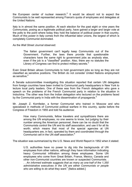the European center of nuclear research.<sup>2</sup> It would be absurd not to expect the Communists to be well represented among France's quota of employees and delegates at the United Nations.

Italy is in almost the same position. At each election for the past eight or nine years the Communists, posing as a legitimate political party, have gained a larger and larger vote at the polls to the point where today they hold the balance of political power in that country. Much of this power in Italy comes from the influential labor unions, the largest of which is completely Communist dominated.

As the *Wall Street Journal* observed:

The Italian government can't legally keep Communists out of the Government. Further, the laws there provide that questionable characters have the same right to government jobs as anybody else, even if the job is a "classified" position. Also, there are no statutes the Library of Congress can find to protect military secrets.<sup>3</sup>

Even Great Britain allows Communists to hold government jobs so long as they are not classified as sensitive positions. The British do not consider United Nations employment as sensitive. $4$ 

A Senate subcommittee investigating this situation reported that certain UN delegates from foreign countries have been invited to Communist party headquarters in New York to lecture local party leaders. One of these was from the French delegation who gave a speech on the problems of the French Communist party in relation to the situation in Indochina. The other was from the Indian delegation who lectured on the problems faced by the Communist party in India with the dissemination of propaganda.<sup>5</sup>

Mr. Joseph Z. Kornfeder, a former Communist who trained in Moscow and who specialized in methods of Communist political warfare in this country, spoke before the Congress of Freedom in 1955 and told his audience:

How many Communists, fellow travelers and sympathizers there are among the UN employees, no one seems to know, but judging by their number among the American personnel, there can be no doubt that the Communists control the UN and its staff association, and use it for all its worth; which means that most of the special agencies at UN headquarters are, in fact, operated by them and coordinated through the Communist cell in the UN staff association.<sup>6</sup>

The situation was summarized by the U.S. News and World Report in 1952 when it stated:

U.S. authorities have no power to dig into the backgrounds of UN employees from other nations, although they have information indicating heavy Communist infiltration among these employees. Some UN employees who come from Great Britain, France, Mexico, Canada and other non-Communist countries are known or suspected Communists. . . . *An informed estimate suggests that as many as one-half of the 1,350 administrative executives in the UN are either Communists or people*  who are willing to do what they want.<sup>7</sup> [Italics added.]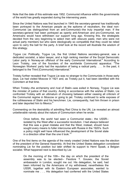Note that the date of this estimate was 1952. Communist influence within the governments of the world has greatly expanded during the intervening years.

Since the United Nations was first launched in 1945 the secretary-general has traditionally been portrayed to the American people as the epitome of neutralism, the ideal non-Communist (as distinguished from an anti-Communist)--the truly impartial man. If the secretary-general had been portrayed as openly anti-American and pro-Communist, we Americans would have withdrawn our support long ago. Knowing this, the strategists decided from the very beginning to select men with obscure pasts; men who were not actual party members but who were ideologically so compatible that they could be relied upon to carry the ball for the party. A brief look at the record will illustrate the wisdom of this strategy.

*Trygve Lie*: Politically, Trygve Lie, the first United Nations secretary-general, was a dedicated socialist, a labor lawyer, and a high ranking member of the Social Democratic Labor party in Norway-an offshoot of the early Communist International.<sup>8</sup> According to Leon Trotsky, one of the founders of the worldwide Communist apparatus: "The Norwegian Workers' party had the reputation of being a radical party. . . . In the past, it belonged to the Third [Communist] International."

Trotsky further revealed that Trygve Lie was no stranger to the Communists in those early days. Lie had visited Moscow in 1921 and, as Trotsky put it, had been identified with the Comintern at that time.

When Trotsky--the archenemy and rival of Stalin--was exiled in Norway, Trygve Lie was the minister of justice of that country. Acting in accordance with the wishes of Stalin, Lie confronted Trotsky with an ultimatum of choosing between either ceasing all criticism of the Communist regime in Moscow or going to jail. Trotsky continued to write exposes of the ruthlessness of Stalin and his henchmen. Lie, consequently, had him thrown in prison and later deported him to Mexico.<sup>9</sup>

Commenting on the desirability of admitting Red China to the UN, Lie revealed an almost unbelievable naivety about the nature of Communism when he wrote:

Once before, the world had seen a Communist state-- the USSR- isolated by the West after a successful revolution. I had always believed that this was a great mistake and that the West, instead, should have sought every means to fuller intercourse with Russia in the 1920's. Such a policy might well have influenced the development of the Soviet state in a direction other than the one it took.<sup>10</sup>

One of the first items on the agenda of the newly created United Nations was the election of the president of the General Assembly. At first the United States delegation considered nominating Lie for the position but later shifted its support to Henri Spaak, a Belgian socialist. What happened next is described by Lie:

On the morning of the 10th-- the day on which the president of the assembly was to be elected-- Feodore T. Gousev, the Soviet ambassador in London, sought me out. His delegation, he said, had been informed by the Americans of my withdrawal; nevertheless the USSR, together with its Eastern European associates, wanted to nominate me . . .. His delegation had conferred with the United States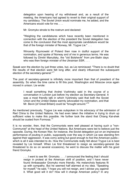delegation upon hearing of my withdrawal and, as a result of the meeting, the Americans had agreed to revert to their original support of my candidacy. The Soviet Union would nominate me, he added, and the Americans would vote for me.

Mr. Gromyko strode to the rostrum and declared:

"Weighing the candidatures which have recently been mentioned in connection with the election of the president the Soviet delegation has come to the conclusion that the most appropriate candidature would be that of the foreign minister of Norway, Mr. Trygve Lie." . . .

Wincenty Rzymowski of Poland then rose in dutiful support of the nomination, and spoke of Norway and of me in generous terms. He was followed by Dimitri Manuilsky, the "old Bolshevik" from pre-Stalin days who was then foreign minister of the Ukrainian SSR. . . .

Spaak won the election by just three votes, but, as Lie reminisced: "There is no doubt that the results of that election were felt long after, and clearly influenced the subsequent election of the secretary-general."<sup>11</sup>

The post of secretary-general is infinitely more important than that of president of the assembly. So when the time came to fill this post, Washington and Moscow once again moved in unison. Lie wrote:

I recall something that Andrei Vyshinsky said in the course of a conversation in London just before my election as Secretary-General. It was a most friendly talk in which Vyshinsky said that both the Soviet Union and the United States warmly advocated my nomination, and that Mr. Bevin [of Great Britain] could be "brought around."<sup>12</sup>

As mentioned previously, Trygve Lie was outspoken in his advocacy of the admission of Red China to the United Nations. He had even taken the initiative in trying to drum up sufficient votes to make this possible. He further took the stand that Chiang Kai-shek should be ousted from Formosa.<sup>13</sup>

It is no wonder, then, that the Communists were well pleased at having such a "non-Communist" at the head of the United Nations. But Americans were led to believe just the opposite. During, the Korean War, for instance, the Soviet delegation put on an impressive performance of pouting in public, supposedly over the way in which Lie was standing firm against their aggression. It was corny acting but good enough to fool the American public- which is all it was intended to do. How the Communists really felt about Trygve Lie is best revealed by Lie himself. When Lie first threatened to resign as secretary-general (be threatened to do so on several occasions), he went to discuss the matter with his good friend Gromyko.

... I went to see Mr. Gromyko.... I announced the feeling that I should resign in protest at the American shift of position, and I have never found Ambassador Gromyko more friendly. His melancholy features fit up with sympathy. But he seemed half alarmed at my idea. "Speaking for myself," he said, "I hope you will not resign, and I advise you against it. What good will it do? How will it change American policy? In any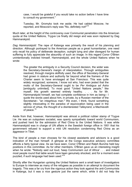case, I would be grateful if you would take no action before I have time to consult my government."

Tuesday, Mr. Gromyko took me aside. He had cabled Moscow, he reported, and Moscow's reply was "No, definitely not!"<sup>14</sup>

Much later, at the height of the controversy over Communist penetration into the American quota at the United Nations, Trygve Lie finally did resign and was soon replaced by Dag Hammarskjold.

*Dag Hammarskjold*: The rape of Katanga was primarily the result of his planning and direction. Although portrayed to the American people as a great humanitarian, one need only recall his policy of deliberate deception, outright lying and utter disregard for human suffering to fully appreciate the absurdity of such an image. In this regard Conor O'Brien unintentionally indicted himself, Hammarskjold, and the whole United Nations when he wrote:

The greater the ambiguity in a Security Council decision, the wider was the Secretary-General's margin of interpretation. Through ambiguities resolved, through margins skillfully used, the office of Secretary-General had grown in stature and authority far beyond what the framers of the Charter seem to have envisaged at San Francisco. This was quite widely recognized; someone, I know not who, had even jested that the motto of the Secretary-General ought to be *Per Ambigua ad Astra* [ambiguity unlimited]. To most good "United Nations people," like myself, this growth seemed entirely healthy. . . . As for Mr. Hammarskjold himself, we had complete confidence in him as being-- I quote the words used about him, in private, by a Russian member of the Secretariat-- "an integritous man." We even, I think, found something slightly intoxicating in the paradox of equivocation being used in the service of virtue, the thought of a disinterested Talleyrand, a Machiavelli of peace.<sup>15</sup>

Aside from that, however, Hammarskjold was almost a political rubber stamp of Trygve Lie. He was an outspoken socialist, was openly sympathetic toward world Communism, and pushed hard for the admission of Red China to the United Nations. It was while Hammarskjold was in charge of UN affairs in the Swedish foreign office in 1951 that his government refused to support a mild UN resolution condemning Red China as an aggressor in Tibet.

The kind of people a man chooses for his closest assistants and advisors is a good indication of the man himself. A glimpse at the Congo executive advisory committee affords a fairly typical view. As we have seen, Conor O'Brien and Ralph Bunche held key positions in this committee. As for other members, O'Brien gave us an interesting insight when he wrote: "Nobody said out loud, 'keep Communism out of Africa' . . . and indeed most people round that table would have been genuinely shocked, and for a moment even puzzled, if such language had been used."<sup>16</sup>

Shortly after the Hungarian uprising the United Nations sent a small team of investigators to Europe to interview as many of the refugees as possible in an attempt to document the tragedy. This was a far cry from the vigorous action they took against the anti-Communists in Katanga, but it was a nice gesture just the same which, while it did not help the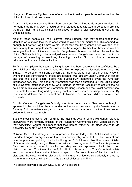Hungarian Freedom Fighters, was offered to the American people as evidence that the United Nations did do *something*.

Active in this committee was Povle Bang-Jensen. Determined to do a conscientious job, he found that the only way he could get the refugees to testify was to personally promise them that their names would not be disclosed to anyone else-especially anyone at the United Nations.

Most of these people still had relatives inside Hungary and they feared that if their identities were known their loved ones would be executed or imprisoned. This seemed fair enough, but not for Dag Hammarskjold. He insisted that Bang-Jensen turn over the list of names in spite of Bang-Jensen's promise to the refugees. Rather than break his word or endanger the lives of innocent people, Bang-Jensen burned the list on the roof of the United Nations building. Hammarskjold was furious. Bang-Jensen was fired amidst a barrage of sweeping accusations, including insanity. No UN tribunal demanded reinstatement or cash indemnification.

To further complicate the situation, Bang-Jensen had been approached in confidence by a potential Soviet defector who pleaded with him to help arrange for asylum in the United States. The defector told Bang-Jensen that the thirty-eighth floor of the United Nations, where the top administrative offices are located, was actually under Communist control and that the Soviet secret police had successfully penetrated even the American intelligence services. This shocking information was then dispatched to Allen Dulles, head of our Central Intelligence Agency, who, instead of moving resolutely to acquire the full details from this vital source of information, let Bang-Jensen and the Soviet defector cool their heels for seven long and agonizing months before even expressing any interest. By this time the defector had been sent back to Russia. The CIA never did ask Bang-Jensen for details.

Shortly afterward, Bang-Jensen's body was found in a park in New York. Although it appeared to be a suicide, the surrounding evidence as presented by the Senate Internal Security Subcommittee strongly indicates that he was murdered by the Soviet secret police for knowing too much.

But the most interesting part of all is the fact that several of the Hungarian refugees interviewed were formerly officials of the Hungarian Communist party. When testifying, they *specifically* wanted assurances that their names *would not be made known to the Secretary-General*. 17 One can only wonder why.

*U Thant*: One of the strongest political groups in Burma today is the Anti-Fascist Peoples Freedom League, an organization that leans considerably to the left. U Thant was at one time the press and publicity director for this group.<sup>18</sup> But it was U Nu, then prime minister of Burma, who really brought Thant into politics. U Nu regarded U Thant as his personal friend and advisor, made him his first secretary and also appointed him to the United Nations. In short, Thant was the protégé of U Nu. It is certain that Thant's political beliefs and basic orientation could not have strayed too far from those of his tutor without disrupting the close working relationship and mutual confidence so obviously shared by them for many years. What, then, is the political philosophy of U Nu?

In a speech delivered on May Day, 1948, U Nu declared: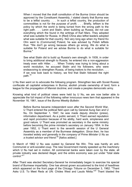When I moved that the draft constitution of the Burma Union should be approved by the Constituent Assembly, I stated clearly that Burma was to be a leftist country. . . . In such a leftist country, the production of commodities is not for the purpose of profit. . . . Briefly, leftism is the policy by which the world is being turned from the wrong path to the right path. . . . Lenin and Stalin, when building up Russia, did not use everything which the found in the writings of Karl Marx. They adopted what was suitable for Russia. In [Red] China also leftist leaders adopted what was suitable for that country. Not very long ago when my friend Ko Ohn went to (Communist] Poland, he was advised by Polish leftists thus: "We don't go wrong because others go wrong. We do what is suitable for Poland and we advise Burma to do what is suitable for Burma."

See what Stalin did to build up Russia's own strength. In 1939, in order to bring additional strength to Russia, he entered into a non-aggression treaty even with Hitler. . . . When Trotsky was trying to bring about a world revolution, he accused Stalin and his followers, who were endeavoring to strengthen Russia, of being traitors to the revolution. . . . If we now look back to history, we find that Stalin followed the right path.<sup>19</sup>

U Nu then went on to advocate the following program. Strengthen ties with Soviet Russia; confiscate all capitalist enterprises in Burma; abolish private ownership of land; form a league for the propagation of Marxist doctrine; and create a peoples democratic army.

Knowing what kind of political views were held by U Nu, we are now better able to appreciate the full impact of the following rather innocuous news item that appeared in the November 16, 1961, issue of the *Burma Weekly Bulletin*:

Before Burma became independent soon after the Second World War, U Thant entered the political field upon call by General Aung San and U Nu. On September 1, 1947, he was made deputy director (press), information department. As a public servant, U Thant earned reputation and rapid promotion because of his ability, hard work, simpleness and good nature. U Thant was promoted as secretary in the same ministry before becoming the prime minister's secretary on January 1954. In the year 1952, U Thant went to the seventh session of the U General Assembly as a member of the Burmese delegation. *Since then, he has traveled widely and generally in the company of Prime Minister U Nu as a trusted advisor and friend*. 20 [Italics added.]

In March of 1962 U Nu was ousted by General Ne Win. This was hardly an anti-Communist or anti-socialist coup. The new Government merely speeded up the machinery which U Nu had set in motion. All commercial banks were taken over by the state, all private industry was declared illegal, and the entire economy was put under "total state control."<sup>21</sup>

After Thant was elected Secretary-General he immediately began to exercise his special brand of Burmese impartiality. One has almost grown accustomed to the kind of headlines which appeared on the front page of the Chicago *Tribune* on December 3, 1962: "Thant Asks U.S. To Meet Reds at UN: Chides West and Lauds Nikita."<sup>22</sup> Thant blasted the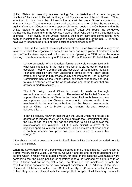United States for resuming nuclear testing: "A manifestation of a very dangerous psychosis," he called it. He said nothing about Russia's series of tests.<sup>23</sup> It was U Thant who tried to tone down the UN resolution against the brutal Soviet suppression of Hungary. It was Thant who was so alarmed and disturbed over United States sanctions against Communist Cuba and who proposed UN control posts in the Caribbean and in the United States to prevent an American invasion. $24$  After UN troops had conducted themselves like barbarians in the Congo, it was U Thant who sent them these accolades of praise: "Their loyalty to the United Nations, their team spirit and comradeship have been an inspiration to all those who value the peace-keeping role of the UN. . . . In truth I have every reason to be proud of their discipline and their conduct."<sup>25</sup>

Since U Thant is the present Secretary-General of the United Nations and is very much involved in what that organization does, let us enter one more piece of evidence into the record--Thant's views expressed in his own words. Speaking in 1958 before the annual meeting of the American Academy of Political and Social Science in Philadelphia, he said:

Let me be candid. When American foreign policy did concern itself with what was happening in the rest of the world, it did so out of fear and suspicion-- fear of Communism and suspicion of Communist motives. Fear and suspicion are very undesirable states of mind. They breed hatred, and hatred in turn breeds cruelty and intolerance. Fear of Soviet Communism has led the United States, and those who follow her lead, to take a distorted view of the world situation and of the forces that are at work in modern society. . . .

The U.S. policy toward China is unreal. It needs a thorough reexamination and reappraisal. . . . The refusal of the United States to support the admission of China to the United Nations is based on two assumptions-- that the Chinese government's behavior unfits it for membership in the world organization; that the Peiping government's grip on China may be broken at any moment. No one, however, believes this. . . .

It can be argued, however, that though the Soviet Union has not as yet attempted to impose its will on any state outside the Communist cordon, the Soviet has had and still has the intention to do so whenever the circumstances are favorable. But it is very difficult to arrive at an objective appraisal of such suppositions. Suspicions are not proof, and it is doubtful whether any. proof has been established to sustain this chargre. $^{26}$ 

If the above quotation does not speak for itself, there is little that could be added here to make it any plainer.

When the Soviet demand for a *troika* was defeated at the United Nations, it was hailed as a great victory for the West. But was it? Or was it another one of those apparent Soviet defeats which in reality was a strategic victory for them. In this case the Communists were demanding that the single position of secretary-general be replaced by a group of three men. U Thant held out for the status quo. The status quo was maintained but note the men that Thant appointed as his two principal assistants: G. P. Arkadev of the Soviet Union and Ralph Bunche of the United States. In reality, the Soviets *did* obtain their *troika*. In fact, they were so pleased with the arrange that, in spite of all their fiery oratory to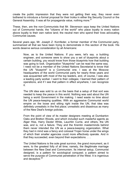create the public impression that they were not getting their way, they never even bothered to introduce a formal proposal for their troika in either the Security Council or the General Assembly. It was all for propaganda value, nothing more.<sup>27</sup>

These, then, are the non-Communists that Mr. Stevenson says keep the United Nations out of Communist hands; the "citizens of the world" who place loyalty to every nation above loyalty to their own native land; the neutral men who spend their lives advocating Communist causes.

Several years ago, Mr. Joseph Z. Kornfeder, a former member of the Communist party, summarized all that we have been trying to demonstrate in this section of the book. His words deserve serious consideration by all Americans:

Now, as to the United Nations. If you were, let's say. a building engineer, and someone were to show you a set of blueprints about a certain building, you would know from those blueprints how that building was going to look. Organization "blueprints" can be read the same way. I need not be a member of the United Nations Secretariat to know that the UN "blueprint" is a Communist one. I was at the Moscow headquarters of the world Communist party for nearly three years and was acquainted with most of the top leaders, and, of course, I was also a leading party worker. I went to their colleges; I learned their pattern of operations, and if I see that pattern in effect anywhere, I can recognize it.

The UN idea was sold to us on the basis that a setup of that sort was needed to keep the peace in this world. Nothing was said about the UN being a world Government in the making. I need waste no time about the UN peace-keeping qualities. With an aggressive Communist world empire on the loose and sitting right inside the UN, that idea was definitely unrealistic in the first place; unrealistic and disastrous as many of the New Deal's foreign policies.

From the point of view of its master designers meeting at Dumbarton Oaks and Bretton Woods, and which included such masterful agents as Alger Hiss, Harry Dexter White, Lauchlin Currie, and others, the UN was, and is, not a failure. They and the Kremlin masterminds behind them never intended the UN as a peace-keeping organization. What they had in mind was a fancy and colossal Trojan horse under the wings of which their smaller agencies could more effectively operate. And in that they succeeded, even beyond their expectations. . . .

The United Nations is the sole great survivor, the grand monument, as it were, to the greatest folly of all time; namely, the illegitimate marriage between the New Deal and Communism. Its internal setup, Communist designed, is a pattern for sociological conquest; a pattern aimed to serve the purpose of Communist penetration of the West. It is ingenious and deceptive.<sup>28</sup>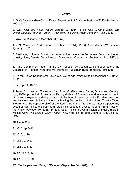#### **NOTES**

1. *United Nations Guardian of Peace*, Department of State publication -#7225 (September 1961), p. 2.

2. *U.S. News and World Report* (October 22, 1954), p. 53. Also V. Orval Watts, *The United Nations: Planned Tyranny* (New York, The Devin-Adair Company, 1955), p. 32.

3. *Wall Street Journal* (December 23, 1957).

4. *U.S. News and World Report* (October 15, 1954), P. 86. Also, Watts, *UN: Planned Tyranny*, p. 32.

5. Testimony of former Communist John Lautner before the Permanent Subcommittee on Investigations, Senate Committee on Government Operations (September 11, 1953), p. 42.

6. "The Communist Pattern in the UN," speech by Joseph Z. Kornfeder before the Congress of Freedom, Veterans War Memorial Auditorium (San Francisco, April 1955).

7. "Is the United Nations Anti-U.S.?" *U.S. News and World Report* (December 12, 1952), p. 32.

8. Lie, pp. 11, 16, 17.

9. Isaac Don Levine, *The Mind of an Assassin* (New York, Farrar, Straus and Cudahy, Inc., 1959), pp. xvii, 8, 9. Levine, a lifelong student of Communism, draws upon a wealth of personal experience dating back to his firsthand knowledge of the Russian revolution and his close association with the early leading Bolsheviks, including Leon Trotsky. When Trotsky was the supreme chief of the Red Army during the civil war, Levine personally accompanied him to the front as a foreign correspondent. Also, "A Letter from Trotsky," the *Nation* (October 10, 1936), p. 431. Also, Preliminary Commission of Inquiry (held in Mexico City), *The Case of Leon Trotsky* (New York, Harper and Brothers, 1937), pp. 32, 405.

10. Lie, p. 254.

11. *Ibid*., pp. 5-10.

- 12. *Ibid*., p. 26.
- 13. *Ibid*., p. 265.
- 14. *Ibid*., p. 171.
- 15. O'Brien, p. 47.
- 16. O'Brien, P. 59.

17. *The Bang-Jensen Case*, SISS report (September 14, 1961), p. 9.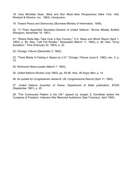18. Vera Micheles Dean, *West and Non West--New Perspectives* (New York, Holt, Rinehart & Winston, Inc., 1963), introduction.

19. *Toward Peace and Democracy* (Burmese Ministry of Information, 1949).

20. "U Thant Appointed Secretary-General of United Nations," *Burma Weekly Bulletin* (Rangoon, November 16, 1961).

21. "Where Reds May Take Over a Key Country," *U.S. News and World Report* (April 1, 1963), p. 69. Also, "Left Full Rudder," *Newsweek* (March 11, 1963), p. 46. Also, "Army Socialism," *Time* (February 22, 1963), p. 32.

22. Chicago *Tribune* (December 3, 1962).

23. "Thant Blasts A-Testing in Space by U.S." Chicago *Tribune* (June 6, 1962), sec. 2, p. 10.

24. Richmond *News-Leader* (March 7, 1963).

25. *United Nations Review* (July 1963), pp. 55-56. Also, *46 Angry Men*, p. 14.

26. As quoted by Congressman James B. Utt, *Congressional Record* (April 11, 1962).

27. *United Nations Guardian of Peace*, Department of State publication, #7225 (September 1961), p. 25.

28. "The Communist Pattern in the UN," speech by Joseph Z. Kornfeder before the Congress of Freedom, Veterans War Memorial Auditorium (San Francisco, April 1955).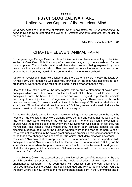### **PART III PSYCHOLOGICAL WARFARE**  United Nations Capture of the American Mind

*On a dark scene in a dark time of troubles, New York's guest, the UN is proclaiming, by deed as well as word, that men can live not by violence and brute strength, but, at last, by reason and law.*

Adlai Stevenson, March 2, 1961

# CHAPTER ELEVEN: ANIMAL FARM

Some years ago George Orwell wrote a brilliant satire on twentieth-century collectivism entitled *Animal Farm*. It is the story of a revolution staged by the animals on Farmer Jones's place. The animals considered themselves workers being exploited by nonproductive humans--the capitalists. They reasoned that once the entire farm was turned over to the workers they would all live better and not have to work so hard.

As with all revolutions, there were leaders and there were followers--mostly the latter. On Animal Farm, the leadership was cheerfully provided by the pigs who hastened to point out that they were, through no fault of the others, a little smarter than the rest.

One of the first official acts of the new regime was to draft a statement of seven great principles which were then painted on the back wall of the barn for all to see. These principles became the basis of the new order and were designed to protect the animals from any future injustice or infringement on their rights. There were such noble pronouncements as, "No animal shall drink alcoholic beverages"; "No animal shall sleep in a bed"; and "No animal shall kill another animal." But the greatest and wisest of all was the seventh great principle which read: "All animals are equal."

As the months slowly turned into years, however, things did not turn out quite the way the "workers" had expected. They were working twice as hard and eating half as well as they had when they were "exploited" by Farmer Jones. The one significant exception, of course, was the ruling clique of pigs who were now living very well indeed. In fact they had moved right into Jones's house where they had been seen drinking Jones's ale and sleeping in Jones's bed! When the puzzled workers went to the rear of the barn to see if there was not something in the seven great principles prohibiting this kind of conduct, they found that a few changes bad been made: "No animal shall drink alcoholic beverages . . . *to excess";* "No animal shall sleep in a bed . . . *with sheets."* Even the important sixth principle now read, "No animal shall kill another animal . . . *without cause."* But by far the worst shock came when the poor creatures turned with hope to the seventh and greatest of all the principles, which now declared, "All animals are equal . . . *but some animals are more equal than others"!*

In this allegory, Orwell has exposed one of the universal devices of demagoguery--the use of high-sounding phrases to appeal to the noble aspirations of well-intentioned but unenlightened followers. It has been used with success from the very beginning of recorded history. But the device has been expanded and refined during recent years to the point where it is now perhaps the most important single item in the Communist bag of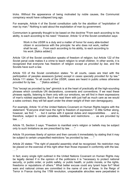tricks. Without the appearance of being motivated by noble causes, the Communist conspiracy would have collapsed long ago.

For example, Article 4 of the Soviet constitution calls for the abolition of "exploitation of man by man." Nothing is said about the exploitation of man by government.

Communism is generally thought to be based on the doctrine "From each according to his ability, to each according to his need." However, Article 12 of the Soviet constitution says:

Work in the USSR is a duty and a matter of honor for every able-bodied citizen in accordance with the principle: he who does not work**,** neither shall he eat. . . . From each according to his ability, to each according to his *work*. [Italics added.]

Article 124 of the Soviet constitution speaks of freedom of religion; but Article 122 of the Soviet penal code makes it a crime to teach religion to small children. In other words, it is recognized that everyone has freedom of religion *except as provided by law,* and the Soviets have such a law.

Article 103 of the Soviet constitution states: "In all courts, cases are tried with the participation of peoples assessors [juries] *except in cases specially provided for by* law." Article 111 states: "In all courts of the USSR, cases are heard in public unless *otherwise provided for by* law. . . ." [Italics added.]

This "except as provided by law" gimmick is at the heart of practically all the high-sounding phrases which constitute UN declarations, covenants and conventions. If we read these phrases rapidly, listening to them only with our emotions, we will find in them expressions of man's noblest aspirations. But if we read them with just half as much care as we would a sales contract, they will fall apart under the sheer weight of their own demagoguery.

For example, Article 14 of the United Nations Covenant on Human Rights begins with the statement: "Everyone shall have the right to freedom of expression." A little further along, however, we find: ". . . but it carries with it special duties and responsibilities . . . and is, therefore, subject to certain penalties, liabilities and restrictions . . . as are provided by law. . . ."

Article 15, Section 3 says: "Freedom to manifest one's religion or beliefs may be subject only to such limitations as are prescribed by law. . . ."

Article 19 promises liberty of opinion and then cancels it immediately by stating that it may be subject to certain unspecified restrictions "as provided by law. . . ."

Article 20 states: "The right of peaceful assembly shall be recognized. No restriction may be placed on the exercise of this right other than those imposed in conformity with the law. . . ."

In fact, every single right outlined in the United Nations Covenant on Human Rights may be legally denied if in the opinion of the politicians it is "necessary to protect national security, or public order, or public safety, or public health, or public morals, or the rights, freedoms or reputations of others." What better excuse could any tyrant hope for? Most wars and national crimes are committed in the name of one of these. In the Reign of Terror in France during the 1789 revolution, unspeakable atrocities were perpetrated in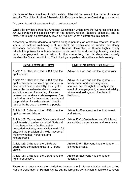the name of the committee of public safety. Hitler did the same in the name of national security. The United Nations followed suit in Katanga in the name of restoring public order.

"No animal shall kill another animal . . . *without cause"!*

What a far cry this is from the American Constitution which says that Congress shall pass *no* law abridging the people's right of free speech, religion, peaceful assembly, and so forth. Not "except as provided by law," but "*no* law"! What a difference this makes.

According to Marxist doctrine, a human being is primarily an economic creature. In other words, his material well-being is all important; his privacy and his freedom are strictly secondary considerations. The United Nations Declaration of Human Rights clearly reflects this philosophy in its emphasis on social security: food, clothing, housing, medical care, unemployment compensation. In this connection, the UN declaration closely parallels the Soviet constitution. The following comparison should be studied carefully:

| SOVIET CONSTITUTION                                                                                                                                                                                                                                                                                                                                                                                                          | UNITED NATIONS DECLARATION                                                                                                                                                                                                      |
|------------------------------------------------------------------------------------------------------------------------------------------------------------------------------------------------------------------------------------------------------------------------------------------------------------------------------------------------------------------------------------------------------------------------------|---------------------------------------------------------------------------------------------------------------------------------------------------------------------------------------------------------------------------------|
| Article 118: Citizens of the USSR have the<br>right to work.                                                                                                                                                                                                                                                                                                                                                                 | Article 23: Everyone has the right to work.                                                                                                                                                                                     |
| Article 120: Citizens of the USSR have the<br>right to maintenance in old age and also in<br>case of sickness or disability. This right is<br>insured by the extensive development of<br>social insurance of industrial, office and<br>professional workers at state expense; free<br>medical service for the working people; and<br>the provision of a wide network of health<br>resorts for the use of the working people. | Article 25: Everyone has the right to<br>medical care and necessary social<br>services, and the right to security in the<br>event of unemployment, sickness, disability,<br>widowhood, old age, or other lack of<br>livelihood. |
| Article 119: Citizens of the USSR have the<br>right to rest and leisure.                                                                                                                                                                                                                                                                                                                                                     | Article 24: Everyone has the right to rest<br>and leisure.                                                                                                                                                                      |
| Article 122: [Guarantees] State protection of<br>the interests of mother and child, State aid<br>to mothers of large families and to<br>unmarried mothers, maternity leave with full<br>pay, and the provision of a wide network of<br>maternity homes, nurseries, and<br>kindergartens.                                                                                                                                     | Article 25 (2): Motherhood and Childhood<br>are entitled to special care and assistance.                                                                                                                                        |
| Article 126: Citizens of the USSR are<br>guaranteed the right to unite in trade<br>unions.                                                                                                                                                                                                                                                                                                                                   | Article 23 (4): Everyone has the right to<br>join trade unions.                                                                                                                                                                 |
| Article 121: Citizens of the USSR have the<br>right to education.                                                                                                                                                                                                                                                                                                                                                            | Article 26: Everyone has the right to<br>education.                                                                                                                                                                             |

There are a great many other similarities between the Soviet constitution and the United Nations Declaration of Human Rights, but the foregoing comparison is sufficient to reveal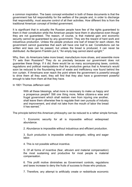a common inspiration. The basic concept embodied in both of these documents is that the government has full responsibility for the welfare of the people and, in order to discharge that responsibility, must assume control of all their activities. How different this is from the traditional American concept of limited government.

It is significant that in actuality the Russian people have few of the rights guaranteed to them in their constitution while the American people have them in abundance even though they are not guaranteed. The reason, of course, is that material gain and economic security cannot be guaranteed by any government. They are the reward of hard work and industrious production. Unless the people produce one loaf of bread for each citizen, the government cannot guarantee that each will have one loaf to eat. Constitutions can be written and laws can be passed, but unless the bread is produced, it can never be distributed. As Benjamin Franklin put it, "An empty bag cannot stand upright."

Why, then, do Americans bake more bread, manufacture more shoes, and assemble more TV sets than Russians? They do so precisely because our government does not guarantee these things. If it did, there would be so many accompanying taxes, controls, regulations and political manipulations that the productive genius that is America's would soon be reduced to the floundering level of waste and inefficiency now found behind the iron curtain. If Americans ever reach the point where the government is powerful enough to drive them all they want, they will find that they also have a government powerful enough to take from them all that they have.

In 1801 Thomas Jefferson said:

With all these blessings, what more is necessary to make us happy and a prosperous people? Still one thing more, fellow citizens-a wise and frugal government which shall restrain men from injuring one another, shall leave them otherwise free to regulate their own pursuits of industry and improvement, and shall not take from the mouth of labor the bread it has earned.<sup>1</sup>

The principle behind this American philosophy can be reduced to a rather simple formula:

1. Economic security for all is impossible without widespread abundance.

2. Abundance is impossible without industrious and efficient production.

3. Such production is impossible without energetic, willing and eager labor.

4. This is not possible without incentive.

5. Of all forms of incentive (fear, altruism and material compensation) the most sustaining and productive for most people is material compensation.

6. This profit motive diminishes as Government controls, regulations and taxes increase to deny the fruits of success to those who produce.

7. Therefore, any attempt to artificially create or redistribute economic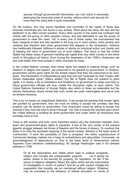security *through governmental intervention* can only result in eventually destroying the productive base of society, without which real security for more than the ruling elite is quite impossible.

On the surface, this may sound heartless and unmindful of the needs of those less fortunate individuals who are found in any society. What about the lame, the sick and the destitute? is an often-voiced question. Every other country in the world has confused real charity with the giving of *other* people's money, and has attempted to use the power of government to meet this need. Yet, in every one of these cases, the improvement has been marginal at best and has resulted in the long run in more misery, more poverty and certainly less freedom than when government first stepped in. By comparison, America has traditionally followed Jefferson's advice of relying on individual action and charity and of keeping the hand of government out of such matters. The result is that the United States has fewer cases of genuine hardship per capita than any other country in the entire world or throughout all history. Even during the depression of the 1930's, Americans ate and lived better than most people in other countries do today.

In the United Nations concept, even those rights not related to material things, such as freedom of religion and speech, are presumed to be granted by government. In America, government cannot grant rights for the simple reason that they are presumed to be Godgiven. The Declaration of Independence says that men are "endowed *by their Creator* with certain inalienable rights." [Italics added.] Our Bill of Rights does not pretend to grant rights; it is merely a list of restrictions and limitations on government to make sure that no future government officials will ever violate the God-given rights of each citizen. The United Nations Declaration of Human Rights also refers to these as inalienable but the articles themselves clearly reveal that such words are quite meaningless and serve only as window dressing.

This is by no means an insignificant distinction. If we accept the premise that human rights are granted by government, then we must be willing to accept the corollary that they properly can be denied by government. Few Americans would be willing to accept this premise if they took the time to think it through. Yet, that is exactly the premise upon which the United Nations is building its world government and under which all Americans may someday have to live.

There is still another and even more important reason why the distinction between Godgiven and government-given rights is important. It lies at the very center of the present gigantic struggle between the forces of freedom and the forces of slavery. To overlook this factor is to miss the dominant meaning of the whole contest. Atheism is *the* basic tenet of Communism. If even the *possibility* of God is accepted, the entire superstructure of Communist ideology crashes into a heap of contradictions and absurdities. Conversely, an acknowledgment of dependence on God is the basic tenet of Americanism (recent Supreme Court decisions notwithstanding). As George Washington said in his farewell address in 1796:

Of all the dispositions and habits which lead to political prosperity, religion and morality are indispensable supports. . . . Let it simply be asked, where is the security for property, for reputation, for life, if the sense of religious obligation desert the oaths which are the instruments of investigation in courts of justice? And let us with caution indulge the supposition that morality can be maintained without religion. Whatever may be conceded to the influence of refined education on minds of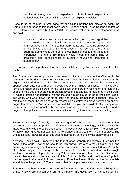peculiar structure, reason and experience both forbid us to expect that national morality can prevail in exclusion of religious principles.<sup>2</sup>

It should be no comfort to Americans that the United Nations has elected to adopt the Communist approach to this most basic issue. During the final United Nations debates on the Declaration of Human Rights in 1948, the representative from the Netherlands rose and said:

I only want to stress one particular aspect which, to our great regret, has not obtained due recognition in this document. I am referring to the origin of these rights. The fact that man's rights and freedoms are based on his Divine origin and immortal destiny, the fact that there is a Supreme Being who is the fount of these rights, increase their value and importance. To ignore this relation would mean the same thing as breaking a plant from its roots, or building a house and forgetting its foundations.<sup>3</sup>

It is to our everlasting shame that the United States delegation remained silent on this matter.

The Communist master planners have seen to it that nowhere in the Charter, in the covenants, in the declarations, or anywhere else does the United Nations grant even the slightest acknowledgment of God. To create an acceptable public image, the meetings are opened each day, not with silent prayer, but with a "minute of silence." The choice of terms is precise and deliberate. In the legislative chambers in Washington one can find a chapel for the use of our elected representatives in seeking Divine guidance in their work. At United Nations headquarters we find instead a huge statue of the mythological Greek god Zeus, who was known for his ferocity and cruelty. Rather than a chapel, there is a "meditation" room, the inside of which resembles a nightmarish cross between an ancient pagan temple and a Picasso modern art exhibit. Completely devoid of religious symbols, there is only a lighted panel of bizarre geometric design, a few oriental benches, and a huge block of polished iron ore under a small shaft of light from the darkened ceiling.

There are two ways of "legally" denying the rights of citizens: One is to write into the law certain escape clauses, prolific qualifications and vague terminology, which can later be interpreted any way the politicians desire. The second way is far simpler: The assumption is merely that rights do not exist and no reference is made to them in the first place. The United Nations knows all about this second approach, as the following clearly reveals.

Abraham Lincoln said: "Property is the fruit of labor; property is desirable; it is a positive good in the world. That some should be rich shows that others may *become* rich, and hence is just encouragement to industry and enterprise." The *Communist Manifesto* on the other hand, says: "The theory of the Communists may be summed up in the single sentence, 'abolition of private property.'" It seems strange, then, that the Communist master planners should have allowed Article 17 of the UN Declaration of Human Rights to mention specifically the right to own property. Does it not seem likely that the Communists would delete this provision? The answer is that this is precisely what they have done.

Reference has been made to both the *declaration* and the *covenants* when talking about United Nations pronouncements on human rights. The declaration is a broad outline of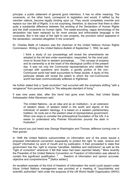principle, a public statement of general good intentions. It has no other meaning. The covenants, on the other hand, correspond to legislation and would, if ratified by the member nations, become legally binding upon us. They would completely override and replace our own Bill of Rights. It is not surprising, therefore, to discover that there is often quite a substantial difference between the wording of the Declaration of Human Rights and the draft covenants on human rights. The sweet-sounding, vague terminology of the declaration has been replaced by far more precise and enforceable language in the covenants. But in the case of the right to own property, the provision which appeared in the declaration, vanished altogether in the covenant!

Dr. Charles Malik of Lebanon was the chairman of the United Nations Human Rights Commission. Writing in the *United Nations Bulletin* of September 1, 1952, be said:

I think a study of our proceedings will reveal the amendments we adopted to the old text under examination, responded, for the most part, more to Soviet than to western promptings. . . . The concept of property and its ownership is at the heart of the ideological conflict of the present day. It was not only the Communist representatives who riddled this concept with questions and doubts; a goodly portion of the non-Communist world had itself succumbed to these doubts. A study of this particular debate will reveal the extent to which the non-Communist world has been communistically softened or frightened.

He further stated that a "quiet revolution" had occurred with the emphasis shifting "with a vengeance" from personal liberty to "the adequate standard of living."

It was nine years later, after this trend had gone even further, that United States Ambassador Adlai Stevenson said:

The United Nations-- as an idea and as an institution-- is an extension of western ideas; of western belief in the worth and dignity of the individual; of western ideology. It is based on a western parliamentary tradition. Its roots are in the western ideal of representative government. When one stops to consider the philosophical foundation of the UN, it is easier to understand why Premier Khrushchev pounds the desk in frustration.<sup>4</sup>

That sound you just heard was George Washington and Thomas Jefferson turning over in their graves.

In 1948 the United Nations subcommittee on information and of the press issued a proposed international convention supposedly to protect the right "to seek, receive and impart" information by word of mouth and by publication. It then proceeded to state that government has the- right to impose "penalties, liabilities and restrictions" as well as the "right of correction" whenever it felt that news had been reported falsely.<sup>5</sup> More recently the Preamble of the United Nations Convention on Freedom of Information was altered to contain this significant qualification: ". . . freedom of information and opinion *accurate, objective and comprehensive."*<sup>6</sup> [Italics added.]

An excellent example of the kind of freedom of information the world could expect under future United Nations management was provided at a meeting of "psychiatrists and scientific authorities" held under the auspices of the UN World Health Organization (WHO)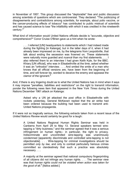in November of 1957. This group discussed the "deplorable" free and public discussion among scientists of questions which are controversial. They declared: "The publicizing of disagreements and contradictions among scientists, for example, about polio vaccine, or the cancer-producing effects of tobacco" has contributed to public mistrust of scientists and has caused science to lose "the infallibility with which it was credited in the nineteenth century."<sup>7</sup>

What kind of information would United Nations officials decide is "accurate, objective and comprehensive?" Conor Cruise O'Brien gave us a hint when he wrote:

. . . I referred [UN] headquarters to statements which I had indeed made during the fighting [in Katanga], but in the latter days of it, when it had already been impressed on me, by the telegrams from Leopoldville, that talk about ending the secession was frowned on. These statements were naturally more guarded and *nuancé* than my first statements. . . . I also referred them to an interview I had given Keith Kyle, for the BBC. Khiary [UN official], who was in Elisabethville at the time, asked whether it was an "orthodox" interview. . . . And smiled the smile of a man who knows that all official versions are, have been from the beginning of time, and will forever be, worded to deceive the enemy and appease the clamor of the ignorant.<sup>8</sup>

And, if there is any lingering doubt as to what the United Nations has in mind when it says it may impose "penalties, liabilities and restrictions" on the right to transmit information, ponder the following news item that appeared in the New York *Times* during the United Nations December 1961 attack on Katanga:

Asked why a UN jet attacked the post office in Elisabethville with rockets yesterday, General McKeown replied that the air strike had been ordered because the building had been used to transmit anti-United Nations propaganda.

If it were not so tragically serious, the following extracts taken from a recent issue of the *United Nations Review* would certainly be good for a laugh:

A United Nations Regional Human Rights Seminar was held in Canberra from April 29 to May 13. Several speakers termed wiretapping a "dirty business," and the seminar agreed that it was a serious infringement on human rights-- in particular, the right to privacy. Indiscriminate and uncontrolled wire-tapping was unanimously condemned [apparently discriminate and controlled wire-tapping is not objectionable]. . . . Wire-tapping for criminal investigations should be permitted *only by law,* and only to combat particularly heinous crimes committed so clandestinely that such a practice was absolutely necessary. . . .

A majority at the seminar agreed that national compulsory fingerprinting of all citizens did not infringe any human rights. . . . The seminar view was that *human rights could not be violated when action was taken for the good of all.*<sup>9</sup> [Italics added.]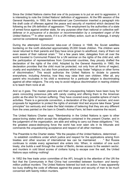Since the United Nations claims that one of its purposes is to put an end to aggression, it is interesting to note the United Nations' definition of aggression. At the fifth session of the General Assembly, in 1950, the International Law Commission inserted a paragraph into the draft code of offenses against the peace and security of mankind which declared the following as the UN definition of aggression: "The employment by the authorities of a state of armed force against another state, for any purpose other than national or collective selfdefense *or in pursuance of a decision or recommendation by a competent organ of the United Nations."*10 In other words, if it is a UN military action, such as in Katanga, it simply cannot be considered aggression!

During the attempted Communist take-over of Greece in 1948, the Soviet satellites bordering on the north abducted approximately 25,000 Greek children. The children were never returned to their parents and they have since grown to adulthood, many of them not even aware of their national oriain.<sup>11</sup> Yet a few years later, delegates from all over the world traveled to Communist Poland for a UN seminar on the rights of the child and, with the participation of representatives from Communist countries, they piously drafted the declaration of the rights of the child. Adopted by the General Assembly in 1960, the declaration provides that the child must be protected, not only from all forms of neglect, cruelty and exploitation, but also from practices which may foster "religious or other forms of discrimination." This would authorize the United Nations to dictate to parents everywhere, including America, how they may raise their own children. After all, any parent who inculcates in his child a reverence for a particular religion is discriminating against all other religions. The only way to avoid religious discrimination in rearing children is to teach them none at all.

And so it goes. The master planners and their unsuspecting helpers have been busy for years concocting poisonous pills with candy coating and offering them to the American public as the elixir for human suffering. They have covered every possible sphere of man's activities. There is a genocide convention, a declaration of the rights of women, and even proposals for legislation to protect the rights of animals! And lest anyone take these "great principles" too seriously and make the fatal mistake of believing that they are any different from the ones painted on the barn in Orwell's *Animal Farm,* let them examine the record.

The United Nations Charter says: "Membership in the United Nations is open to other peace-loving states which accept the obligations contained in the present Charter, and in the judgement of the organization, are able and willing to carry out these obligations." Yet, the greatest peace-destroying force the world has ever seen sits in its tribunals and commands the unquestioning acceptance and respect of all other members.

The Preamble to the Charter states: "We the peoples of the United Nations, determined . . . to establish conditions under which justice and respect for the applications arising from treaties and other sources of international law can be maintained. . . ." But Russia continues to violate every agreement she enters into. When, in violation of one such treaty, she builds a wall through the center of Berlin, denies access to the western sector, and murders in cold blood scores of civilians trying to escape over the wall, the United Nations says nothing--nothing!

In 1952 the free trade union committee of the AFL brought to the attention of the UN the fact that the Communists in Red China had committed between *fourteen- and twentymillion political murders.* The United Nations listened but took no action. It was apparently too busy drafting the code of offenses against the peace and security of man to be much concerned with twenty million murders.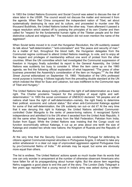In 1953 the United Nations Economic and Social Council was asked to discuss the rise of slave labor in the USSR. The council would not discuss the matter and removed it from the agenda. When Red China conquered the independent nation of Tibet, set about systematically destroying its race and its culture, and proceeded to murder over fifty thousand Buddhists, the United Nations looked the other way. Years afterward it passed a vague resolution which started off by praising the principles of its own Charter and then called for "respect for the fundamental human rights of the Tibetan people and for their distinctive cultural and religious life." The resolution did not even mention the name of the aggressor!

When Soviet tanks moved in to crush the Hungarian Revolution, the UN suddenly ceased its talk about "self-determination," "anti-colonialism" and "the peace and security of man." As a matter of fact, throughout the blood bath, the Hungarian delegates from the Communist regime continued to attend United Nations meetings, to vote, and to enjoy all the respect and privileges of membership without one word of protest from the other countries. When the UN committee which had investigated the Communist suppression of freedom in Hungary finally submitted its report to the General Assembly, the United Nations was suddenly too busy to consider it. When the item came up on the 1960 agenda, we find the following official explanation of what happened: "The press of other business prevented the Assembly's consideration of the item on Hungary."<sup>12</sup> As the *Wall Street Journal* editorialized on September 19, 1960: "Abdication of the UN's professed moral purpose is looming; it follows logically from the prevailing double standard at the UN which indicted the West for Suez and Lebanon, but was indifferent to the Communist rape of Tibet and Hungary."

The United Nations has always loudly professed the right of self-determination as a basic right. The Charter proclaims "respect for the principles of equal rights and selfdetermination." In 1955 the social commission of UNESCO declared: "All peoples and all nations shall have the right of self-determination--namely, the right freely to determine their political, economic and cultural status." But when anti-Communist Katanga applied for some of that self-determination, the UN suddenly ran out--or did it? At the very time that it was denying this right to Katanga, the United Nations admitted Communistcontrolled Outer Mongolia to the ranks of peace-loving nations. It recognized Syria's independence and admitted it to the UN when it seceded from the United Arab Republic. It did the same when Senegal broke away from the Mali Federation; Pakistan from India; Sudan from Egypt. While the United Nations was insisting that the Congo could not function economically without Katanga, it cut up an area about one tenth the size of Katanga and created two whole new nations; the Kingdom of Ruanda and the Republic of Burundi.

At the very time that the Security Council was condemning Portugal for defending its citizens against Communist-inspired atrocities in Portuguese Angola, it refused to take any action whatsoever in a clear cut case of unprovoked aggression against Portuguese Goa by pro-Communist Nehru of India.13 All animals may be equal, but some are obviously more equal than others.

The list is endless. The United Nations' actions speak so much louder than its words that one can only wonder in amazement at the number of otherwise observant Americans who have fallen for all its propagandizing about human rights. But the above item regarding Nehru suggests a good place to end this part of the story. The London *Daily Telegraph* a few years ago reported that a young recruit in India's army was asked during a written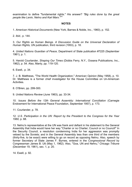examination to define "fundamental rights." His answer? *"Big rules done by the great people like Lenin, Nehru and Karl Marx."*<sup>14</sup>

### **NOTES**

1*. American Historical Documents* (New York, Barnes & Noble, Inc., 1960), p. 152.

2*. Ibid.,* p. 144.

3. *Our Rights as Human Beings. A Discussion Guide on the Universal Declaration of Human Rights,* UN publication, third revision (1953), p. 18.

4*. United Nations Guardian of Peace,* Department of State publication #7225 (September 1961), p. 1.

5. Harold Courlander, *Shaping Our Times* (Dobbs Ferry, N.Y., Oceana Publications, Inc., 1962), p. 54. Also, Manly, pp. 119-120.

6. Ewell,. p. 34.

7. J. B. Matthews, "The World Health Organization," *American Opinion* (May 1958), p. 10. Dr. Matthews is a former chief investigator for the House Committee on Un-American Activities.

8. O'Brien, pp. 299-300.

9*. United Nations Review* (June 1963), pp. 33-34.

10*. Issues Before the 12th General Assembly: International Conciliation* (Carnegie Endowment for International Peace Foundation, September 1957), p. 173.

11. Courlander, p. 78.

12*. U.S. Participation in the UN: Report by the President to the Congress for the Year 1960,* p. 68.

13. Nehru's representative at the UN was frank and defiant in his statement to the General Assembly that India would have her way "Charter or no Charter; Council or no Council!" In the Security Council, a resolution condemning India for her aggression was promptly vetoed by the Soviets; and in the General Assembly less than one third of the members (thirty-five, to be exact) were willing to go on record as opposing Nehru. Also, speech by former Secretary of State James F. Byrnes, entered in the *Congressional Record* by Congressman James B. Utt (May 1, 1962). Also, "Goa, UN and Nehru," Chicago *Tribune* (December 19, 1961), sec. 1, p. 20.

14. Ewell, p. 92.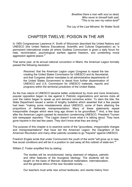*Breathes there a man with soul so dead, Who never to himself hath said, "This is my own my native land!"*

*The Lay of the Last Minstrel,* Sir Walter Scott

# CHAPTER TWELVE: POISON IN THE AIR

In 1955 Congressman Lawrence H. Smith of Wisconsin described the United Nations and UNESCO (the United Nations Educational, Scientific and Cultural Organization) as "a permanent international snake pit where Godless Communism is given a daily forum for hate, recrimination, psychological warfare against freedom, and unrelenting moral aggression against peace."<sup>1</sup>

That same year, at its annual national convention in Miami, the American Legion formally passed the following resolution:

*Resolved,* that the American Legion urges Congress to repeal the law creating the United States Commission for UNESCO and its Secretariat; and that Congress deliver mandates to all administrative departments of the United States Government to desist from further dissemination of UNESCO and U.S. Commission for UNESCO materials, reports and programs within the territorial jurisdiction of the United States.

As the true nature of UNESCO became better understood by more and more Americans, popular opposition began to rise against it. Patriotic organizations and service clubs all over the nation began to speak up and demand corrective action. To stem the tide, the State Department issued a series of lengthy bulletins which asserted that a few people had been "making some misstatements about UNESCO, some of them attaining the proportions of deliberate misrepresentation. Many of these statements repeat irresponsible charges which were long ago shown to be groundless."<sup>2</sup> And, a few days after the American Legion passed its resolution condemning UNESCO, President Truman told newspaper reporters: "The Legion doesn't know what it is talking about. They have gone haywire in the last few years. They don't know what they are doing."<sup>3</sup>

The purpose of this chapter is to examine some of the "groundless, irresponsible charges and misrepresentations" that have led the American Legion, the Daughters of the American Revolution and many other patriotic societies to go "haywire" against UNESCO.

Friedrich Engels wrote that under Communism the youth of the world "will grow up in new, free social conditions and will be in a position to cast away all this rubbish of state-ism."<sup>4</sup>

William Z. Foster amplified this by stating:

The studies will be revolutionized, being cleansed of religious, patriotic and other features of the bourgeois ideology. The students will be taught on the basis of Marxian dialectical materialism, internationalism, and the general ethics of the new Socialist society. . . .

Our teachers must write new school textbooks, and rewrite history from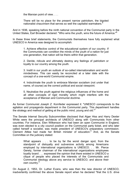the Marxian point of view. . . .

There will be no place for the present narrow patriotism, the bigoted nationalist chauvinism that serves so well the capitalist warmakers.<sup>5</sup>

And in 1936, speaking before the ninth national convention of the Communist party in the United States, Earl Browder declared: "Who wins the youth, wins the future of America."6

In these three brief statements, the Communists themselves have fully explained what UNESCO in America was designed to accomplish:

1. Achieve effective control of the educational system of our country. If the Communists can condition the minds of the youth of a nation for just one generation, that nation will be theirs within that generation.

2. Deride, ridicule and ultimately destroy any feelings of patriotism or loyalty to our country among the youth.

3. Instill in our youth an outlook of so-called internationalism and worldmindedness. This can easily be reconciled at a later date with the concept of a one-world Communist empire.

4. Indoctrinate the youth to embrace Marxian socialism (not under that name, of course) as the correct political and social viewpoint.

5. Neutralize the youth against the religious influences of the home and all other concepts of rigid morality which might interfere with the acceptance of Marxian and Communist doctrine.

As former Communist Joseph Z. Kornfeder expressed it: "UNESCO corresponds to the agitation and propaganda department in the Communist party. This department handles the strategy and method of getting at the public mind, young and old. $\frac{17}{10}$ 

The Senate Internal Security Subcommittee disclosed that Alger Hiss and Harry Dexter White were the principal architects of UNESCO along with Communists from other countries. For instance, Elen Wilkenson who had been an open Communist in England, was even elected to a city council position on the Communist party ticket, and who later called herself a socialist, was made president of UNESCO's preparatory commission. Clement Attlee had made her British minister of education.<sup>8</sup> And, as the Senate Committee on the judiciary stated:

What appears . . . to be by far the worst danger spot, from the standpoint of disloyalty and subversive activity among Americans employed by international organizations is UNESCO. . . Mr. Pierce Gerety, former chairman of the international organizations employees loyalty board . . . expressed the opinion that there existed in UNESCO a clique of people who placed the interests of the Communists and Communist ideology above any service to UNESCO, and above their own country.<sup>9</sup>

On August 2, 1953, Dr. Luther Evans, who was then the new director of UNESCO, inadvertently confirmed the above Senate report when he declared "that the U.S. drive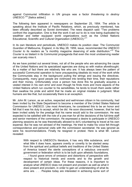against Communist infiltration in UN groups was a factor *threatening to destroy UNESCO."*10 [Italics added.]

The following item appeared in newspapers on September 25, 1954. The article is speaking about the Institute of Pacific Relations, which, as previously mentioned, has been officially described as Soviet dominated. The news dispatch said: "Two problems confront the organization. One is that the work it set out to do is now being duplicated by wealthier and better equipped world organizations such as the United Nations Educational, Scientific and Cultural Organization (UNESCO)."11

In its own literature and periodicals, UNESCO makes its position clear. The Communist *Guardian* of Melbourne, England, in its May 28, 1959, issue, recommended the UNESCO *Courier to* its readers as "a monthly magazine deserving of wide distribution."12 The *Courier* is so blatant in its Communist propaganda that even the most unobserving reader can scarcely miss it.

As we have pointed out several times, not all of the people who are advancing the cause of the United Nations and its specialized agencies are doing so with malice aforethought. As a matter of fact there are relatively few who are. It has always been the pattern of successful Communist operation to have unsuspecting idealists do most of the work while the Communists stay in the background pulling the strings and issuing the directives. Consequently, many good people are victimized into lending their time, their reputations and their money. Unfortunately once a person has done this he gradually acquires a vested interest in his own error and even though he finds more and more aspects of the United Nations which run counter to his sensibilities, he tends to brush them aside rather than swallow his pride and admit that he made an original mistake in judgment. Most humans are like that, but occasionally there is an exception.

Mr. John M. Larson, as an active, respected and well-known citizen in his community, had been invited by the State Department to become a member of the United States National Commission for UNESCO. Like most Americans, he considered this to be an honor and felt that it was his duty to accept, which be did. He soon discovered, however, that he had been invited solely for the prestige that his name would add to the commission. He was expected to be satisfied with the role of a yes-man for all the decisions of the full-time staff and senior members of the commission. He expressed a desire to participate in UNESCO planning sessions as he was theoretically allowed to do¾ volunteering to travel at his own expense. But he was not advised of the meetings. He tried to make his voice felt through correspondence and personal visits with the commission secretariat. He was ignored as were his recommendations. Finally he resigned in protest. Here is what Mr. Larson revealed:

With respect to UNESCO's literature, it has very little substance, and what little it does have, appears overtly or covertly to be slanted away from the spiritual and political beliefs and traditions of the United States of America toward the sterile conceptions of a nebulous one-world government or federation which is to be built upon atheistic foundations. . . . I found grave errors of omission and distortions of perspective with respect to historical trends and events and to the growth and development of certain ideas. For these reasons, it is important to analyze what UNESCO does not present and proclaim as well as what it *does* present and proclaim, in order to gain an understanding of what its aims are. . . . Peoples today are interested in achieving some sort of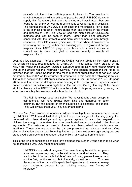peaceful solution to the conflicts present in the world. The question is: on what foundation will the edifice of peace be built? UNESCO claims to supply this foundation, but when its claims are investigated, they are found to be empty as well as a convenient cover for its real activities. The foundations of UNESCO are atheistic and materialistic. For it, man is the highest product of nature rather than one created in the image and likeness of God. This view of God and man dictates UNESCO's methods and. can be seen in them. Rather than being genuinely concerned with, the intellectual and moral development of men through education, UNESCO makes cynical use of those whom it professes to be serving and helping; rather than assisting people to grow and accept responsibilities, UNESCO preys upon those with whom it comes in contact and is more than glad to assume covertly or overtly all responsibility.<sup>13</sup>

Look at a few examples. The book *How the United Nations Works* by Tom Galt is one of the children's books recommended by UNESCO.<sup>14</sup> It also comes highly praised by the New York *Times*, the *Saturday Review of Literature* and the New York *Herald Tribune* as well as the United Nations Information Service. In the opening paragraphs the reader is informed that the United Nations is "the most important organization that has ever been created on this earth." As for accuracy of information in this book, the following is typical. The author describes the UN organizational meeting in San Francisco in 1945. On page 20 he says that while the delegates were meeting in the opera house, *Japanese bombs drifted overhead on balloons and exploded in the hills near the city!* On page 9, the author skillfully plants a typical UNESCO attitude in the minds of his young readers by saving that when he was a boy his teachers and school books told him:

The U.S. is always good and noble. We never fought a war except in self-defense. We have always been kind and generous to other countries. But the people of other countries are dishonest and mean. They will always cheat you. They never take baths.

*You and the United Nations* is another children's book highly recommended and praised by UNESCO.<sup>15</sup> Written and illustrated by Lois Fisher, it is designed for the very young. It is crammed with clever drawings and appropriate captions to catch the imagination of children too young to understand the more complicated and sophisticated United Nations arguments. For instance, all pro-UN figures are characterized as wholesome and intelligent. Those who are against the UN are presented as ridiculous and evil. One classic illustration depicts our Founding Fathers as three extremely ugly and grotesque cross-eyed creatures snarling at each other while a rat watches from the floor.

This is the kind of conditioning of children's attitudes that Luther Evans had in mind when he addressed a UNESCO meeting and said:

UNESCO's is a radical program. The rewards may be visible ten years from now; again they may not be visible for a hundred years. . . . They are instilled into the daily habits of mind of rising generations-perhaps not the first, not the second, but ultimately, it must be so. . . . To make the system of the UN and its specialized agencies work, we must sweep past traditional barriers in our thinking toward new frames of reference.<sup>16</sup>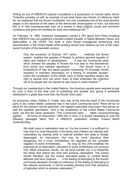Writing as one of UNESCO's special consultants in a symposium on human rights, Borris Tchechko provides us with an example of just what these new frames of reference might be. He explained that the Soviet constitution "not only constitutes one of the most decisive stages in the advance of the ideas of the democratic emancipation of man, but also-and this is of vital importance-sets man as a worker in ideal political, social and economic conditions and gives him facilities for work and intellectual life."<sup>17</sup>

On February 14, 1963, American newspapers carried a UPI report from Paris revealing that UNESCO had just published a booklet entitled *Equality of Rights Between Races and Nationalities in the USSR.* The book is pure Soviet propaganda denouncing race discrimination in the United States while praising Soviet race relations as one of the major social triumphs of the twentieth century:

Only the revolution of October 1917 which . . . instituted the Soviet system, enabled the peoples of Russia to achieve genuine equality of rights and freedom of development. . . . It was the Communist party which showed the peoples of Russia the true way to free themselves from social and national oppression. . . . The Soviet Union is a brotherhood of free and equal peoples comprising 15 sovereign Soviet republics in voluntary association on a footing of complete equality. Under the constitution of the USSR, each of these republics retains the right to secede from the union. Each of them embodies the collective will of its people and can decide its own future in entire freedom.<sup>18</sup>

Through our membership in the United Nations, the American people were required to pay for over a third of the total cost of publishing this booklet and giving it worldwide distribution¾ a great deal more than the Soviet Union paid.

As previously noted, William Z. Foster, who was at the time the head of the Communist party in the United States, predicted that in the future Communist world "there will be no place for the present narrow patriotism, the bigoted nationalist chauvinism that serves so well the capitalist warmakers." And in the constitution of the United States Communist party, we find the same sentiment: "The Communist party . . . fights uncompromisingly against . . . all forms of chauvinism." With this in mind, it is doubly interesting to note the following passages taken from a UNESCO publication entitled *Toward World Understanding:*

We shall come to nationalism later on. For the moment, it is sufficient to note that it is most frequently in the family that children are infected with nationalism by hearing what is national extolled and what is foreign disparaged. As chauvinism, this may be more ridiculous than dangerous; but it must, nonetheless, be regarded as the complete negation of world mindedness. . . . As long as the child breathes the poisoned air of nationalism, education in world mindedness can produce only rather precarious results. As we have pointed out, it is frequently the family that infects the child with extreme nationalism. The school should therefore use the means described earlier to combat family attitudes that favor jingoism. . . . if the feeling of belonging to the human community develops normally by extension of the feeling of belonging to the national community, it cannot possibly develop from that caricature of patriotism which is extreme nationalism.<sup>19</sup>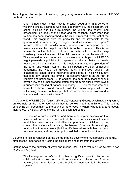Touching on the subject of teaching, geography in our schools, the same UNESCO publication states:

One method much in use now is to teach geography in a series of widening circles, beginning with local geography (i.e. the classroom, the school building and its surroundings, the village, the county) and proceeding to a study of the nation and the continent. Only when that routine has been accomplished is the child introduced to the rest of the world. This progress from the particular and the immediate to the general and the remote may be logical, but does it serve the purpose? In some atlases, the child's country is shown on every page on the same scale as the map to which it is to be compared. This is an admirable device, but would it not be better still if the first map constantly before the eves of the child were a map of the world? . . . This seemed to us so important that we were led to hope that UNESCO might persuade a publisher to prepare a world map that would really touch the child's imagination. . . . It should summarize the splendors of the earth; and when, later on, the child began the study of national geography, he would be already partly immunized against an exaggerated sense of the importance and beauty of his own country; that is to say, against the error of perspective which is at the root of jingoism and nationalism. . . . In addition, the geography teacher should never allow to go unchallenged statements from his pupils which reveal a supercilious feeling of national superiority. . . . The teacher who has, himself, a broad world outlook, will find many opportunities for influencing the minds of his pupils both in normal school sessions and in his personal contacts with them.<sup>20</sup>

In Volume 10 of UNESCO's *Toward World Understanding,* George Washington is given as an example of the "hero-type" which has to be expunged from history. This volume condemns all "presentation to the young of 'hero-types' in whom virtues are, so to speak, incarnated." UNESCO bemoans the fact that such figures are

. . . spoken of with admiration, and there is an implicit expectation that some children, at least, will look at these heroes as examples and model their own character and attitudes upon them.. . . Children do not content themselves with studying the heroes of national history simply as significant human beings [but] identify themselves with them, at least to some degree, and may attempt to mold their conduct upon theirs.

Volume 6 is rich in variations on the theme that the government must replace the family. It stresses the importance of "freeing the child more and more from the family."

Getting back to the question of ways and means, UNESCO's Volume 5 of *Toward World Understanding* said:

The kindergarten or infant school has a significant part to play in the child's education. Not only can it correct many of the errors of home training, but it can also prepare the child for membership in the world society.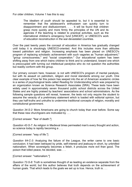For older children, Volume 1 has this to say:

The idealism of youth should be appealed to, but it is essential to remember that the adolescent's enthusiasm can quickly turn to disappointment and disillusionment. . . . It will be found that children grasp more quickly and more firmly the principles of the UN and its agencies if the teaching is related to practical activities, such as the international children's emergency fund [UNICEF], or UNESCO's work of education reconstruction in the war-devastated countries.

Over the past twenty years the concept of education in America has gradually changed until today it is shockingly UNESCO-oriented. And this includes more than attitudes toward patriotism and religion. Increasing emphasis has been placed on UNESCO's program of replacing scholastic achievement with such vagaries as "human adjustment," "group consciousness," and "social cooperation." Our educational system has been shifting away from one which trains children to think and to understand, toward one which is preoccupied with turning out intellectual paralytics who do not question the authorities but readily conform with the group.

Our primary concern here, however, is not with UNESCO's program of mental paralysis, but with its assault on patriotism, religion and moral standards among our youth. One clear example of how far this poison has seeped into the air of American academic circles is a series of psychological tests called *Reading for Understanding* which was prepared by an organization known as Science Research Associates (SRA). These tests have been widely used in approximately seven thousand public school districts across the United States and are highly praised by teachers' associations and school administrators. As the following sample questions will reveal, however, the tests not only require the student to assume the veracity of a preliminary statement which is loaded with editorial opinion, but they use half-truths and untruths to undermine traditional concepts of religion, morality and constitutional government.

*Question 34-S-2:* More Americans are going to church today than ever before. Some say that these new churchgoers are motivated by . . .

[Correct answer: "fear of death."]

*Question 42-S-7*: As religion in Medieval times permeated man's every thought and action, so science today is rapidly becoming a . . .

[Correct answer: "way of life."]

*Question 64-C-3*: Analyzing the failure of the League, the writer came to one basic conclusion; it had been betrayed by pride, self-interest and jealousy-in short, by unbridled nationalism. When sovereignty becomes a fetish, it produces more evil than good. The poison that lolled peace, he decided, was . . .

[Correct answer: "nationalism."]

*Question 72-S-8:* Truth is sometimes thought of as leading an existence separate from the affairs of the world; but this author believes that truth depends on the achievement of human goals. That which leads to the goals we set up is true. Hence, truth is ...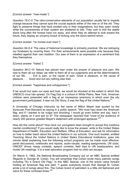[Correct answer: "man-made."]

*Question 78-C-5*: The ultra-conservative elements of our population usually fail to impede change because they cannot spot the crucial aspects either of the new or of the old. They fight to preserve things that have existed only in their imaginations, but they yawn noisily while the cornerstones of their system are shattered to bits. They rush to bolt the stable doors long after the horses have run away, and when they do attempt to look toward the future, they display an uncanny knack of locking only the doors behind which . . .

[Correct answer: "no horses ever lived."]

*Question 84-S-4:* The value of historical knowledge is primarily practical. We are betraying our forebears by revering them. For their achievements were possible only because they rebelled against their own tradition. Our awe of them is an expression of a sentiment that they themselves . . .

[Correct answer: "hated."]

*Question 96-C-10:* Nature has placed man under the empire of pleasure and pain. We owe to them all our ideas; we refer to them all of our judgments and all the determinations of our life. . . . Evil is pain, or the cause of pain. Good is pleasure, or the cause of pleasure. . . . Good and evil are nothing else than . . .

[Correct answer: "happiness and unhappiness."]

If we would but open our eyes and look, we would be shocked at the extent to which this UNESCO virus has spread. On Flag Day in a school in White Plains, New York, American children were presented with a flag at an impressive ceremony in which even the city government participated. It was not Old Glory; it was the flag of the United Nations. $^{21}$ 

A University of Chicago instructor by the name of Milton Mayer was quoted by the Syracuse *Post-Standard* as saying in a public speech: "We must haul down the American flag; and if I wanted to be vulgar and shocking, I would go even further and say, haul it down, stamp on it and spit on it!" The newspaper reported that "most of the audience of nearly 200 persons greeted Mayer's statement with prolonged applause."<sup>22</sup>

How did this come about? How have our youngsters been brought to accept this insidious mental conditioning? If you would really like to know the answer, write to the United States Department of Health, Education and Welfare, Office of Education, and ask for information on how to better teach about the United Nations in our schools. One such booklet, entitled *Teaching About the United Nations in United States Educational Institutions,* goes into minute detail explaining how the following school programs can be made most effective: panel discussions, notebooks and reports, audio-visuals, reading assignments, UN clubs, UNICEF drives, essay contests, speech contests, field trips to UN headquarters, and model UN meetings. It is a total saturation program that no child can escape.

On March 4, 1962, the National Broadcasting Company put on an NBC Special entitled *Regards to George M. Cohan.* You will remember that Cohan wrote many patriotic songs including "It's a Grand Old Flag." In this NBC Special, one of the actors came forward holding an American flag and said: "I guess everybody knows that George M. Cohan wrote a lot of songs about this. The Cohan brand of patriotism is a little old fashioned and naive for these confused times."<sup>23</sup>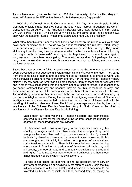Things have even gone so far that in 1963 the community of Catonsville, Maryland, selected "Salute to the UN" as the theme for its *Independence Day* parade!

In 1958 the McDonnell Aircraft Company made UN Day its seventh paid holiday. Company officials stated that they hoped the idea would "spread throughout the world." Consequently, on June 21, the Philadelphia *Bulletin* ran a story headlined "Firm Makes UN Day a Paid Holiday." And on the very next day, the same paper had another news story with the heading: "Some Philadelphia Banks Drop Flag Day as a Holiday."

What effect has this anti-American conditioning had so far on the minds of our youth who have been subjected to it? How do we go about measuring the results? Unfortunately, there are so many unhealthy indications all around us that it is hard to begin. They range all the way from the rising juvenile crime rate, which is the inevitable result of a philosophy that says "truth is man-made" and "good is happiness," to student riots against congressional committees investigating Communist subversion. But perhaps the most tangible or measurable results were those observed among our fighting men who were captured in Korea.

These boys represented a fairly accurate cross section of the American youth that had been processed by our educational system since this thinking came into favor. They came from the same kind of homes and backgrounds as our soldiers in all previous wars. Yet, their behavior as prisoners was startlingly different. For the first time in American military history, very few captured American soldiers escaped. Many of them signed "confessions" and in other ways collaborated with the enemy, not as a result of torture, but because they got better treatment that way and because they did not think it mattered anyway. And some even chose to defect to Communism rather than return to America after the war. The underlying reason for this unexpected behavior was explained rather dramatically by the Communists themselves. During the course of the fighting several secret Communist intelligence reports were intercepted by American forces. Some of these dealt with the handling of American prisoners of war. The following message was written by the chief of intelligence of the Chinese Peoples Volunteer Army in North Korea to the chief of intelligence of the Chinese Peoples Republic in Peiping:

Based upon our observations of American soldiers and their officers captured in this war for the liberation of Korea from capitalist-imperialist aggression, the following facts are evident:

The American soldier has weak loyalty to his family, his community, his country, his religion and to his fellow soldier. His concepts of right and wrong are hazy and ill-formed. Opportunism is easy for him. By himself, he feels frightened and insecure. He underestimates his own worth, his own strength, and his ability to survive. He is ignorant of social values, social tensions and conflicts. There is little knowledge or understanding even among U.S. university graduates of American political history and philosophy; the federal, state and community organizations, states and civil rights, freedoms, safeguards, checks and balances, and how these things allegedly operate within his own system. . . .

He fails to appreciate the meaning of and the necessity for military or any form of organization or discipline. Most often he clearly feels that his military service is a kind of hateful and unavoidable servitude to be tolerated as briefly as possible and then escaped from as rapidly as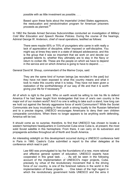possible with as little investment as possible. . . .

Based upon these facts about the imperialist United States aggressors, the reeducation and reindoctrination program for American prisoners proceeds as planned. $24$ 

In 1962 the Senate Armed Services Subcommittee conducted an investigation of *Military Cold War Education and Speech Review Policies.* During the course of the hearings, Admiral George W. Anderson, chief of naval operations, testified as follows:

There were maybe 65% or 70% of youngsters who came in with really a lack of appreciation of discipline, either imposed or self-discipline. You might say at times they were in a state of delayed adolescence, and this is the group that it was so important that we work on and devote our greatest talents to, whether they ultimately are to stay in the Navy or return to civilian life. These are the people on which we have to depend in the service and on which America is going to have to depend. . . .

General David M. Shoup, commandant of the Marine Corps, said:

They are the same kind of human beings [as recruited in the past] but they have not been exposed to what this country means and what it took to make this country what it is today. They have not been given a realization of the worthwhileness of our way of life and that it is worth giving your life for if necessary.<sup>25</sup>

All of which is right to the point. Who on earth would be willing to risk his life to defend America if he had been taught from kindergarten that love of one's own country is the major evil of our modem world? And if no one is willing to take such a stand, how long can we hold out against the fiercely aggressive force of world Communism? While the Soviet Communists are busy inculcating in their youth a strong loyalty to the Russian fatherland and to a precise dogma, UNESCO encourages Americans to deny their own children comparable convictions. When there no longer appears to be anything worth defending, America will be lost.

It should come as no surprise, therefore, to find that UNESCO has chosen to locate a western hemisphere headquarters in Communist Cuba since Cuba is, at present, the most solid Soviet satellite in this hemisphere. From there, it can carry on its subversion and propaganda activities throughout all of North and South America.

An interesting sidelight on this development occurred during a UNESCO conference held in Paris in 1960. Castro's Cuba submitted a report to the other delegates at the conference which read in part:

Law 680 was promulgated to lay the foundations of a new, more rational and effective general system of education. UNESCO experts have cooperated in this great task. . . . As will be seen in the following account of the implementation of UNESCO's major projects, Cuba, precisely by virtue of the revolutionary movement that is the driving force of our country, is one of the foremost nations in the world in the implementation of these projects. . . . One token of the high regard in which the revolutionary government holds UNESCO and the aims it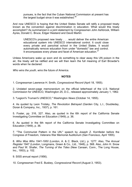pursues, is the fact that the Cuban National Commission at present has the largest budget since it was estabhshed. $^{26}$ 

And now UNESCO is hoping that the United States Senate will ratify a proposed treaty known as the convention against discrimination in education. What would this treaty accomplish? As summarized in a joint statement by Congressmen John Ashbrook, William Ayres, Donald C. Bruce, Edgar Hiestand and David Martin:

UNESCO's proposed new treaty . . . would deliver the entire American educational system into UNESCO international control. It could close every private and parochial school in the United States. It would automatically remove education from under "domestic" law and control. It encompasses every phase and facet of American education. $27$ 

Unless Americans wake up soon and do something to clear away this UN poison in the air, the treaty *will* be ratified and we will then learn the full meaning of Earl Browder's words when he declared:

*Who wins the youth, wins the future of America*.

#### **NOTES**

1. Congressman Lawrence H. Smith, *Congressional Record* (April 18, 1955).

2. Undated seven-page memorandum on the official letterhead of the U.S. National Commission for UNESCO, Washington 25, D.C., released approximately January 1, 1962.

3. "Legion¾ Truman¾ UNESCO," Washington *News* (October 14, 1955).

4. As quoted by Leon Trotsky, *The Revolution Betrayed* (Garden City, L.I., Doubleday, Doran & Company, Inc., 1937), p. 161.

5. Foster, pp. 316, 327. Also, as quoted in the 6th report of the California Senate Investigating Committee on Education (1949), p. 36.

6. As quoted in the 6th report of the California Senate Investigating Committee on Education (1949), p. 36.

7. "The Communist Pattern in the UN," speech by Joseph Z. Kornfeder before the Congress of Freedom, Veterans War Memorial Auditorium (San Francisco, April 1955).

8. *Who Was Who 1941-1950* (London, A. & C. Black, Ltd.), p. 1277. Also, The *Annual Register* 1947 (London, Longmans, Green & Co., Ltd., 1948), p. 568. Also, John H. Snow and Paul W. Shafer, *The Turning of the Tides* (New Canaan, Conn., The Long House, Inc., 1953), p. 102.

9. SISS annual report (1956).

10. Congressman Fred E. Busbey, *Congressional Record* (August 3, 1953).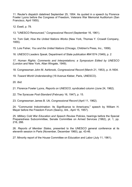11. Reuter's dispatch datelined September 25, 1954. As quoted in a speech by Florence Fowler Lyons before the Congress of Freedom, Veterans War Memorial Auditorium (San Francisco, April 1955).

12. Ewell, p. 79.

13. "UNESCO Renounced," *Congressional Record* (September 16, 1961).

14. Tom Galt, *How the United Nations Works* (New York, Thomas Y. Crowell Company, 1955).

15. Lois Fisher, *You and the United Nations* (Chicago, Children's Press, Inc., 1958).

16*. UNESCO Leaders Speak,* Department of State publication #841574 (1949), p. 2

17. *Human Rights: Comments and Interpretations; a Symposium Edited by UNESCO*  (London and New York, Allan Wingate, 1949).

18. Congressman John M. Ashbrook, *Congressional Record* (March 21, 1953), p. A-1604.

19*. Toward World Understanding* (19 Avenue Kleber, Paris, UNESCO).

20*. Ibid.*

21. Florence Fowler Lyons, *Reports on UNESCO*, syndicated column (June 24, 1962).

22. The Syracuse *Post-Standard* (February 16, 1947), p. 15.

23. Congressman James B. Utt, *Congressional Record* (April 11, 1962).

24. "Communist Indoctrination: Its Significance to Americans," speech by William H. Mayer before the Freedom Forum (Searcy, Ark., April 15, 1957).

25. *Military Cold War Education and Speech Review Policies*, hearings before the Special Preparedness Subcommittee, Senate Committee on Armed Services (1962), pt. 1, pp. 216, 266.

26*. Reports of Member States,* presented to the UNESCO general conference at its eleventh session in Paris (November, December 1960), pp. 43-46.

27. Minority report of the House Committee on Education and Labor (July 11, 1961).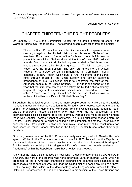*If you wish the sympathy of the broad masses, then you must tell them the crudest and most stupid things.*

Adolph Hitler, *Mein Kampf*

### CHAPTER THIRTEEN: THE FRIGHT PEDDLERS

On January 21, 1962, the Communist *Worker* ran an article entitled "Birchers Take Warpath Against UN Peace Hopes." The following excerpts are taken from this article:

The John Birch Society has instructed its members to prepare a hate campaign against the United Nations. In his secret "bulletin" for members, Robert Welch, fuehrer of the Birchites, orders his followers to place this anti-United Nations drive at the top of their 1962 political agenda. Steps on how to do his bidding are detailed by Welch and are, in fact, already being taken by ultra-rightists. . . . "The UN is a tool of the Reds," says the Birch Bulletin. "The only real function of the United Nations is to serve as an instrumentality of Communist global conquest," is how Robert Welch puts it. And this theme of the ultras runs through much of the Birch Society and similar extremist propaganda of late. Its obvious aim is to undermine the faith of the American people in the United Nations. . . . It was in the spring of last year that the ultra hate campaign to destroy the United Nations actually began. The origins of this insidious business can be traced to . . . a socalled "United States Day Committee," the purpose of which was to replace United Nations Day with "United States Day." . . .<sup>1</sup>

Throughout the following year, more and more people began to wake up to the terrible menace that our continued participation in the United Nations represented. As the volume of mail to Washington demanding withdrawal from the United Nations began to reach sizable proportions, those politicians who have long had no opposition to their internationalist policies became irate and alarmed. Perhaps the most outspoken among these was Senator Thomas Kuchel of California. In a much publicized speech before the Senate, Kuchel lashed out at what he called a hate campaign against the United Nations conducted by ultra-rightists, lunatics and extremists. Since many of his constituents had cited cases of United Nations atrocities in the Congo, Senator Kuchel called them fright peddlers.

Gus Hall, present head of the U.S. Communist party was delighted with Senator Kuchel's speech. Writing in the Communist *Worker* of June 23, 1963, be said that the Republican party was in danger of being taken over by what he called "fanatical ultra-right-wingers." But he made a special point to single out Kuchel's speech as hopeful evidence that "moderates" within the Republican ranks have not lost out altogether.

A few months later, CBS produced an hour-long TV documentary entitled *Case History of a Rumor*. The hero of the program was none other than Senator Thomas Kuchel who was presented as the all-American champion of restraint and common sense against all the irresponsible fright peddlers who think that the United Nations poses any kind of a threat to this country. The villain in the documentary was Congressman James Utt, also of California. Congressman Utt has been outspoken in his criticism of the United Nations and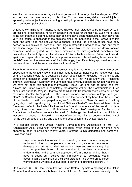was the man who introduced legislation to get us out of the organization altogether. CBS, as has been the case in many of its other TV documentaries, did a masterful job of appearing to be objective while creating a lasting impression that definitely favors the antianti-Communist point of view.

Unfortunately, millions of Americans have allowed their attitudes to be affected by such professional presentations, never investigating the facts for themselves. Even more tragic is the fact that they seldom suspect their opinions have been manipulated. They have had very little cause to challenge those opinions since, as mentioned in the Foreword of this book, the other side has not yet had a chance to speak up. Pro-UN forces have easy access to our television networks, our large metropolitan newspapers, and our mass circulation magazines. Forces critical of the United Nations are shouted down, labeled extremist, and relegated to the futile circulation of mimeographed pamphlets and newsletters. As the forty-six civilian doctors of Elisabethville explained: "What could we do against an organization having the most powerful means of broadcasting false news, lies, denials? We had the weak voice of Radio-Katanga, the official telegraph service, one or two teleprinters, and the small amateur radio stations."<sup>2</sup>

Thoughtful Americans should ask themselves why it is that one seldom runs into strong opposition to the United Nations that is not made to appear ridiculous by most of our mass communications media. Is it because all such opposition is ridiculous? Is there not one person or organization worth listening to? Why is it that we all know that Presidents Truman, Eisenhower, Kennedy and Johnson have lavishly praised the United Nations but we have not been told that former President Hoover, as long ago as 1950, said that "unless the United Nations is completely reorganized without the Communists in it, we should get out of it"? Why is it that we are familiar with Senator Kuchel's views but no one mentions Senator Taft's position: "The United Nations has become a trap. Let's go it alone"; or Senator Langer's position: "I feel from the bottom of my heart that the adoption of the Charter . . . will mean perpetuating war"; or Senator McCarran's position: "Until my dying day, I will regret signing the United Nations Charter"? We have all heard Adlai Stevenson refer to the United Nations as the "moral conscience of the world," but how many of us have heard that J. B. Matthews, former chief investigator for the House Committee on Un-American Activities said: "I challenge the illusion that the UN is an instrument of peace. . . . It could not be less of a cruel hoax if it had been organized in Hell for the sole purpose of aiding and abetting the destruction of the United States"?

In a speech before the United Nations Correspondents Association in 1961, UN Ambassador Adlai Stevenson reviewed the rules which most of our newsmen have apparently been following for twenty years. Referring to UN delegates and personnel, Stevenson said:

Help us to create the sense of our overriding human concern. Interpret us to each other, not as plotters or as war mongers or as demons or demagogues, but as puzzled, yet aspiring men and women struggling on the possible brink of Armageddon to achieve a common understanding and a common approach. We are not at all like that, I have no doubt, but I believe that a majority of our delegates would accept such a description of their own attitudes. The whole press corps working at the UN has a unique part to play in projecting this picture  $\ldots$ <sup>3</sup>

On October 23, 1963, the Committee for United States Day held a meeting in the Dallas Memorial Auditorium at which Major General Edwin A. Walker spoke critically of the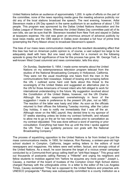United Nations before an audience of approximately 1,200. In spite of efforts on the part of the committee, none of the news reporting media gave the meeting advance publicity nor did any of the local stations broadcast the speech. The next evening, however, Adlai Stevenson made a UN Day speech in the same auditorium to an audience of about 1,700 people. This program was sponsored by the Dallas United Nations Association and the Dallas League of Women Voters. Whereas the United States Day committee paid all of its own bills, we can be sure that Mr. Stevenson traveled from New York and stayed in Dallas at taxpayers expense. His visit was given an enormous amount of advance publicity by local news media, and the CBS station in Dallas even donated a full hour of prime time (preempting the Perry Mason show) to broadcast Stevenson's speech.

The bias of our mass news communication media and the resultant devastating effect that this bias has had on American public opinion is, of course, a vast subject too large to be adequately dealt with here. But one need only reflect for a moment on the following episode to grasp the full significance of how far this process has gone. Mr. George Todt, a well-known West Coast columnist and news commentator, tells this story:

On Sunday, September 5, 1954, I made some remarks about the United Nations on my extemporaneous television program telecast from the studios of the National Broadcasting Company in Hollywood, California. They were not the usual mouthings one hears from the men in the communications field nowadays. Instead of bowing and scraping before the UN, I outlined some hard cold facts about this threat to the sovereignty of the United States and suggested an alternative plan to the UN for those Americans of honest intent who felt obliged to work for international understanding in the future. My suggestion revolved about the Constitution of the United States, however, not the UN Charter. Although the public responded overwhelmingly in favor of the suggestion I made in preference to the present UN plan, not so NBC. The reaction of the latter was hasty and bitter. As soon as the officials returned to their offices the following Tuesday morning, after the Labor Day holiday, it was to notify me immediately that I was off the air. Although never on the NBC payroll, they denied time to my sponsor of 57 weeks standing unless be broke my contract forthwith, and refused to allow me to go on the air for two more weeks prior to cancellation as my contract stipulated. This was done without a word of warning or prior consultation. Everything had been fine up until the time I spoke against the UN. Then I was suddenly *persona non grata* with the National Broadcasting Company.<sup>4</sup>

The process of squelching opposition to the United Nations is far from limited to just the mass communications media. In 1955, for instance, Ron Ramsey, a sixteen-year-old high school student in Compton, California, began writing letters to the editors of local newspapers and magazines. His letters were well written, factual, and strongly critical of the United Nations. As a result, he soon became the target of a vicious smear campaign conducted by a Communist-front group calling itself an "anti-Nazi league." This group sent out thousands of postcards calling Ramsey a "Hitlerite" and urging his neighbors and fellow students to mobilize against him "before he acquires any more power." Joseph L. Causey, a member of the board of trustees of the Compton Union High School district, charged Ramsey with the unforgivable crime. In a letter to the editor of the Los Angeles Times, Causey exclaimed: "This lad is opposed to the United Nations and preaches anti-UNESCO propaganda." Ramsey was subsequently committed to a county institution as a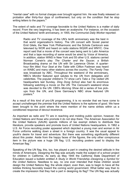"mental case" with no formal charges ever brought against him. He was finally released on probation after thirty-four days of confinement, but only on the condition that he stop writing letters to the papers.<sup>5</sup>

The extent of radio and TV coverage favorable to the United Nations is a matter of daily record. From the very beginning, it has been an avalanche. For instance, on the occasion of the United Nations' tenth anniversary, in 1955, the Communist *Daily Worker* reported:

Radio and TV coverage of the UN's tenth anniversary was the best in that world organization's history. The UN concert with Soviet pianist Emil Gilels, the New York Philharmonic and the Schola Cantorum was televised by WOR and heard on radio stations WQXR and WNYC. One report said that a movie of the concert was being sent to Latin America and that a tape recording of same would be aired by Voice of America. In addition, station WINS in New York and 55 other U.S. stations carried Norman Corwin's play *The Charter and the Saucer*, a British Broadcasting drama on the UN with Sir Lawrence Olivier. A quarterhour film titled *Your Seat at the Table* with Clifton Fadiman was heard on WABC and many other stations across the country. *The Family Tree* was broadcast by ABC. Throughout the weekend of the anniversary, NBC's *Monitor* featured spot salutes to the UN from delegates and celebrities. The popular children's TV show *Let's Take a Trip* visited UN headquarters last Sunday. *Ding Dong School* also had its enormous following watching a movie on the UN. The *Carousel's* weekend show was devoted to the UN. CBS's *Morning Show* did a series of live pickups from the UN, and Dave Garroway's NBC show featured UN posters.<sup>6</sup>

As a result of this kind of pro-UN programming, it is no wonder that we have come to accept unchallenged the premise that the United Nations is the epitome of good. We have been brought to the point where the mere mention of the name strikes within us a conditioned response of devout reverence.

As important as radio and TV are in reaching and molding public opinion, however, the United Nations and those who promote it do not stop there. The American Association for the United Nations (AAUN) spends millions of tax exempt dollars to distribute free literature, provide speakers and promote tours of United Nations headquarters. In 1962 a U.S. Air Force recruiting poster appeared which depicted a young man and woman in Air Force uniforms walking down a street in a foreign country. It was the usual appeal to youth's desire for travel and adventure. But there was something significantly different about this poster. Aside from the happy faces of the figures, the only other conspicuous item in the picture was a huge UN flag. U.S. recruiting posters used to display the American flag.<sup>7</sup>

Speaking of the UN flag, this, too, has played a part in creating the desired attitude in the minds of Americans. Designing the flag was actually made the subject of a school project for children in California. As early as May 1944 the California State Department of Education issued a bulletin entitled *A Study in World Friendship--Designing a Symbol for the United Nations*. Needless to say, no one ever intended that these children would design the United Nations flag; the whole object, even then, was to begin to have all the kiddies thinking favorably toward the coming world government. What better way than to create the impression that they had a part in designing its flag? The UN flag was actually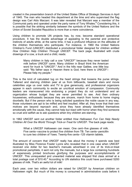created in the presentation branch of the United States Office of Strategic Services in April of 1945. The man who headed this department at the time and who supervised the flag design was Carl Aldo Marzani. It was later revealed that Marzani was a member of the Communist party and operated under the party name of Tony Whales.<sup>8</sup> Considering this, it is possible that the striking similarity between the symbols of the United Nations and the Union of Soviet Socialist Republics is more than a mere coincidence.

Using children to promote UN projects has, by now, become standard operational procedure. It has the double advantage of appealing to the parental and protective instincts of adults while, at the same time, it has a profound influence on the attitudes of the children themselves who participate. For instance, in 1960 the United Nations Children's Fund (UNICEF) distributed a promotional folder designed for children entitled *How Children Help Children Through UNICEF*. The back page, illustrated with crude drawings of a cow, a truck and a child, reads:

Many children in Italy call a cow "UNICEF" because they never tasted milk before UNICEF came. Many children in Brazil think the American word for truck is "UNICEF." And in the hills near Galilee, one little boy said: "My father says in Heaven there is God; here there is UNICEF-- Please help my people."

This is the kind of calculated tug on the heart strings that loosens the purse strings. Tattered and starving children peer at us from billboards, baseball stars and movie celebrities urge us over radio and TV to give generously, and professional organizers appear in each community to excite an uncritical emotion of compassion. Community leaders are maneuvered into endorsing a project they do not understand and an organization whose budget they are never permitted to see. And then ordinary housewives, enthusiastic because they are sincere, march from home to home ringing doorbells. But if the person who is being solicited questions the noble cause in any way, those volunteers are apt to be miffed and feel insulted. After all, they know that their own motives are beyond reproach and, since they have already identified themselves emotionally with the cause, they cannot help but react with horror when they find someone so cruel and selfish as to ask questions when tiny children are starving.

In 1962 UNICEF sent out another folder entitled *How Halloween Fun Can Help Needy Children All Over the World Through Trick-or-Treat for UNICEF*. The back page reads:

What a UNICEF Halloween can mean. One cent--five glasses of milk. Five cents--vaccine to protect five children from TB. Ten cents--penicillin to cure two children of Yaws. Twenty-five cents--125 vitamin tablets.

The amount of concern that UNICEF really has about the money it spends was best illustrated by Miss Florence Fowler Lyons who revealed that in one case when UNICEF received one dollar for two teacher's manuals advertised in one of its trick-or-treat promotional pamphlets, it sent not only the manuals, but a large box containing hundreds of expensively printed brochures glorifying the purposes and accomplishments of UNICEF. This unrequested and unwanted material was shipped first class *airmail* at a total postage cost of \$10.40. $9$  According to UN statistics this could have purchased 5200 glasses of milk. That's an awful lot of milk!

Each year, over two million dollars are raised for UNICEF by American children on Halloween night. But much of this money is consumed in administrative costs before it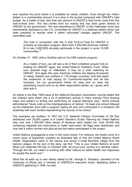ever reaches the point where it is available for needy children. Even though two million dollars is a considerable amount, it is a drop in the bucket compared with UNICEF's total budget. As a matter of fact, less than two percent of UNICEF's total funds come from this trick-or-treat drive. The rest comes from tax money that has been given directly to UNICEF by the government. The *real* importance to UNICEF of this Halloween drive was inadvertently disclosed by the U.S. Committee for UNICEF in a defense bulletin which had been prepared to expose what it called unfounded charges against UNICEF. The committee said:

The truth in connection with this is that Trick-or-Treat for UNICEF is primarily an education program. More than 2,000,000 American children [it is now 3,000,000] annually participate in the project in some 10,000 communities.<sup>10</sup>

On October 31, 1963, Arthur Godfrey said on his CBS network program:

As a matter of fact, you will see a lot of them [children] around trick-ortreating for UNICEF again, the United Nations Children's Fund. When your doorbell rings on Halloween, it may be a child collecting for UNICEF. And again this year American children are helping thousands of needy children and mothers in 116 foreign countries. And that starts the avalanche of mail saying it's Communist-inspired and all this business; but our government thinks it's okay and so does the advertising council and so do other responsible parties, so I guess we'll stick with it.

An article in the May 1959 issue of the *National Education Association Journal* stated that the children were drawn into a lot of preliminary activity in many schools "from drawing maps and posters to writing and performing an original television play." Some schools administered "study units on the interdependency of nations." At least one school followed up the Halloween stunt with a program lasting all year and culminated in a miniature UN assembly with each student representing the country of his choice."

The examples are endless. In 1951 the U.S. National Citizens Committee of UN Day distributed over 30,000 copies of *A Useful Teacher's Guide: Planning for United Nations Day*, and over 1,300,000 other pieces of literature were mailed out. Over 50,000 kits containing materials and instructions to make hand-sewn UN flags were distributed, and over half a million women and girls across the nation participated in the project.

United Nations propaganda is even in the comic books. For instance, the inside cover of a recent issue of Superman contains an illustrated tale of how the United Nations World Health Organization came to the rescue and saved a small Burmese village from the bubonic plague. At the end of the story, we find: "This is your United Nations at work! When yon celebrate UN Day on October 24th, be proud your country is a member nation. Through the UN, our nation is working with other nations for better health and happiness for people the world over."

What this all adds up to was clearly stated by Mr. George D. Stoddard, president of the University of Illinois and a member of UNESCO's executive board. Speaking before a UNESCO gathering in 1949, he said: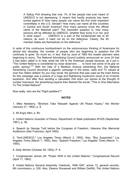A Gallup Poll showing that only 1% of the people had ever heard of UNESCO is not depressing. It means that hardly anybody has been turned against it! How many people can name the five most important committees in the U.S. Senate? How many can name all the countries in Central and South America? How many persons know the official name of the Marshall plan? The important question is, how many persons will be affected by UNESCO, whether they know it or not, and in what ways? . . . UNESCO is a part of the fundamental law of 40 nations; as such, it need not be on the defensive. Clearly, the 40 member states are themselves on the defensive.<sup>11</sup>

In spite of this continuous bombardment on the subconscious thinking of Americans for almost two decades, the number of people who are beginning to question the UN continues to grow. So much so, in fact, that by June of 1963 the master planners were beginning to worry. The National Advertising Council publicly announced on June 24 that it had been called in to help resell the UN to the American people because, as it put it, "The United Nations is considered by close observers . . . to have lost some of its grip on public opinion."12 With the help of a Madison Avenue advertising firm, the National Advertising Council launched a gigantic campaign in the press, radio and TV valued at over five million dollars! As you may recall, the gimmick that was used as the main theme for this campaign was a picture of a huge and frightening mushroom cloud of an H-bomb explosion. And after thus sending a calculated chill down our spines at the thought of nuclear holocaust, the advertising experts then flashed the words: "This Is One Alternative To The United Nations!"

Now really, *who* are the "fright peddlers"?

#### **NOTES**

1. Mike Newberry, "Birchers Take Warpath Against UN Peace Hopes," the *Worker* (January 21, 1962), p. 6.

2. *46 Angry Men*, p. 84.

3. *United Nations Guardian of Peace*, Department of State publication #7225 (September 1961), p. 36.

4. Speech by George Todt before the Congress of Freedom, Veterans War Memorial Auditorium (San Francisco, April 1955).

5. "Anti-UNESCO," Los Angeles *Times* (March 2, 1955). Also, "Boy Supported," Los Angeles *Times* (March 7, 1955). Also, "Speech Freedom," Los Angeles *Times* (March 11, 1955).

6. *Daily Worker* (October 28, 1953), P. 6.

7. Congressman James Utt, "Power Shift in the United Nations," Congressional Record (April 11, 1962).

8. United Nations General Assembly Yearbook, 1946-1947, annex 12, general records, 6th commission**,** p. 226. Also, Eleanor Roosevelt and William DeWitt**,** *The United Nations*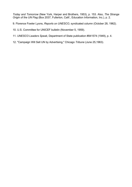*Today and Tomorrow* (New York, Harper and Brothers, 1953), p. 153. Also, *The Strange Origin of the UN Flag* (Box 2037, Fullerton, Calif., Education Information, Inc.), p. 2.

9. Florence Fowler Lyons, *Reports on UNESCO*, syndicated column (October 28, 1962).

10. U.S. Committee for UNICEF bulletin (November 5, 1959).

11. *UNESCO Leaders Speak*, Department of State publication #841574 (1949), p. 4.

12. "Campaign Will Sell UN by Advertising," Chicago *Tribune* (June 25,1963).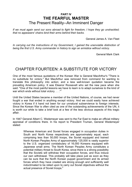### **PART IV THE FEARFUL MASTER** The Present Reality--An Imminent Danger

*If we must again send our sons abroad to fight for freedom, I hope they go unshackled; that no appeasers' chains bind their arms behind their backs.*

General James A. Van Fleet

*In carrying out the instructions of my Government, I gained the unenviable distinction of being the first U.S. Army commander in history to sign an armistice without victory.*

General Mark Clark

## CHAPTER FOURTEEN: A SUBSTITUTE FOR VICTORY

One of the most famous quotations of the Korean War is General MacArthur's "There is no substitute for victory." But MacArthur was removed from command for wanting to translate this philosophy into action; and a less well-known quotation became the prevailing American policy. It was Eleanor Roosevelt who set the new pace when she said: "One of the most painful lessons we have to learn is to adapt ourselves to the kind of war which ends without total victory. . . . "<sup>1</sup>

Until the United States became a member of the United Nations, of course, we had never fought a war that ended in anything except victory. And we could easily have achieved victory in Korea if it hand not been for our unnatural subservience to foreign interests. Since the Korean War is often cited as one of the outstanding achievements of the UN, it is worth our while to take a brief look at a few of the less obvious aspects of this tragic affair.

In 1947 General Albert C. Wedemeyer was sent to the Far East to make an official military appraisal of conditions there. In his report to President Truman, General Wedemeyer stated:

Whereas American and Soviet forces engaged in occupation duties in South and North Korea respectively are approximately equal, each comprising less than 50,000 troops, the Soviet equipped and trained North Korean Peoples Army of approximately 125,000 is vastly superior to the U.S. organized constabulary of 16,000 Koreans equipped with Japanese small arms. The North Korean Peoples Army constitutes a potential military threat to South Korea, since there is a strong possibility that the Soviets will withdraw their occupation forces, and thus induce our own withdrawal. This probably will take place just as soon as they can be sure that the North Korean puppet government and its armed forces which they have created are strong enough and sufficiently well indoctrinated to be relied upon to carry out Soviet objectives without the actual presence of Soviet troops.<sup>2</sup>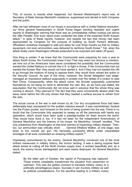This, of course, is exactly what happened, but General Wedemeyer's report was, at Secretary of State George Marshall's insistence, suppressed and denied to both Congress and the public.

After we had withdrawn most of our troops in accordance with a United Nations resolution, our Army general headquarters in South Korea began sending repeated and urgent reports to Washington warning that there was an unmistakable military buildup just above the 38th Parallel. One such report even contained the date of the expected North Korean attack.<sup>3</sup> In spite of these reports, however, and despite the fact that money had been appropriated by Congress for the purpose of building up South Korea's defenses, officialdom somehow managed to stall and delay for over three months so that no military equipment--not even ammunition--was delivered to reinforce South Korea.<sup>4</sup> Yet, when the attack finally came Washington officials pretended to be surprised and taken off guard.

One thing is certain: if *we* knew that the Communists were preparing for over a year to attack South Korea, the *Communists* knew it too! That may seem too obvious to mention, yet nine out of ten Americans have never considered the possibility that the Communists *wanted* the United Nations to commit the U.S. to fight in Korea. If the Communists had not wanted the Korean War, they would not have started it. And if they had not wanted the UN to go through the motions of trying to oppose them, they would have vetoed the action in the Security Council. As part of the show, however, the Soviet delegation had stagemanaged an impressive walkout supposedly in protest over the defeat of a motion to seat Red China. Consequently, when the attack came, the Soviets supposedly outsmarted themselves by not being on hand to administer the veto. But, as we have just stated, the assumption that the Communists did not know well in advance that the whole thing was coming is absurd. *They planned* it! The fact that they were conveniently absent when the issue came before the UN only shows that they needed a surface excuse to refrain from the veto.

The actual course of the war is well known by all. Our tiny occupational force had been deliberately kept unprepared for the sudden massive assault. It was overwhelmed, backed into the Pusan pocket, and hovered on the brink of being pushed into the sea. There is no doubt that the Communists fully expected to sweep us off the peninsula with hardly any opposition, which would have been quite a prestige-builder for them around the world. They would have done it, too, if it had not been for the independent Americanism of General MacArthur and the bravery of his troops. As MacArthur, himself, recalled: "The only predictions from Washington at that time warned of impending military disaster. Then, too, our ammunition was critically short. . . . General [Walton] Walker, at one stage, was down to five rounds per gun. His heroically successful efforts under unparalleled shortages of all sorts constituted an amazing military exploit."<sup>5</sup>

Hopelessly outnumbered by the enemy, General MacArthur conceived one of the most brilliant maneuvers in military history: the Inchon landing. It was a daring surprise flank attack aimed at cutting off the North Korean supply lines. It worked beautifully and, as a result, the enemy forces disintegrated and were nearly destroyed. As General MacArthur stated:

By the latter part of October, the capitol of Pyongyang was captured. These events completely transformed the situation from pessimism to optimism. This was the golden moment to translate military victory to a politically advantageous peace. Success in war involves military as well as political considerations. For the sacrifice leading to a military victory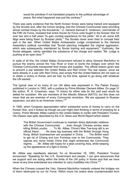would be pointless if not translated properly to the political advantage of peace. But what happened was just the contrary.<sup>6</sup>

There was early evidence that the North Korean forces were being trained and equipped by the Soviets and, after the Inchon landing, that the Chinese Communists were providing actual combat troops by the thousands.<sup>7</sup> Lt. General Samuel E. Anderson, commander of the Fifth Air Force, revealed that entire Soviet Air Force units fought in the Korean War for over two and a half years "to gain combat experience for the pilots." All in all, some 425 Migs were being flown by Russian pilots.<sup>8</sup> The Soviets never even tried to conceal their part in the war. When United States Ambassador Lodge complained to the General Assembly's political committee that "Soviet planning instigated the original aggression, which was subsequently maintained by Soviet training and equipment." Vyshinsky, the Soviet delegate, calmly admitted the substance of the charge and replied, "Mr. Lodge is pushing at an open door."<sup>9</sup>

In spite of all this, the United States Government refused to allow General MacArthur to pursue the enemy across the Yalu River or even to bomb the bridges over which the Chinese Communists transported their troops and supplies. The *official* reason given was to prevent a war between the United States and Red China! The *real* reason, since we were already in a war with Red China, was simply that the United Nations did not want us to obtain a victory in Korea, and we had, by this time, agreed to go along with whatever the UN wanted.

The typical view of so many of our UN allies was expressed in *The Fabian Essays,*  published in London in 1952, with a preface by Prime Minister Clement Attlee. On page 31 the author, R. H. Crossman, says: "A victory for either side [in the cold war] would be defeat for socialism. We are members of the Atlantic Alliance (NATO); but this does not mean that we are enemies of every Communist revolution. We are opposed to Russian expansion, but also to an American victory."<sup>10</sup>

In 1950, when Congress appropriated rather substantial sums of money to carry on the Korean War, and it looked as though we just might start thinking in terms of pressing for a victory, Prime Minister Attlee rushed to the United States to confer with President Truman. His mission was aptly described by the *U.S. News and World Report* which stated:

The British Government continues to maintain direct diplomatic relations with the Chinese Communists . . . even though Chinese armies were killing British youths. . . . To Mr. Attlee, China's Mao Tse-tung still is an official friend. . . . He does big business with the British through Hong Kong. British businessmen are accepted in China. . . . The British want to get rid of Chiang and turn Formosa over to the Communists. They oppose any move inside China that might embarrass the Communist regime. . . . Mr. Attlee still hopes for a deal covering Asia, while keeping up the appearance of a fight in Korea.<sup>11</sup>

Mr. Attlee was needlessly alarmed, for on November 16, 1950, President Truman announced: "Speaking for the U.S. Government and people, I can give assurances that we support and are acting within the limits of the UN policy in Korea and that we have never at any time entertained any intention to carry hostilities into China."<sup>12</sup>

When the Chinese crossed the Yalu, General MacArthur instantly ordered the bridges--six of them--destroyed by our Air Force. Within hours his orders were countermanded from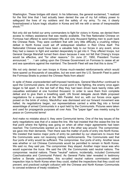Washington. These bridges still stand. In his bitterness, the general exclaimed, "I realized for the first time that I had actually been denied the use of my full military power to safeguard the lives of my soldiers and the safety of my army. To me, it clearly foreshadowed a future tragic situation in Korea and left me with a sense of inexpressible shock."<sup>13</sup>

Not only did we forbid our army commanders to fight for victory in Korea, we denied them access to military assistance that was readily available. The free Nationalist Chinese on Formosa had offered to send between fifty and sixty thousand fighting men to push back the Chinese Reds. They were confident that with very little difficulty a crushing military defeat in North Korea could set off widespread rebellion in Red China itself. The Nationalist Chinese would have been a valuable help to our forces in any event, since they had a reason to fight and wanted desperately to get into it. They offered troops, but General George Marshall turned them down because it was not felt that Chiang's troops would be effective, and "for other reasons." On June 27, 1950, President Truman announced: ". . . I am calling upon the Chinese Government on Formosa to cease all air and sea operations against the mainland. The Seventh Fleet will see that this is done."<sup>14</sup>

We not only denied our own troops in Korea much-needed reinforcements which would have spared us thousands of casualties, but we even sent the U.S. Seventh Fleet to patrol the Formosa Straits to protect the Chinese Reds from attack!

In spite of these unprecedented self-imposed handicaps, General MacArthur continued to spoil the Communist plans. At another crucial point in the fighting, the enemy once again began to fall apart. In the last half of May they had been driven back twenty miles with casualties estimated at one hundred thousand. In order to save them from complete defeat and to give them a breathing spell, UN Soviet delegate Jacob Malik proposed negotiations for a cease-fire at the 38th Parallel. And so, with our forces once again poised on the brink of victory, MacArthur was dismissed and our forward movement was halted. As negotiations began, our representatives carried a white flag into a formal assemblage of armed Communists in a spot held by the Communists. Pictures were taken and used for propaganda purposes all over Asia. The "paper tiger" was meekly suing for peace on Communist terms!

And make no mistake about it, they *were* Communist terms. One of the key issues of the early negotiations was that of a cease-fire line. We had insisted that the cease-fire line be that point where the fighting was going on when all other major agreements had been reached. The Communists wanted us to work it the other way around. The compromise: we gave into their demands. Then there was the matter of ports of entry into North Korea. We insisted that *twelve* major ports of entry be patrolled by our observers to insure that the Communists were not receiving military reinforcements. The Communists said that *four* ports of entry would be sufficient. The compromise: *four* ports of entry. Another issue was whether or not Chinese Communists would be permitted to remain in North Korea. We said no; they said yes. The compromise: they stayed. Another major issue was who would supervise the truce. We said the UN; the Communists said neutral nations. The compromise: neutral nations. These "neutral" nations, incidentally, included Communist Czechoslovakia and Communist Poland. As General Parks later revealed in testimony before a Senate subcommittee, this so-called neutral nations commission vetoed inspection trips to North Korea when they could, stalled the inspections that they could not prevent, and practiced outright collusion with the Chinese and North Korean Communists to conceal evidence of treaty violations.<sup>15</sup>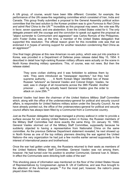A UN group, of course, would have been little different. Consider, for example, the performance of the UN cease-fire negotiating committee which consisted of Iran, India and Canada. This group finally submitted a proposal to the General Assembly political action committee that the best solution to the Korean problem was to g*ive Formosa to Red China and admit Red China to the UN.*16 Incredible as this proposal may seem, the vote was fifty in favor, seven opposed, and one abstention. Even the United States voted for it. The only delegate present with the courage and the conviction to speak out against the proposal as "abject surrender to Communism and aggression" was Carlos Romulo of the Philippines. John Foster Dulles was, at the time, a member of the United States delegation that supported this resolution. The official reason given for this incredible vote was that we endorsed it in hopes of winning support for *another* resolution condemning Red China as an aggressor!<sup>17</sup>

One final tragic glimpse at this new American no-win policy, which was put into practice in Korea, was provided in a Department of Defense press release dated May 15, 1954. It described in detail how high-ranking Russian military officers were actually on the scene in North Korea directing military operations. This, of course, was not news. But then the release stated:

They wore civilian clothing and it was forbidden to address them by rank. They were introduced as "newspaper reporters," but they had supreme authority. . . . A North Korean Major identified two of these Russian "advisors" as General Vasilev and Colonel Dolgin. Vasilev, he said, was in charge of all movements across the 38th Parallel. Another prisoner . . . said he actually heard General Vasilev give the order to attack on June 25th.<sup>18</sup>

*General Vasilev had been the chairman of the United Nations Military Staff Committee* which, along with the office of the undersecretary-general for political and security council affairs, is responsible for United Nations military action under the Security Council. As we have already pointed out, the office of the undersecretary-general for political and security council affairs has always been filled by a Communist from a Communist country.

Just as the Russian delegates had stage-managed a phoney walkout in order to provide a surface excuse for not vetoing United Nations action in Korea, the Russian members of the Military Staff Committee had done exactly the same thing. On January 19, 1950, General Vasilev stormed out of the Military Staff Committee, supposedly because he suddenly objected to having a representative from Nationalist China on the same committee. As the previous Defense Department statement revealed, he next showed up in North Korea as one of the top military planners directing the war against the United Nations--the very organization he had just a few months earlier served supposedly in the interest of international peace and brotherhood.

Once the war had gotten under way, the Russians returned to their seats as members of the United Nations Military Staff Committee. General Vasilev was not among them, however. He had turned over his position to another Communist, General Ivan A. Skliaro. In effect the Communists were directing both sides of the war!

This shocking piece of information was mentioned on the floor of the United States House of Representatives by Congressman James B. Utt of California, and was thus brought to the attention of the American people.<sup>19</sup> For the most part, however, the nation's press played down this news.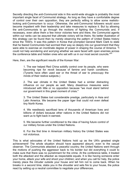Secretly directing the *anti-Communist* side in this world-wide struggle is probably the most important single facet of Communist strategy. As long as they have a comfortable degree of control over their own opposition, they are perfectly willing to allow some realisticlooking anti-Communism to occur. Otherwise, the anti-Communist followers would soon become impatient with their leadership and take measures to replace it. But by allowing the anti-Communists to go through the motions of fighting the Communists and, if necessary, even allow them a few minor victories here and there, the Communist agents within our ranks can be assured that ultimate victory will be theirs. No better illustration of this strategy can be found then by merely observing the pattern of United States history since the 1930's. It was this pattern in Korea that prompted General Mark Clark to state that he feared Communists had wormed their way so deeply into our government that they were able to exercise an inordinate degree of power in shaping the course of America. "I could not help wondering and worrying whether we were faced with open enemies across the conference table and hidden ones who sat with us in our most secret councils." $^{20}$ 

Here, then, are the significant results of the Korean War:

1. The war helped Red China solidify control over its people, who were becoming ripe for revolt because of famine and harsh conditions. (Tyrants have often used war or the threat of war to preoccupy the minds of their restive subjects.)

2. The war climate in the United States had a similar distracting influence on our people as well. Many disastrous measures were introduced with little or no opposition because "we must stand behind our government in this great moment of crisis."

3. The United States lost considerable prestige, particularly in Asia and Latin America. We became the paper tiger that could not even defeat tiny North Korea.

4. We needlessly sacrificed tens of thousands of American lives and billions of dollars because other nations in the United Nations did not want us to fight back in earnest.

5. We became further conditioned to the idea of having future control of our military forces under the United Nations.

6. For the first time in American military history the United States was not victorious.

This is what advocates of the United Nations hold up as the UN's greatest single achievement! The whole situation should have appeared absurd, even to the casual observer. The Communists attacked a peaceful country; the United Nations went through the motions of pushing the aggressor back to his border but did everything it could to make sure that there was no punishment for the crime. At the conference table, it treated both the attacked and the attacker as respectable equals. It is like having someone enter your home, attack your wife and shoot your children; and when you call for help, the police merely place the intruder outside your house and tell him not to come back. When he breaks in a second time, stabs you in the shoulder and sets fire to your house, the police react by setting up a neutral committee to negotiate your differences.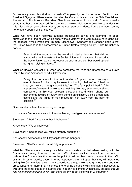Do we really want this kind of UN justice? Apparently we do, for when South Korean President Syngman Rhee wanted to drive the Communists across the 38th Parallel and liberate all of North Korea, President Eisenhower wrote to him and said: "It was indeed a crime that those who attacked from the North invoked violence to unite Korea under their rule. Not only as your official friend, but as your personal friend, I urge that your country not embark upon a similar course."<sup>21</sup>

While we have been following Eleanor Roosevelt's advice and learning "to adapt ourselves to the kind of war which ends without victory," the Communists have done just the opposite. While Presidents Truman, Eisenhower, Kennedy and Johnson declare that the United Nations is the cornerstone of United States foreign policy, Nikita Khrushchev boasts:

Even if all the countries of the world adopted a decision that did not accord with the interests of the Soviet Union and threatened its security, the Soviet Union would not recognize such a decision but would uphold its rights, relying on force.<sup>22</sup>

What an uneven contest it is when one compares that with the utterances of our own United Nations Ambassador Adlai Stevenson:

Every time, as a result of a confrontation of opinion, one of us says, even to himself, "I hadn't quite seen it in that light before," or "I had no idea you felt so strongly about this," or "That's a point I hadn't fully appreciated"--every time we say something like that, even to ourselves, somewhere in this vast celestial electronic board which charts our movements toward or away from atomic annihilation, a little green light flashes and the traffic of man moves an inch away from the point of collision.<sup>23</sup>

One can almost hear the following exchange:

Khrushchev: "Americans are criminals for having used germ warfare in Korea!"

Stevenson: "I hadn't seen it in that light before."

Khrushchev: "We will bury you!"

Stevenson: "I had no idea you felt so strongly about this."

Khrushchev: "Americans are filthy capitalist war mongers."

Stevenson: "That's a point I hadn't fully appreciated."

What Mr. Stevenson apparently has failed to understand is that when dealing with the Communists, every time we move the traffic of man an inch away from the point of collision the Communists then move the point of collision back an inch closer to the traffic of man. In other words, every time we appease them in hopes that they will now stop acting like Communists, they merely consolidate the gain we have granted them and then press forward for more. In any contest, if one of the parties is willing to fight if necessary to win, and the other states in advance that, not only is fighting unthinkable, but also that *he has no intention of trying to win*, can there be any doubt as to which will triumph?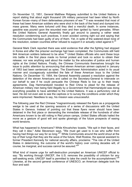On November 12, 1951, General Matthew Ridgway submitted to the United Nations a report stating that about eight thousand UN military personnel had been killed by North Korean forces--many of them defenseless prisoners of war. $^{24}$  It was revealed that most of these had been American soldiers who were shot in the back of the head and dumped into mass graves. Many were tortured until they died a merciful death. In some instances, gasoline was poured upon the wounded men and then ignited by hand grenades. When the United Nations General Assembly finally got around to passing a rather weak resolution condemning such practices, it even avoided coming right out and saying that the Communists had been guilty of any of them. Yet, in spite of the watered-down tone of the resolution, sixteen countries either refused to support it or actually voted against it.<sup>25</sup>

General Mark Clark reported there was solid evidence that after the fighting had stopped in Korea and after the prisoner exchange had been completed, the Communists still held 944 American soldiers believed to be alive.<sup>26</sup> United States officials who sent these boys into battle in the first place made no formal protest and took no action to obtain their release; nor was anything said about the matter by the advocates of justice and human rights at the United Nations. Finally, the Chinese Communists themselves brought the issue to public attention by announcing that eleven American airmen captured in January of 1953 bad been sentenced as spies. The Eisenhower Administration acted in its usual manner and courageously submitted the fate of these American boys to the United Nations. On December 10, 1954, the General Assembly passed a resolution against the detention of the eleven Americans and called on the Secretary-General to intercede on our behalf to see if he could persuade the Chinese Reds to live up to their treaty agreements. Dag Hammarskjold traveled to Red China to plead for the release of American military men being held illegally by a Government that Hammarskjold was doing everything possible to have admitted to the United Nations. It was a perfunctory visit at best. He did not even ask to see the captives or to survey the conditions under which they were imprisoned. Needless to say, his mission was unsuccessful.

The following year the Red Chinese "magnanimously released the flyers as a propaganda wedge to be used at the opening sessions of a series of discussions with the United States in Geneva. Instead of pointing out that these flyers never should have been detained in the first place or demanding the immediate release of the hundreds of other Americans known to be still rotting in Red prison camps, United States officials hailed the move as a gesture of good will and spoke glowingly of the future prospects of easing world tensions.

What has happened to Americans? While Khrushchev boasts, "We spit in their faces, and they call it dew," Adlai Stevenson says, "We must get used to it--we who suffer from having had things our way for so long."<sup>27</sup> While Communists around the world shout at the top of their lungs that they are the wave of the future, Walt Rostow, the special assistant to former President Kennedy for national security affairs, proclaims: "The role of the United States in determining, the outcome of the world's history over coming decades will, of course, be marginal, and success cannot be assured."<sup>28</sup>

What kind of insane urge for self-destruction prompted an American UNICEF official to say: "By working through UNICEF, the U.S. removes the possibility of criticism for any self-seeking ends. UNICEF itself is permitted to take the credit for the accomplishment."<sup>29</sup> Likewise, at the second general conference of UNESCO, an American delegate took the floor and said: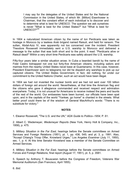I may say for the delegates of the United States and for the National Commission in the United States, of which Mr. [Milton] Eisenhower is Chairman, that the constant effort of each individual is to discover and to determine what is best for UNESCO. The question we ask ourselves is never "What is best for the United States?" but "What is best for UNESCO?"30

In 1904 a naturalized American citizen by the name of Ion Perdicaris was taken as hostage in Morocco by a lawless Arab brigand named Raisuli, and held for ransom. The sultan, Abdal-Aziz IV, was apparently not too concerned over the incident. President Theodore Roosevelt immediately sent a U.S. warship to Morocco and delivered a message to the sultan that was both short and to the point. It read: "Perdicaris alive or Raisuli dead!" Within a very short time Perdicaris was safely aboard the U.S. warship.

Fifty-four years later a similar situation arose. In Cuba a bearded bandit by the name of Fidel Castro kidnapped not one but forty-five American citizens, including sailors and marines from the nearby United States naval base at Guantanamo. In this case, however, President Eisenhower sent no telegrams nor did he dispatch any warships to pick up our captured citizens. The United States Government, in fact, did nothing, for under our commitment to the United Nations Charter, such an act would have been illegal.

In 1904 we had not invented the nuclear bomb and we had not sent over 100 billion dollars of foreign aid around the world. Nevertheless, at that time the American flag and the citizens who gave it allegiance commanded and received respect and admiration everywhere. Today, it is not unusual for Americans to receive instead the jeers and taunts of the rest of the world. Our embassies have been burned, our officials have been spat upon, and in the capitals of the world "Yankee, go home" is chanted in the streets. What better proof could there be of the wisdom of General MacArthur's words: "There is no substitute for victory."

#### **NOTES**

1. Eleanor Roosevelt, "The U.S. and the UN," *ADA Guide to Politics--1954,* P. 61.

2. Albert C. Wedemeyer, *Wedemeyer Reports* (New York, Henry Holt & Company, Inc., 1958), p. 475.

3*. Military Situation in the Far East,* hearings before the Senate committees on Armed Services and Foreign Relations (1951), pt. 1, pp. 436, 545; and pt. 3, p. 1991. Also, "Accept Chiang's Troop Offer, Knowland Urges," Los Angeles *Examiner* (July 11, 1950), sec. 1, p. 4. At this time Senator Knowland was a member of the Senate Committee on Armed Services.

4. *Military Situation in the Far East,* hearings before the Senate committees on Armed Forces and Foreign Relations, final report (August 17, 1951), pt. 5, p. 3581.

5. Speech by Anthony T. Bouscaren before the Congress of Freedom, Veterans War Memorial Auditorium (San Francisco, April 1955).

6*. Ibid.*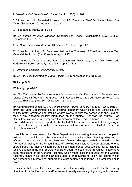7*. Department of State Bulletin* (December 11, 1956), p. 926.

8. "Soviet Jet Units Defeated in Korea by U.S. Flyers Air Chief Discloses," New York *Times* (September 19, 1953), sec. 1, p. 1.

9. As quoted by Manly, pp. 82-83.

10. As quoted by Alice Widener, *Congressional Digest* (Washington, D.C., August-September 1960), p. 217.

11*. U.S. News and World* Report (December 15, 1950), pp. 11-12.

12. Speech by Anthony T. Bouscaren before the Congress of Freedom, Veterans War Memorial Auditorium (San Francisco, April 1955).

13. Charles A. Willoughby and John Chamberlain, *MacArthur, 1941-1951* (New York, McGraw-Hill Book Company, Inc., 1954), pp. 401-402.

14*. American Historical Documents,* p. 406.

15*. Soviet Political Agreements and Results,* SISS publication (1959), p. XI.

16. Lie, p. 359.

17. Manly, pp. 67-68.

18*. The Truth about Soviet Involvement in the Korean War,* Department of Defense press release #465-54 (May 15, 1954). Also, "U.S. Reveals Russ Ordered Attack on Korea," Los Angeles *Examiner* (May 16, 1954), sec. 1, pt. A, p. 2.

19. Congressman James B. Utt, *Congressional Record* (January 15, 1962). On March 21, 1960, the State Department issued a formal statement which said: "The United Nations Military Staff Committee had nothing whatsoever to do with the Korean War and it did not receive any classified military information on this subject. Nor was the Military Staff Committee involved in any way with the direction of the forces in Korea. . . . The United States did submit periodic reports to the United Nations on the conduct of the fighting in Korea, but these reports contained no classified information and were limited to a factual chronicle of events."

Incredible as it may seem, the State Department was asking the American people to believe that the UN had absolutely nothing to do with either planning, directing or influencing its own war in Korea! However, General George Marshall admitted that the "hot pursuit" policy of the United States of allowing our pilots to pursue attacking enemy aircraft back into their own territory had been abandoned because this policy failed to receive support in the UN. Secretary of State Dean Acheson further revealed: "There have been resolutions of the General Assembly which make clear the course that the General Assembly thinks wise; and the United States is endeavoring to follow the course which has tremendous international support and is not contemplating taking unilateral steps of its own."

It is clear that while the United States was theoretically responsible for the military direction of the "unified command" in Korea, in reality we were going along with whatever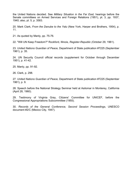the United Nations decided. See *Military Situation in the Far East,* hearings before the Senate committees on Armed Services and Foreign Relations (1951), pt. 3, pp. 1937, 1940; also, pt. 5, p. 3583.

20. Mark Clark, *From the Danube to the Yalu* (New York, Harper and Brothers, 1954), p. 11.

21. As quoted by Manly, pp. 75-76.

22. "Will UN Keep Freedom?" Rockford, Illinois, *Register-Republic (Oc*tober 29, 1961).

23*. United Nations Guardian of Peace,* Department of State publication #7225 (September 1961), p. 35.

24. UN Security Council official records (supplement for October through December 1951), p. 41-42.

25. Manly, pp. 91-92.

26. Clark, p. 298.

27*. United Nations Guardian of Peace,* Department of State publication #7225 (September 1961), p. 9.

28. Speech before the National Strategy Seminar held at Asilomar in Monterey, California (April 28, 1960).

29. Testimony of Virginia Gray, Citizens' Committee for UNICEF, before the Congressional Appropriations Subcommittee (1955).

30*. Records of the General Conference, Second Session Proceedings,* UNESCO document #2/C (Mexico City, 1947).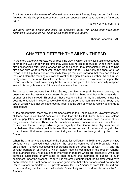*Shall we acquire the means of effectual resistance by lying supinely on our backs and hugging the illusive phantom of hope, until our enemies shall have bound us hand and foot?* 

Patrick Henry, March 1775

*We have only to awake and snap the Lilliputian cords with which they have been entangling us during the first sleep which succeeded our labors*.

Thomas Jefferson, 1796

### CHAPTER FIFTEEN: THE SILKEN THREAD

In the story *Gulliver's Travels,* we all recall the way in which the tiny Lilliputians succeeded in rendering Gulliver powerless until they were sure he could be trusted. When they found him unconscious after being washed up on the beach, they immediately set out to bind him down with what to them was heavy rope but was to Gulliver only the finest of silken thread. The Lilliputians worked frantically through the night knowing that they had to finish their job before the morning sun rose to awaken the giant from his slumber. When Gulliver finally came to, he found himself entirely helpless and unable to move even a finger. The thread, which he could have easily broken at any *one* place, had been carefully wrapped around his body thousands of times and was more than his match.

For the past two decades the United States, the giant among all the world powers, has been lying semi-conscious while lesser forces bind him hand and foot with thousands of strands of silken thread. Throughout these years he has, bit by bit, allowed himself to become entangled in every conceivable kind of agreement, commitment and treaty--any *one* of which would not be disastrous by itself, but the sum of which is rapidly adding up to total capture.

At the present time, there are 113 member states in the United Nations. Over fifty percent of these have a *combined* population of less than the United States! Many, like Iceland with a population of 200,000, would be hard pressed to rate even as one of our congressional districts. There are 56 members whose, population is less than that of metropolitan Detroit. It is possible to get a majority in the General Assembly from nations that between themselves contribute less than seven percent of the annual budget.<sup>1</sup> And most of even that seven percent was first given to them as foreign aid by the United States.

When the Charter was submitted to the Senate for ratification in 1945, there were only two portions which received much publicity: the opening sentence of the Preamble, which proclaimed "To save succeeding generations from the scourge of war . . . ," and the seventh paragraph of Article 2 which states "Nothing contained in the present Charter shall authorize the United Nations to intervene in matters which are essentially within the domestic jurisdiction of any state or shall require the members to submit to such settlement under the present Charter." It is extremely doubtful that the Charter would have been ratified had it not been for this latter guarantee that other nations could not use the United Nations to meddle in our private affairs. But, as Americans were later to find out, there is *nothing* that the UN considers to be "essentially within the domestic jurisdiction" of America.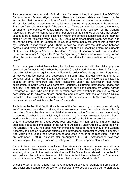This became obvious around 1949. Mr. Levi Carneiro, writing that year in the *UNESCO Symposium on Human Rights,* stated: 'Relations between states are based on the assumption that the internal policies of each nation are the concern of all nations."<sup>2</sup> Mr. Moses Moskowitz, a noted internationalist, made the following statement in the *American Bar Association Journal* in April of the same year: "Once a matter has become, in one way or another, the subject of regulation by the UN, be it by resolution of the General Assembly or by convention between member states at the instance of the UN, that subject ceases to be a matter of being 'essentially within the domestic jurisdiction of the member states.'" By the following year, 1950, our State Department under Dean Acheson was saying the same thing. In September it issued a formal policy statement with a foreword by President Truman which read: "There is now no longer any real difference between domestic and foreign affairs."<sup>3</sup> And on May 22, 1959, while speaking before the students at St. John's College in Annapolis, Maryland, President Eisenhower said: "For us indeed there are no longer 'foreign affairs' and 'foreign policy.' Since such affairs belong to and affect the entire world, they are essentially local affairs for every nation, including our own."<sup>4</sup>

A clear example of what far-reaching, implications are carried with this philosophy was provided on August 7, 1963, when the Security Council voted nine to nothing in favor of a resolution taking action against South Africa for its policy of racial segregation. Regardless of how we may feel about racial segregation in South Africa, it is definitely the internal or domestic affair of that country. Nevertheless, the United Nations took it upon itself to impose an arms embargo and other sanctions under the justification that racial segregation in South Africa was somehow "seriously disturbing international peace and security"! The attitude of the UN was expressed during the debates by Carlos Alfredo Bernardes of Brazil who said that the question now was whether to continue to rely on persuasion or to advocate "more energetic and coercive methods of action." Nikolai Fedrinko of the Soviet Union piously described the situation in South Africa as "a reign of terror and violence" maintained by "fascist" methods.<sup>5</sup>

Aside from the fact that South Africa is one of the few remaining prosperous and strongly anti-Communist countries in Africa, there are several interesting points about this UN resolution. One is the clear and unmistakable violation of the Charter, as we have already mentioned. Another is the slavish way in which the U.S. almost always follows the Soviet lead in such matters. When this question came before the UN on a previous occasion, U.S. Ambassador Henry Cabot Lodge rose and said: "An item of this character invites questions about the competence of the General Assembly under Article 2, paragraph 7 of the Charter. The U.S. has observed with increasing concern the tendency of the General Assembly to place on its agenda subjects, the international character of which is doubtful." After *saying* this, Lodge then turned around and voted in favor of the resolution! That was on September 16, 1953. Ten years later, on August 7, 1963, U.S. Ambassador Stevenson was carrying on the Lodge tradition by voting with the Soviets against South Africa.

Since it has been clearly established that America's domestic affairs are all now international in character and, as such, are subject to United Nations jurisdiction, consider what might happen in the not-too-distant future if the Soviet Union should charge the U.S. with political discrimination because of its laws to limit the activities of the Communist party in this country. What would the United Nations World Court decide?

Under the terms of the Charter, we have pledged ourselves to promote full employment and social and economic progress for all peoples. If we decided to stop our foreign aid to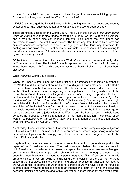India or Communist Poland, and these countries charged that we were not living up to our Charter obligations, what would the World Court decide?

If Fidel Castro charged the United States with threatening international peace and security by keeping its naval base at Guantanamo, what would the World Court decide?

There are fifteen justices on the World Court. Article 25 of the *Statute of the International Court of Justice* says that nine judges constitute a quorum for the Court to do business, and a majority of the nine can render judgments. This means that five judges can determine decisions. The statute also states: "The Court may, from time to time, form one or more chambers composed of three or more judges, as the Court may determine, for dealing with particular categories of cases; for example, labor cases and cases relating to transit and communications." In other words, in some matters, decisions can be rendered by as few as two justices!

Of the fifteen justices on the United Nations World Court, most come from strongly leftist or Communist countries. The United States is represented on this Court by Philip Jessup, whose background with Alger Hiss and the Institute of Pacific Relations has already been discussed.

#### What *would* the World Court decide?

When the United States joined the United Nations, it automatically became a member of the World Court. But it was not bound by the Court's jurisdiction unless and until it filed a formal declaration in the form of a Senate ratified treaty. Senator Wayne Morse introduced in the Senate a resolution "recognizing as compulsory . . . the jurisdiction of the International Court of Justice in all legal disputes hereafter arising . . . provided that such declaration shall not apply to disputes with regard to matters which are *essentially within*  the domestic jurisdiction of the United States." [Italics added.]<sup>6</sup> Suspecting that there might be a little difficulty in the future definition of matters "essentially within the domestic jurisdiction of the United States," some of the senators began to look more cautiously at the whole resolution. Senator Thomas Connally was eager for the U.S. to at least go on record as accepting *some* jurisdiction of the World Court. Rather than see the whole issue defeated he proposed a simple amendment to the Morse resolution. It consisted of six words: *"as determined by the United States."* With this amendment, the resolution passed by a vote of 62 to 2 on August 2, 1946.

As of today, these six words are all that stand between us and complete legal subjection to the whims of fifteen or nine or five or even two men whose legal backgrounds and personal ideologies may be strongly antipathetic to the free world in general and to the United States in particular.

In spite of this, there has been a concerted drive in this country to generate support for the repeal of the Connally Amendment. The basic stratagem behind this drive has been to trick Americans into believing that unless we repeal the amendment we are self-judging our own case. This is then supposed to shame us into being big enough and courageous enough to openly submit our cases to impartial judgment. This, of course, is an invalid argument since all we are doing is challenging the jurisdiction of the Court to try these cases in the first place. This is a common and ancient practice in American law. Just as we would refuse to submit a murder case to a traffic court, we have a right to refuse to submit a case involving domestic affairs to an international court. In view of the prevailing accepted definition of domestic affairs this reservation is more important than ever before.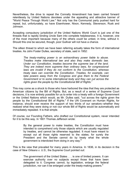Nevertheless, the drive to repeal the Connally Amendment has been carried forward relentlessly by United Nations devotees under the appealing and attractive banner of "World Peace Through World Law." Not only has the Communist party pushed hard for repeal, but, unfortunately, so have Eisenhower, Nixon, Kennedy, Stevenson, Rusk and Johnson.

Accepting compulsory jurisdiction of the United Nations World Court is just one of the threads that is rapidly binding Uncle Sam into complete helplessness. It is, however, one of the most important because many of the others *could* be untied, in time, without it. Should this one be secured, though, poor Gulliver will not have a chance.

The silken thread to which we have been referring actually takes the form of international treaties. As John Foster Dulles, secretary of state, said in 1952:

*The treaty-making power is an extraordinary power liable to abuse. Treaties make international law and also they make domestic law. Under our Constitution, treaties become the supreme law of the land. They are indeed more supreme than ordinary laws, for congressional laws are invalid if they do not conform to the Constitution, whereas treaty laws can override the Constitution. Treaties, for example, can take powers away from the Congress and give them to the Federal Government or to some international body and they can cut across the rights given the people by the Constitutional Bill of Rights.7*

This may come as a shock to those who have harbored the idea that they are protected as American citizens by the Bill of Rights. But, as a result of a series of Supreme Court decisions, it is now entirely possible for us to enter into a treaty with a foreign Government or the United Nations which would, as Mr. Dulles said, "cut across the rights given the people by the Constitutional Bill of Rights." If the UN Covenant on Human Rights, for instance, should ever receive the support of two thirds of our senators--whether they realized what they were doing or not--our whole Bill of Rights would be automatically and immediately repealed. It is that simple.

Of course, our Founding Fathers, who drafted our Constitutional system, never intended for it to be this way. In 1801 Thomas Jefferson wrote:

By the general power to make treaties, the Constitution must have intended to comprehend only those objects which are usually regulated by treaties, and cannot be otherwise regulated. It must have meant to except out all those rights reserved to the states; for surely the President and the Senate cannot do by treaty what the whole government is interdicted from doing in any way.8

This is the view that prevailed for many years in America. In 1836, in its decision in the case of *New Orleans v. U.S.,* the Supreme Court pointed out:

The government of the United States . . . is one of limited powers. It can exercise authority over no subjects except those that have been delegated to it. Congress cannot, by legislation, enlarge the federal jurisdiction, nor can it be enlarged under the treaty-making powers. $9$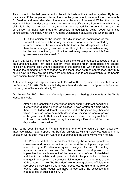This concept of limited government is the whole basis of the American system. By taking the chains off the people and placing them on the government, we established the formula for freedom and enterprise which has made us the envy of the world. While other nations were still laboring under a system where government officials are free to do anything they claim is in the best interests of all, American leaders had first to consult a meaningful constitution to make sure that their proposals in addition to being "good" were also constitutional. And if not, what then? George Washington answered that when he said:

If, in the opinion of the people, the distribution or modification of the Constitutional powers be in any particular wrong, let it be corrected by an amendment in the way in which the Constitution designates. But let there be no change by usurpation; for, though this in one instance may be the instrument of good, it is the customary weapon by which free governments are destroyed.<sup>10</sup>

But all that was a long time ago. Today our politicians tell us that those concepts are out of date and antiquated; that these modem times demand fresh approaches and greater flexibility in order to cope with the challenge of the atomic age. Only those who have never studied the demagoguery of past ages could accept these as fresh approaches. They may sound new, but they are the same worn arguments used to sell dictatorship to the people from ancient Rome to Nazi Germany.

Arthur Schlesinger, Jr., special assistant to President Kennedy, said in a speech delivered on February 15, 1962: "Jefferson is today remote and irrelevant . . . a figure, not of present concern, but of historical curiosity."11

On August 28, 1961, President Kennedy spoke to a gathering of students at the White House and said:

After all, the Constitution was written under entirely different conditions. It was written during a period of isolation. It was written at a time when there were thirteen different units which had to be joined together and which, of course, were extremely desirous of limiting the central power of the government. That Constitution has served us extremely well, but . . . it has to be made to work today in an entirely different world from the day in which it was written.<sup>12</sup>

That same year Senator J. William Fulbright, one of the country's most outspoken internationalists, made a speech at Stanford University. Fulbright was less guarded in his choice of words than President Kennedy but expressed the same views when he said:

The President is hobbled in his task of leading the American people to consensus and concerted action by the restrictions of power imposed upon him by a Constitutional system designed for an 18th century agrarian society far removed from the centers of world power. It is imperative that we break out of the intellectual confines of cherished and traditional beliefs and open our minds to the possibility that basic changes in our system may be essential to meet the requirements of the 20th century. . . . He [the President] alone among elected officials can rise above parochialism and private pressures. He alone in his role as teacher and moral leader can hope to overcome the excesses and inadequacies of public opinion.  $\ldots$ <sup>1</sup>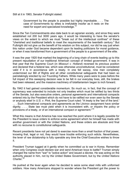Still at it in 1963, Senator Fulbright stated:

Government by the people is possible but highly improbable. . . . The case of Governments by elites is irrefutable insofar as it rests on the need for expert and specialized knowledge.<sup>14</sup>

Since the Ten Commandments also date back to an agrarian society, and since they were established not 200 but 3000 years ago, it would be interesting to have the senator's views on the extent to which we must "break out of the intellectual confines" of these "cherished and traditional beliefs to meet the requirements of the twentieth century." But Fulbright did not give us the benefit of his wisdom on this subject, nor did he say just when this nation under God became dependent upon its leading politicians for moral guidance, or when it was transformed from a government of the people to a government of the elite.

It was the year 1920 that marked the beginning of a long chain of events leading up to this present repudiation of our traditional American concept of limited government. It was in that year that the Supreme Court (in *Missouri v. Holland*) reversed its previous position and declared that a federal law, which was otherwise unconstitutional, must be considered valid if it is in accordance with a treaty. In one fell swoop, nine men completely undermined our Bill of Rights and all other constitutional safeguards that had been so painstakingly erected by our Founding Fathers. While many years were to pass before the full impact of this sweeping decision was to be felt in our everyday lives, still, the brakes had been released, and the massive machinery of totalitarianism began to inch forward.

By 1942 it had gained considerable momentum. So much so, in fact, that the concept of supremacy was extended to include not only treaties which must be ratified by two thirds of the Senate, but also executive orders, personal agreements and international compacts entered into by the President which do not have to be ratified nor *even seen* by the Senate or anybody else! In *U.S. v. Pink*, the Supreme Court ruled: "A treaty is the 'law of the land.' . . . Such international compacts and agreements as the Litvinov assignment have similar dignity. . . . State law must yield when it is inconsistent with, or impairs the policy or provisions of a treaty, or of an international compact or agreement."15

What this means is that America has now reached the point where it is legally possible for the President to issue orders to enforce some agreement which he himself has made with another government or with the United Nations, and these orders are absolute and final with no recourse to constitutional safeguards.

Recent presidents have not yet dared to exercise more than a small fraction of that power, knowing that, legal or not, they would have trouble enforcing such edicts. Nevertheless, the lever of raw dictatorship is fully operable any time the Chief Executive wishes to throw it.

President Truman tugged at it gently when he committed us to war in Korea. Remember when only Congress could declare war and send American boys to battle? Truman simply changed the name from "war" to "police action" and issued a decree. He was acting on the authority placed in him, not by the United States Government, but by the *United Nations Charter.*<sup>16</sup>

He pushed at the lever again when he decided to seize some steel mills with uniformed soldiers. How many Americans stopped to wonder where the President got the power to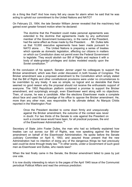do a thing like that? And how many felt any cause for alarm when he said that he was acting to uphold our commitment to the United Nations and NATO?

On February 23, 1954, the late Senator William Jenner revealed that the machinery had gained even greater forward motion when he declared:

The doctrine that the President could make personal agreements was extended to the doctrine that agreements made by any authorized member of the Government bureaucracy, in the name of the President, had the same effect as those made by the President. . . . Mr. Dulles tells us that 10,000 executive agreements have been made pursuant to NATO alone. . . . The United Nations is preparing a series of treaties which operate as domestic legislation, affecting our citizens in matters on which our Constitution does not permit even the Federal Government to legislate. They would abolish our Bill of Rights and replace it with a body of state-granted privileges and duties modeled exactly upon the Soviet constitution.<sup>17</sup>

At the conclusion of his speech, Senator Jenner urged his colleagues to support the Bricker amendment, which was then under discussion in both houses of Congress. The Bricker amendment was a proposed amendment to the Constitution which simply stated that the Bill of Rights and other constitutional provisions were under no circumstances to be overridden by any treaty. It was so simple, so logical and so desirable that there seemed no good reason why the proposal should not receive the enthusiastic support of everyone. The 1952 Republican platform contained a promise to support the Bricker amendment, and surprisingly enough, even Eisenhower went along with no objections. Then, of course, he was a *candidate*. After the elections Eisenhower made a complete about face and used the full prestige of his office to *oppose* the Bricker amendment. He, more than any other man, was responsible for its ultimate defeat. As Marquis Childs reported in the Washington *Post*:

Once the President decided to come down firmly and unequivocally against the Bricker amendment, the outcome of the contest was never in doubt. For two thirds of the Senate to vote against the President on such a crucial issue would have been, for all practical purposes, the end of the Eisenhower Administration.<sup>18</sup>

Secretary of State John Foster Dulles, the man who had so brilliantly explained how treaties can cut across our Bill of Rights, was now speaking against the Bricker amendment on behalf of the Eisenhower Administration. He spoke before the Senate Judiciary Committee on April 6, 1953, and assured those present that the new Administration had no intention of doing any of the dangerous things be had previously said *could* be done through treaty law.<sup>19</sup> In other words, under a Government of such good men as Eisenhower and Dulles, who needs laws?

When the test finally came in the Senate, the Bricker amendment failed to pass by just one vote.

It is now doubly interesting to return to the pages of the April 1945 issue of the Communist periodical *Political Affairs* and read the ominous prediction: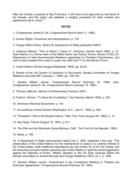After the Charter is passed at San Francisco, it will have to be approved by two-thirds of the Senate, and this action will establish a weighty precedent for other treaties and agreements still to come.<sup>20</sup>

#### **NOTES**

1. Congressman James B. Utt, *Congressional Record* (April 11, 1962).

2*. Human Rights: Comments and Interpretations*, p. 178.

3*. Foreign Affairs Policy, Series 26,* Department of State publication #3972.

4. Clarence Manion, "This Is Where I Came In," *American Opinion* (April 1960), p. 21. Dean Manion is a former dean of the Notre Dame Law School, former director of the U.S. Department of Inter-Governmental Relations (appointed by President Eisenhower), and now is heard weekly from coast to coast over radio and TV on the *Manion Forum*.

5*. United Nations Review* (August-September 1963), pp. 20-24.

6. *Review of the UN Charter--A Collection of Documents,* Senate Committee on Foreign Relations document #87 (January 7, 1954), pp. 108-109.

7. Senator William Jenner, *Congressional Record* (February 23, 1954). Also, Congressman James B. Utt, *Congressional Record* (January 15, 1962).

8. Thomas Jefferson, *Manual of Parliamentary Practice (1801).*

9. Frank E. Holman, "To Save the Constitution," the *Freeman* (March 1955), p. 361.

10*. American Historical Documents,* p. 144.

11. As quoted by Human Events (Washington, D.C., July 21, 1962), p. 549.

12. "President's Talk to the Student Interns," New York *Times* (August 29, 1962), p. 14.

13. San Diego *Tribune* (August 14, 1961), p. B-1.

14*. The Elite and the Electorate* (Santa Barbara, Calif., The Fund for the Republic, 1963).

15. Manly, p. 195.

16. A Department of State memorandum dated July 3, 1950, explained it this way: "The preservation of the United Nations for the maintenance of peace is a cardinal interest of the United States. Both traditional international law and Article 39 of the UN Charter and the resolution pursuant thereto authorizes the United States to repel the armed aggression against the Republic of Korea." *Military Situation in the Far East,* hearings before the Senate committees on Armed Services and Foreign Relations (1951), pt. 3, p. 1936.

17. Senator William Jenner, "Amendment to the Constitution Relating to Treaties and Executive Agreements," *Congressional Record* (February 23, 1954).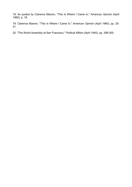18. As quoted by Clarence Manion, "This Is Where I Came In," *American Opinion* (April 1960), p. 18.

19. Clarence Manion, "This Is Where I Came In," *American Opinion* (April 1960), pp. 20- 21.

20. "The World Assembly at San Francisco," *Political Affairs* (April 1945), pp. 289-300.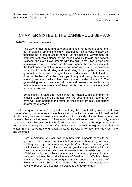*Government is not reason; it is not eloquence; it is force! Like fire, it is a dangerous servant and a fearful master.* 

George Washington

# CHAPTER SIXTEEN: THE DANGEROUS SERVANT

In 1816 Thomas Jefferson wrote:

The way to have good and safe government is not to trust it all to one, but to divide it among the many, distributing to everyone exactly the functions he is competent to handle. Let the national Government be entrusted with the defense of the nation and its foreign and federal relations; the state Governments with the civil rights, laws, police and administration of what concerns the state generally; the counties with the local concerns of the counties; and each ward direct the interests within itself. It is by dividing and subdividing these republics, from the great national one down through all its subordinations . . . that all will be done for the best. What has destroyed liberty and the rights of man in every government which has ever existed under the sun? The generalizing and concentrating all cares and powers into one body, no matter whether the autocrats of Russia or France or of the aristocrats of a Venetian senate.<sup>1</sup>

Sometimes it is said that man cannot be trusted with government of himself. Can he, then, be trusted with the government of others? Or have we found angels in the forms of kings to govern him? Let history answer the question.<sup>2</sup>

Indeed, history *has* answered the question; not only the distant history to which Jefferson is here referring, but more recent events as well. In the two decades that followed the birth of this nation, men and women by the hundreds of thousands migrated here from all over the world, because they knew that here was the land of freedom and opportunity, where a man could make his own deal with life without being bowed by the oppressive yoke of government directing his daily life. Carl Schurz was one such immigrant, and his words written in 1853 serve as monumental tribute to the wisdom of such men as Washington and Jefferson:

Here in America, you can see daily how little a people needs to be governed. There are governments, but no masters; there are governors, but they are only commissioners, agents. What there is here of great institutions of learning**,** of churches, of great commercial institutions, lines of communication, etc., almost always owes its existence, not to official authority, but to the spontaneous cooperation of private citizens. Here, you witness the productiveness of freedom. . . . We learn here how superfluous is the action of governments concerning a multitude of things in which in Europe it is deemed absolutely indispensable; and how the freedom to do something awakens the desire to do it.<sup>3</sup>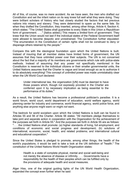All of this, of course, was no mere accident. As we have seen, the men who drafted our Constitution and set the infant nation on its way knew full well what they were doing. They were brilliant scholars of history who had closely studied the factors that led previous nations into misery and slavery. They were determined to spare us the same fate. So when they drafted the Constitution, they inserted, among other things, Article 4, Section 4, which states: "The United States shall guarantee to every State in this Union a *Republican* form of government. . . ." [Italics added.] This means a *limited* form of government. They knew that the Union would not last if the individual states of the Federal Government itself were allowed to become despotic and unrestrained. The Constitution further stipulated: "The enumeration in the Constitution of certain rights shall not be construed to deny or disparage others retained by the people."

Compare this with the ideological foundation upon which the United Nations is built. Instead of insuring that all member states have limited forms of government, the UN assumes that they have unlimited power over their subjects. The UN is not concerned about the fact that a majority of its members are governments which rule with police-state methods. Instead of assuming that any power not specifically mentioned in the Constitution is reserved to the individual citizens or their smaller governmental units, the United Nations assumes that the Charter is vague and broad enough so as to authorize it to do absolutely everything! This concept of *unlimited* power was made unmistakably clear when the UN World Court declared:

Under international law, the organization [UN] must be deemed to have those powers which, though not expressly provided in the Charter are conferred upon it by necessary implication as being essential to the performance of its duties.<sup>4</sup>

As a result, the United Nations has become a professional politician's paradise. It is a world forum, world court, world department of education, world welfare agency, world planning center for industry and commerce, world financial agency, world police force, and anything else anyone might want--or might *not* want.

The bedrock for world socialism upon which the United Nations is built can be found in Articles 55 and 56 of the Charter. Article 56 states: "All members pledge themselves to take joint and separate action in cooperation with the Organization for the achievement of the purposes set forth in Article 55." And the purposes set forth in Article 55 are as follows: ". . . the United Nations shall promote: (a) higher standards of living, full employment, and conditions of economic and social progress and development; (b) solutions of international, economic, social, health, and related problems; and international cultural and educational cooperation."

Since the United States is pledged to promote, among other things, the health of the world's populations, it would be well to take a look at the UN definition of "health." The constitution of the United Nations World Health Organization states:

Health is a state of complete physical, mental and social well-being and not merely the absence of disease or infirmity. . . . Governments have a responsibility for the health of their peoples which can be fulfilled only by the provisions of adequate health and social measures.

Alger Hiss, one of the original guiding lights of the UN World Health Organization, expanded the concept even further when he said: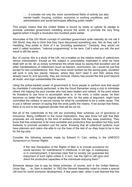. . . it includes not only the more conventional fields of activity but also mental health, housing, nutrition, economic or working conditions, and administrative and social techniques affecting public health.<sup>5</sup>

This simply means that the United States is bound by treaty to uphold its pledge to promote unlimited government meddling around the world; to promote the very thing against which it fought a revolution two hundred years earlier.

Advocates of this Old World concept of unlimited government quite naturally do not call it Old World; they like to think that they have discovered something new. Nor do they call it meddling; they prefer to think of it as "providing assistance." Certainly, they would not want it called socialism; "national programming" is the term. Call it what you will, the end result is still the same.

But, of course, this is a study of the UN, not a treatise on the relative merits of collectivism versus individualism. Except as this subject is unavoidably implicated in what we have dealt with so far, let us simply summarize the whole issue by saying that socialism and all other manifestations of collectivism (such as fascism, communism, etc.) would be just fine except for two considerations: first, they have never worked (as the saving goes, socialism will work in only two places: Heaven, where they don't need it; and Hell, where they already have it); and secondly, they are immoral. History has proved the first point beyond all doubt, and logic substantiates the second.

Using the police-backed power of government to force people to perform acts that would be charitable if *voluntarily* performed, is like the Good Samaritan using a club to intimidate others into helping the poor traveler who had been beaten and robbed. At the point where he threatens to use force to accomplish what is, in his mind, a noble cause, he then becomes no better than the original attacker who, for the sake of argument, might have committed the robbery to secure money for what he considered to be a noble cause. This is just a refined version of saying that the ends justify the means. If we accept that thesis, there is no end to the legalized plunder that will be our lot.

Not all of the collectivists at the UN are promoting their schemes out of ignorance or innocence. Being indifferent to the moral implications, they also know full well that their proposals are not leading to the kind of workers utopia that they keep predicting. They know that free enterprise is far more workable and productive than socialism but they work tirelessly to promote socialism just the same. Knowing that all collectivist systems must have planners and rulers--the elite to run the lives of the rest of us--they hope to be in line for the top jobs.

Consider the following remarks made by Edward H. Carr, writing in the *UNESCO Symposium on Human Rights*:

If the new Declaration of the Rights of Man is to include provisions for social services, for maintenance in childhood, in old age, in inadequacy or in unemployment, it becomes clear that no society can guarantee the enjoyment of such rights unless it, in turn, has the right to call upon and direct the productive capacities of the individuals enjoying them.<sup>6</sup>

Someone always has to pay for these schemes, of course, and in the United Nations, Uncle Sap . . . er, Sam is elected. In 1953 the General Assembly voted to create a special UN fund for world economic development. A few years later, when it was learned that this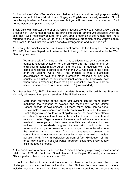fund would need *five billion dollars,* and that Americans would be paying approximately seventy percent of the total, Mr. Hans Singer, an Englishman, casually remarked: "It will be a heavy burden on American taxpayers, but you will just have to manage that. You'll get accustomed to paying the taxes."

Brock Chisholm, director-general of the United Nations World Health Organization, during a speech in 1957 further revealed the prevailing attitude among UN socialists when he said that it was "manifestly absurd" for a "very small proportion of the human race" (he is referring to the U.S., of course) to enjoy a tremendous proportion of the world's natural resources." He said that this is "not a sensible arrangement" and must not last.<sup>8</sup>

Apparently the socialists in our own Government agree with this thought, for on February 17, 1961, the State Department delivered the following official memorandum to the West German government:

We must design formulae which . . . make allowances, as we do in our domestic taxation systems, for the principle that the richer among us shall bear a higher relative burden than the poor. In addition, we must come to recognize a principle on which the U.S. has acted in the years after the Second World War. That principle is that a sustained accumulation of gold and other international reserves by any one country is disruptive to any international community. Especially now when trade is expanding faster than gold production, we must learn to use our reserves on a *communal* basis. . . <sup>9</sup> [Italics added.]

On September 20, 1963, international socialists listened with delight as President Kennedy addressed the opening session of the United Nations:

More than four-fifths of the entire UN system can be found today mobilizing the weapons of science and technology for the United Nations decade of development. But more, much more, can be done. For example- a world center for health communications under the World Health Organization could warn of epidemics and of the adverse effects of certain drugs as well as transmit the results of new experiments and new discoveries. Regional research centers could advance our common medical knowledge and train new scientists and doctors for new nations. . . . A worldwide program of conservation could protect the forest and world game preserves now in danger of extinction--improve the marine harvest of food from our oceans--and prevent the contamination of our air and our water by industrial as well as nuclear pollution. And, finally, a worldwide program of farm distribution--similar to our own nation's "Food for Peace" program--could give every hungry child the food he needs."<sup>10</sup>

At the conclusion of a previous speech by President Kennedy expressing similar views in relation to NATO, Mr. Paul Henri Spaak, leader of the Belgian Socialist party, exclaimed, "This is perfect; I have found a successor!"<sup>11</sup>

It should be obvious to any careful observer that there is no longer even the slightest challenge to socialist doctrine within the United Nations from any member nations, including our own. Any wishful thinking we might have entertained to the contrary was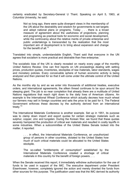certainly eradicated by Secretary-General U Thant. Speaking on April 5, 1963, at Columbia University, he said:

Not so long ago, there were quite divergent views in the membership of the UN about the desirability and wisdom for governments to set targets and adopt national plans or programs. Today . . . there is a broad measure of agreement about the usefulness of projections, planning and programing as practical tools for economic and social development, while the controversy about the relative merits of private enterprise and public undertakings is transcended by the realization that the most important aim of development is to bring about expansion and change for the benefit of all  $12$ 

Translated into simple, understandable English, Thant said that everyone in the UN agrees that socialism is more practical and desirable than free enterprise.

The socialistic bias of the UN is clearly revealed on nearly every page of the monthly *United Nations Review.* One can find reports on UN proceedings dealing with setting prices, production quotas, inventories, stockpiles of raw materials, labor standards, wages and monetary policies. Every conceivable sphere of human economic activity is being analyzed and then planned for so that it will come under the ultimate control of the United Nations.

As the months slip by and as we enter into thousands of additional treaties, executive orders, and international agreements, the silken thread continues to be spun around the sleeping giant. The job is so near completion that already there are a multitude of United Nations regulations that reach right down to the daily lives of American citizens. An example is the International Wheat Conference which actually decrees how much wheat our farmers may sell in foreign countries and sets the price to be paid for it. The Federal Government enforces these decrees by the authority derived from an international treaty.<sup>13</sup>

The International Materials Conference is another example. Set up in 1951, its purpose was to clamp down import and export quotas for certain strategic materials such as sulphur, copper, zinc and tungsten. During the Korean War, we found that these quotas severely hampered the production of critical war materials and resulted in costly layoffs in some industries. When a subcommittee of the United States Senate looked into the matter, it reported:

. . . in effect, the International Materials Conference, an unauthorized group of persons in other countries, dictated to the United States how much of such critical materials could be allocated to the United States stockpile.

The so-called "entitlements of consumption" established by the International Materials Conference created a shortage of critical materials in this country for the benefit of foreign powers. . . .

When the Senate received this report, it immediately withdrew authorization for the use of funds to be used in support of the IMC. The executive department under President Eisenhower, however, completely ignored the action and merely diverted the funds from other sources for this purpose. The justification used was that the IMC derived its authority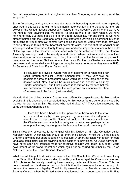from an executive agreement, a higher source than Congress, and, as such, must be supported.<sup>14</sup>

Some Americans, as they see their country gradually becoming more and more helplessly ensnared in this web of foreign entanglements, seek comfort in the thought that the real power of the United Nations supposedly resides in the Security Council where we have the right to veto anything that we dislike. As long as this is so, they reason, we have nothing to fear. But these people are in for a rude awakening. For one thing, as we have already pointed out, the Secretariat or full-time staff of the UN wields a dominant influence amounting to virtual *effective* control from behind the scenes. Aside from that, however, thinking strictly in terms of the theoretical power structure, it is true that the original setup was supposed to place the authority to wage war and other important matters in the hands of the Big Five in the Securitv Council, each with the protection of a veto. The General Assembly was supposed to be merely a world forum where nations could express their views and pass harmless resolutions. In fact, it is doubtful that the American people would have accepted the United Nations on any other basis. But the UN Charter is a remarkable document and, as we shall see, things are not quite the same today as they were in 1945. As Secretary of State John Foster Dulles put it:

If a situation is arrived at where you can't accomplish a reasonable fair result through technical Charter amendments, it may very well be possible to agree on procedures which would get a very large part of the desired result. Now it would be much neater and cleaner to do it by Charter amendment, but if that process is frustrated by the fact that the five permanent members have the veto power on amendments, then *other ways* could be found. [Italics added.]

He said that the United Nations Charter was sufficiently unspecific and flexible to allow evolution in this direction, and concluded that, for this reason "future generations would be thankful to the men at San Francisco who had drafted it."<sup>15</sup> Trygve Lie expressed the same sentiment when he said:

. . . there has been a healthy shift in power from the council to the vetofree General Assembly Thus, progress by no means alone depends upon textual revisions of the Charter. A continued liberal construction of the Charter we now have holds out great promise, and perhaps is the more practical way to strengthen the bonds of the world community.<sup>16</sup>

This philosophy, of course, is not original with Mr. Dulles or Mr. Lie. Centuries earlier Napoleon wrote: "A constitution should be short and obscure." While the United Nations Charter is anything but short, it certainly is obscure. A smart politician with a flair for legal language could justify almost anything on the basis of its provisions. As Dulles admitted: "I have never seen any proposal made for collective security with 'teeth' in it, or for 'world government' or for 'world federation,' which could not be carried out either by the United Nations or under the United Nations Charter."17

What has all this got to do with our veto in the UN? Simply this: We do not have it any more! When the United Nations called for military action to repel the Communist invasion of South Korea, technically speaking it was violating the terms of its own Charter. This has never slowed the UN down in the past, but this time the issue was important enough to demand the pretense of legality. The difficulty arose due to the Soviet's absence from the Security Council. When the United Nations was formed, it was understood that a Big Five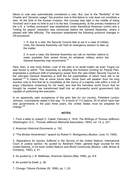failure to vote was automatically considered a veto. But, due to the "flexibility" of the Charter and "dynamic usage," the practice now is that failure to vote does not constitute a veto. At the time of the Korean invasion, this concept was right in the middle of being "evolved' and it was no time to put it to the test. Consequently, at the primary insistence of the U.S. a "unified command" was established under theoretical American control and a "uniting for peace" resolution was introduced before the General Assembly, where it passed with little difficulty. The resolution established the following profound changes in UN procedure:

1. If, due to a veto, the Security Council fails to act in a case of military crisis, the General Assembly can hold an emergency session to take up the matter.

2. In such a case, the General Assembly can call on member nations to make available their armed forces for whatever military action the General Assembly may recommend.<sup>18</sup>

Here, then, is one more thread. Loss of the veto is no small matter--as even Trygve Lie was forced to admit: "The Assembly by adopting the Acheson [Uniting for Peace] Plan, engineered a profound shift of emergency power from the veto-ridden Security Council to the veto-less General Assembly--a shift the full potentialities of which have still to be realized."<sup>19</sup> It means that at some future date Uncle Sam will awaken from his long slumber only to find that be is completely at the mercy of a majority vote within a mob of angry Lilliputians screaming for his head; and that the harmless world forum that he thought he created has transformed itself into an all-powerful world government fully capable of performing the execution.

In an apparently calm acceptance of this grim fate for our country, President Lyndon Johnson, nonchalantly stated it this way: "In a world of 113 nations, 50 of which have had new governments in the past three years, the United States must be prepared for change."<sup>20</sup>

### **NOTES**

1. From a letter to Joseph C. Cabell, February 2, 1816, *The Writings of Thomas Jefferson*  (Washington, D.C., Thomas Jefferson Memorial Association, 1905), vol. 14, p. 421.

2*. American Historical Documents,* p. 152.

3. "The Bricker Amendment," speech by Robert H. Montgomery (Boston, June 13, 1955).

4*. Reparations for Injuries Suffered in the Service of the United Nations,* International Court of Justice opinion. As quoted by Abraham Feller, general legal counsel for the United Nations, in his book *United Nations and World Community* (Boston, Little, Brown & Company, 1952), p. 41.

5. As quoted by J. B. Matthews, *American Opinion* (May 1958), pp. 8-9.

- 6. As quoted by Ewell, p. 28.
- 7. Chicago *Tribune* (October 29, 1956), pp. 1, 20.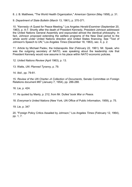8. J. B. Matthews, "The World Health Organization," *American Opinion* (May 1958), p. 31.

9. *Department of State Bulletin* (March 13, 1961), p. 370-371.

10. "Kennedy--A Quest for Peace Meeting," Los Angeles *Herald-Examiner* (September 20, 1963), p. A-7. Shortly after the death of President Kennedy, President Johnson addressed the United Nations General Assembly and expounded almost the identical philosophy. In fact, Johnson proposed extending the welfare programs of the New Deal period to the whole world under United Nations direction and United States financing. See "Text of Johnson's Speech to UN," Los Angeles *Times* (December 18, 1963), sec. 4, p. 2.

11. Article by Michael Padev, the Indianapolis *Star* (February 22, 1961). Mr. Spaak, who was the outgoing secretary of NATO, was speaking about the leadership role that President Kennedy would now assume in his place within NATO economic policies.

12*. United Nations Review* (April 1963), p. 13.

13. Watts, *UN: Planned Tyranny*, p. 79.

14*. Ibid.,* pp. 79-81.

15*. Review of the UN Charter--A Collection of Documents*, Senate Committee on Foreign Relations document #87 (January 7, 1954), pp. 286-288.

16. Lie, p. 424.

17. As quoted by Manly, p. 212, from Mr. Dulles' book *War or Peace.*

18. *Everyman's United Nations* (New York, UN Office of Public Information, 1959), p. 75.

19. Lie, p. 347

20. "Foreign Policy Critics Assailed by Johnson," Los Angeles *Times* (February 12, 1964), pp. 1, 7.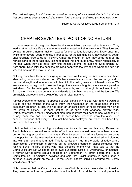*The saddest epitaph which can be carved in memory of a vanished liberty is that it was lost because its possessors failed to stretch forth a saving hand while yet there was time.*

Supreme Court Justice George Sutherland, 1937

## CHAPTER SEVENTEEN: POINT OF NO RETURN

In the far reaches of the globe, there live tiny rodent-like creatures called lemmings. They lead a rather solitary life and seem to be well adjusted to their environment. They look and behave in quite a normal fashion--except for one curious idiosyncrasy. Every once in a while, after several years of unusual prosperity for the lemming clan, they suddenly get an uncontrollable urge to go for a swim. Almost as though on cue, they come from all the remote parts of the terrain and, joining together into one huge army, march relentlessly to the sea. When they get there, they fling themselves into the surf and swim straight out from shore. Days later the beaches are piled deep with the tiny bodies where the tide has washed them up to decay in the sun.

Nothing resembles these lemmings quite so much as the way we Americans have been stampeding to our own destruction. We have already abandoned the secure ground of national strength and independence to leap into the boiling waters of internationalism. We are swimming straight out to sea as though there were a brighter, more secure paradise just ahead. But the water gets deeper by the minute, and our strength is beginning to ebb. Soon, even if we change our minds and decide to turn back to shore, it will be too late. We are rapidly approaching the point of no return--disarmament.

Almost everyone, of course, is opposed to war--particularly nuclear war--and we would all like to see the nations of the world throw their weapons on the scrap-heap and live peacefully together. In fact, this has been an ancient desire of noble-minded men since the dawn of history. But does getting rid of one's best weapons prevent war? Unfortunately not. It merely means that men then fight with their second-best weapons. Or it may mean that one side fights with its second-best weapons while the other uses superior weapons that everyone thought had been destroyed but which had been kept and perfected in secret.

It is true that in the past arming has always led to war; but so has disarming! Remember Pearl Harbor and Korea? As a matter of fact, most wars would never have been started but for the aggressor thinking he was sufficiently superior in military forces to overcome the opposition. A disarmed nation, therefore, is far more likely to be attacked and plunged into war than one that is armed. This is particularly true in the world of today where international Communism is carrying out its avowed program of global conquest. High ranking Soviet military officers who have defected to the West have told us that the Communists are just waiting for us to lower our guard. Nikolai F. Artamanov, for instance, a former Soviet naval captain, testified on September 14, 1960, before the House Committee on Un-American Activities and said that Soviet strategy is based upon a surprise nuclear attack on the U.S. if the Soviet leaders could be assured that victory would come at once  $1$ 

Note, however, that the Communists do not *want* to inflict nuclear devastation on America. They want to capture our great nation intact with all of our skilled labor and productive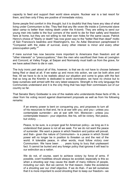capacity to feed and support their world slave empire. Nuclear war is a last resort for them, and then only if they are positive of immediate victory.

Some people find comfort in this thought; but it is doubtful that they have any idea of what living under Communism is like. They feel that any life--even life inside a Communist slave labor camp--is better than risking death under the A-bomb. They are willing to send our young men into battle to the four corners of the world to die for their safety and freedom here at home, but they are not willing to risk their own hides for the same cause. Patrick Henry's choice of "liberty or death" has now given way to the "better Red than dead" motto of San Francisco's beatniks--and Washington's, too. As Adlai Stevenson paraphrased it: "Compared with the stake of survival, every other interest is minor and every other preoccupation petty."<sup>2</sup>

If mere survival has now become more important to Americans than freedom and all "other interests" or "preoccupations," then the men who sacrificed their lives at Lexington and Concord, at Valley Forge, at Saipan and Normandy must loath us from the grave, for we have asked them to die in vain.

The truly ironic part about all of this, however, is that we do not have to choose between being Red or dead at all. If we wake up and move into action, we can be both alive *and* free. All we have to do is be realistic about our situation and come to grips with the fact that so long as the Kremlin is dedicated to world domination, we have no choice but to keep ourselves well armed with the very latest weapons. Strength is the only language the Communists understand and it is the only thing that has kept their commissars out of our country so far.

That Senator Barry Goldwater is one of the realists who understands these facts of life, is clear from his voting record against disarmament proposals as well as from his following remarks:

If an enemy power is bent on conquering you, and proposes to turn all of his resources to that end, he is at war with you; and you-- unless you contemplate surrender-- are at war with him. Moreover-- unless you contemplate treason-- your objective, like his, will be victory. Not peace, but victory....

Peace, to be sure, is a proper goal for American policy-- as long as it is understood that peace is not all we seek. For we do not want the peace of surrender. We want a peace in which freedom and justice will prevail, and that-- given the nature of Communism-- is a peace in which Soviet power will no longer be in position to threaten us and the rest of the world. A tolerable peace, in other words, must follow victory over Communism. We have been . . . years trying to bury that unpleasant fact. It cannot be buried and any foreign policy that ignores it will lead to our extinction as a nation.

We do not, of course, want to achieve victory by force of arms. If possible, overt hostilities should always be avoided; especially is this so when a shooting war may cause the death of many millions of people, including our own. But we cannot, for that reason, make the avoidance of a shooting war our chief objective. If we do that-- if we tell ourselves that it is more important to avoid shooting than to keep our freedom-- we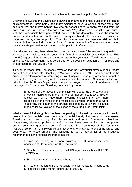are committed to a course that has only one terminal point: Surrender!<sup>3</sup>

Everyone knows that the Soviets have always been among the most outspoken advocates of disarmament. Unfortunately, too many Americans have taken this at face value and assumed that the motive behind this was an honest desire to spare mankind from the horrors of war. But what *are* the horrors of war? Why, death and destruction, of course. Yet, the Communists have perpetrated more death and destruction behind the iron and bamboo curtains than most of the wars of history combined. The only difference was that there was no organized opposition. The millions who have been executed did not die in combat, but in concentration camps. This, of course, is what the Communists mean when they advocate peace--the elimination of all opposition to Communism.

How sincere are they, then, when they promote disarmament? To answer that question, it is necessary to look back to the year 1928. One of the principles expounded at the Sixth World Congress of the Communist International in that year was: "The disarmament policy of the Soviet Government must be utilized for purposes of agitation . . . for recruiting sympathizers for the Soviet Union."<sup>4</sup>

Thirty-three years later, Khrushchev revealed that the Communist strategy in this regard had not changed one iota. Speaking in Moscow on January 6, 1961, he declared that the propaganda effectiveness of promoting a Soviet-inspired peace program was an effective means of wooing the sympathy of the masses behind the banner of Communism. He even admitted that the Kremlin's plan was to make the slogan for peace fit hand-in-hand with the slogan for Communism. Speaking very candidly, he said:

In the eyes of the masses, Communism will appear as a force capable of saving mankind from the horrors of modern destructive missilenuclear war, while imperialism [meaning capitalism] is ever more associated in the minds of the masses as a system engendering wars. That is why the slogan of the struggle for peace is, as it were, a sputnik [meaning fellow traveler] of the slogan of the struggle for Communism.

What a beautiful strategy this has been. Appealing to the natural desire in all of us for peace, the Communists have been able to enlist literally thousands of well-meaning Americans into campaigning for disarmament and other Communist objectives. Housewives, students, professors and ministers have been enticed into supporting organizations and groups whose platforms read like a page out of the Communist *People's World.* The Turn Toward Peace movement, for instance, is one of the largest and best known of these groups. The following is just a partial list of the initiatives recommended in their official program of action:

1. Urge the opening of editorial columns of U.S. newspapers and magazines to Soviet and Red Chinese writers.

2. Double our financial support to all UN agencies such as UNICEF, UNESCO, etc.

3. Stop all travel curbs on Soviet citizens in the U.S.

4. Invite one thousand Soviet teachers and journalists to undertake at our expense a three month lecture tour of the U.S.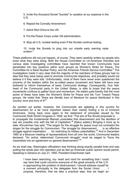5. Invite five thousand Soviet "tourists" to vacation at our expense in the U.S.

6. Repeal the Connally Amendment.

7. Admit Red China to the UN.

8. Put the Peace Corps under UN administration.

9. Stop all U.S. nuclear testing even if the Soviets continue testing.

10. Invite the Soviets to plug into our missile early warning radar svstem.<sup>5</sup>

These platforms did not just happen, of course. They were carefully written by people who knew what they were doing. Both the House Committee on Un-American Activities and various state investigating committees have reported that known Communists have penetrated into key positions within such groups as Women's Strike for Peace, The Committee for a Sane Nuclear Policy, and the American Friends Service Committee.<sup>6</sup> The investigators made it very clear that the majority of the members of these groups had no idea that they were being used to promote Communist objectives, and probably would not believe it if they were told. Unfortunately, most of them have never even questioned the sincerity of the leaders within the so-called peace movement and fewer still have ever bothered to inform themselves of basic Communist strategy. Consequently, Gus Hall, head of the Communist party in the United States, is able to boast that the peace movements continue to gather force and momentum. He stated quite frankly that the most active of these have been the Women's Strike for Peace and the Turn Toward Peace groups. He noted that "there are literally tons of literature for peace distributed in this country; tons and tons of it!" $7$ 

As pointed out earlier, however, the Communists are agitating in this country for disarmament for a far more important reason than merely fooling a lot of innocent Americans. Going back once again to the statement of principles issued by the Communist Sixth World Congress in 1928, we find: "The aim of the Soviet proposals is . . . to propagate the fundamental Marxian postulates that disarmament and the abolition of war are possible only *with the fall of Capitalism."*<sup>8</sup> [Italics added.] Bringing it more up to date, Khrushchev has said: "The slogan for the struggle for peace must not contradict the slogan for the struggle for Communism. The struggle for disarmament . . . is an effective struggle against imperialism . . . for restricting its military potentialities."<sup>9</sup> And in December 1960 at a Moscow meeting of representatives from all over the world, Communist leaders declared: "An active, determined Communist struggle" must be waged to "force the imperialists into an agreement on general disarmament."10

As we shall see, Washington officialdom was thinking along exactly parallel lines and was putting the whole plan into operation just as fast as American public opinion would permit. Speaking in Geneva on July 21, 1955, President Eisenhower said:

I have been searching, my- heart and mind for something that I could say here that could convince everyone of the great sincerity of the U.S. in approaching this problem of disarmament. I should address myself for a moment principally to the delegates from the Soviet Union. . . . I propose, therefore, that we take a practical step; that we begin an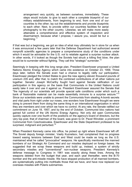arrangement very quickly, as between ourselves, immediately. These steps would include: to give to each other a complete blueprint of our military establishments, from beginning to end, from one end of our countries to the other; lay out the establishments and provide blueprints to each other. Next, to provide within our countries facilities for aerial photography to the other country. Likewise, we will make more easily attainable a comprehensive and effective system of inspection and disarmament, because what I propose, I assure you, would be but a beginning.<sup>11</sup>

If that was but a beginning, we got an idea of what may ultimately be in store for us when it was announced a few years later that the Defense Department had authorized several nonprofit scientific agencies to prepare a comprehensive study of the conditions under which it would be advisable for the U.S. *not* to retaliate against a surprise nuclear attack. In other words, if it looked as though the Soviets had struck a killing first blow, the plan would be to surrender without fighting. They call this "strategic" surrender.<sup>12</sup>

Seemingly in keeping with this long range plan, President Eisenhower proposed a United Nations Atomic Energy Agency which came into existence on October 23, 1956. Three days later, before the Senate even had a chance to legally ratify our participation, Eisenhower pledged the United States to give the new agency eleven thousand pounds of uranium 235 and, after that, to match the combined contributions of all other nations put together. Senator Joseph McCarthy fought hard against Senate ratification of our participation in this agency on the basis that Communists in the United Nations could easily take it over and use it against us. President Eisenhower assured the Senate that "the ingenuity of our scientists will provide special safe conditions under which such a bank of fissionable material can be made essentially immune to a surprise seizure."<sup>13</sup> Since our scientists were unable to prevent the Communists from stealing A-bomb secrets and vital parts from right under our noses, one wonders how Eisenhower thought we were doing to prevent them from doing the same thing in an international organization in which they are members and over which we have no control. At any rate, the Senate ratified our commitment on June 18, 1957, and by the end of October, Communist bloc nations had gained full control of the UN Atomic Energy Agency. Not only did open Communists quickly capture over one fourth of the positions on the agency's board of directors, but the very top post, that of chairman of the board, was given to Dr. Pavel Winckler, a prominent Communist from Czechoslovakia. Eisenhower and the State Department professed to be surprised, indignant and perturbed.<sup>14</sup>

When President Kennedy came into office, he picked up right where Eisenhower left off. The Soviet deputy foreign minister, Vasily Kuznetsov, had complained that no progress toward easing tensions between East and West could be made as long as the U.S. maintained what he called "provocative" weapons. He specifically mentioned the manned bombers of our Strategic Air Command and our missiles deployed on foreign bases. He suggested that we scrap these weapons and build up, instead, a system of strictly secondary missiles and "conventional" non-nuclear weapons. President Kennedy's defense message to Congress in 1961 was exactly along these lines. Among the weapons deleted from the budget that year, and each year thereafter, were the B-70 bomber and the anti-missile missile. We have stopped production of all manned bombers, are systematically putting into mothballs those that we have, and have now replaced our overseas missiles with Polaris submarines.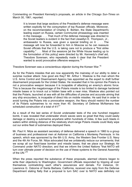Commenting on President Kennedy's proposals, an article in the Chicago *Sun-Times* on March 30, 1961, reported:

It is known that large sections of the President's defense message were written explicitly for the consumption of top Russian officials. Moreover, on the recommendation of Charles E. Bohlen, the State Department's leading expert on Russia, certain Communist phraseology was inserted in the message. . . . That much of the defense message was directed to the Soviet leaders is evident in the fact that Llewellyn E. Thompson, Jr., ambassador to Russia, was given a special briefing on it. . . . The message will now be forwarded to him in Moscow so he can reassure Soviet officials that the U.S. is taking care not to produce a "first strike capability." . . . Most of the sessions [at the White House leading up to the formulation of this policy] were directed by Mr. Kennedy's chief aid, Theodore Sorensen, who repeatedly made it clear that the President wanted to avoid provocative offensive weapons.<sup>15</sup>

Theodore Sorensen was a conscientious objector during the Korean War.<sup>16</sup>

As for the Polaris missiles that are now apparently the mainstay of our ability to deter a surprise nuclear attack: how good are they? Mr. Arthur I. Waskow is the man whom the U.S. Arms Control and Disarmament Agency has appointed as the expert to draft further disarmament proposals for the United States. He revealed that in his opinion the Polaris is not a provocative weapon because it is incapable of attacking an enemy's atomic force. This is because the megatonnage of the Polaris missile is too limited to damage hardened missile bases or to knock out a hidden base with a near miss. Waskow also pointed out that the Polaris, launched at sea with all the difficulties of precise and accurate aiming that any ship encounters, is incapable of direct hits on mobile missiles. He said that in order to avoid turning the Polaris into a provocative weapon, the Navy should restrict the number of its Polaris submarines to no more than 45. Secretary of Defense McNamara has scheduled construction of a total of  $41^{17}$ 

As a result of the last series of Soviet underwater tests of the one hundred megaton bomb, it was revealed that underwater shock waves were so great that they could easily damage or destroy a submarine anywhere within hundreds of miles. A few such blasts in waters within striking distance of the relatively short-range Polaris missile could likely wipe out our entire fleet of submarines deployed there.

Mr. Paul H. Nitze as assistant secretary of defense delivered a speech in 1960 to a group of business and professional men at Asilomar on California s Monterey Peninsula. In his speech, which was sponsored by the 6th U.S. Army, the Western Sea Frontier U.S. Navy and the 4th Air Force, Mr. Nitze advocated that we unilaterally reduce our armaments; that we scrap all our fixed-base bomber and missile bases; that we place our Strategic Air Command under NATO direction; and that we inform the United Nations "that NATO will turn over ultimate power of decision on the use of these systems to the General Assembly of the UN."<sup>18</sup>

When the press reported the substance of these proposals, alarmed citizens began to write their objections to Washington. Government officials responded by tripping all over themselves contradicting each other's assurances and denials. For instance, Dr. Lawrence G. Osborne of Santa Barbara, California, received one reply from the Defense Department stating flatly that a proposal to turn SAC over to NATO was definitely not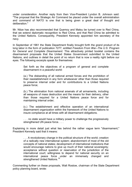under consideration. Another reply from then Vice-President Lyndon B. Johnson said: "The proposal that the Strategic Air Command be placed under the overall administration and command of NATO is one that is being given a great deal of thought and deliberation "

Mr. Nitze has also recommended that Quemoy and Matsu be turned over to Red China, that we extend diplomatic recognition to Red China, and that Red China be admitted to the United Nations. Consequently, President Kennedy appointed him secretary of the navy.

In September of 1961 the State Department finally brought forth the grand product of its long labor in the form of publication 7277, entitled *Freedom From War--The U.S. Program for General and Complete Disarmament.* This attractively printed booklet contains the disarmament proposals that the United States Government submitted to the United Nations, and outlines in detail the point of no return that is now a reality right before our eyes. The following excerpts speak for themselves:

Set forth as the objectives of a program of general and complete disarmament in a peaceful world:

(a.) The disbanding of all national armed forces and the prohibition of their reestablishment in any form whatsoever other than those required to preserve internal order and for contributions to a United Nations peace force;

(b.) The elimination from national arsenals of all armaments, including all weapons of mass destruction and the means for their delivery, other than those required for a United Nations peace force and for maintaining internal order;

(c.) The establishment and effective operation of an international disarmament organization within the framework of the United Nations to insure compliance at all times with all disarmament obligations.

. . . no state would have a military power to challenge the progressively strengthened UN peace force....

Explaining in more detail just what lies behind the rather vague term "disarmament," President Kennedy said that it means:

. . . A revolutionary change in the political structure of the world; creation of a radically new international system; abandonment of most of the old concepts of national states; development of international institutions that would encourage nations to give up much of their national sovereignty; acceptance without question or reservation of the jurisdiction of the international court; willingness to depend for national security on an international peace force under an immensely changed and strengthened United Nations.<sup>19</sup>

Commenting further on these proposals, Walt Rostow, chairman of the State Department policy planning board, wrote: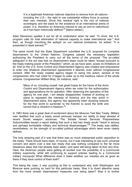It is a legitimate American national objective to remove from all nations- including the U.S.-- the right to use substantial military force to pursue their own interests. Since this residual right is the root of national sovereignty and the basis for the existence of an international arena of power, *it is, therefore an American interest to see an end to nationhood as it has been historically defined*. 20 [Italics added.]

Adlai Stevenson spelled it out for all to understand when he said: "In short, the U.S. program calls for total elimination of national capacity to make international war." And then, as though inscribing the epitaph on our national tombstone, he added: "it is presented in dead earnest."<sup>21</sup>

The same month that the State Department submitted the U.S. proposal for complete disarmament to the United Nations, Congress passed the necessary legislation authorizing the President to carry out all the terms of the proposal. The so-called safeguard in the act was that no disarmament steps could be taken "except pursuant to the treaty-making power of the President," which, as we have seen, poses no limitations at all. And so the U.S. Arms Control and Disarmament Agency was created and empowered to enter into whatever disarmament agreements it desired, even without congressional consent. After the newly created agency began to swing into action, several of the congressmen who had voted for it began to wake up to the insidious nature of the whole scheme. Congressman William Bray, for instance, said:

Many of us, including myself, had great hopes for the future of the Arms Control and Disarmament Agency when we voted for the authorization and appropriations for its operation. After observing the operation of this agency for one year, I am deeply disappointed. Instead of working on plans to represent the interests of America and the free world in disarmament plans, this agency has apparently been studying reasons for the free world to surrender to the Kremlin to avoid the strife and turmoil that is inherent in freedom. $22$ 

In 1963 there was a great deal of excitement about the Moscow Test Ban Treaty. Military men testified that such a treaty would seriously hamper our ability to keep abreast of recent Soviet weapon advances. The Senate Armed Services Preparedness Subcommittee issued a report stating that such a test ban treaty would "result in serious and perhaps formidable military and technical disadvantages."<sup>23</sup> The treaty was ratified, nevertheless, on the strength of so-called political advantages which were never clearly defined.

The truly amazing part of it was that there was so much widespread public opposition to the treaty. There should have been, of course, but it was interesting to see such universal concern and alarm over a test ban treaty that was nothing compared to the far more disastrous steps that had already been taken, and were still being taken at that very time. Here, the American people were getting all excited over the possibility of a Communist military *superiority*, while still continuing to support policies leading to a Communist military *monopoly*! What difference does it make whether our missiles are as good as theirs if they have control of them both?

This being the case, it was puzzling at first to understand why both Washington and Moscow were pushing so hard for this particular treaty. Was it to divert attention away from the more sinister disarmament measures now being taken? Was it to further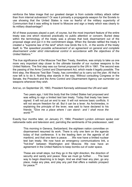reinforce the false image that our greatest danger is from outside military attack rather than from internal subversion? Or was it primarily a propaganda weapon for the Soviets to use showing that the United States is now so fearful of the military superiority of Communism that it was willing to travel to Moscow and sign a treaty which was clearly to its military disadvantage?

All of these purposes played a part, of course, but the most important feature of the entire treaty was one which received practically no public attention or concern. Buried deep within the terminology of the treaty was a phrase that took disarmament out of the proposal stage and put it in the commitment stage. When the Senate ratified the treaty it created a "supreme law of the land" which now binds the U.S., in the words of the treaty itself, to *"the speediest possible achievement of an agreement on* g*eneral and complete disarmament under strict international control in accordance with the objectives of the United Nations."*

The true significance of the Moscow Test Ban Treaty, therefore, was simply to take us one more very important step closer to the ultimate transfer of our nuclear weapons to the United Nations. The first step was our formal *proposal* to the UN in 1961. The second was the passing of the Arms Control and Disarmament Act, which made it legally possible. The third step, the Moscow Test Ban Treaty, has *committed* us to carry out the plan. All that is now left is to do it. Nothing else stands in the way. Without consulting Congress or the Senate, the President and the Arms Control and Disarmament Agency can surrender our weapons whenever they wish.

And so, on September 20, 1963, President Kennedy addressed the UN and said:

Two years ago, I told this body that the United States had proposed and was willing to sign a limited test ban treaty. Today that treaty has been signed. It will not put an end to war. It will not remove basic conflicts. It will not secure freedom for all. But it can be a lever. As Archimedes, in explaining the principle of the lever, was said to have declared to his friends: *"Give me a place where I can stand-- and I shall move the world."*<sup>24</sup>

Exactly four months later, on January 21, 1964, President Lyndon Johnson spoke over nationwide radio and television and, parroting the sentiments of his predecessor, said:

This morning in Geneva, Switzerland, the eighteen nation committee on disarmament resumed its work. There is only one item on the agenda today of that conference. It is the leading item on the agenda of all mankind, and that one item is peace. . . .We now have a limited nuclear test ban treaty. We now have an emergency communications link, a "hot-line" between Washington and Moscow. We now have an agreement in the United Nations to keep bombs out of outer space.

These are small steps, but they go in the right direction, the direction of security and sanity and peace. Now we must go further. . . . The best way to begin disarming is to begin. And we shall hear any plan, go any place, make any plea, and play any part that offers a realistic prospect for peace. $25$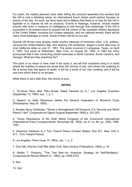For years, the master planners have been telling the innocent assembly line workers that the UN is only a debating arena, an international forum where world opinion focuses on events of the day. As such, we have been led to believe that there is no way for the UN to legislate or to impose its will on anybody. Events in Katanga, however, should enable anyone with even a modicum of intelligence to see through that subterfuge. If the UN is successful in its present drive to acquire the full control of the complete military apparatus of the United States, including our nuclear weapons, and our national armies, there will be many more Katangas to come. Some of them will be on our soil.

Special UN forces have already made practice seizures of American cities. U.S. soldiers, carrying the United Nations flag, and wearing UN armbands, staged a mock take-over of nine California cities on July 31, 1951. The same occurred in Lampasas, Texas, on April 3, 1952. The same at Watertown, New York, on August 20, 1952. In 1963 the Army announced that it was conducting similar exercises in North Carolina, South Carolina, and Georgia. What are they practicing for?

The point of no return is here *now*! If we cross it, we will find ourselves living in a world where the realities of peace are worse than the horrors of war; and where the suffering of life is worse than the agony of death. It will be a world of our own creating; and it will be one from which there is no escape.

While there is yet a little time, the choice is ours.

#### **NOTES**

1. "Ex-Russ Navy Man Plan--Sneak Attack Devised by K.," Los Angeles *Examiner* (September 15, 1960), sec. 1, p. 1.

2. Speech by Adlai Stevenson before the General Federation of Women's Clubs (Philadelphia, May 24, 1955).

3. Senator Barry Goldwater, "Would a Strengthened UN Enhance U.S. Security and World Peace?--No!" *Congressional Digest* (August-September 1960) p. 201-203.

4*. Thesis Resolutions of the Sixth World Congress of the Communist International* (International Press Correspondents, November 28, 1928), vol. 8, no. 84, pp. 1590, 1596- 1597.

5*. American Initiatives in a Turn Toward Peace* (Cooper Station, Box 401, New York 3, N.Y., Turn Toward Peace).

6. Los Angeles *Times* (June 13, 1963), sec. 1, p. 2.

7. Gus Hall, *End the Cold War* (New York, New Century Publications, 1962), p. 34.

8. Stefan T. Possony, "The Test Ban--An American Strategy for Self-Mutilation," *Congressional Record* (March 21, 1963), pp. 4358-4370.

9. *Ibid*.

10*. Ibid.*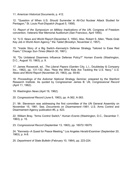11*. American Historical Documents,* p. 412.

12. "Question of When U.S. Should Surrender in All-Out Nuclear Attack Studied for Pentagon," St. Louis *Post-Dispatch* (August 5, 1958).

13*. Report of the Symposium on Military Implications of the UN,* Congress of Freedom convention, Veterans War Memorial Auditorium (San Francisco, April 1955).

14*. "U.S. News and World Report* (December 3, 1954). Also, Robert S. Allen, "Reds Grab Key Job in World Atom Agency," the *Tablet* (Brooklyn, November 2, 1957).

15. "Inside Story of a Big Switch--Kennedy's Defense Strategy Tailored to Ease Red Fears," Chicago *Sun-Times* (March 30, 1961).

16. "Do Unilateral Disarmers Influence Defense Policy?" *Human Events* (Washington, D.C., August 10, 1963), p. 9.

17. James Roosevelt, ed., *The Liberal Papers* (Garden City, L.I., Doubleday & Company Inc., 1962), pp. 131-132. Also, "Now the Whiz Kids Are Tackling the U.S. Navy," *U.S. News and World Report* (November 25, 1963), pp. 59-60.

18*. Proceedings of the Asilomar National Strategy Seminar*, prepared by the Stanford Research Institute. As quoted by Congressman James B. Utt, *Congressional Record*  (April 11, 1962).

19. Washington *News* (April 19, 1962).

20*. Congressional Record* (June 6, 1963), pp. A-362, A-363.

21. Mr. Stevenson was addressing the first committee of the UN General Assembly on November 15, 1961. See, *Documents on Disarmament--1961,* U.S. Arms Control and Disarmament Agency publication #5, p. 623.

22. William Bray, "Arms Control Switch," *Human Events* (Washington, D.C., December 7, 1963), p. 15.

23*. Congressional Record* (September 13, 1963), pp. 16072-16075.

24. "Kennedy--A Quest for Peace Meeting," Los Angeles *Herald-Examiner* (September 20, 1963), p. A-8.

25*. Department of State Bulletin* (February 10, 1964), pp. 223-224.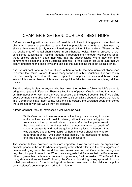Abraham Lincoln

# CHAPTER EIGHTEEN: OUR LAST BEST HOPE

Before proceeding with a discussion of possible solutions to this gigantic United Nations dilemma, it seems appropriate to examine the principle arguments so often used by sincere Americans to justify our continued support of the United Nations. These can be the equivalents of mental short circuits in an otherwise logical thinking process--a preconditioned substitute for rational thought. If repeated often enough without challenge, these clichés gradually seep their way into the subconscious where they can then command the emotions to their uncritical defense. For this reason, let us be sure that we clearly understand the basic flaws and fallacies that lurk behind the most typical clichés.

*It is our last best hope for peace.* This is, without a doubt, the most universal cliché used to defend the United Nations. It takes many forms and subtle variations. It is safe to say that over ninety percent of all pro-UN speeches, magazine articles and books hinge around this central theme. Unless we can spot the fallacies, we are completely at their mercy.

The first fallacy is clear to anyone who has taken the trouble to follow the UN's action to bring about peace in Katanga. There are two kinds of peace. One is the kind that most of us think about when we hear the word--a peace that includes freedom. But, if we define peace as merely the absence of war, then we *could* be talking about the peace that reigns in a Communist slave labor camp. One thing is certain, the wretched souls imprisoned there are not at war! But would they call it peace?

Alfredo Cardinal Ottaviani expressed it well when he said:

While Cain can still massacre Abel without anyone's noticing it; while entire nations are still held in slavery without anyone coming to the assistance of the oppressed; while . . . years after the Hungarian revolt, the bloodletting still continues with the condemnation to death of students, peasants and workers guilty of having loved a freedom that was stamped out by foreign tanks, without the world showing any horror at so great a crime-- while such things persist, it is impossible to speak of a true peace, but only of a consent to a massacre.<sup>1</sup>

The second fallacy, however, is far more important. How on earth can an organization promote peace in the world when strategically entrenched within it is the most aggressive peace-destroying force the world has ever seen? International Communism recognizes only the principle of brute force. When it was suggested at Teheran that the Pope request Hitler to guarantee the humane treatment of prisoners, Stalin remarked, "The Pope? How many divisions does he have?"<sup>2</sup> Having the Communists sitting in key spots within a socalled peace-keeping force is as logical as having members of the Mafia on a police commissioner's board to prevent crime in Chicago!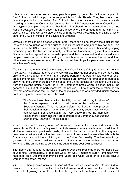It is curious to observe how so many people apparently grasp this fact when applied to Red China, but fail to apply the same principle to Soviet Russia. They become excited over the possibility of admitting Red China to the United Nations, but never advocate throwing out the other Communist countries. Former UN Ambassador Henry Cabot Lodge, as a typical example, once argued that Red China should not be admitted to the United Nations because the organization "is not a place where the virtuous and the criminal sit side by side."<sup>3</sup> Yet, we *do* sit side by side with the Soviets. According to this kind of logic, either the U.S. is criminal or the Soviets are virtuous!

Obviously there can be no peace without order; there can be no order without justice; and there can be no justice when the criminal directs the police and judges his own trial. This is why, since the UN was created supposedly to prevent the rise of another world-grasping tyrannical power like Nazism, the equally ruthless and bloodthirsty regime of international Communism has spread at a fantastic pace and has massacred and enslaved more people, broken more families, destroyed more homes and conquered more land than Hitler even came close to doing. If *that* is our last best hope for peace, we have lost all semblance of sanity.

*The UN must be hurting the Communists, otherwise why would they rant and rave against it so much?* The answer to that one is very simple. They do not oppose the UN at all. The only time they appear to is when it is a public performance before news cameras or at press conferences. These dramatic performances are obviously for propaganda purposes only. What the Communists really think about the United Nations can be seen quite clearly from the glowing praise it receives in the Communist press which is aimed, not at the general public, but at the party members, themselves. But, to answer the question of why they *pretend* to oppose the UN, one of the best explanations was provided, unintentionally no doubt, by Adlai Stevenson when he said:

The Soviet Union has attacked the UN, has refused to pay its share of the Congo expenses, and has laid siege to the institution of the Secretary-General. Thus, as often before, the Soviets have pressed their attack at a moment when the (UN] Community seems most divided against itself. But, once again, that very attack makes the members realize more keenly that they are members of a Community *and causes them to draw together.*<sup>4</sup> [Italics added.]

*At least while we're talking we're not shooting.* This is really only an extension of the peace cliché. But it is so widely used that it deserves special consideration. In addition to all the observations previously made, it should be further noted that this argument presumes an either-or situation that does not exist. It assumes that we either talk with the Communists or shoot them. Nothing could be further from reality. The best way to get yourself into a barroom brawl with a bunch of thugs is to go into the bar and start talking with them. The smart thing to do is to stay out and mind your own business!

The theory that as long as nations are talking over their problems there will not be war sounds fine. Unfortunately, it does not work that way. Americans surely remember what happened on a December morning some years ago while Emperor Hiro Hito's envoys were in Washington--*talking*.

*The UN is merely doing between nations what we did so successfully with our thirteen colonies.* This, in essence, is the plea for federalism, and is based on the idea that the mere act of joining separate political units together into a larger federal entity will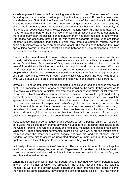somehow prevent those units from waging war with each other. The success of our own federal system is most often cited as proof that this theory is valid. But such an evaluation is a shallow one. First of all, the American Civil War, one of the most bloody in all history, illustrates conclusively that the mere federation of governments, even those culturally similar, as in America, does not automatically prevent war between them. Secondly, we find that true peace quite easily exists between nations which are not federated. As a matter of fact, members of the British Commonwealth of Nations seemed to get along far more peacefully after the political bonds between them had been relaxed. In other words, true peace has absolutely nothing to do with whether separate political units are joined together--except, perhaps, that such a union may create a common military defense sufficiently impressive to deter an aggressive attack. But that is peace between the union and outside powers; it has little effect on peace between the units, themselves, which is the substance of the UN argument.

Peace is the natural result of relationships between groups and cultures which are mutually satisfactory to both sides. These relationships are found with equal ease within or across federal lines. As a matter of fact, they are the same relationships that promote peaceful conditions within the community, the neighborhood, the family itself. What are they? Just stop and think for a moment; if you were marooned on an island with two other people, what relationships between you would be mutually satisfactory enough to prevent you from resorting to violence in your relationships? Or, to put it the other way around, what would cause you to break the peace and raise your hand against your partners?

Obviously, if one or both of the others attempted to seize your food and shelter, you would fight. Their reaction to similar efforts on your part would be the same. If they attempted to take away your freedom, to dictate how you should conduct your affairs, or tell you what moral and ethical standards you must follow, likewise, you would fight. And if they constantly ridiculed your attire, your manners and your speech, in time you might be sparked into a brawl. The best way to keep the peace on that island is for each one to mind his own business, to respect each other's right to his own property, to respect the other fellow's right to be different (even to act in a way that seems foolish or improper, if he wishes), to have compassion for each other's troubles and hardships--but to *force* each other to do nothing! And, to make sure that the others hold to their end of the bargain, each should keep physically strong enough to make any violation of this code unprofitable'

Now, suppose these three got together and decided to form a political union, to "federate," as it were. Would this really change anything? Suppose they declared themselves to be the United Persons, and wrote a charter, and held daily meetings, and passed resolutions. What then? These superficial ceremonies might be fun for a while, but the minute two of them out-voted the other, and started "legally " to take his food and shelter, limit his freedom, or force him to accept an unwanted standard of moral conduct, they would be right back where they all began. Charter or no charter they would fight.

Is it really different between nations? Not at all. The same simple code of conduct applies in all human relationships, large or small. Regardless of the size, be it international or three men on an island, the basic unit is still the human personality. Ignore this fact, and any plan is doomed to failure.

When the thirteen colonies formed our Federal Union, they had two very important factors in their favor, neither of which are present in the United Nations. First, the colonies themselves were all of a similar cultural background. They enjoyed similar legal systems, they spoke the same language, they shared the similar religious beliefs. They had much in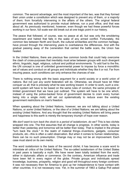common. The second advantage, and the most important of the two, was that they formed their union under a constitution which was designed to prevent any of them, *or a majority of them*, from forcefully intervening in the affairs of the others. The original federal government was authorized to provide mutual defense, run a post office, and that was about all. As previously mentioned, however, even though we had these powerful forces working in our favor, full scale war did break out at one tragic point in our history.

The peace that followed, of course, was no peace at all, but was only the smoldering resentment and hatred that falls in the wake of any armed conflict. Fortunately, the common ties between North and South, the cultural similarities and the common heritage, have proved through the intervening years to overbalance the differences. And with the gradual passing away of the (veneration that carried the battle scars, the Union has healed.

In the United Nations, there are precious few common bonds that could help overcome the clash of cross-purposes that inevitably must arise between groups with such divergent ethnic, linguistic, legal, religious, cultural and political environments. To add fuel to the fire, the UN concept is one of unlimited governmental power to impose by force a monolithic set of values and conduct on all groups and individuals whether they like it or not. Far from insuring peace, such conditions can only enhance the chances of war.

There is nothing wrong with the basic argument for a world society or a world union of nations. But not just *any* world federation will do. Otherwise, we should have let Hitler conquer us all; that is precisely what he was working toward. In order to work, such a oneworld system will have to be based on the same rules of conduct, the same principles of limited government that we have just outlined. The system will have to be one which, instead of using the police-backed force of government decree to cram every human being into a single mold, will set out systematically to reduce even the existing government restrictions on man's freedom.

When speaking about the United Nations, however, we are not talking about *a* United Nations, or *some* United Nations, or the *idea* of a United Nations; we are talking about the *existing* United Nations. And any thought that the existing United Nations will bring peace and happiness to this earth is merely the temporary triumph of hope over reason.

*We don't want to turn back the clock to a period of isolationism, do we?* This is two clichés wrapped into one. The first assumes that all change is progress. In other words, today is better than yesterday and tomorrow will be better than today. That is implied in the phrase "turn back the clock." In the realm of material things--inventions, gadgets, consumer products, etc.--this is often a valid observation. But when it comes to human relationships, there can be no such presumption. Change may or may not be an improvement. Each case must stand on its own merits.

The word *isolationism* is the basis of the second cliché; it has become a scare word to intimidate all critics of the United Nations. The so-called isolationism of the United States in past years is basically a myth. We have never been totally isolated from the world, either in diplomatic affairs or commerce. On the contrary, American influence and trade have been felt in every region of the globe. Private groups and individuals spread knowledge, business, prosperity, religion and good will throughout every foreign continent. It was not necessary then for America to give up her independence to have contact with other countries. It is not necessary now. Yet, in the summer of 1963 a Gallup Poll asked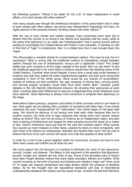the following question: "Would it be better for the U.S. to keep independent in world affairs, or to work closely with other nations?"

How many people saw through the intellectual deception of the presumption that in order to work closely with other nations, we cannot stay independent? Apparently not many, for eighty percent of the answers favored "working closely with other nations."<sup>5</sup>

With the use of such clichés and loaded phrases, many Americans have been led to believe that this country is so strong it can defend and subsidize half the world, while at the same time believing it is so weak and "interdependent" that it cannot survive without pooling its sovereignty and independence with those it must subsidize. If wanting no part of this kind of "logic" is isolationism, then it is indeed time that it was brought back into vogue.

*The UN provides a valuable vehicle for contact between nations.* This may be true, but is it necessary? What is wrong with the traditional method of maintaining contact between nations through the use of ambassadors, envoys and a diplomatic corps? The United States has such contacts in all the major capitals of the world. Why not use them? In fact the traditional approach is far more likely to produce results than the debating arena of the United Nations. Consider what would happen if every time a small spat arose between a husband and wife they called the entire neighborhood together and took turns airing their complaints in front of the whole group. Gone would be any chance of reconciliation. Instead of working out their problems, the ugly necessity of saving face, proving points, and winning popular sympathy would likely drive them further apart. Likewise, public debates in the UN intensify international tensions. By shouting their grievances at each other, countries allow their differences to assume a magnitude they would otherwise never have reached. Quiet diplomacy is always more conducive to progress than diplomacy on the stage.

*Nationalism fosters jealousy, suspicion and hatred of other countries which in turn leads to war.* Here again we are dealing with a problem of semantics and false logic. If we merely substitute the word "independence" for "nationalism," this cliché begins to fall apart right away. We *should* be desirous of not having men hate each other because they live in another country, but what kind of logic assumes that loving one's own country means hating all others? Why can't we be proud of America as an independent nation, and also have a feeling of brotherhood and respect for other peoples around the world' As a matter of fact, haven't Americans done just that for the past two hundred years? What country has poured out more treasure to other lands, opened its doors to more immigrants, and sent more of its citizens as missionaries, teachers and doctors than ours? Are we now to believe that love of our own country will cause us to hate the peoples of other lands?

In order for a man to be a good neighbor within his community, he does not have to love other men's wives and children as be does his own.

*We must support the UN because it is working to eliminate the roots of war--ignorance, poverty, hunger, and disease. The* fallacy in this argument is the assertion that ignorance, poverty, hunger and disease are the roots of war. Some of the bloodiest wars of history have been fought between nations that were highly educated, affluent and healthy. What country hovering on the brink of poverty and disease ever started a major war? How could it? To wage war requires armaments and large armies--hardly the products of destitute states. As for the thought that low educational standards and lack of international understanding (whatever the means) are the cause of war, consider the fact that Germany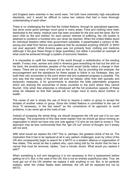and England were enemies in two world wars. Yet both have extremely high educational standards, and it would be difficult to name two nations that had a more thorough understanding of each other.

There is no challenging the fact that the United Nations, through its specialized agencies, has done some good--perhaps much good in many areas. Food and clothing have been distributed to the needy; medical care has been provided for the sick and the lame. But for each child so fed and clothed, for each person relieved of suffering, the UN system is destined to condemn a hundred who can never be reached. When the United States stood for individual freedom rather than government subsidies, it spearheaded a century of lifesaving and relief from famine and pestilence that far exceeded anything UNICEF or WHO can ever approach. What America gave was not *primarily* food, clothing and medicine (although it did give these things in large quantities), but rather it provided an example of what could be achieved through a system of economic freedom.

It is impossible to uplift the masses of the world through a redistribution of the existing wealth. If every man, woman and child in America gave everything he had but the shirt on his back, the poverty-stricken peoples of the world would hardly notice a change in their misery. There are so many of them and so few of us. But by providing the example, the encouragement and the assistance for these people to follow in our footsteps, they can build their own economies to the point where real and sustained progress is possible. The only way that the needy of the world will ever be helped, other than with sporadic and temporary measures, is for governments to abandon the futile paternalistic programs which are draining the economies of those countries to the point where they cannot flourish. Only when free enterprise is introduced will the full productive capacity of these areas be released so that their people will no longer have to worry about nutrition or health.

The cause of war is simply the use of force to require a nation or group to accept the dictates of another nation or group. Since the United Nations is committed to the use of force "if necessary, in the last resort" as the cornerstone of its approach to world problems, it can never get at the roots of war.

*Instead of scrapping the whole thing, we should reorganize the UN and use it to our own advantage.* The proponents of this idea never explain how we should go about revising an organization in which we have only one vote against 112 who do not want to revise it. This approach may be less controversial than the "get US out" school of thought, but it simply will not work.

*With what would we replace the UN?* This is, perhaps, the greatest cliché of the lot. The implication that it has to be replaced at all is very seldom challenged, even by critics of the UN who consequently begin to search for a NATO or a western alliance or organization of free states. This would be like a patient who, upon being told by his doctor that he has a cancer that must be removed, replies, "Just a minute, doctor. What would you replace it with?"

When something is evil and dangerous it is not necessary to find a replacement before getting rid of it. But, in the case of the UN, this is not an entirely superfluous idea. True, we must get out of the UN whether we replace it with anything or not. But, to be perfectly realistic, when the United States does withdraw, the UN *will* be replaced--but not by NATO.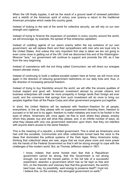When the UN finally topples, it will be the result of a ground swell of renewed patriotism and a rebirth of the American spirit of victory over tyranny--a return to the traditional American principles which made this country great.

Instead of looking to the rest of the world for collective security, we will rely on our own strength and vigilance.

Instead of trying to finance the expansion of socialism in every country around the world, we will encourage, by example, the spread of free enterprise capitalism.

Instead of coddling agents of our sworn enemy within the top echelons of our own government, we will replace them and their sympathizers with men who are loyal only to the United States. And unless this very important *first step* is taken we are not going to even come close to getting out of the UN. Until we disconnect this end of the Washington-Moscow "axis," our government will continue to support and promote the UN, as it has from the very beginning.

Instead of coexistence with the evil thing called Communism, we will direct our energies toward ultimate victory.

Instead of continuing to build a welfare-socialist system here at home, we will move once again in the direction of reducing government restrictions on our daily lives and, thus, in the direction of increasing personal freedom.

Instead of trying to *buy* friendship around the world, we will offer the sincere qualities of mutual respect and good will. American investment abroad by private citizens and business enterprises will create far more prosperity in foreign lands than foreign aid ever could; and the commerce that springs from such investment will do more to bring our peoples together than all the Peace Corps and other government programs put together.

In short, the United Nations will be replaced with *freedom--*freedom for all people, everywhere, to live as they please with no super-government directing them; freedom to succeed or to fail and to try again; freedom to make mistakes and even to be foolish in the eyes of others. Americans will, once again, be free to work where they please, employ whom they please, buy and sell what they please, and, in an infinite number of ways, do what they please-with only one government restriction upon them: that they not interfere with anyone else's access to the same freedom.

This is the meaning of a republic; a *limited* government. This is what we Americans once had until the socialists, Communists and other collectivists turned back the clock to the ideas that dominated the political systems of the Dark Ages. Many Americans today, thinking that collectivist ideas are new, argue that we must place more and more power into the hands of the Federal Government so that it will be strong enough to cope with the challenges of the modern world. But, as Thomas Jefferson stated in 1801:

I know, indeed, that some honest men fear that a Republican government cannot be strong, that this Government is not strong enough; but would the honest patriot, in the full tide of a successful experiment, abandon a government which has so far kept us free and firm, on the theoretic and visionary fear that this government, the world's best hope, may, by possibility, want energy to preserve itself? I trust not. I believe this, on the contrary, the strongest government on earth. $6$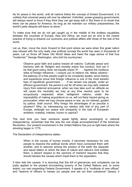As for peace in the world, until all nations follow the concept of limited Government, it is unlikely that universal peace will ever be attained. Unlimited, power-grasping governments will always resort to force if they think they can get away with it. But there is no doubt that there *can* be peace for America. As long as we maintain our military preparedness, the world's petty despots will leave us alone.<sup>7</sup>

To make sure that we do not get caught up in the middle of the endless squabbles between the countries of Europe, Asia and Africa, we must put an end to the insane practice of trying to entwine our economic and political affairs with those of the rest of the world.

Let us, then, move the clock *forward* to that point where we were when this great nation was infused with the only really new political concept the world has seen in thousands of years. Let us throw off these Old World ideas and heed the sage advice of that true "modernist," George Washington, who told his countrymen:

Observe good faith and justice toward all nations. Cultivate peace and harmony with all. Religion and morality enjoin this conduct. And can it be that good policy does not equally enjoin it? . . . Against the insidious wiles of foreign influence-- I conjure you to believe me, fellow citizens- the jealousy of a free people ought to be constantly awake; since history and experience prove that foreign influence is one of the most baneful foes of republican government. . . . If we remain one people, under an efficient government, the period is not far off when we may defy material injury from external annoyance; when we may take such an attitude as will cause the neutrality we may at any time resolve upon to be scrupulously respected; when belligerent nations, under the impossibility of making acquisitions on us, will not likely hazard giving us provocation; when we may choose peace or war, as our interest, guided by justice, shall council. Why forego the advantages of so peculiar a situation? Why, by interweaving our destiny with that of any part of Europe, entangle our peace and prosperity in the toils of European ambition, rivalship, interest, humor or caprice?

The next time you hear someone speak lightly about sovereignty or national independence, remember that this was the one single accomplishment of the American Revolution. Our present involvement in the United Nations has put us right back where the shooting began in 1775.

The Declaration of Independence states:

When in the course of human events, it becomes necessary for one people to dissolve the political bonds which have connected them with another, and to assume among the powers of the earth the separate and equal station to which the laws of nature and nature's God entitles them, a decent respect to the opinions of mankind requires that they should declare the causes which impel them to the separation. . . .

It then lists the causes. It is stunning that this bill of grievances and complaints can be justly applied to the present encroaching tyranny of the United Nations and, to some extent, our own expanding Federal Government. It speaks of a "multitude of new offices" and "swarms of officers to harass our people and eat out their substance" (taxes); it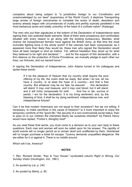complains about being subject to "a jurisdiction foreign to our Constitution and unacknowledged by our laws" (supremacy of the World Court); it deplores "transporting large armies of foreign mercenaries to complete the works of death, desolation and tyranny already begun with circumstances of cruelty and perfidy scarcely paralleled in the most barbarous acres and totally unworthy of the head of a civilized nation" (Katanga).

The men who put their signatures to the bottom of the Declaration of Independence were signing their own potential death warrants. Most of them were prosperous and comfortably situated with every reason to go along with the existing bureaucracy. Besides, what chance did inexperienced farmers have against the British Army, at that time the most invincible fighting force in the whole world? If the colonies had been overpowered, as it appeared more than likely they would be, these men who signed the Declaration would have all been banged or shot as traitors. Yet, without hesitation they stood up for what they believed to be right and declared: ". . . and for the support of this declaration, with a firm reliance on the protection of Divine Providence, we mutually pledge to each other our lives, our fortunes, and our sacred honor."

In signing the Declaration of Independence, John Adams turned to his colleagues and spoke these words:

If it be the pleasure of Heaven that my country shall require the poor offering of my life, the victim shall be ready. But while I do live, let me have a country, or at least the hope of a country-- and that a free country. But whatever may be our fate, be assured . . . this declaration will stand. It may cost treasure, and it may cost blood; but it will stand, and it will richly compensate for both. . . . And live or die, survive or perish, I am for the declaration. It is my living sentiment, and, by the blessing of God, it shall be my dying sentiment: independence now, and independence forever!

Can it be that modem Americans are not equal to their ancestors? Are we not willing, if necessary, to make sacrifices in the cause of freedom? Is it more important to enjoy the temporary comforts of the "good life," the security of a non-controversial social status, than to pass on to our children the cherished liberty we ourselves inherited? As Patrick Henry would have replied, "Forbid it, Almighty God!"

As you read these final words, you must come to a decision as to your *own* reply to these questions. Each man and woman will soon be called upon for his answer. The rapidity of world events will no longer permit us to remain aloof and unaffected by them. Disinterest will no longer purchase a ticket for escape. Tyranny demands unqualified allegiance: We are either for it or against it. There is no middle around.

Which will it be, America?

### **NOTES**

1. Rev. Richard Ginder, "Key to Your House," syndicated column *Right or Wrong, Our Sunday Visitor* (Huntington, Ind., 1961).

*2. As quoted by Lie, p. 242.*

3. As quoted by Manly, p. 82.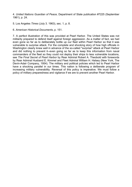4. *United Nations Guardian of Peace,* Department of State publication #7225 (September 1961), p. 24.

5. Los Angeles *Times* (July 3. 1963), sec. 1, p. 8.

6. *American Historical Documents*, p. 151.

7. A perfect illustration of this was provided at Pearl Harbor. The United States was not militarily prepared to defend itself against foreign aggression. As a matter of fact, we had even gone so far as to deliberately bottle up our fleet within Pearl Harbor so that it was vulnerable to surprise attack. For the complete and shocking story of how high officials in Washington clearly knew well in advance of the so-called "surprise" attack at Pearl Harbor and did nothing to prevent it--even going so far as to keep this information from naval commanders of the fleet so they could not deploy their ships to less vulnerable locations, see *The Final Secret of Pearl Harbor* by Rear Admiral Robert A. Theobold with forewords by Rear Admiral Husband E. Kimmel and Fleet Admiral William H. Halsey (New York, The Devin-Adair Company, 1954). The military and political policies which led to Pearl Harbor have a shocking parallel in our times. This nation is following a deliberate program of increasing military vulnerability. Reversal of this policy is imperative. We must follow a policy of military preparedness and vigilance if we are to prevent another Pearl Harbor.